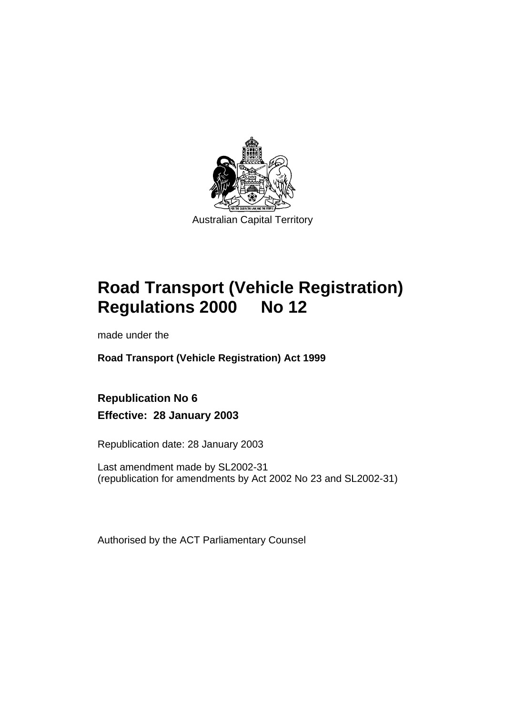

# **Road Transport (Vehicle Registration) Regulations 2000 No 12**

made under the

**Road Transport (Vehicle Registration) Act 1999** 

**Republication No 6 Effective: 28 January 2003** 

Republication date: 28 January 2003

Last amendment made by SL2002-31 (republication for amendments by Act 2002 No 23 and SL2002-31)

Authorised by the ACT Parliamentary Counsel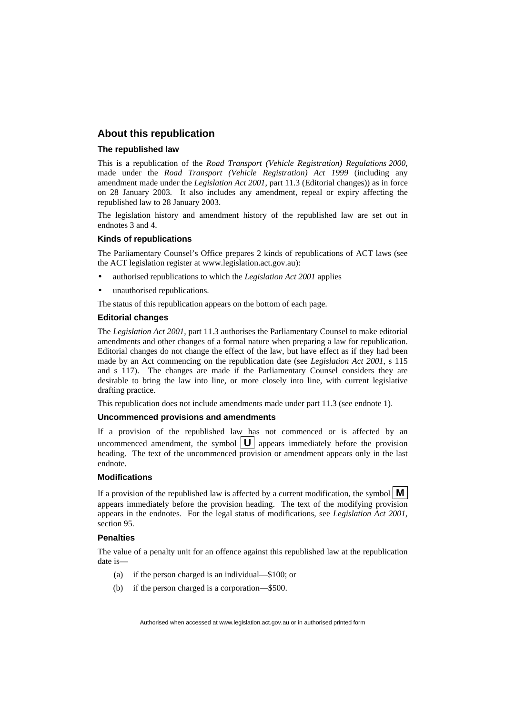#### **About this republication**

#### **The republished law**

This is a republication of the *Road Transport (Vehicle Registration) Regulations 2000,* made under the *Road Transport (Vehicle Registration) Act 1999* (including any amendment made under the *Legislation Act 2001*, part 11.3 (Editorial changes)) as in force on 28 January 2003*.* It also includes any amendment, repeal or expiry affecting the republished law to 28 January 2003.

The legislation history and amendment history of the republished law are set out in endnotes 3 and 4.

#### **Kinds of republications**

The Parliamentary Counsel's Office prepares 2 kinds of republications of ACT laws (see the ACT legislation register at www.legislation.act.gov.au):

- authorised republications to which the *Legislation Act 2001* applies
- unauthorised republications.

The status of this republication appears on the bottom of each page.

#### **Editorial changes**

The *Legislation Act 2001*, part 11.3 authorises the Parliamentary Counsel to make editorial amendments and other changes of a formal nature when preparing a law for republication. Editorial changes do not change the effect of the law, but have effect as if they had been made by an Act commencing on the republication date (see *Legislation Act 2001*, s 115 and s 117). The changes are made if the Parliamentary Counsel considers they are desirable to bring the law into line, or more closely into line, with current legislative drafting practice.

This republication does not include amendments made under part 11.3 (see endnote 1).

#### **Uncommenced provisions and amendments**

If a provision of the republished law has not commenced or is affected by an uncommenced amendment, the symbol  $|\mathbf{U}|$  appears immediately before the provision heading. The text of the uncommenced provision or amendment appears only in the last endnote.

#### **Modifications**

If a provision of the republished law is affected by a current modification, the symbol  $\mathbf{M}$ appears immediately before the provision heading. The text of the modifying provision appears in the endnotes. For the legal status of modifications, see *Legislation Act 2001*, section 95.

#### **Penalties**

The value of a penalty unit for an offence against this republished law at the republication date is—

- (a) if the person charged is an individual—\$100; or
- (b) if the person charged is a corporation—\$500.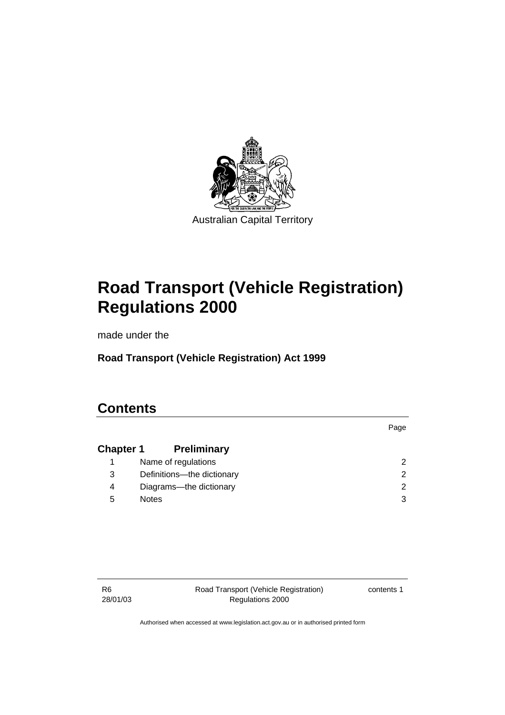

# **Road Transport (Vehicle Registration) Regulations 2000**

made under the

**Road Transport (Vehicle Registration) Act 1999** 

# **Contents**

|                  |                            | Page                 |
|------------------|----------------------------|----------------------|
| <b>Chapter 1</b> | <b>Preliminary</b>         |                      |
|                  | Name of regulations        | 2                    |
| 3                | Definitions-the dictionary | $\mathbf{2}^{\circ}$ |
| 4                | Diagrams-the dictionary    | $\mathcal{P}$        |
| 5                | <b>Notes</b>               | 3                    |

| -R6      | Road Transport (Vehicle Registration) | contents 1 |
|----------|---------------------------------------|------------|
| 28/01/03 | Regulations 2000                      |            |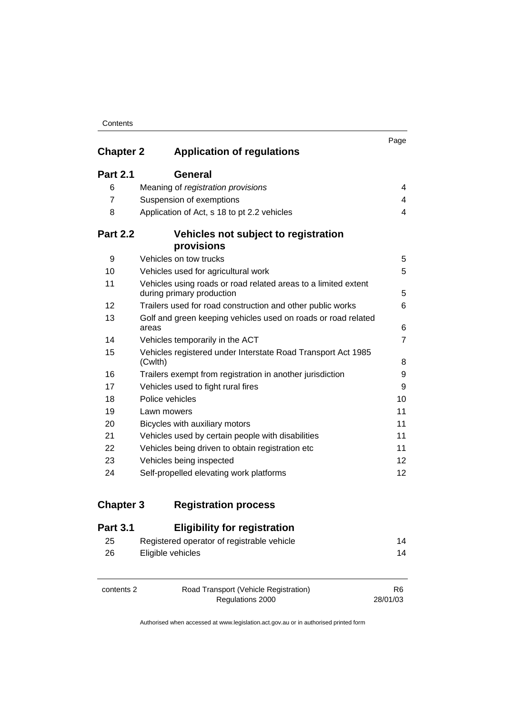| <b>Chapter 2</b> | <b>Application of regulations</b>                                                           | Page           |
|------------------|---------------------------------------------------------------------------------------------|----------------|
| <b>Part 2.1</b>  | General                                                                                     |                |
| 6                | Meaning of registration provisions                                                          | 4              |
| $\overline{7}$   | Suspension of exemptions                                                                    | 4              |
| 8                | Application of Act, s 18 to pt 2.2 vehicles                                                 | 4              |
| <b>Part 2.2</b>  | Vehicles not subject to registration<br>provisions                                          |                |
| 9                | Vehicles on tow trucks                                                                      | 5              |
| 10               | Vehicles used for agricultural work                                                         | 5              |
| 11               | Vehicles using roads or road related areas to a limited extent<br>during primary production | 5              |
| 12               | Trailers used for road construction and other public works                                  | 6              |
| 13               | Golf and green keeping vehicles used on roads or road related<br>areas                      | 6              |
| 14               | Vehicles temporarily in the ACT                                                             | $\overline{7}$ |
| 15               | Vehicles registered under Interstate Road Transport Act 1985<br>(Cwlth)                     | 8              |
| 16               | Trailers exempt from registration in another jurisdiction                                   | 9              |
| 17               | Vehicles used to fight rural fires                                                          | 9              |
| 18               | Police vehicles                                                                             | 10             |
| 19               | Lawn mowers                                                                                 | 11             |
| 20               | Bicycles with auxiliary motors                                                              | 11             |
| 21               | Vehicles used by certain people with disabilities                                           | 11             |
| 22               | Vehicles being driven to obtain registration etc                                            | 11             |
| 23               | Vehicles being inspected                                                                    | 12             |
| 24               | Self-propelled elevating work platforms                                                     | 12             |

## **Chapter 3 Registration process**

| <b>Part 3.1</b> | <b>Eligibility for registration</b>        |    |
|-----------------|--------------------------------------------|----|
| 25              | Registered operator of registrable vehicle | 14 |
| 26              | Eligible vehicles                          | 14 |
| contents 2      | Road Transport (Vehicle Registration)      | R6 |

Regulations 2000

28/01/03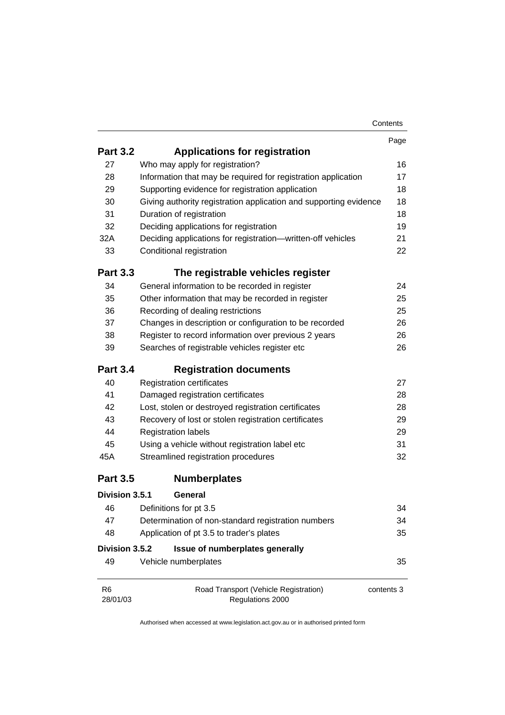|                            |                                                                   | Contents   |
|----------------------------|-------------------------------------------------------------------|------------|
|                            |                                                                   | Page       |
| <b>Part 3.2</b>            | <b>Applications for registration</b>                              |            |
| 27                         | Who may apply for registration?                                   | 16         |
| 28                         | Information that may be required for registration application     | 17         |
| 29                         | Supporting evidence for registration application                  | 18         |
| 30                         | Giving authority registration application and supporting evidence | 18         |
| 31                         | Duration of registration                                          | 18         |
| 32                         | Deciding applications for registration                            | 19         |
| 32A                        | Deciding applications for registration-written-off vehicles       | 21         |
| 33                         | Conditional registration                                          | 22         |
| <b>Part 3.3</b>            | The registrable vehicles register                                 |            |
| 34                         | General information to be recorded in register                    | 24         |
| 35                         | Other information that may be recorded in register                | 25         |
| 36                         | Recording of dealing restrictions                                 | 25         |
| 37                         | Changes in description or configuration to be recorded            | 26         |
| 38                         | Register to record information over previous 2 years              | 26         |
| 39                         | Searches of registrable vehicles register etc                     | 26         |
| <b>Part 3.4</b>            | <b>Registration documents</b>                                     |            |
| 40                         | <b>Registration certificates</b>                                  | 27         |
| 41                         | Damaged registration certificates                                 | 28         |
| 42                         | Lost, stolen or destroyed registration certificates               | 28         |
| 43                         | Recovery of lost or stolen registration certificates              | 29         |
| 44                         | <b>Registration labels</b>                                        | 29         |
| 45                         | Using a vehicle without registration label etc                    | 31         |
| 45A                        | Streamlined registration procedures                               | 32         |
| <b>Part 3.5</b>            | <b>Numberplates</b>                                               |            |
| Division 3.5.1             | General                                                           |            |
| 46                         | Definitions for pt 3.5                                            | 34         |
| 47                         | Determination of non-standard registration numbers                | 34         |
| 48                         | Application of pt 3.5 to trader's plates                          | 35         |
| Division 3.5.2             | Issue of numberplates generally                                   |            |
| 49                         | Vehicle numberplates                                              | 35         |
| R <sub>6</sub><br>28/01/03 | Road Transport (Vehicle Registration)<br>Regulations 2000         | contents 3 |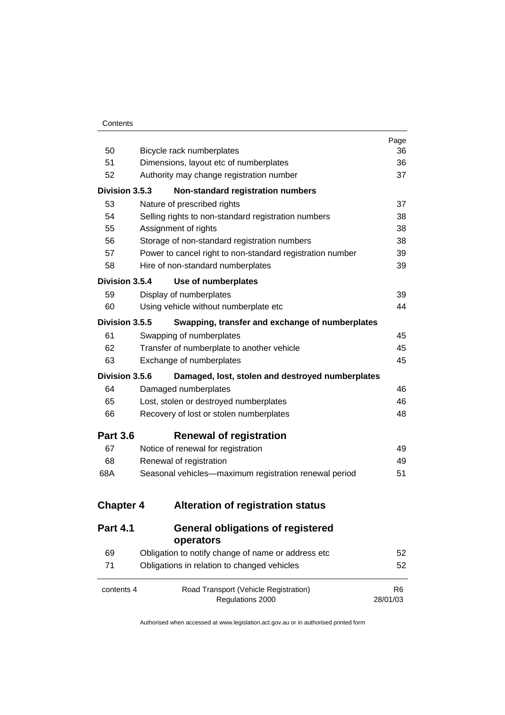|                  |                                                           | Page                       |
|------------------|-----------------------------------------------------------|----------------------------|
| 50               | Bicycle rack numberplates                                 | 36                         |
| 51               | Dimensions, layout etc of numberplates                    | 36                         |
| 52               | Authority may change registration number                  | 37                         |
| Division 3.5.3   | Non-standard registration numbers                         |                            |
| 53               | Nature of prescribed rights                               | 37                         |
| 54               | Selling rights to non-standard registration numbers       | 38                         |
| 55               | Assignment of rights                                      | 38                         |
| 56               | Storage of non-standard registration numbers              | 38                         |
| 57               | Power to cancel right to non-standard registration number | 39                         |
| 58               | Hire of non-standard numberplates                         | 39                         |
| Division 3.5.4   | Use of numberplates                                       |                            |
| 59               | Display of numberplates                                   | 39                         |
| 60               | Using vehicle without numberplate etc                     | 44                         |
| Division 3.5.5   | Swapping, transfer and exchange of numberplates           |                            |
| 61               | Swapping of numberplates                                  | 45                         |
| 62               | Transfer of numberplate to another vehicle                | 45                         |
| 63               | Exchange of numberplates                                  | 45                         |
| Division 3.5.6   | Damaged, lost, stolen and destroyed numberplates          |                            |
| 64               | Damaged numberplates                                      | 46                         |
| 65               | Lost, stolen or destroyed numberplates                    | 46                         |
| 66               | Recovery of lost or stolen numberplates                   | 48                         |
| <b>Part 3.6</b>  | <b>Renewal of registration</b>                            |                            |
| 67               | Notice of renewal for registration                        | 49                         |
| 68               | Renewal of registration                                   | 49                         |
| 68A              | Seasonal vehicles-maximum registration renewal period     | 51                         |
| <b>Chapter 4</b> | <b>Alteration of registration status</b>                  |                            |
|                  |                                                           |                            |
| <b>Part 4.1</b>  | <b>General obligations of registered</b><br>operators     |                            |
| 69               | Obligation to notify change of name or address etc        | 52                         |
| 71               | Obligations in relation to changed vehicles               | 52                         |
| contents 4       | Road Transport (Vehicle Registration)<br>Regulations 2000 | R <sub>6</sub><br>28/01/03 |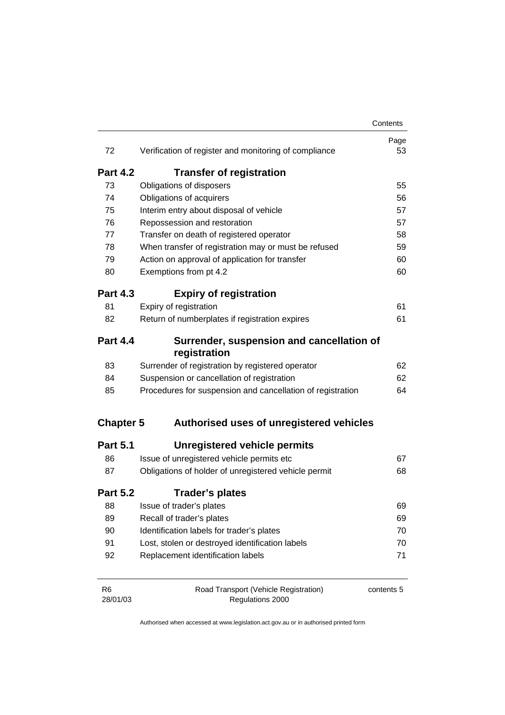|                            |                                                            | Contents   |
|----------------------------|------------------------------------------------------------|------------|
| 72                         | Verification of register and monitoring of compliance      | Page<br>53 |
| <b>Part 4.2</b>            | <b>Transfer of registration</b>                            |            |
| 73                         | Obligations of disposers                                   | 55         |
| 74                         | Obligations of acquirers                                   | 56         |
| 75                         | Interim entry about disposal of vehicle                    | 57         |
| 76                         | Repossession and restoration                               | 57         |
| 77                         | Transfer on death of registered operator                   | 58         |
| 78                         | When transfer of registration may or must be refused       | 59         |
| 79                         | Action on approval of application for transfer             | 60         |
| 80                         | Exemptions from pt 4.2                                     | 60         |
| <b>Part 4.3</b>            | <b>Expiry of registration</b>                              |            |
| 81                         | Expiry of registration                                     | 61         |
| 82                         | Return of numberplates if registration expires             | 61         |
| <b>Part 4.4</b>            | Surrender, suspension and cancellation of<br>registration  |            |
| 83                         | Surrender of registration by registered operator           | 62         |
| 84                         | Suspension or cancellation of registration                 | 62         |
| 85                         | Procedures for suspension and cancellation of registration | 64         |
| <b>Chapter 5</b>           | Authorised uses of unregistered vehicles                   |            |
| <b>Part 5.1</b>            | Unregistered vehicle permits                               |            |
| 86                         | Issue of unregistered vehicle permits etc                  | 67         |
| 87                         | Obligations of holder of unregistered vehicle permit       | 68         |
| <b>Part 5.2</b>            | Trader's plates                                            |            |
| 88                         | Issue of trader's plates                                   | 69         |
| 89                         | Recall of trader's plates                                  | 69         |
| 90                         | Identification labels for trader's plates                  | 70         |
| 91                         | Lost, stolen or destroyed identification labels            | 70         |
| 92                         | Replacement identification labels                          | 71         |
| R <sub>6</sub><br>28/01/03 | Road Transport (Vehicle Registration)<br>Regulations 2000  | contents 5 |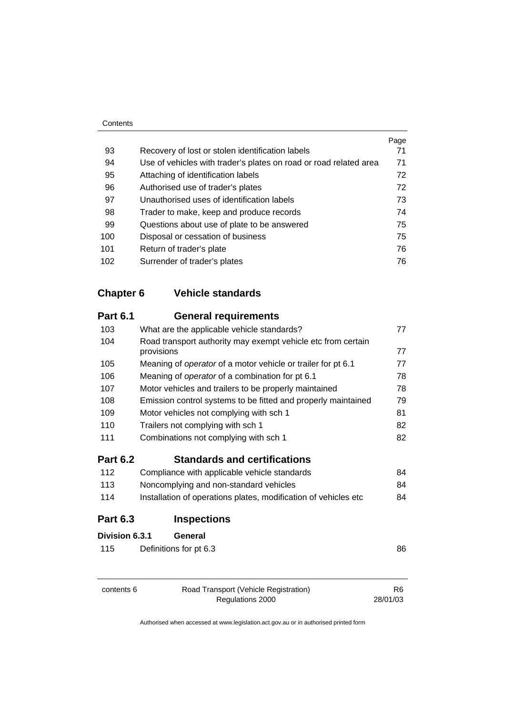|     |                                                                   | Page |
|-----|-------------------------------------------------------------------|------|
| 93  | Recovery of lost or stolen identification labels                  | 71   |
| 94  | Use of vehicles with trader's plates on road or road related area | 71   |
| 95  | Attaching of identification labels                                | 72   |
| 96  | Authorised use of trader's plates                                 | 72   |
| 97  | Unauthorised uses of identification labels                        | 73   |
| 98  | Trader to make, keep and produce records                          | 74   |
| 99  | Questions about use of plate to be answered                       | 75   |
| 100 | Disposal or cessation of business                                 | 75   |
| 101 | Return of trader's plate                                          | 76   |
| 102 | Surrender of trader's plates                                      | 76   |

# **Chapter 6 Vehicle standards**

| <b>Part 6.1</b> | <b>General requirements</b>                                                |    |
|-----------------|----------------------------------------------------------------------------|----|
| 103             | What are the applicable vehicle standards?                                 | 77 |
| 104             | Road transport authority may exempt vehicle etc from certain<br>provisions | 77 |
| 105             | Meaning of operator of a motor vehicle or trailer for pt 6.1               | 77 |
| 106             | Meaning of operator of a combination for pt 6.1                            | 78 |
| 107             | Motor vehicles and trailers to be properly maintained                      | 78 |
| 108             | Emission control systems to be fitted and properly maintained              | 79 |
| 109             | Motor vehicles not complying with sch 1                                    | 81 |
| 110             | Trailers not complying with sch 1                                          | 82 |
| 111             | Combinations not complying with sch 1                                      | 82 |
| <b>Part 6.2</b> | <b>Standards and certifications</b>                                        |    |
| 112             | Compliance with applicable vehicle standards                               | 84 |
| 113             | Noncomplying and non-standard vehicles                                     | 84 |
| 114             | Installation of operations plates, modification of vehicles etc            | 84 |
| <b>Part 6.3</b> | <b>Inspections</b>                                                         |    |
| Division 6.3.1  | General                                                                    |    |
| 115             | Definitions for pt 6.3                                                     | 86 |
|                 |                                                                            |    |
|                 |                                                                            |    |

contents 6 Road Transport (Vehicle Registration) Regulations 2000

R6 28/01/03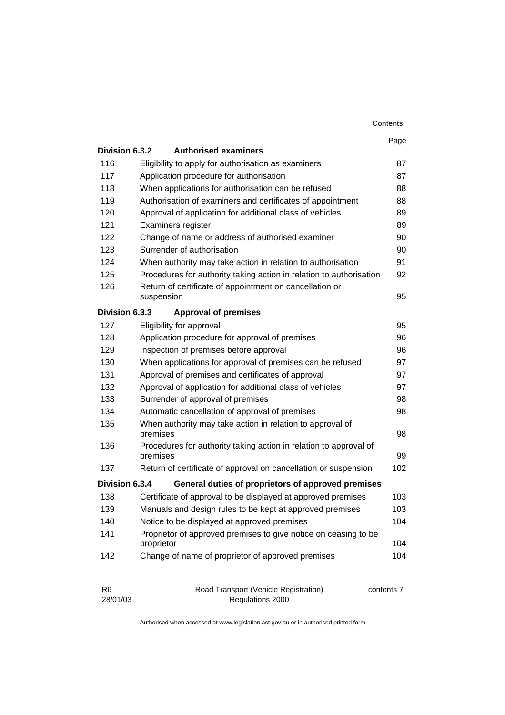|                            |                                                                               | Contents   |
|----------------------------|-------------------------------------------------------------------------------|------------|
|                            |                                                                               | Page       |
| Division 6.3.2             | <b>Authorised examiners</b>                                                   |            |
| 116                        | Eligibility to apply for authorisation as examiners                           | 87         |
| 117                        | Application procedure for authorisation                                       | 87         |
| 118                        | When applications for authorisation can be refused                            | 88         |
| 119                        | Authorisation of examiners and certificates of appointment                    | 88         |
| 120                        | Approval of application for additional class of vehicles                      | 89         |
| 121                        | Examiners register                                                            | 89         |
| 122                        | Change of name or address of authorised examiner                              | 90         |
| 123                        | Surrender of authorisation                                                    | 90         |
| 124                        | When authority may take action in relation to authorisation                   | 91         |
| 125                        | Procedures for authority taking action in relation to authorisation           | 92         |
| 126                        | Return of certificate of appointment on cancellation or                       |            |
|                            | suspension                                                                    | 95         |
| Division 6.3.3             | <b>Approval of premises</b>                                                   |            |
| 127                        | Eligibility for approval                                                      | 95         |
| 128                        | Application procedure for approval of premises                                | 96         |
| 129                        | Inspection of premises before approval                                        | 96         |
| 130                        | When applications for approval of premises can be refused                     | 97         |
| 131                        | Approval of premises and certificates of approval                             | 97         |
| 132                        | Approval of application for additional class of vehicles                      | 97         |
| 133                        | Surrender of approval of premises                                             | 98         |
| 134                        | Automatic cancellation of approval of premises                                | 98         |
| 135                        | When authority may take action in relation to approval of<br>premises         | 98         |
| 136                        | Procedures for authority taking action in relation to approval of             |            |
|                            | premises                                                                      | 99         |
| 137                        | Return of certificate of approval on cancellation or suspension               | 102        |
| Division 6.3.4             | General duties of proprietors of approved premises                            |            |
| 138                        | Certificate of approval to be displayed at approved premises                  | 103        |
| 139                        | Manuals and design rules to be kept at approved premises                      | 103        |
| 140                        | Notice to be displayed at approved premises                                   | 104        |
| 141                        | Proprietor of approved premises to give notice on ceasing to be<br>proprietor | 104        |
| 142                        | Change of name of proprietor of approved premises                             | 104        |
| R <sub>6</sub><br>28/01/03 | Road Transport (Vehicle Registration)<br>Regulations 2000                     | contents 7 |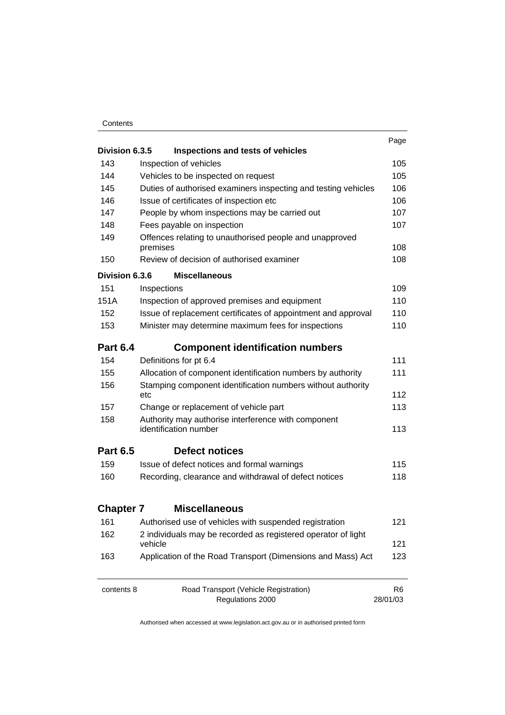#### **Contents**

| Division 6.3.5                                                                                                          | Inspections and tests of vehicles                             | Page           |
|-------------------------------------------------------------------------------------------------------------------------|---------------------------------------------------------------|----------------|
| 143                                                                                                                     | Inspection of vehicles                                        | 105            |
| 144<br>Vehicles to be inspected on request                                                                              |                                                               |                |
| 145<br>Duties of authorised examiners inspecting and testing vehicles<br>146<br>Issue of certificates of inspection etc |                                                               | 105<br>106     |
|                                                                                                                         |                                                               | 106            |
| 147                                                                                                                     | People by whom inspections may be carried out                 | 107            |
| 148                                                                                                                     | Fees payable on inspection                                    | 107            |
| 149                                                                                                                     | Offences relating to unauthorised people and unapproved       |                |
|                                                                                                                         | premises                                                      | 108            |
| 150                                                                                                                     | Review of decision of authorised examiner                     | 108            |
| Division 6.3.6                                                                                                          | <b>Miscellaneous</b>                                          |                |
| 151                                                                                                                     | Inspections                                                   | 109            |
| 151A                                                                                                                    | Inspection of approved premises and equipment                 | 110            |
| 152                                                                                                                     | Issue of replacement certificates of appointment and approval | 110            |
| 153                                                                                                                     | Minister may determine maximum fees for inspections           |                |
| <b>Part 6.4</b>                                                                                                         | <b>Component identification numbers</b>                       |                |
| 154                                                                                                                     | Definitions for pt 6.4                                        | $111$          |
| 155                                                                                                                     | Allocation of component identification numbers by authority   | 111            |
| 156                                                                                                                     | Stamping component identification numbers without authority   |                |
|                                                                                                                         | etc                                                           | 112            |
| 157                                                                                                                     | Change or replacement of vehicle part                         | 113            |
| 158                                                                                                                     | Authority may authorise interference with component           |                |
|                                                                                                                         | identification number                                         | 113            |
| <b>Part 6.5</b>                                                                                                         | <b>Defect notices</b>                                         |                |
| 159                                                                                                                     | Issue of defect notices and formal warnings                   | 115            |
| 160                                                                                                                     | Recording, clearance and withdrawal of defect notices         | 118            |
| <b>Chapter 7</b>                                                                                                        | <b>Miscellaneous</b>                                          |                |
| 161                                                                                                                     | Authorised use of vehicles with suspended registration        | 121            |
| 162                                                                                                                     | 2 individuals may be recorded as registered operator of light |                |
|                                                                                                                         | vehicle                                                       | 121            |
| 163                                                                                                                     | Application of the Road Transport (Dimensions and Mass) Act   | 123            |
| contents 8                                                                                                              | Road Transport (Vehicle Registration)                         | R <sub>6</sub> |
|                                                                                                                         | Regulations 2000                                              | 28/01/03       |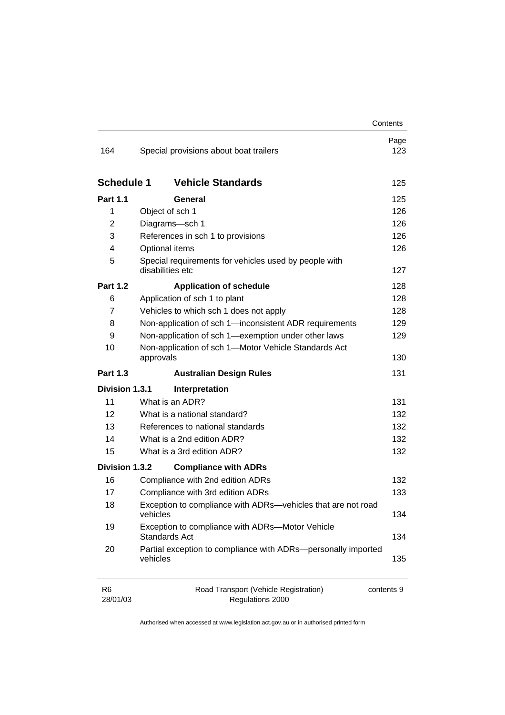|                            |                                                                           | Contents    |  |
|----------------------------|---------------------------------------------------------------------------|-------------|--|
| 164                        | Special provisions about boat trailers                                    | Page<br>123 |  |
| <b>Schedule 1</b>          | <b>Vehicle Standards</b>                                                  | 125         |  |
| <b>Part 1.1</b>            | General                                                                   | 125         |  |
| 1                          | Object of sch 1                                                           | 126         |  |
| $\overline{2}$             | Diagrams-sch 1                                                            | 126         |  |
| 3                          | References in sch 1 to provisions                                         | 126         |  |
| 4                          | Optional items                                                            | 126         |  |
| 5                          | Special requirements for vehicles used by people with<br>disabilities etc | 127         |  |
| <b>Part 1.2</b>            | <b>Application of schedule</b>                                            | 128         |  |
| 6                          | Application of sch 1 to plant                                             | 128         |  |
| 7                          | Vehicles to which sch 1 does not apply                                    | 128         |  |
| 8                          | Non-application of sch 1-inconsistent ADR requirements                    | 129         |  |
| 9                          | Non-application of sch 1-exemption under other laws                       | 129         |  |
| 10                         | Non-application of sch 1-Motor Vehicle Standards Act<br>approvals         |             |  |
| <b>Part 1.3</b>            | <b>Australian Design Rules</b>                                            | 131         |  |
| Division 1.3.1             | Interpretation                                                            |             |  |
| 11                         | What is an ADR?                                                           | 131         |  |
| 12                         | What is a national standard?                                              | 132         |  |
| 13                         | References to national standards                                          | 132         |  |
| 14                         | What is a 2nd edition ADR?                                                | 132         |  |
| 15                         | What is a 3rd edition ADR?                                                | 132         |  |
| Division 1.3.2             | <b>Compliance with ADRs</b>                                               |             |  |
| 16                         | Compliance with 2nd edition ADRs                                          | 132         |  |
| 17                         | Compliance with 3rd edition ADRs                                          | 133         |  |
| 18                         | Exception to compliance with ADRs-vehicles that are not road<br>vehicles  |             |  |
| 19                         | Exception to compliance with ADRs-Motor Vehicle<br><b>Standards Act</b>   |             |  |
| 20                         | Partial exception to compliance with ADRs-personally imported<br>vehicles | 135         |  |
| R <sub>6</sub><br>28/01/03 | Road Transport (Vehicle Registration)<br>contents 9<br>Regulations 2000   |             |  |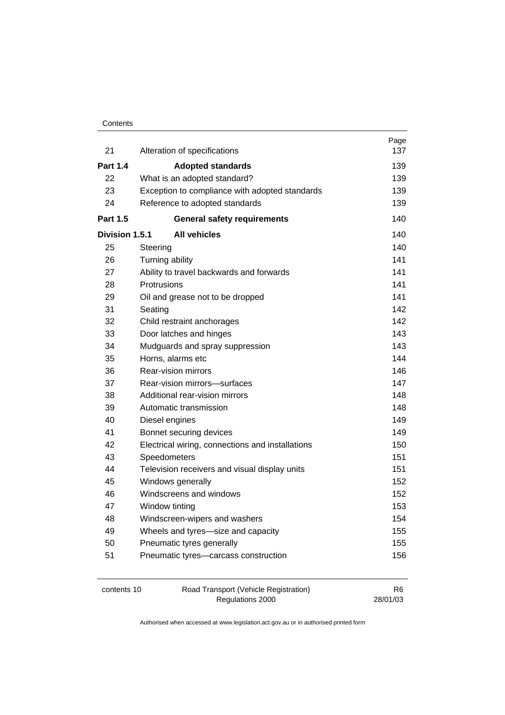#### **Contents**

| 21              | Alteration of specifications                     | Page<br>137    |  |  |
|-----------------|--------------------------------------------------|----------------|--|--|
| <b>Part 1.4</b> | <b>Adopted standards</b>                         | 139            |  |  |
| 22              | What is an adopted standard?                     |                |  |  |
| 23              | Exception to compliance with adopted standards   | 139            |  |  |
| 24              | Reference to adopted standards                   | 139            |  |  |
| <b>Part 1.5</b> | <b>General safety requirements</b>               | 140            |  |  |
| Division 1.5.1  | <b>All vehicles</b>                              | 140            |  |  |
| 25              | Steering                                         | 140            |  |  |
| 26              | Turning ability                                  | 141            |  |  |
| 27              | Ability to travel backwards and forwards         | 141            |  |  |
| 28              | Protrusions                                      | 141            |  |  |
| 29              | Oil and grease not to be dropped                 | 141            |  |  |
| 31              | Seating                                          | 142            |  |  |
| 32              | Child restraint anchorages                       | 142            |  |  |
| 33              | Door latches and hinges                          | 143            |  |  |
| 34              | Mudguards and spray suppression                  | 143            |  |  |
| 35              | Horns, alarms etc                                | 144            |  |  |
| 36              | Rear-vision mirrors                              | 146            |  |  |
| 37              | Rear-vision mirrors-surfaces                     | 147            |  |  |
| 38              | Additional rear-vision mirrors                   | 148            |  |  |
| 39              | Automatic transmission<br>148                    |                |  |  |
| 40              | Diesel engines                                   | 149            |  |  |
| 41              | Bonnet securing devices                          | 149            |  |  |
| 42              | Electrical wiring, connections and installations | 150            |  |  |
| 43              | Speedometers                                     | 151            |  |  |
| 44              | Television receivers and visual display units    | 151            |  |  |
| 45              | Windows generally                                | 152            |  |  |
| 46              | Windscreens and windows                          | 152            |  |  |
| 47              | Window tinting                                   | 153            |  |  |
| 48              | Windscreen-wipers and washers                    | 154            |  |  |
| 49              | Wheels and tyres-size and capacity               | 155            |  |  |
| 50              | Pneumatic tyres generally                        | 155            |  |  |
| 51              | Pneumatic tyres-carcass construction             | 156            |  |  |
| contents 10     | Road Transport (Vehicle Registration)            | R <sub>6</sub> |  |  |

Regulations 2000

28/01/03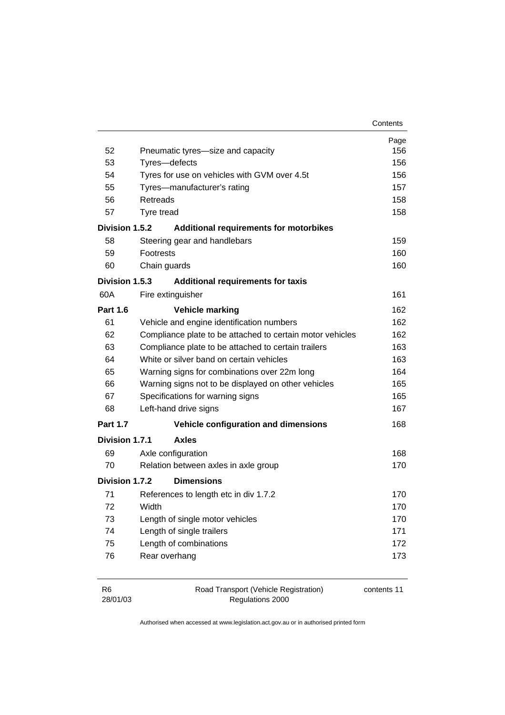| 52              | Pneumatic tyres-size and capacity                         | Page<br>156 |  |  |
|-----------------|-----------------------------------------------------------|-------------|--|--|
| 53              | Tyres-defects                                             |             |  |  |
| 54              | Tyres for use on vehicles with GVM over 4.5t              |             |  |  |
| 55              | Tyres-manufacturer's rating                               |             |  |  |
| 56              | Retreads                                                  |             |  |  |
| 57              | Tyre tread                                                | 158<br>158  |  |  |
| Division 1.5.2  | <b>Additional requirements for motorbikes</b>             |             |  |  |
| 58              | Steering gear and handlebars                              | 159         |  |  |
| 59              | <b>Footrests</b>                                          | 160         |  |  |
| 60              | Chain guards                                              | 160         |  |  |
| Division 1.5.3  | <b>Additional requirements for taxis</b>                  |             |  |  |
| 60A             | Fire extinguisher                                         | 161         |  |  |
|                 |                                                           |             |  |  |
| <b>Part 1.6</b> | <b>Vehicle marking</b>                                    | 162         |  |  |
| 61              | Vehicle and engine identification numbers                 | 162<br>162  |  |  |
| 62              | Compliance plate to be attached to certain motor vehicles |             |  |  |
| 63              | Compliance plate to be attached to certain trailers       |             |  |  |
| 64              | White or silver band on certain vehicles                  | 163         |  |  |
| 65              | Warning signs for combinations over 22m long              | 164         |  |  |
| 66              | Warning signs not to be displayed on other vehicles       | 165         |  |  |
| 67              | Specifications for warning signs                          | 165         |  |  |
| 68              | Left-hand drive signs                                     | 167         |  |  |
| <b>Part 1.7</b> | Vehicle configuration and dimensions                      | 168         |  |  |
| Division 1.7.1  | <b>Axles</b>                                              |             |  |  |
| 69              | Axle configuration                                        | 168         |  |  |
| 70              | Relation between axles in axle group                      | 170         |  |  |
| Division 1.7.2  | <b>Dimensions</b>                                         |             |  |  |
| 71              | References to length etc in div 1.7.2                     | 170         |  |  |
| 72              | Width                                                     | 170         |  |  |
| 73              | Length of single motor vehicles                           | 170         |  |  |
| 74              | Length of single trailers                                 | 171         |  |  |
| 75              | Length of combinations                                    | 172         |  |  |
| 76              | Rear overhang                                             | 173         |  |  |
| R <sub>6</sub>  | Road Transport (Vehicle Registration)                     | contents 11 |  |  |

| R6       | Road Transport (Vehicle Registra |  |
|----------|----------------------------------|--|
| 28/01/03 | Regulations 2000                 |  |

contents 11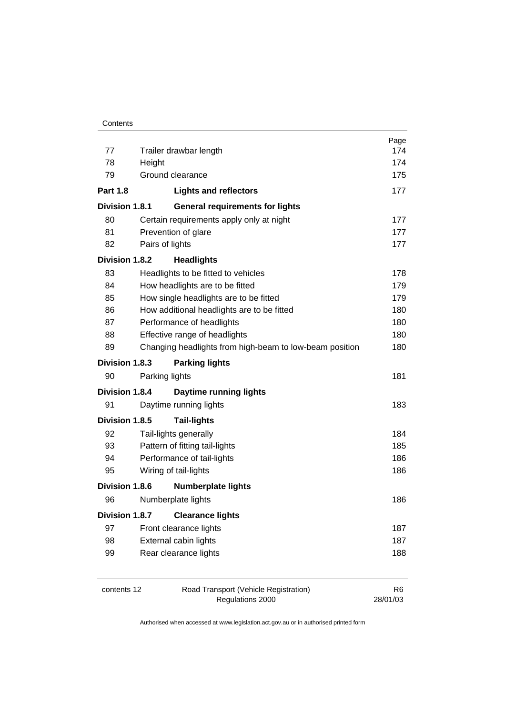|                       |                        |                                                         | Page           |
|-----------------------|------------------------|---------------------------------------------------------|----------------|
| 77                    | Trailer drawbar length |                                                         | 174            |
| 78                    | Height                 |                                                         | 174            |
| 79                    |                        | Ground clearance                                        | 175            |
| <b>Part 1.8</b>       |                        | <b>Lights and reflectors</b>                            | 177            |
| Division 1.8.1        |                        | <b>General requirements for lights</b>                  |                |
| 80                    |                        | Certain requirements apply only at night                | 177            |
| 81                    |                        | Prevention of glare                                     | 177            |
| 82                    | Pairs of lights        |                                                         | 177            |
| Division 1.8.2        |                        | <b>Headlights</b>                                       |                |
| 83                    |                        | Headlights to be fitted to vehicles                     | 178            |
| 84                    |                        | How headlights are to be fitted                         | 179            |
| 85                    |                        | How single headlights are to be fitted                  | 179            |
| 86                    |                        | How additional headlights are to be fitted              | 180            |
| 87                    |                        | Performance of headlights                               | 180            |
| 88                    |                        | Effective range of headlights                           | 180            |
| 89                    |                        | Changing headlights from high-beam to low-beam position | 180            |
| Division 1.8.3        | <b>Parking lights</b>  |                                                         |                |
| 90                    | Parking lights         |                                                         | 181            |
| <b>Division 1.8.4</b> |                        | <b>Daytime running lights</b>                           |                |
| 91                    |                        | Daytime running lights                                  | 183            |
| Division 1.8.5        |                        | <b>Tail-lights</b>                                      |                |
| 92                    |                        | Tail-lights generally                                   | 184            |
| 93                    |                        | Pattern of fitting tail-lights                          | 185            |
| 94                    |                        | Performance of tail-lights                              | 186            |
| 95                    |                        | Wiring of tail-lights                                   | 186            |
| <b>Division 1.8.6</b> |                        | <b>Numberplate lights</b>                               |                |
| 96                    |                        | Numberplate lights                                      | 186            |
| Division 1.8.7        |                        | <b>Clearance lights</b>                                 |                |
| 97                    |                        | Front clearance lights                                  | 187            |
| 98                    |                        | External cabin lights                                   | 187            |
| 99                    |                        | Rear clearance lights                                   | 188            |
|                       |                        |                                                         |                |
| contents 12           |                        | Road Transport (Vehicle Registration)                   | R <sub>6</sub> |
|                       |                        | Regulations 2000                                        | 28/01/03       |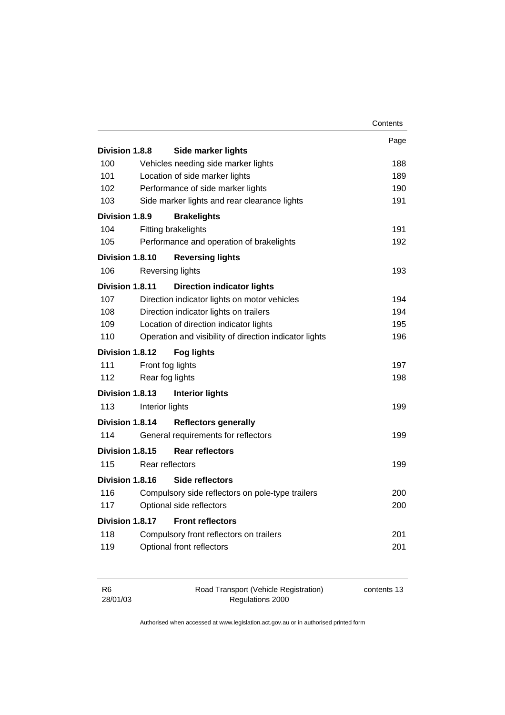|                        |                 |                                                        | Contents |
|------------------------|-----------------|--------------------------------------------------------|----------|
|                        |                 |                                                        | Page     |
| <b>Division 1.8.8</b>  |                 | <b>Side marker lights</b>                              |          |
| 100                    |                 | Vehicles needing side marker lights                    | 188      |
| 101                    |                 | Location of side marker lights                         | 189      |
| 102                    |                 | Performance of side marker lights                      | 190      |
| 103                    |                 | Side marker lights and rear clearance lights           | 191      |
| Division 1.8.9         |                 | <b>Brakelights</b>                                     |          |
| 104                    |                 | <b>Fitting brakelights</b>                             | 191      |
| 105                    |                 | Performance and operation of brakelights               | 192      |
| Division 1.8.10        |                 | <b>Reversing lights</b>                                |          |
| 106                    |                 | <b>Reversing lights</b>                                | 193      |
| Division 1.8.11        |                 | <b>Direction indicator lights</b>                      |          |
| 107                    |                 | Direction indicator lights on motor vehicles           | 194      |
| 108                    |                 | Direction indicator lights on trailers                 | 194      |
| 109                    |                 | Location of direction indicator lights                 | 195      |
| 110                    |                 | Operation and visibility of direction indicator lights | 196      |
| Division 1.8.12        |                 | <b>Fog lights</b>                                      |          |
| 111                    |                 | Front fog lights                                       | 197      |
| 112                    |                 | Rear fog lights                                        | 198      |
| <b>Division 1.8.13</b> |                 | <b>Interior lights</b>                                 |          |
| 113                    | Interior lights |                                                        | 199      |
| Division 1.8.14        |                 | <b>Reflectors generally</b>                            |          |
| 114                    |                 | General requirements for reflectors                    | 199      |
| Division 1.8.15        |                 | <b>Rear reflectors</b>                                 |          |
| 115                    |                 | Rear reflectors                                        | 199      |
| Division 1.8.16        |                 | Side reflectors                                        |          |
| 116                    |                 | Compulsory side reflectors on pole-type trailers       | 200      |
| 117                    |                 | Optional side reflectors                               | 200      |
| Division 1.8.17        |                 | <b>Front reflectors</b>                                |          |
| 118                    |                 | Compulsory front reflectors on trailers                | 201      |
| 119                    |                 | Optional front reflectors                              | 201      |
|                        |                 |                                                        |          |

| - R6     | Road Transport (Vehicle Registration) | contents 13 |
|----------|---------------------------------------|-------------|
| 28/01/03 | Regulations 2000                      |             |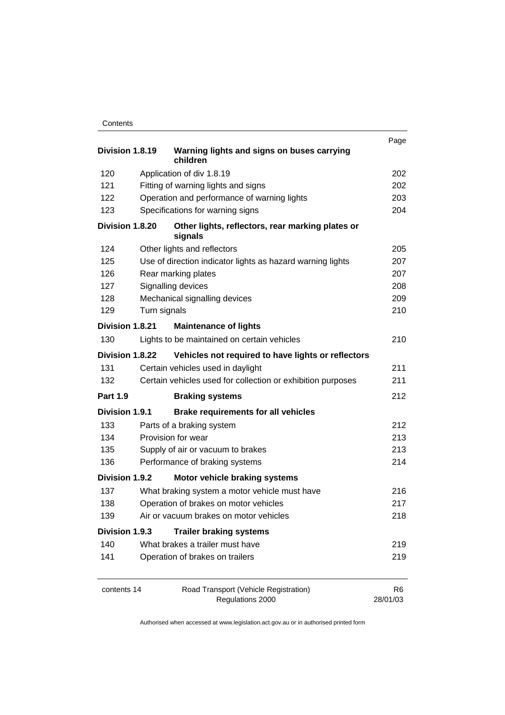| Contents |
|----------|
|----------|

|                 |              |                                                             | Page           |
|-----------------|--------------|-------------------------------------------------------------|----------------|
| Division 1.8.19 |              | Warning lights and signs on buses carrying<br>children      |                |
| 120             |              | Application of div 1.8.19                                   | 202            |
| 121             |              | Fitting of warning lights and signs                         | 202            |
| 122             |              | Operation and performance of warning lights                 | 203            |
| 123             |              | Specifications for warning signs                            | 204            |
| Division 1.8.20 |              | Other lights, reflectors, rear marking plates or<br>signals |                |
| 124             |              | Other lights and reflectors                                 | 205            |
| 125             |              | Use of direction indicator lights as hazard warning lights  | 207            |
| 126             |              | Rear marking plates                                         | 207            |
| 127             |              | Signalling devices                                          | 208            |
| 128             |              | Mechanical signalling devices                               | 209            |
| 129             | Turn signals |                                                             | 210            |
| Division 1.8.21 |              | <b>Maintenance of lights</b>                                |                |
| 130             |              | Lights to be maintained on certain vehicles                 | 210            |
| Division 1.8.22 |              | Vehicles not required to have lights or reflectors          |                |
| 131             |              | Certain vehicles used in daylight                           | 211            |
| 132             |              | Certain vehicles used for collection or exhibition purposes | 211            |
| <b>Part 1.9</b> |              | <b>Braking systems</b>                                      | 212            |
| Division 1.9.1  |              | <b>Brake requirements for all vehicles</b>                  |                |
| 133             |              | Parts of a braking system                                   | 212            |
| 134             |              | Provision for wear                                          | 213            |
| 135             |              | Supply of air or vacuum to brakes                           | 213            |
| 136             |              | Performance of braking systems                              | 214            |
| Division 1.9.2  |              | Motor vehicle braking systems                               |                |
| 137             |              | What braking system a motor vehicle must have               | 216            |
| 138             |              | Operation of brakes on motor vehicles                       | 217            |
| 139             |              | Air or vacuum brakes on motor vehicles.                     | 218            |
| Division 1.9.3  |              | <b>Trailer braking systems</b>                              |                |
| 140             |              | What brakes a trailer must have                             | 219            |
| 141             |              | Operation of brakes on trailers                             | 219            |
| contents 14     |              | Road Transport (Vehicle Registration)                       | R <sub>6</sub> |
|                 |              | Regulations 2000                                            | 28/01/03       |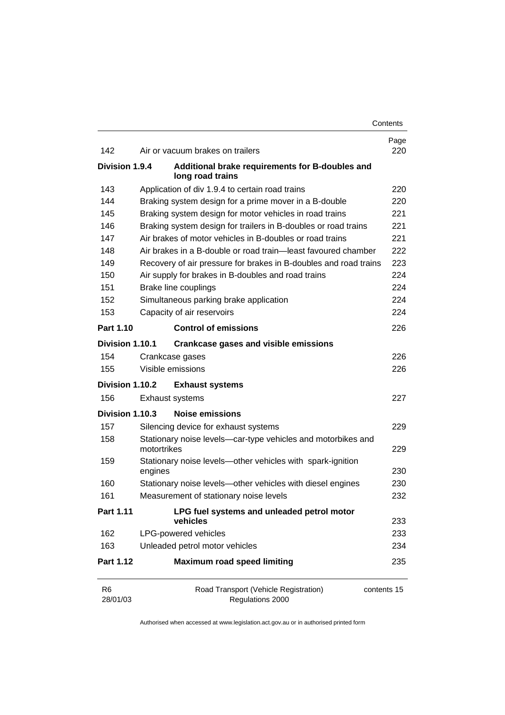|                 |             |                                                                     | Contents    |
|-----------------|-------------|---------------------------------------------------------------------|-------------|
| 142             |             | Air or vacuum brakes on trailers                                    | Page<br>220 |
| Division 1.9.4  |             | Additional brake requirements for B-doubles and<br>long road trains |             |
| 143             |             | Application of div 1.9.4 to certain road trains                     | 220         |
| 144             |             | Braking system design for a prime mover in a B-double               | 220         |
| 145             |             | Braking system design for motor vehicles in road trains             | 221         |
| 146             |             | Braking system design for trailers in B-doubles or road trains      | 221         |
| 147             |             | Air brakes of motor vehicles in B-doubles or road trains            | 221         |
| 148             |             | Air brakes in a B-double or road train—least favoured chamber       | 222         |
| 149             |             | Recovery of air pressure for brakes in B-doubles and road trains    | 223         |
| 150             |             | Air supply for brakes in B-doubles and road trains                  | 224         |
| 151             |             | Brake line couplings                                                | 224         |
| 152             |             | Simultaneous parking brake application                              | 224         |
| 153             |             | Capacity of air reservoirs                                          | 224         |
| Part 1.10       |             | <b>Control of emissions</b>                                         | 226         |
| Division 1.10.1 |             | <b>Crankcase gases and visible emissions</b>                        |             |
| 154             |             | Crankcase gases                                                     | 226         |
| 155             |             | Visible emissions                                                   | 226         |
| Division 1.10.2 |             | <b>Exhaust systems</b>                                              |             |
| 156             |             | Exhaust systems                                                     | 227         |
| Division 1.10.3 |             | <b>Noise emissions</b>                                              |             |
| 157             |             | Silencing device for exhaust systems                                | 229         |
| 158             | motortrikes | Stationary noise levels-car-type vehicles and motorbikes and        | 229         |
| 159             |             | Stationary noise levels-other vehicles with spark-ignition          |             |
|                 | engines     |                                                                     | 230         |
| 160             |             | Stationary noise levels-other vehicles with diesel engines          | 230         |
| 161             |             | Measurement of stationary noise levels                              | 232         |
| Part 1.11       |             | LPG fuel systems and unleaded petrol motor<br>vehicles              | 233         |
| 162             |             | LPG-powered vehicles                                                | 233         |
| 163             |             | Unleaded petrol motor vehicles                                      | 234         |
| Part 1.12       |             | <b>Maximum road speed limiting</b>                                  | 235         |
| R6<br>28/01/03  |             | Road Transport (Vehicle Registration)<br>Regulations 2000           | contents 15 |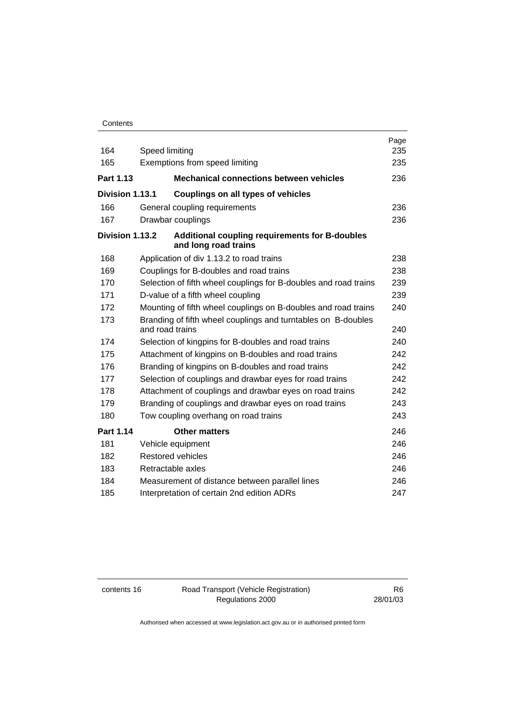| 164             | Speed limiting                                                                   | Page<br>235 |
|-----------------|----------------------------------------------------------------------------------|-------------|
| 165             | Exemptions from speed limiting                                                   | 235         |
| Part 1.13       | <b>Mechanical connections between vehicles</b>                                   | 236         |
| Division 1.13.1 | Couplings on all types of vehicles                                               |             |
| 166             | General coupling requirements                                                    | 236         |
| 167             | Drawbar couplings                                                                | 236         |
| Division 1.13.2 | <b>Additional coupling requirements for B-doubles</b><br>and long road trains    |             |
| 168             | Application of div 1.13.2 to road trains                                         | 238         |
| 169             | Couplings for B-doubles and road trains                                          | 238         |
| 170             | Selection of fifth wheel couplings for B-doubles and road trains                 | 239         |
| 171             | D-value of a fifth wheel coupling                                                | 239         |
| 172             | Mounting of fifth wheel couplings on B-doubles and road trains                   | 240         |
| 173             | Branding of fifth wheel couplings and turntables on B-doubles<br>and road trains | 240         |
| 174             | Selection of kingpins for B-doubles and road trains                              | 240         |
| 175             | Attachment of kingpins on B-doubles and road trains                              | 242         |
| 176             | Branding of kingpins on B-doubles and road trains                                | 242         |
| 177             | Selection of couplings and drawbar eyes for road trains                          | 242         |
| 178             | Attachment of couplings and drawbar eyes on road trains                          | 242         |
| 179             | Branding of couplings and drawbar eyes on road trains                            | 243         |
| 180             | Tow coupling overhang on road trains                                             | 243         |
| Part 1.14       | <b>Other matters</b>                                                             | 246         |
| 181             | Vehicle equipment                                                                | 246         |
| 182             | <b>Restored vehicles</b>                                                         | 246         |
| 183             | Retractable axles                                                                | 246         |
| 184             | Measurement of distance between parallel lines                                   | 246         |
| 185             | Interpretation of certain 2nd edition ADRs                                       | 247         |

contents 16 Road Transport (Vehicle Registration) Regulations 2000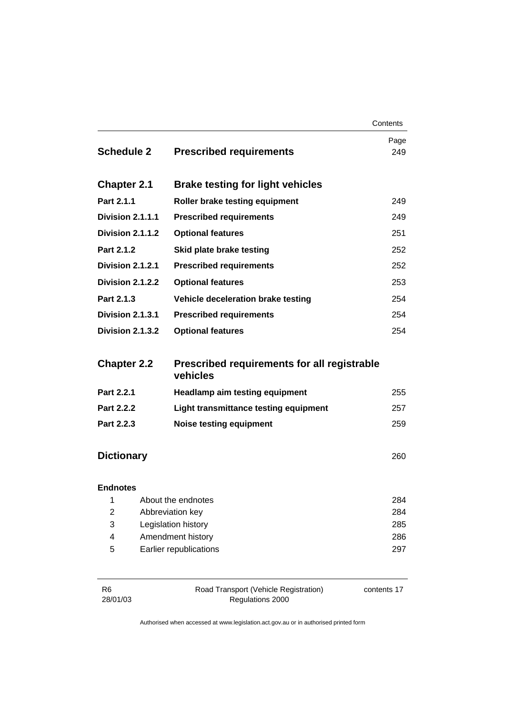|                     |                         |                                                         | Contents    |
|---------------------|-------------------------|---------------------------------------------------------|-------------|
| <b>Schedule 2</b>   |                         | <b>Prescribed requirements</b>                          | Page<br>249 |
| <b>Chapter 2.1</b>  |                         | <b>Brake testing for light vehicles</b>                 |             |
| Part 2.1.1          |                         | Roller brake testing equipment                          | 249         |
|                     | Division 2.1.1.1        | <b>Prescribed requirements</b>                          | 249         |
|                     | Division 2.1.1.2        | <b>Optional features</b>                                | 251         |
| Part 2.1.2          |                         | Skid plate brake testing                                | 252         |
|                     | Division 2.1.2.1        | <b>Prescribed requirements</b>                          | 252         |
|                     | Division 2.1.2.2        | <b>Optional features</b>                                | 253         |
| Part 2.1.3          |                         | Vehicle deceleration brake testing                      | 254         |
|                     | Division 2.1.3.1        | <b>Prescribed requirements</b>                          | 254         |
|                     | <b>Division 2.1.3.2</b> | <b>Optional features</b>                                | 254         |
| <b>Chapter 2.2</b>  |                         | Prescribed requirements for all registrable<br>vehicles |             |
| Part 2.2.1          |                         | <b>Headlamp aim testing equipment</b>                   | 255         |
| Part 2.2.2          |                         | Light transmittance testing equipment                   | 257         |
| Part 2.2.3          |                         | <b>Noise testing equipment</b>                          | 259         |
| <b>Dictionary</b>   |                         |                                                         | 260         |
| <b>Endnotes</b>     |                         |                                                         |             |
| 1                   |                         | About the endnotes                                      | 284         |
| $\overline{2}$<br>3 |                         | Abbreviation key<br>Legislation history                 | 284<br>285  |
| 4                   |                         | Amendment history                                       | 286         |
| 5                   |                         | Earlier republications                                  | 297         |
|                     |                         |                                                         |             |

| -R6      | Road Transport (Vehicle Registration) | contents 17 |
|----------|---------------------------------------|-------------|
| 28/01/03 | Regulations 2000                      |             |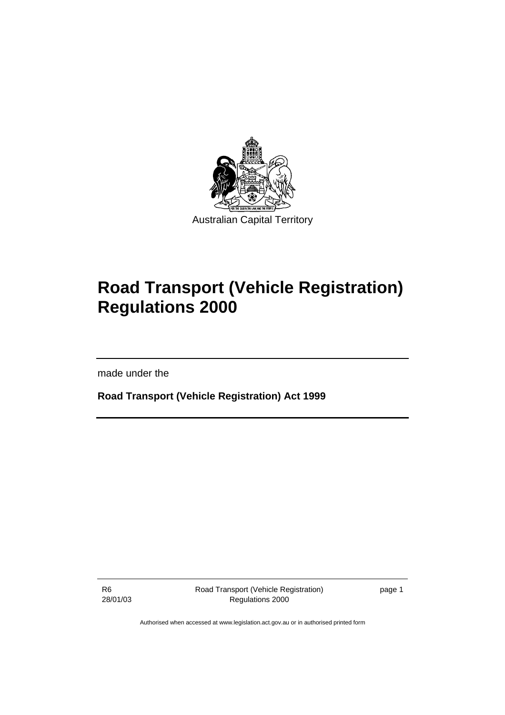

# **Road Transport (Vehicle Registration) Regulations 2000**

made under the

**Road Transport (Vehicle Registration) Act 1999** 

R6 28/01/03 Road Transport (Vehicle Registration) Regulations 2000

page 1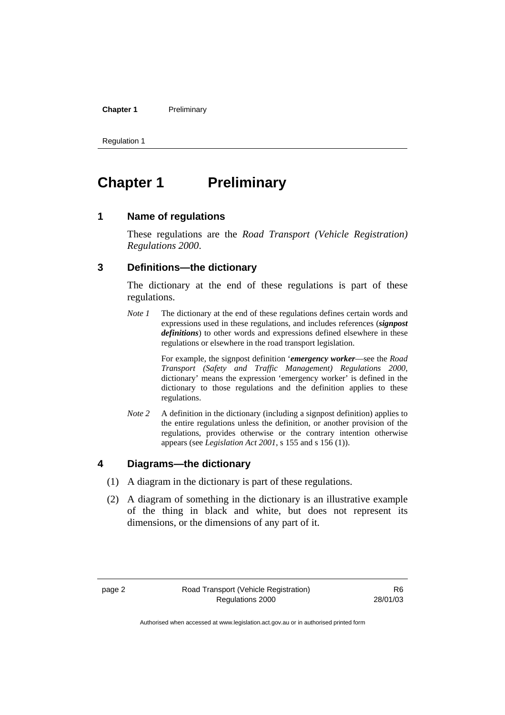**Chapter 1** Preliminary

Regulation 1

# **Chapter 1** Preliminary

#### **1 Name of regulations**

These regulations are the *Road Transport (Vehicle Registration) Regulations 2000*.

## **3 Definitions—the dictionary**

The dictionary at the end of these regulations is part of these regulations.

*Note 1* The dictionary at the end of these regulations defines certain words and expressions used in these regulations, and includes references (*signpost definitions*) to other words and expressions defined elsewhere in these regulations or elsewhere in the road transport legislation.

> For example, the signpost definition '*emergency worker*—see the *Road Transport (Safety and Traffic Management) Regulations 2000*, dictionary' means the expression 'emergency worker' is defined in the dictionary to those regulations and the definition applies to these regulations.

*Note 2* A definition in the dictionary (including a signpost definition) applies to the entire regulations unless the definition, or another provision of the regulations, provides otherwise or the contrary intention otherwise appears (see *Legislation Act 2001*, s 155 and s 156 (1)).

#### **4 Diagrams—the dictionary**

- (1) A diagram in the dictionary is part of these regulations.
- (2) A diagram of something in the dictionary is an illustrative example of the thing in black and white, but does not represent its dimensions, or the dimensions of any part of it.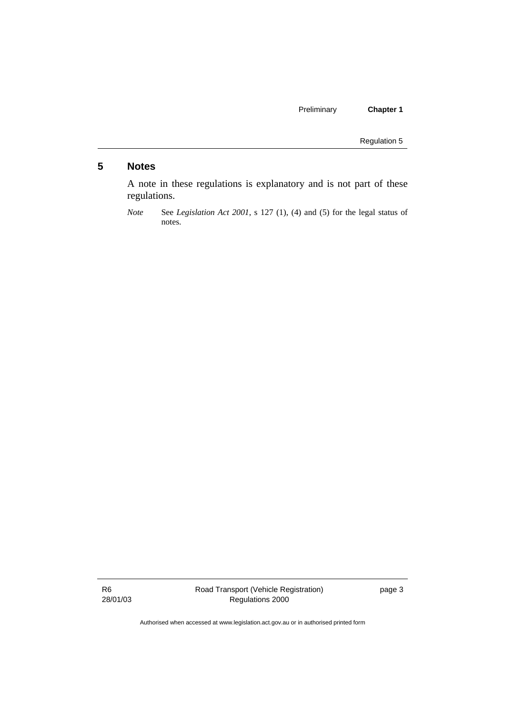Preliminary **Chapter 1** 

Regulation 5

## **5 Notes**

A note in these regulations is explanatory and is not part of these regulations.

R6 28/01/03 page 3

*Note* See *Legislation Act 2001*, s 127 (1), (4) and (5) for the legal status of notes.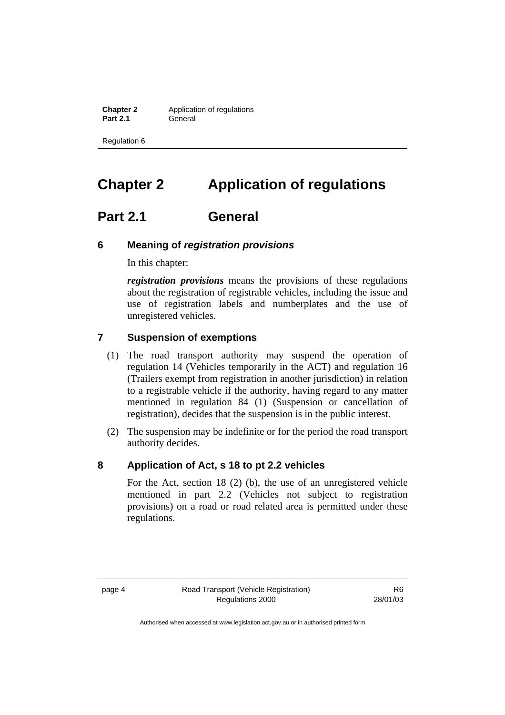**Chapter 2** Application of regulations<br>**Part 2.1** General General

Regulation 6

# **Chapter 2 Application of regulations**

## **Part 2.1 General**

#### **6 Meaning of** *registration provisions*

In this chapter:

*registration provisions* means the provisions of these regulations about the registration of registrable vehicles, including the issue and use of registration labels and numberplates and the use of unregistered vehicles.

#### **7 Suspension of exemptions**

- (1) The road transport authority may suspend the operation of regulation 14 (Vehicles temporarily in the ACT) and regulation 16 (Trailers exempt from registration in another jurisdiction) in relation to a registrable vehicle if the authority, having regard to any matter mentioned in regulation 84 (1) (Suspension or cancellation of registration), decides that the suspension is in the public interest.
- (2) The suspension may be indefinite or for the period the road transport authority decides.

#### **8 Application of Act, s 18 to pt 2.2 vehicles**

For the Act, section 18 (2) (b), the use of an unregistered vehicle mentioned in part 2.2 (Vehicles not subject to registration provisions) on a road or road related area is permitted under these regulations.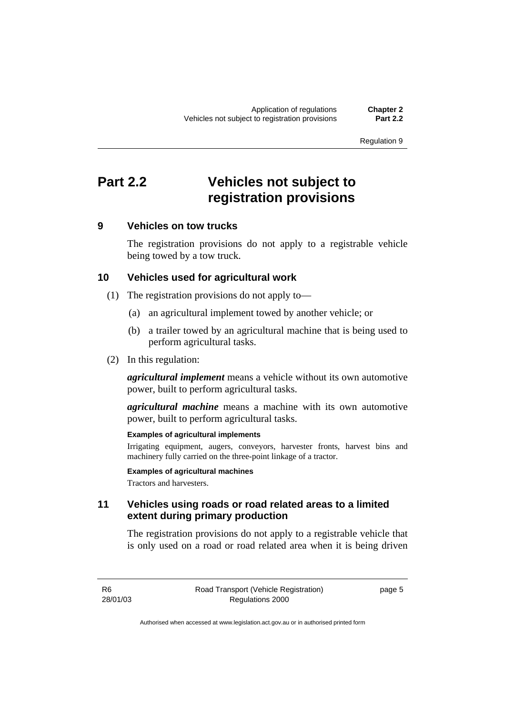# **Part 2.2 Vehicles not subject to registration provisions**

### **9 Vehicles on tow trucks**

The registration provisions do not apply to a registrable vehicle being towed by a tow truck.

## **10 Vehicles used for agricultural work**

- (1) The registration provisions do not apply to—
	- (a) an agricultural implement towed by another vehicle; or
	- (b) a trailer towed by an agricultural machine that is being used to perform agricultural tasks.
- (2) In this regulation:

*agricultural implement* means a vehicle without its own automotive power, built to perform agricultural tasks.

*agricultural machine* means a machine with its own automotive power, built to perform agricultural tasks.

#### **Examples of agricultural implements**

Irrigating equipment, augers, conveyors, harvester fronts, harvest bins and machinery fully carried on the three-point linkage of a tractor.

**Examples of agricultural machines** 

Tractors and harvesters.

## **11 Vehicles using roads or road related areas to a limited extent during primary production**

The registration provisions do not apply to a registrable vehicle that is only used on a road or road related area when it is being driven

R6 28/01/03 page 5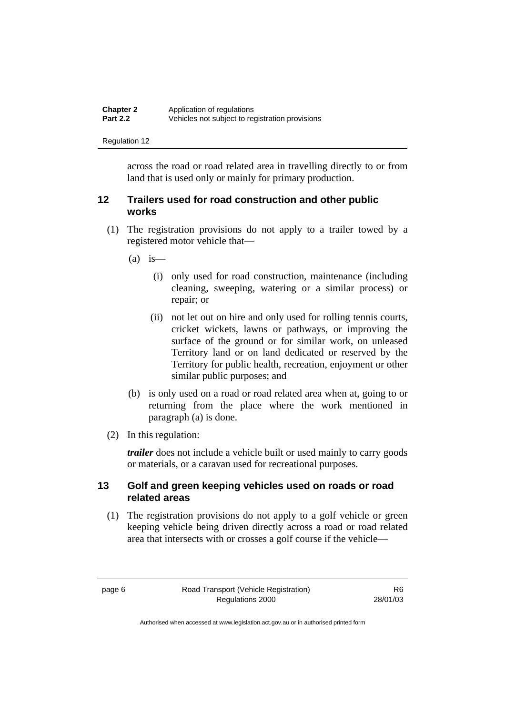| <b>Chapter 2</b> | Application of regulations                      |
|------------------|-------------------------------------------------|
| <b>Part 2.2</b>  | Vehicles not subject to registration provisions |

across the road or road related area in travelling directly to or from land that is used only or mainly for primary production.

## **12 Trailers used for road construction and other public works**

- (1) The registration provisions do not apply to a trailer towed by a registered motor vehicle that—
	- $(a)$  is
		- (i) only used for road construction, maintenance (including cleaning, sweeping, watering or a similar process) or repair; or
		- (ii) not let out on hire and only used for rolling tennis courts, cricket wickets, lawns or pathways, or improving the surface of the ground or for similar work, on unleased Territory land or on land dedicated or reserved by the Territory for public health, recreation, enjoyment or other similar public purposes; and
	- (b) is only used on a road or road related area when at, going to or returning from the place where the work mentioned in paragraph (a) is done.
- (2) In this regulation:

*trailer* does not include a vehicle built or used mainly to carry goods or materials, or a caravan used for recreational purposes.

## **13 Golf and green keeping vehicles used on roads or road related areas**

 (1) The registration provisions do not apply to a golf vehicle or green keeping vehicle being driven directly across a road or road related area that intersects with or crosses a golf course if the vehicle—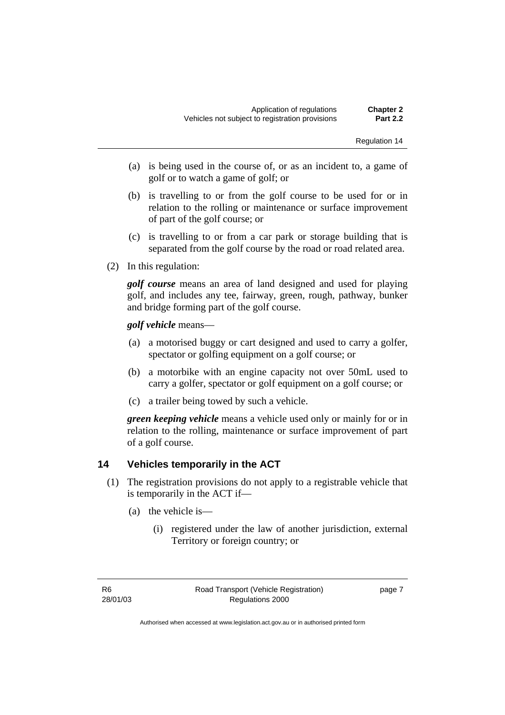- (a) is being used in the course of, or as an incident to, a game of golf or to watch a game of golf; or
- (b) is travelling to or from the golf course to be used for or in relation to the rolling or maintenance or surface improvement of part of the golf course; or
- (c) is travelling to or from a car park or storage building that is separated from the golf course by the road or road related area.
- (2) In this regulation:

*golf course* means an area of land designed and used for playing golf, and includes any tee, fairway, green, rough, pathway, bunker and bridge forming part of the golf course.

*golf vehicle* means—

- (a) a motorised buggy or cart designed and used to carry a golfer, spectator or golfing equipment on a golf course; or
- (b) a motorbike with an engine capacity not over 50mL used to carry a golfer, spectator or golf equipment on a golf course; or
- (c) a trailer being towed by such a vehicle.

*green keeping vehicle* means a vehicle used only or mainly for or in relation to the rolling, maintenance or surface improvement of part of a golf course.

## **14 Vehicles temporarily in the ACT**

- (1) The registration provisions do not apply to a registrable vehicle that is temporarily in the ACT if—
	- (a) the vehicle is—
		- (i) registered under the law of another jurisdiction, external Territory or foreign country; or

page 7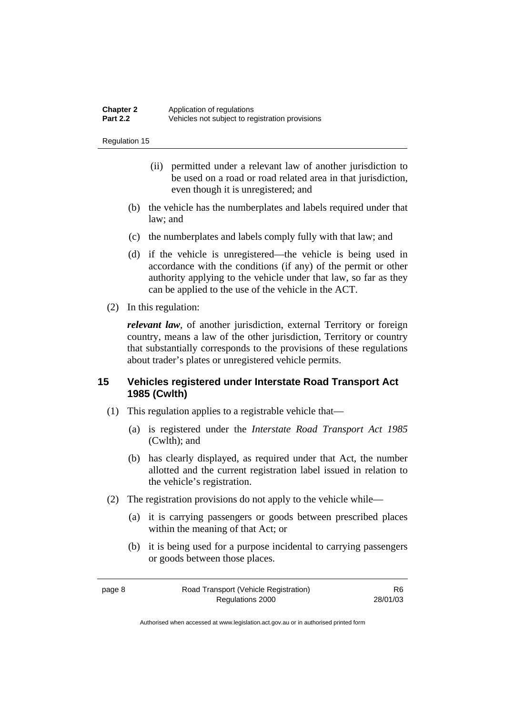- (ii) permitted under a relevant law of another jurisdiction to be used on a road or road related area in that jurisdiction, even though it is unregistered; and
- (b) the vehicle has the numberplates and labels required under that law; and
- (c) the numberplates and labels comply fully with that law; and
- (d) if the vehicle is unregistered—the vehicle is being used in accordance with the conditions (if any) of the permit or other authority applying to the vehicle under that law, so far as they can be applied to the use of the vehicle in the ACT.
- (2) In this regulation:

*relevant law*, of another jurisdiction, external Territory or foreign country, means a law of the other jurisdiction, Territory or country that substantially corresponds to the provisions of these regulations about trader's plates or unregistered vehicle permits.

## **15 Vehicles registered under Interstate Road Transport Act 1985 (Cwlth)**

- (1) This regulation applies to a registrable vehicle that—
	- (a) is registered under the *Interstate Road Transport Act 1985* (Cwlth); and
	- (b) has clearly displayed, as required under that Act, the number allotted and the current registration label issued in relation to the vehicle's registration.
- (2) The registration provisions do not apply to the vehicle while—
	- (a) it is carrying passengers or goods between prescribed places within the meaning of that Act; or
	- (b) it is being used for a purpose incidental to carrying passengers or goods between those places.

| page 8 | Road Transport (Vehicle Registration) | R6       |
|--------|---------------------------------------|----------|
|        | Regulations 2000                      | 28/01/03 |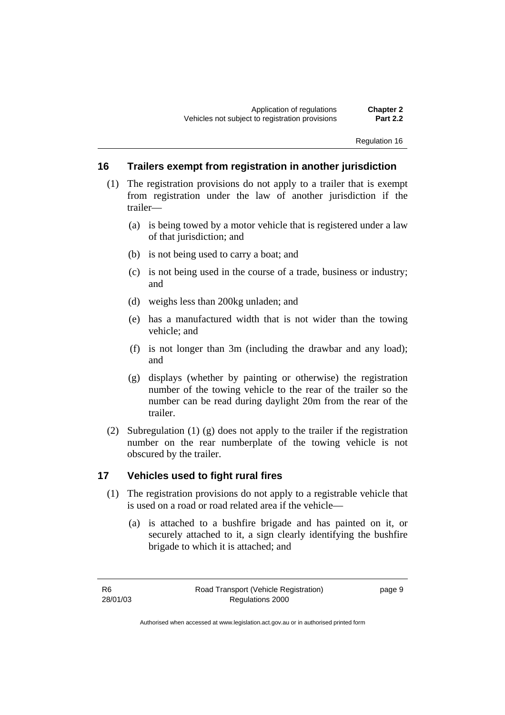#### **16 Trailers exempt from registration in another jurisdiction**

- (1) The registration provisions do not apply to a trailer that is exempt from registration under the law of another jurisdiction if the trailer—
	- (a) is being towed by a motor vehicle that is registered under a law of that jurisdiction; and
	- (b) is not being used to carry a boat; and
	- (c) is not being used in the course of a trade, business or industry; and
	- (d) weighs less than 200kg unladen; and
	- (e) has a manufactured width that is not wider than the towing vehicle; and
	- (f) is not longer than 3m (including the drawbar and any load); and
	- (g) displays (whether by painting or otherwise) the registration number of the towing vehicle to the rear of the trailer so the number can be read during daylight 20m from the rear of the trailer.
- (2) Subregulation (1) (g) does not apply to the trailer if the registration number on the rear numberplate of the towing vehicle is not obscured by the trailer.

#### **17 Vehicles used to fight rural fires**

- (1) The registration provisions do not apply to a registrable vehicle that is used on a road or road related area if the vehicle—
	- (a) is attached to a bushfire brigade and has painted on it, or securely attached to it, a sign clearly identifying the bushfire brigade to which it is attached; and

page 9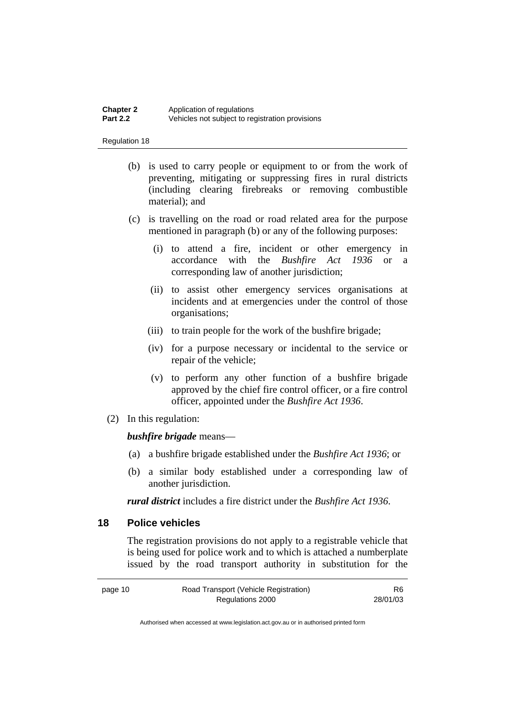#### **Chapter 2** Application of regulations<br>**Part 2.2** Vehicles not subject to regulation **Part 2.2** Vehicles not subject to registration provisions

#### Regulation 18

- (b) is used to carry people or equipment to or from the work of preventing, mitigating or suppressing fires in rural districts (including clearing firebreaks or removing combustible material); and
- (c) is travelling on the road or road related area for the purpose mentioned in paragraph (b) or any of the following purposes:
	- (i) to attend a fire, incident or other emergency in accordance with the *Bushfire Act 1936* or a corresponding law of another jurisdiction;
	- (ii) to assist other emergency services organisations at incidents and at emergencies under the control of those organisations;
	- (iii) to train people for the work of the bushfire brigade;
	- (iv) for a purpose necessary or incidental to the service or repair of the vehicle;
	- (v) to perform any other function of a bushfire brigade approved by the chief fire control officer, or a fire control officer, appointed under the *Bushfire Act 1936*.
- (2) In this regulation:

#### *bushfire brigade* means—

- (a) a bushfire brigade established under the *Bushfire Act 1936*; or
- (b) a similar body established under a corresponding law of another jurisdiction.

*rural district* includes a fire district under the *Bushfire Act 1936*.

## **18 Police vehicles**

The registration provisions do not apply to a registrable vehicle that is being used for police work and to which is attached a numberplate issued by the road transport authority in substitution for the

| page 10 | Road Transport (Vehicle Registration) | R6       |
|---------|---------------------------------------|----------|
|         | Regulations 2000                      | 28/01/03 |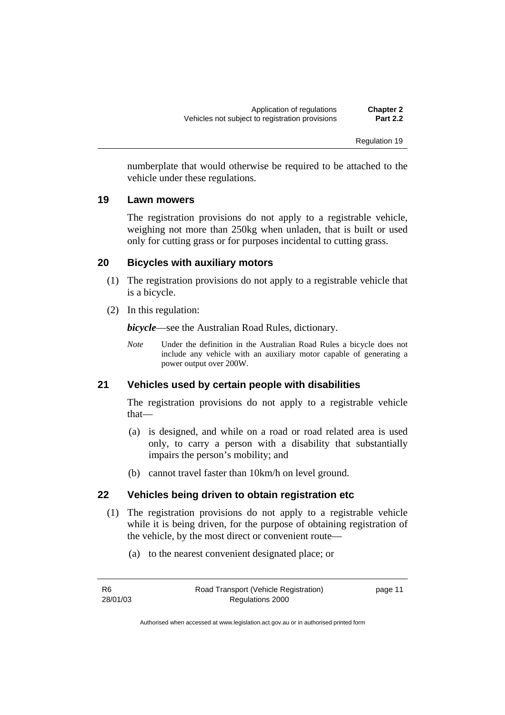numberplate that would otherwise be required to be attached to the vehicle under these regulations.

#### **19 Lawn mowers**

The registration provisions do not apply to a registrable vehicle, weighing not more than 250kg when unladen, that is built or used only for cutting grass or for purposes incidental to cutting grass.

### **20 Bicycles with auxiliary motors**

- (1) The registration provisions do not apply to a registrable vehicle that is a bicycle.
- (2) In this regulation:

*bicycle*—see the Australian Road Rules, dictionary.

*Note* Under the definition in the Australian Road Rules a bicycle does not include any vehicle with an auxiliary motor capable of generating a power output over 200W.

#### **21 Vehicles used by certain people with disabilities**

The registration provisions do not apply to a registrable vehicle that—

- (a) is designed, and while on a road or road related area is used only, to carry a person with a disability that substantially impairs the person's mobility; and
- (b) cannot travel faster than 10km/h on level ground.

### **22 Vehicles being driven to obtain registration etc**

- (1) The registration provisions do not apply to a registrable vehicle while it is being driven, for the purpose of obtaining registration of the vehicle, by the most direct or convenient route—
	- (a) to the nearest convenient designated place; or

| R6       | Road Transport (Vehicle Registration) | page 11 |
|----------|---------------------------------------|---------|
| 28/01/03 | Regulations 2000                      |         |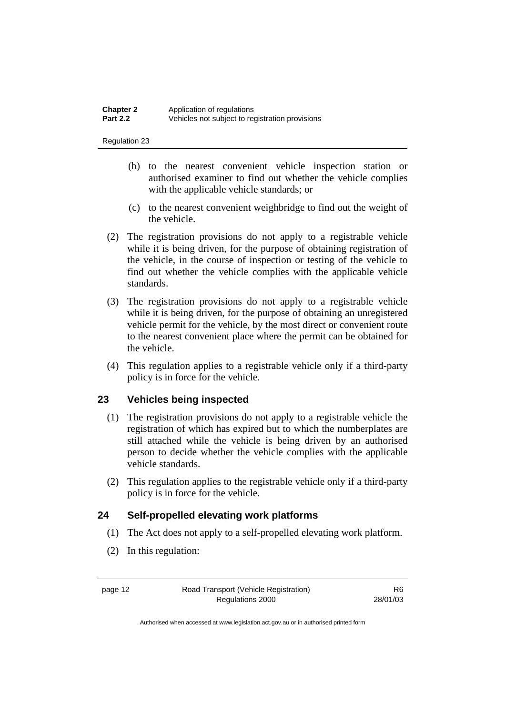- (b) to the nearest convenient vehicle inspection station or authorised examiner to find out whether the vehicle complies with the applicable vehicle standards; or
- (c) to the nearest convenient weighbridge to find out the weight of the vehicle.
- (2) The registration provisions do not apply to a registrable vehicle while it is being driven, for the purpose of obtaining registration of the vehicle, in the course of inspection or testing of the vehicle to find out whether the vehicle complies with the applicable vehicle standards.
- (3) The registration provisions do not apply to a registrable vehicle while it is being driven, for the purpose of obtaining an unregistered vehicle permit for the vehicle, by the most direct or convenient route to the nearest convenient place where the permit can be obtained for the vehicle.
- (4) This regulation applies to a registrable vehicle only if a third-party policy is in force for the vehicle.

## **23 Vehicles being inspected**

- (1) The registration provisions do not apply to a registrable vehicle the registration of which has expired but to which the numberplates are still attached while the vehicle is being driven by an authorised person to decide whether the vehicle complies with the applicable vehicle standards.
- (2) This regulation applies to the registrable vehicle only if a third-party policy is in force for the vehicle.

### **24 Self-propelled elevating work platforms**

- (1) The Act does not apply to a self-propelled elevating work platform.
- (2) In this regulation:

R6 28/01/03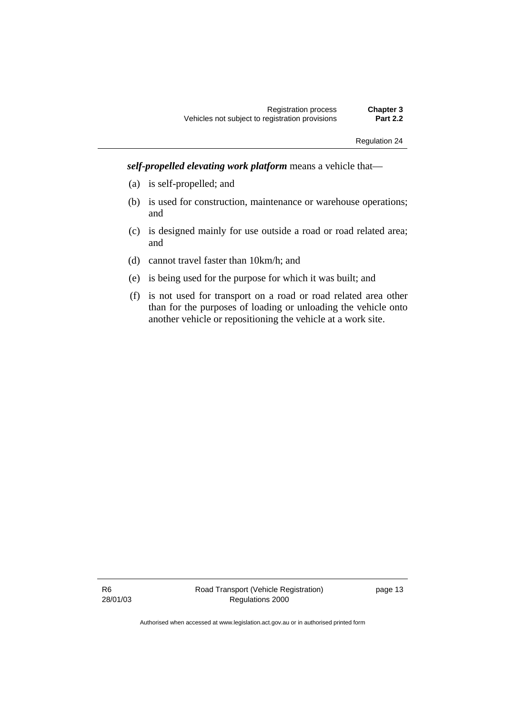*self-propelled elevating work platform* means a vehicle that—

- (a) is self-propelled; and
- (b) is used for construction, maintenance or warehouse operations; and
- (c) is designed mainly for use outside a road or road related area; and
- (d) cannot travel faster than 10km/h; and
- (e) is being used for the purpose for which it was built; and
- (f) is not used for transport on a road or road related area other than for the purposes of loading or unloading the vehicle onto another vehicle or repositioning the vehicle at a work site.

R6 28/01/03 page 13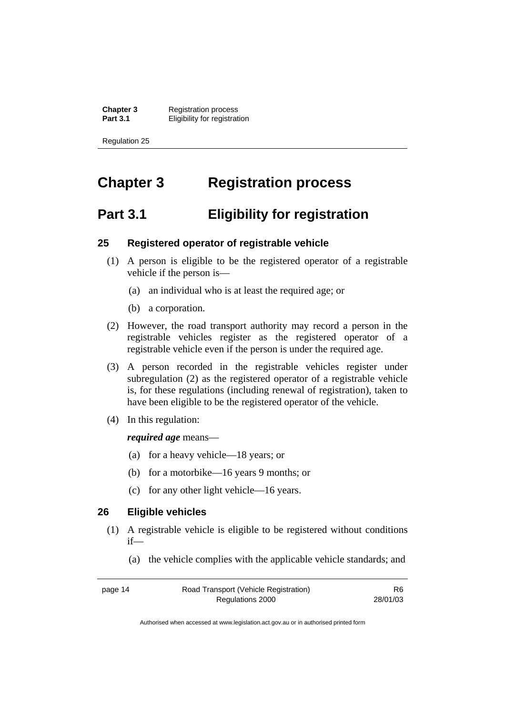**Chapter 3** Registration process<br>**Part 3.1** Fligibility for registrat *<u>Eligibility</u>* for registration

Regulation 25

# **Chapter 3 Registration process**

# **Part 3.1 Eligibility for registration**

#### **25 Registered operator of registrable vehicle**

- (1) A person is eligible to be the registered operator of a registrable vehicle if the person is—
	- (a) an individual who is at least the required age; or
	- (b) a corporation.
- (2) However, the road transport authority may record a person in the registrable vehicles register as the registered operator of a registrable vehicle even if the person is under the required age.
- (3) A person recorded in the registrable vehicles register under subregulation (2) as the registered operator of a registrable vehicle is, for these regulations (including renewal of registration), taken to have been eligible to be the registered operator of the vehicle.
- (4) In this regulation:

#### *required age* means—

- (a) for a heavy vehicle—18 years; or
- (b) for a motorbike—16 years 9 months; or
- (c) for any other light vehicle—16 years.

## **26 Eligible vehicles**

- (1) A registrable vehicle is eligible to be registered without conditions if—
	- (a) the vehicle complies with the applicable vehicle standards; and

| page 14 | Road Transport (Vehicle Registration) | R6       |
|---------|---------------------------------------|----------|
|         | Regulations 2000                      | 28/01/03 |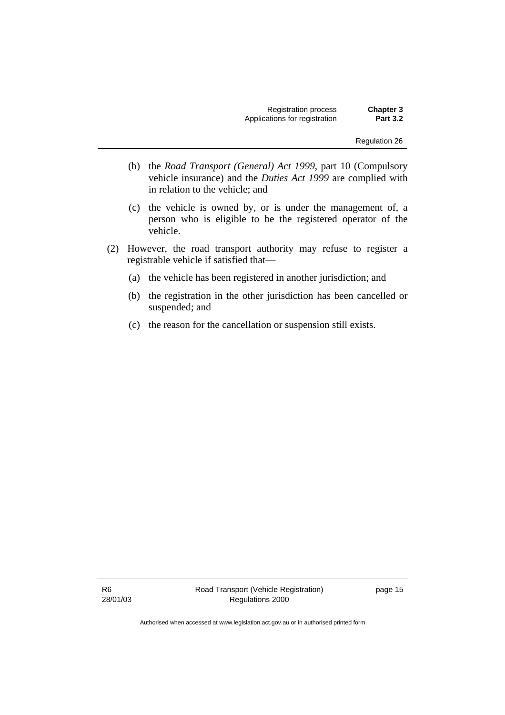Registration process **Chapter 3**  Applications for registration

Regulation 26

- (b) the *Road Transport (General) Act 1999*, part 10 (Compulsory vehicle insurance) and the *Duties Act 1999* are complied with in relation to the vehicle; and
- (c) the vehicle is owned by, or is under the management of, a person who is eligible to be the registered operator of the vehicle.
- (2) However, the road transport authority may refuse to register a registrable vehicle if satisfied that—
	- (a) the vehicle has been registered in another jurisdiction; and
	- (b) the registration in the other jurisdiction has been cancelled or suspended; and
	- (c) the reason for the cancellation or suspension still exists.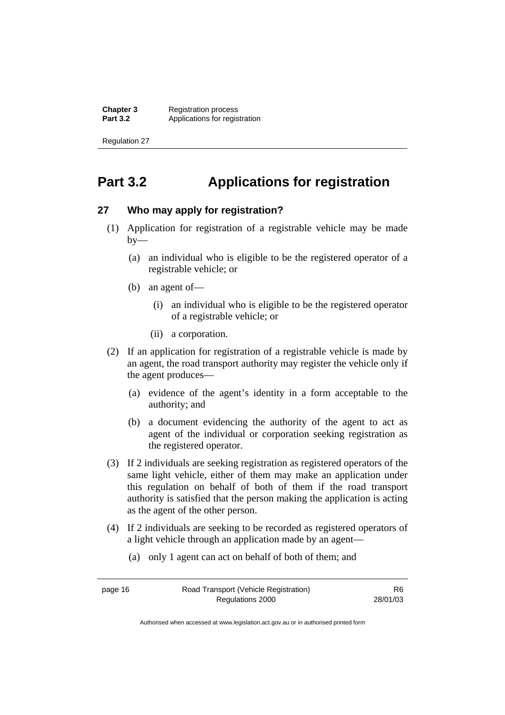**Chapter 3** Registration process<br>**Part 3.2** Applications for regis Applications for registration

Regulation 27

# **Part 3.2 Applications for registration**

#### **27 Who may apply for registration?**

- (1) Application for registration of a registrable vehicle may be made  $by-$ 
	- (a) an individual who is eligible to be the registered operator of a registrable vehicle; or
	- (b) an agent of—
		- (i) an individual who is eligible to be the registered operator of a registrable vehicle; or
		- (ii) a corporation.
- (2) If an application for registration of a registrable vehicle is made by an agent, the road transport authority may register the vehicle only if the agent produces—
	- (a) evidence of the agent's identity in a form acceptable to the authority; and
	- (b) a document evidencing the authority of the agent to act as agent of the individual or corporation seeking registration as the registered operator.
- (3) If 2 individuals are seeking registration as registered operators of the same light vehicle, either of them may make an application under this regulation on behalf of both of them if the road transport authority is satisfied that the person making the application is acting as the agent of the other person.
- (4) If 2 individuals are seeking to be recorded as registered operators of a light vehicle through an application made by an agent—
	- (a) only 1 agent can act on behalf of both of them; and

| page 16 | Road Transport (Vehicle Registration) | R6.      |
|---------|---------------------------------------|----------|
|         | Regulations 2000                      | 28/01/03 |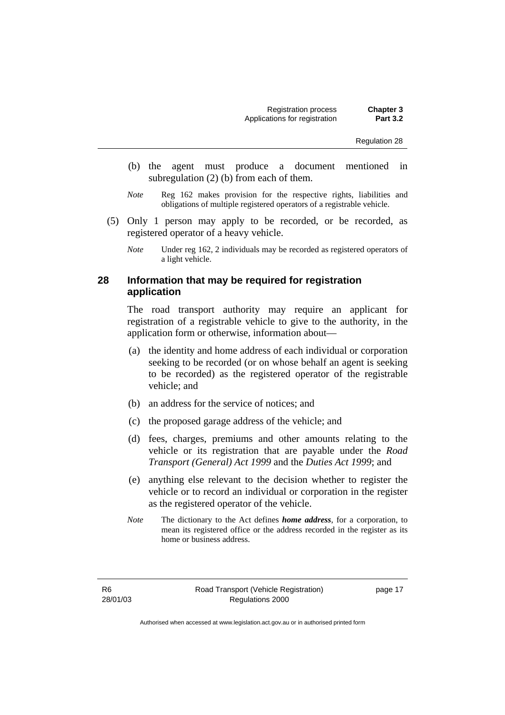- (b) the agent must produce a document mentioned in subregulation (2) (b) from each of them.
- *Note* Reg 162 makes provision for the respective rights, liabilities and obligations of multiple registered operators of a registrable vehicle.
- (5) Only 1 person may apply to be recorded, or be recorded, as registered operator of a heavy vehicle.
	- *Note* Under reg 162, 2 individuals may be recorded as registered operators of a light vehicle.

#### **28 Information that may be required for registration application**

The road transport authority may require an applicant for registration of a registrable vehicle to give to the authority, in the application form or otherwise, information about—

- (a) the identity and home address of each individual or corporation seeking to be recorded (or on whose behalf an agent is seeking to be recorded) as the registered operator of the registrable vehicle; and
- (b) an address for the service of notices; and
- (c) the proposed garage address of the vehicle; and
- (d) fees, charges, premiums and other amounts relating to the vehicle or its registration that are payable under the *Road Transport (General) Act 1999* and the *Duties Act 1999*; and
- (e) anything else relevant to the decision whether to register the vehicle or to record an individual or corporation in the register as the registered operator of the vehicle.
- *Note* The dictionary to the Act defines *home address*, for a corporation, to mean its registered office or the address recorded in the register as its home or business address.

page 17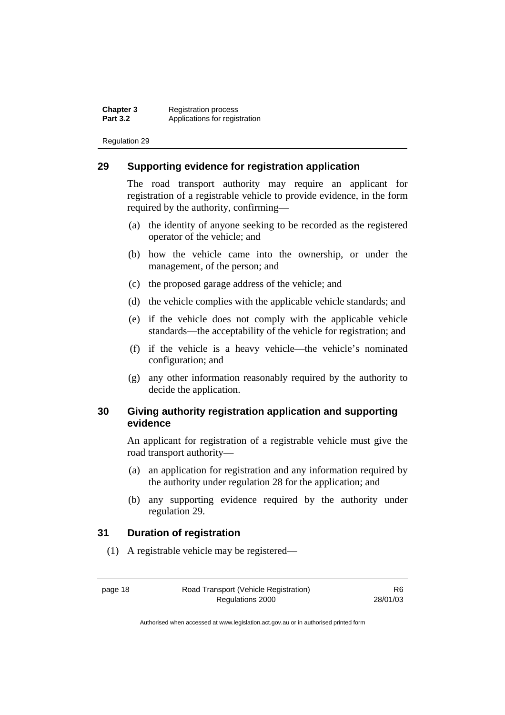**Chapter 3** Registration process<br>**Part 3.2** Applications for regis Applications for registration

Regulation 29

#### **29 Supporting evidence for registration application**

The road transport authority may require an applicant for registration of a registrable vehicle to provide evidence, in the form required by the authority, confirming—

- (a) the identity of anyone seeking to be recorded as the registered operator of the vehicle; and
- (b) how the vehicle came into the ownership, or under the management, of the person; and
- (c) the proposed garage address of the vehicle; and
- (d) the vehicle complies with the applicable vehicle standards; and
- (e) if the vehicle does not comply with the applicable vehicle standards—the acceptability of the vehicle for registration; and
- (f) if the vehicle is a heavy vehicle—the vehicle's nominated configuration; and
- (g) any other information reasonably required by the authority to decide the application.

#### **30 Giving authority registration application and supporting evidence**

An applicant for registration of a registrable vehicle must give the road transport authority—

- (a) an application for registration and any information required by the authority under regulation 28 for the application; and
- (b) any supporting evidence required by the authority under regulation 29.

#### **31 Duration of registration**

(1) A registrable vehicle may be registered—

page 18 Road Transport (Vehicle Registration) Regulations 2000

R6 28/01/03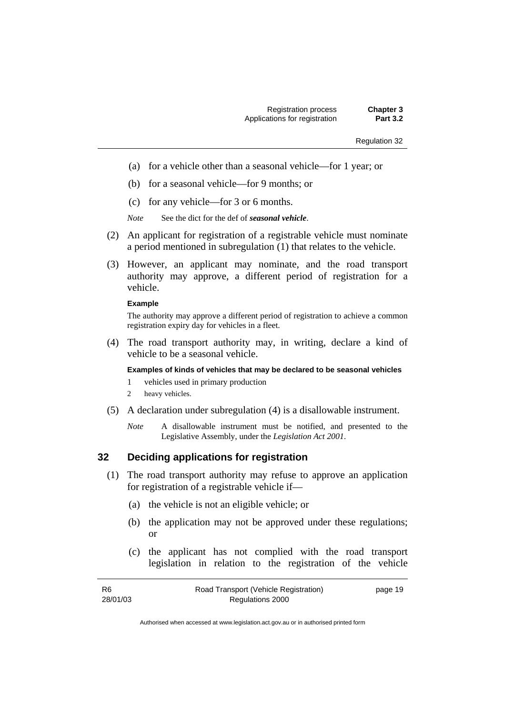- (a) for a vehicle other than a seasonal vehicle—for 1 year; or
- (b) for a seasonal vehicle—for 9 months; or
- (c) for any vehicle—for 3 or 6 months.

*Note* See the dict for the def of *seasonal vehicle*.

- (2) An applicant for registration of a registrable vehicle must nominate a period mentioned in subregulation (1) that relates to the vehicle.
- (3) However, an applicant may nominate, and the road transport authority may approve, a different period of registration for a vehicle.

#### **Example**

The authority may approve a different period of registration to achieve a common registration expiry day for vehicles in a fleet.

 (4) The road transport authority may, in writing, declare a kind of vehicle to be a seasonal vehicle.

#### **Examples of kinds of vehicles that may be declared to be seasonal vehicles**

- 1 vehicles used in primary production
- 2 heavy vehicles.
- (5) A declaration under subregulation (4) is a disallowable instrument.
	- *Note* A disallowable instrument must be notified, and presented to the Legislative Assembly, under the *Legislation Act 2001*.

#### **32 Deciding applications for registration**

- (1) The road transport authority may refuse to approve an application for registration of a registrable vehicle if—
	- (a) the vehicle is not an eligible vehicle; or
	- (b) the application may not be approved under these regulations; or
	- (c) the applicant has not complied with the road transport legislation in relation to the registration of the vehicle

| R6       | Road Transport (Vehicle Registration) | page 19 |
|----------|---------------------------------------|---------|
| 28/01/03 | Regulations 2000                      |         |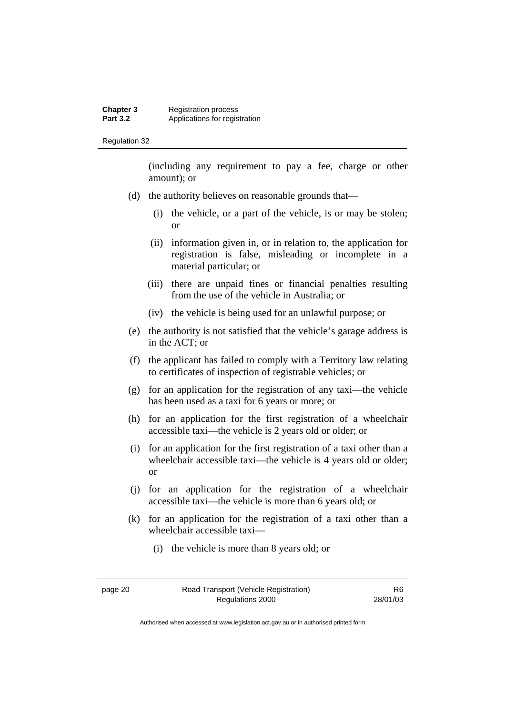#### **Chapter 3** Registration process<br>**Part 3.2** Applications for regis Applications for registration

Regulation 32

(including any requirement to pay a fee, charge or other amount); or

- (d) the authority believes on reasonable grounds that—
	- (i) the vehicle, or a part of the vehicle, is or may be stolen; or
	- (ii) information given in, or in relation to, the application for registration is false, misleading or incomplete in a material particular; or
	- (iii) there are unpaid fines or financial penalties resulting from the use of the vehicle in Australia; or
	- (iv) the vehicle is being used for an unlawful purpose; or
- (e) the authority is not satisfied that the vehicle's garage address is in the ACT; or
- (f) the applicant has failed to comply with a Territory law relating to certificates of inspection of registrable vehicles; or
- (g) for an application for the registration of any taxi—the vehicle has been used as a taxi for 6 years or more; or
- (h) for an application for the first registration of a wheelchair accessible taxi—the vehicle is 2 years old or older; or
- (i) for an application for the first registration of a taxi other than a wheelchair accessible taxi—the vehicle is 4 years old or older; or
- (j) for an application for the registration of a wheelchair accessible taxi—the vehicle is more than 6 years old; or
- (k) for an application for the registration of a taxi other than a wheelchair accessible taxi—
	- (i) the vehicle is more than 8 years old; or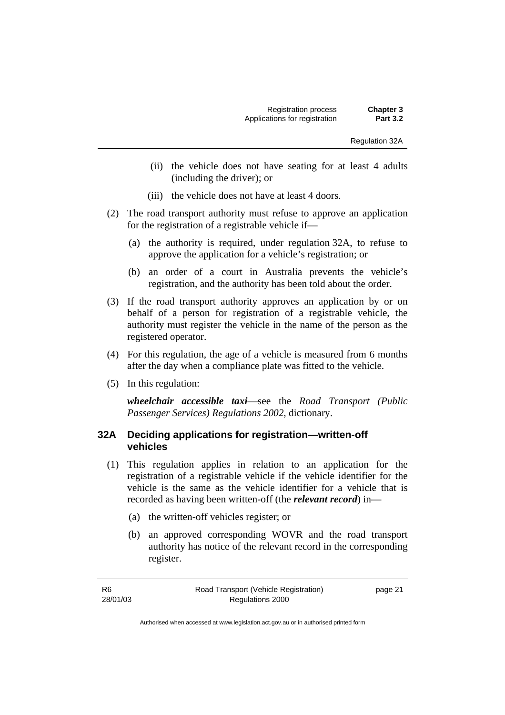Regulation 32A

- (ii) the vehicle does not have seating for at least 4 adults (including the driver); or
- (iii) the vehicle does not have at least 4 doors.
- (2) The road transport authority must refuse to approve an application for the registration of a registrable vehicle if—
	- (a) the authority is required, under regulation 32A, to refuse to approve the application for a vehicle's registration; or
	- (b) an order of a court in Australia prevents the vehicle's registration, and the authority has been told about the order.
- (3) If the road transport authority approves an application by or on behalf of a person for registration of a registrable vehicle, the authority must register the vehicle in the name of the person as the registered operator.
- (4) For this regulation, the age of a vehicle is measured from 6 months after the day when a compliance plate was fitted to the vehicle.
- (5) In this regulation:

*wheelchair accessible taxi*—see the *Road Transport (Public Passenger Services) Regulations 2002*, dictionary.

#### **32A Deciding applications for registration—written-off vehicles**

- (1) This regulation applies in relation to an application for the registration of a registrable vehicle if the vehicle identifier for the vehicle is the same as the vehicle identifier for a vehicle that is recorded as having been written-off (the *relevant record*) in—
	- (a) the written-off vehicles register; or
	- (b) an approved corresponding WOVR and the road transport authority has notice of the relevant record in the corresponding register.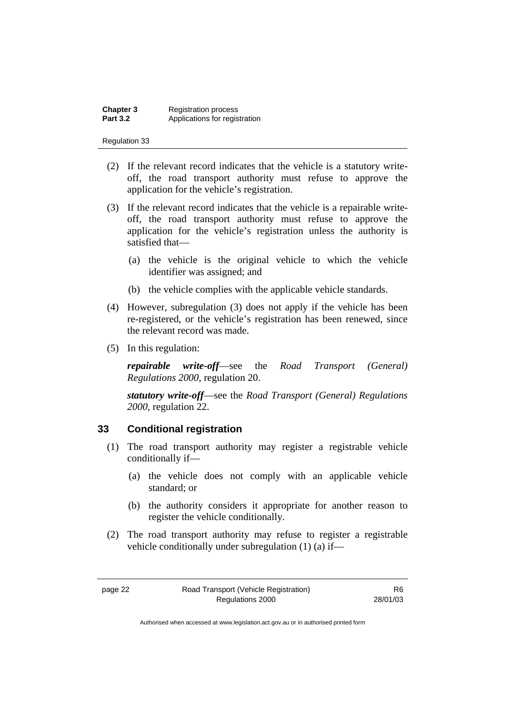| <b>Chapter 3</b> | <b>Registration process</b>   |
|------------------|-------------------------------|
| <b>Part 3.2</b>  | Applications for registration |

- (2) If the relevant record indicates that the vehicle is a statutory writeoff, the road transport authority must refuse to approve the application for the vehicle's registration.
- (3) If the relevant record indicates that the vehicle is a repairable writeoff, the road transport authority must refuse to approve the application for the vehicle's registration unless the authority is satisfied that—
	- (a) the vehicle is the original vehicle to which the vehicle identifier was assigned; and
	- (b) the vehicle complies with the applicable vehicle standards.
- (4) However, subregulation (3) does not apply if the vehicle has been re-registered, or the vehicle's registration has been renewed, since the relevant record was made.
- (5) In this regulation:

*repairable write-off*—see the *Road Transport (General) Regulations 2000*, regulation 20.

*statutory write-off*—see the *Road Transport (General) Regulations 2000*, regulation 22.

#### **33 Conditional registration**

- (1) The road transport authority may register a registrable vehicle conditionally if—
	- (a) the vehicle does not comply with an applicable vehicle standard; or
	- (b) the authority considers it appropriate for another reason to register the vehicle conditionally.
- (2) The road transport authority may refuse to register a registrable vehicle conditionally under subregulation (1) (a) if—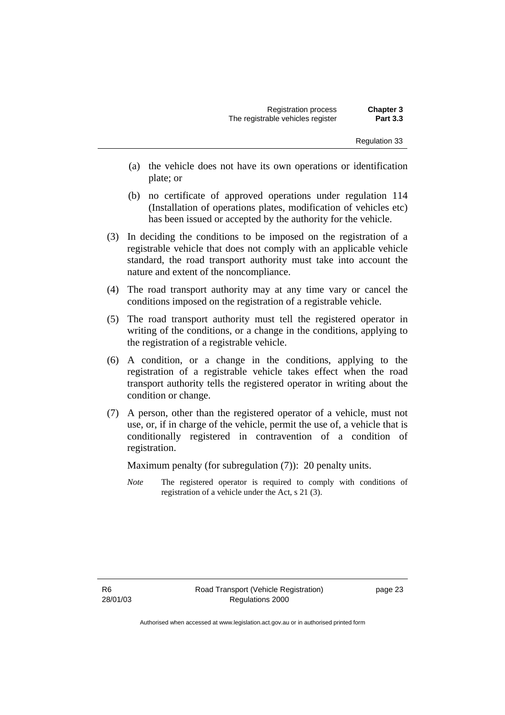- (a) the vehicle does not have its own operations or identification plate; or
- (b) no certificate of approved operations under regulation 114 (Installation of operations plates, modification of vehicles etc) has been issued or accepted by the authority for the vehicle.
- (3) In deciding the conditions to be imposed on the registration of a registrable vehicle that does not comply with an applicable vehicle standard, the road transport authority must take into account the nature and extent of the noncompliance.
- (4) The road transport authority may at any time vary or cancel the conditions imposed on the registration of a registrable vehicle.
- (5) The road transport authority must tell the registered operator in writing of the conditions, or a change in the conditions, applying to the registration of a registrable vehicle.
- (6) A condition, or a change in the conditions, applying to the registration of a registrable vehicle takes effect when the road transport authority tells the registered operator in writing about the condition or change.
- (7) A person, other than the registered operator of a vehicle, must not use, or, if in charge of the vehicle, permit the use of, a vehicle that is conditionally registered in contravention of a condition of registration.

Maximum penalty (for subregulation (7)): 20 penalty units.

*Note* The registered operator is required to comply with conditions of registration of a vehicle under the Act, s 21 (3).

R6 28/01/03 page 23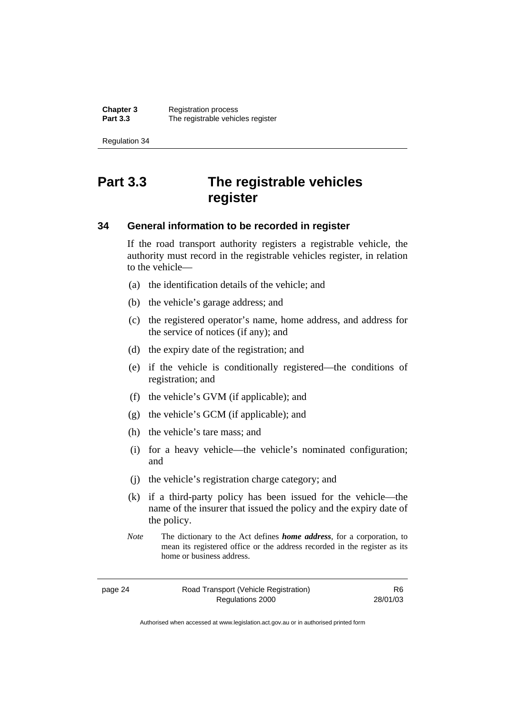# **Part 3.3 The registrable vehicles register**

#### **34 General information to be recorded in register**

If the road transport authority registers a registrable vehicle, the authority must record in the registrable vehicles register, in relation to the vehicle—

- (a) the identification details of the vehicle; and
- (b) the vehicle's garage address; and
- (c) the registered operator's name, home address, and address for the service of notices (if any); and
- (d) the expiry date of the registration; and
- (e) if the vehicle is conditionally registered—the conditions of registration; and
- (f) the vehicle's GVM (if applicable); and
- (g) the vehicle's GCM (if applicable); and
- (h) the vehicle's tare mass; and
- (i) for a heavy vehicle—the vehicle's nominated configuration; and
- (j) the vehicle's registration charge category; and
- (k) if a third-party policy has been issued for the vehicle—the name of the insurer that issued the policy and the expiry date of the policy.
- *Note* The dictionary to the Act defines *home address*, for a corporation, to mean its registered office or the address recorded in the register as its home or business address.

page 24 Road Transport (Vehicle Registration) Regulations 2000

R6 28/01/03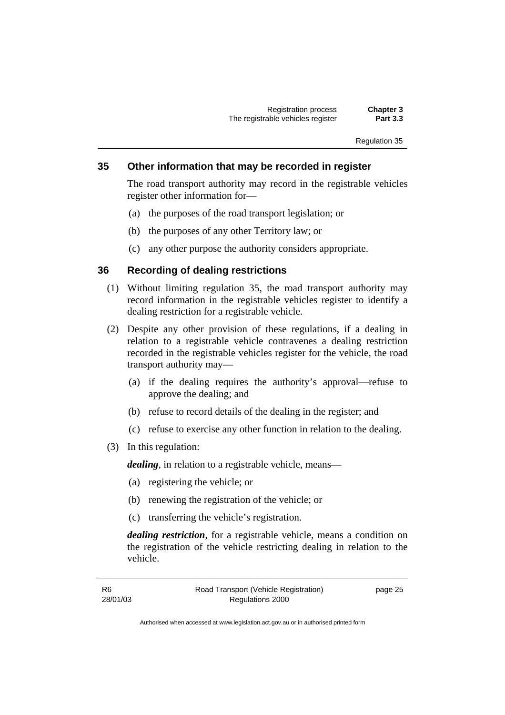#### **35 Other information that may be recorded in register**

The road transport authority may record in the registrable vehicles register other information for—

- (a) the purposes of the road transport legislation; or
- (b) the purposes of any other Territory law; or
- (c) any other purpose the authority considers appropriate.

#### **36 Recording of dealing restrictions**

- (1) Without limiting regulation 35, the road transport authority may record information in the registrable vehicles register to identify a dealing restriction for a registrable vehicle.
- (2) Despite any other provision of these regulations, if a dealing in relation to a registrable vehicle contravenes a dealing restriction recorded in the registrable vehicles register for the vehicle, the road transport authority may—
	- (a) if the dealing requires the authority's approval—refuse to approve the dealing; and
	- (b) refuse to record details of the dealing in the register; and
	- (c) refuse to exercise any other function in relation to the dealing.
- (3) In this regulation:

*dealing*, in relation to a registrable vehicle, means—

- (a) registering the vehicle; or
- (b) renewing the registration of the vehicle; or
- (c) transferring the vehicle's registration.

*dealing restriction*, for a registrable vehicle, means a condition on the registration of the vehicle restricting dealing in relation to the vehicle.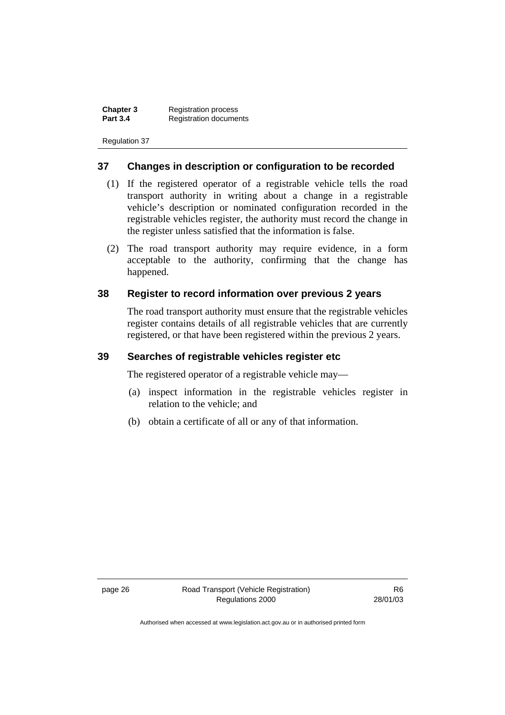**Chapter 3** Registration process<br>**Part 3.4** Registration docume **Registration documents** 

Regulation 37

#### **37 Changes in description or configuration to be recorded**

- (1) If the registered operator of a registrable vehicle tells the road transport authority in writing about a change in a registrable vehicle's description or nominated configuration recorded in the registrable vehicles register, the authority must record the change in the register unless satisfied that the information is false.
- (2) The road transport authority may require evidence, in a form acceptable to the authority, confirming that the change has happened.

#### **38 Register to record information over previous 2 years**

The road transport authority must ensure that the registrable vehicles register contains details of all registrable vehicles that are currently registered, or that have been registered within the previous 2 years.

#### **39 Searches of registrable vehicles register etc**

The registered operator of a registrable vehicle may—

- (a) inspect information in the registrable vehicles register in relation to the vehicle; and
- (b) obtain a certificate of all or any of that information.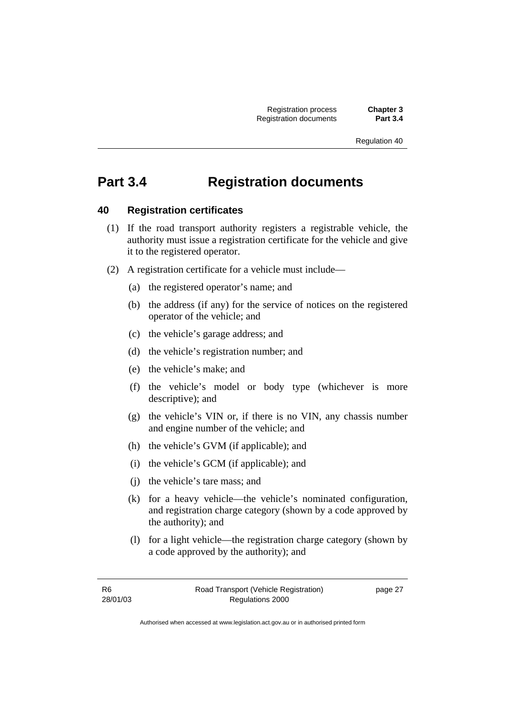# **Part 3.4 Registration documents**

### **40 Registration certificates**

- (1) If the road transport authority registers a registrable vehicle, the authority must issue a registration certificate for the vehicle and give it to the registered operator.
- (2) A registration certificate for a vehicle must include—
	- (a) the registered operator's name; and
	- (b) the address (if any) for the service of notices on the registered operator of the vehicle; and
	- (c) the vehicle's garage address; and
	- (d) the vehicle's registration number; and
	- (e) the vehicle's make; and
	- (f) the vehicle's model or body type (whichever is more descriptive); and
	- (g) the vehicle's VIN or, if there is no VIN, any chassis number and engine number of the vehicle; and
	- (h) the vehicle's GVM (if applicable); and
	- (i) the vehicle's GCM (if applicable); and
	- (j) the vehicle's tare mass; and
	- (k) for a heavy vehicle—the vehicle's nominated configuration, and registration charge category (shown by a code approved by the authority); and
	- (l) for a light vehicle—the registration charge category (shown by a code approved by the authority); and

page 27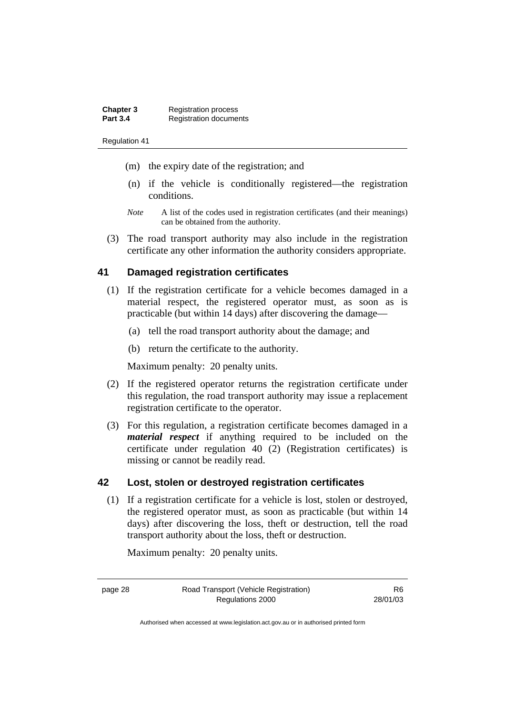| <b>Chapter 3</b> | <b>Registration process</b>   |
|------------------|-------------------------------|
| <b>Part 3.4</b>  | <b>Registration documents</b> |

- (m) the expiry date of the registration; and
- (n) if the vehicle is conditionally registered—the registration conditions.
- *Note* A list of the codes used in registration certificates (and their meanings) can be obtained from the authority.
- (3) The road transport authority may also include in the registration certificate any other information the authority considers appropriate.

#### **41 Damaged registration certificates**

- (1) If the registration certificate for a vehicle becomes damaged in a material respect, the registered operator must, as soon as is practicable (but within 14 days) after discovering the damage—
	- (a) tell the road transport authority about the damage; and
	- (b) return the certificate to the authority.

Maximum penalty: 20 penalty units.

- (2) If the registered operator returns the registration certificate under this regulation, the road transport authority may issue a replacement registration certificate to the operator.
- (3) For this regulation, a registration certificate becomes damaged in a *material respect* if anything required to be included on the certificate under regulation 40 (2) (Registration certificates) is missing or cannot be readily read.

#### **42 Lost, stolen or destroyed registration certificates**

 (1) If a registration certificate for a vehicle is lost, stolen or destroyed, the registered operator must, as soon as practicable (but within 14 days) after discovering the loss, theft or destruction, tell the road transport authority about the loss, theft or destruction.

Maximum penalty: 20 penalty units.

R6 28/01/03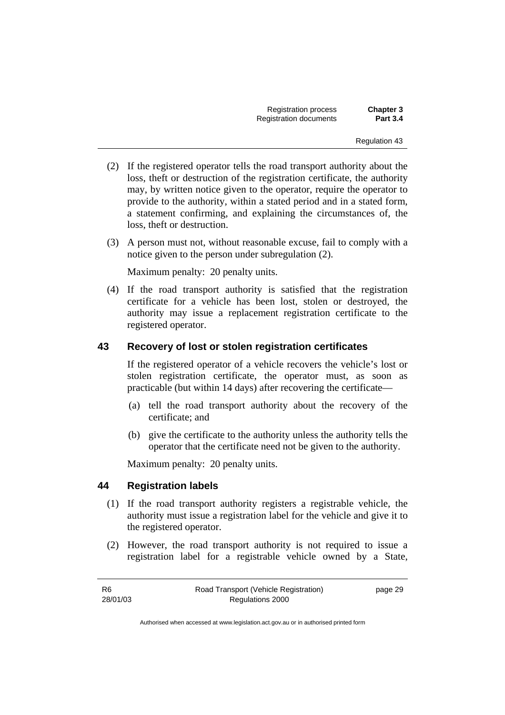Registration process **Chapter 3 Registration documents** 

Regulation 43

- (2) If the registered operator tells the road transport authority about the loss, theft or destruction of the registration certificate, the authority may, by written notice given to the operator, require the operator to provide to the authority, within a stated period and in a stated form, a statement confirming, and explaining the circumstances of, the loss, theft or destruction.
- (3) A person must not, without reasonable excuse, fail to comply with a notice given to the person under subregulation (2).

Maximum penalty: 20 penalty units.

 (4) If the road transport authority is satisfied that the registration certificate for a vehicle has been lost, stolen or destroyed, the authority may issue a replacement registration certificate to the registered operator.

#### **43 Recovery of lost or stolen registration certificates**

If the registered operator of a vehicle recovers the vehicle's lost or stolen registration certificate, the operator must, as soon as practicable (but within 14 days) after recovering the certificate—

- (a) tell the road transport authority about the recovery of the certificate; and
- (b) give the certificate to the authority unless the authority tells the operator that the certificate need not be given to the authority.

Maximum penalty: 20 penalty units.

#### **44 Registration labels**

- (1) If the road transport authority registers a registrable vehicle, the authority must issue a registration label for the vehicle and give it to the registered operator.
- (2) However, the road transport authority is not required to issue a registration label for a registrable vehicle owned by a State,

| R6       | Road Transport (Vehicle Registration) | page 29 |
|----------|---------------------------------------|---------|
| 28/01/03 | Regulations 2000                      |         |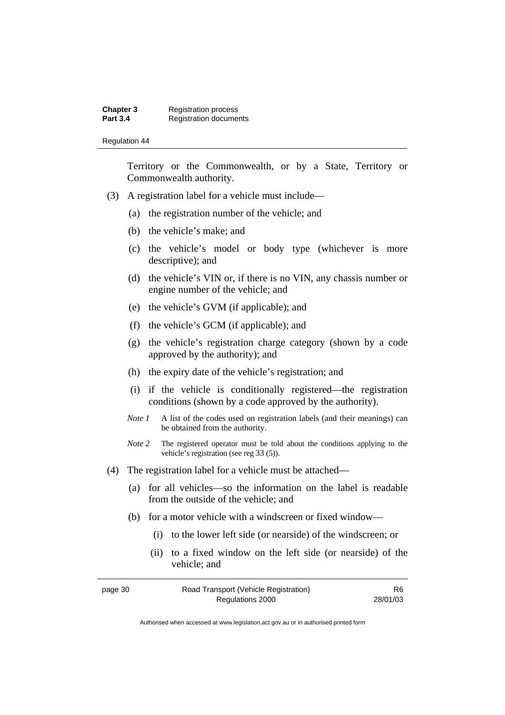| Chapter 3       | <b>Registration process</b>   |
|-----------------|-------------------------------|
| <b>Part 3.4</b> | <b>Registration documents</b> |

Territory or the Commonwealth, or by a State, Territory or Commonwealth authority.

- (3) A registration label for a vehicle must include—
	- (a) the registration number of the vehicle; and
	- (b) the vehicle's make; and
	- (c) the vehicle's model or body type (whichever is more descriptive); and
	- (d) the vehicle's VIN or, if there is no VIN, any chassis number or engine number of the vehicle; and
	- (e) the vehicle's GVM (if applicable); and
	- (f) the vehicle's GCM (if applicable); and
	- (g) the vehicle's registration charge category (shown by a code approved by the authority); and
	- (h) the expiry date of the vehicle's registration; and
	- (i) if the vehicle is conditionally registered—the registration conditions (shown by a code approved by the authority).
	- *Note 1* A list of the codes used on registration labels (and their meanings) can be obtained from the authority.
	- *Note* 2 The registered operator must be told about the conditions applying to the vehicle's registration (see reg 33 (5)).
- (4) The registration label for a vehicle must be attached—
	- (a) for all vehicles—so the information on the label is readable from the outside of the vehicle; and
	- (b) for a motor vehicle with a windscreen or fixed window—
		- (i) to the lower left side (or nearside) of the windscreen; or
		- (ii) to a fixed window on the left side (or nearside) of the vehicle; and

| page 30 | Road Transport (Vehicle Registration) | R6       |
|---------|---------------------------------------|----------|
|         | Regulations 2000                      | 28/01/03 |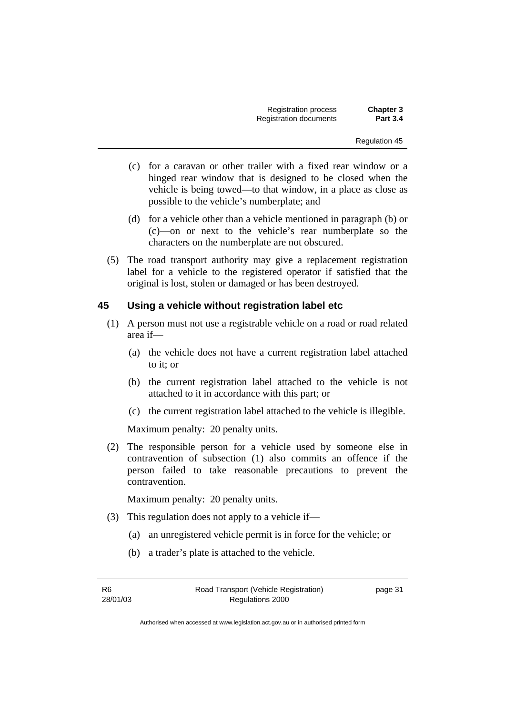Registration process **Chapter 3 Registration documents** 

Regulation 45

- (c) for a caravan or other trailer with a fixed rear window or a hinged rear window that is designed to be closed when the vehicle is being towed—to that window, in a place as close as possible to the vehicle's numberplate; and
- (d) for a vehicle other than a vehicle mentioned in paragraph (b) or (c)—on or next to the vehicle's rear numberplate so the characters on the numberplate are not obscured.
- (5) The road transport authority may give a replacement registration label for a vehicle to the registered operator if satisfied that the original is lost, stolen or damaged or has been destroyed.

#### **45 Using a vehicle without registration label etc**

- (1) A person must not use a registrable vehicle on a road or road related area if—
	- (a) the vehicle does not have a current registration label attached to it; or
	- (b) the current registration label attached to the vehicle is not attached to it in accordance with this part; or
	- (c) the current registration label attached to the vehicle is illegible.

Maximum penalty: 20 penalty units.

 (2) The responsible person for a vehicle used by someone else in contravention of subsection (1) also commits an offence if the person failed to take reasonable precautions to prevent the contravention.

Maximum penalty: 20 penalty units.

- (3) This regulation does not apply to a vehicle if—
	- (a) an unregistered vehicle permit is in force for the vehicle; or
	- (b) a trader's plate is attached to the vehicle.

R6 28/01/03 page 31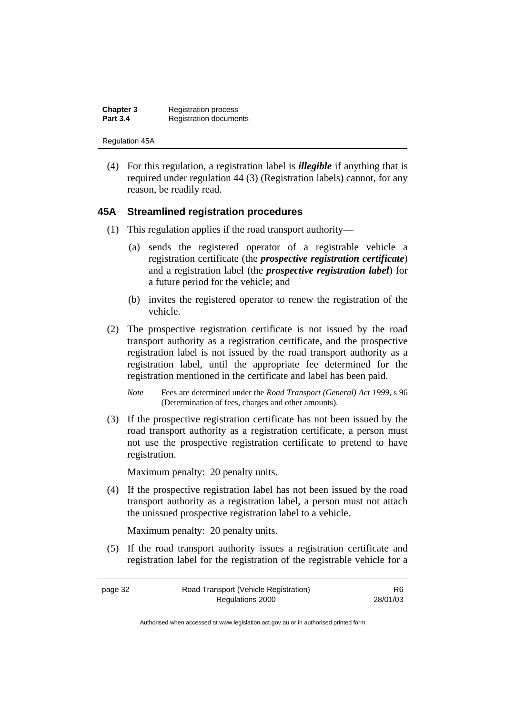| Chapter 3       | <b>Registration process</b>   |
|-----------------|-------------------------------|
| <b>Part 3.4</b> | <b>Registration documents</b> |

Regulation 45A

 (4) For this regulation, a registration label is *illegible* if anything that is required under regulation 44 (3) (Registration labels) cannot, for any reason, be readily read.

#### **45A Streamlined registration procedures**

- (1) This regulation applies if the road transport authority—
	- (a) sends the registered operator of a registrable vehicle a registration certificate (the *prospective registration certificate*) and a registration label (the *prospective registration label*) for a future period for the vehicle; and
	- (b) invites the registered operator to renew the registration of the vehicle.
- (2) The prospective registration certificate is not issued by the road transport authority as a registration certificate, and the prospective registration label is not issued by the road transport authority as a registration label, until the appropriate fee determined for the registration mentioned in the certificate and label has been paid.
	- *Note* Fees are determined under the *Road Transport (General) Act 1999*, s 96 (Determination of fees, charges and other amounts).
- (3) If the prospective registration certificate has not been issued by the road transport authority as a registration certificate, a person must not use the prospective registration certificate to pretend to have registration.

Maximum penalty: 20 penalty units.

 (4) If the prospective registration label has not been issued by the road transport authority as a registration label, a person must not attach the unissued prospective registration label to a vehicle.

Maximum penalty: 20 penalty units.

 (5) If the road transport authority issues a registration certificate and registration label for the registration of the registrable vehicle for a

page 32 Road Transport (Vehicle Registration) Regulations 2000 R6 28/01/03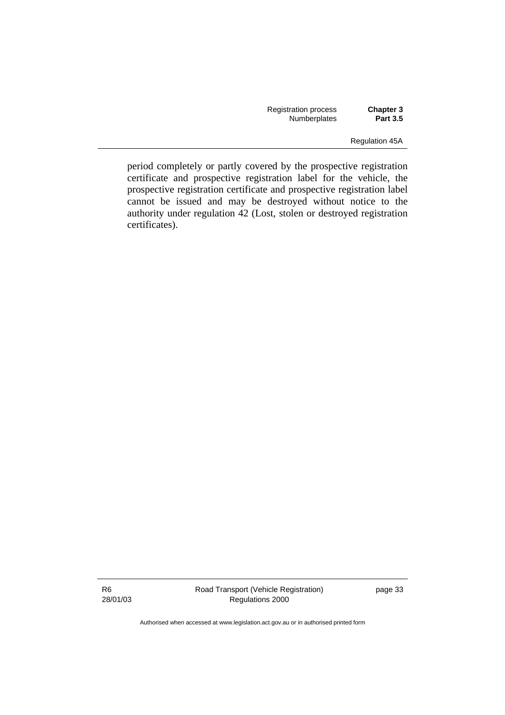| Registration process | <b>Chapter 3</b> |
|----------------------|------------------|
| <b>Numberplates</b>  | <b>Part 3.5</b>  |

Regulation 45A

period completely or partly covered by the prospective registration certificate and prospective registration label for the vehicle, the prospective registration certificate and prospective registration label cannot be issued and may be destroyed without notice to the authority under regulation 42 (Lost, stolen or destroyed registration certificates).

R6 28/01/03 Road Transport (Vehicle Registration) Regulations 2000

page 33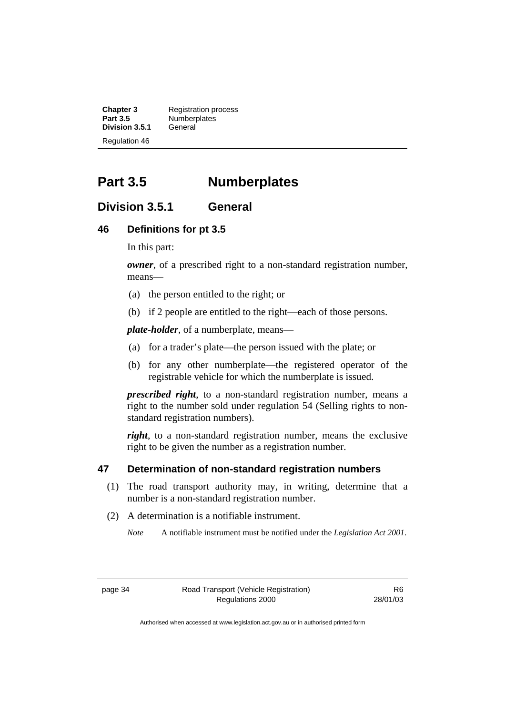**Chapter 3** Registration process<br>**Part 3.5** Numberplates Numberplates<br>General **Division 3.5.1** Regulation 46

# **Part 3.5 Numberplates**

## **Division 3.5.1 General**

#### **46 Definitions for pt 3.5**

In this part:

*owner*, of a prescribed right to a non-standard registration number, means—

- (a) the person entitled to the right; or
- (b) if 2 people are entitled to the right—each of those persons.

*plate-holder*, of a numberplate, means—

- (a) for a trader's plate—the person issued with the plate; or
- (b) for any other numberplate—the registered operator of the registrable vehicle for which the numberplate is issued.

*prescribed right*, to a non-standard registration number, means a right to the number sold under regulation 54 (Selling rights to nonstandard registration numbers).

*right*, to a non-standard registration number, means the exclusive right to be given the number as a registration number.

#### **47 Determination of non-standard registration numbers**

- (1) The road transport authority may, in writing, determine that a number is a non-standard registration number.
- (2) A determination is a notifiable instrument.

*Note* A notifiable instrument must be notified under the *Legislation Act 2001*.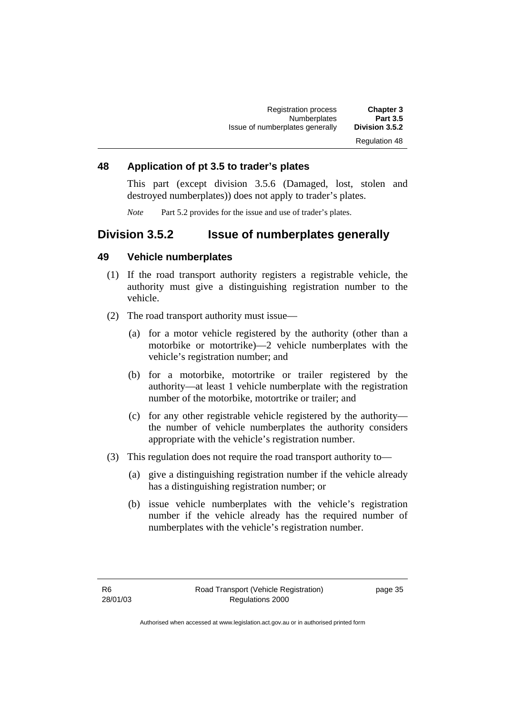#### **48 Application of pt 3.5 to trader's plates**

This part (except division 3.5.6 (Damaged, lost, stolen and destroyed numberplates)) does not apply to trader's plates.

*Note* Part 5.2 provides for the issue and use of trader's plates.

## **Division 3.5.2 Issue of numberplates generally**

#### **49 Vehicle numberplates**

- (1) If the road transport authority registers a registrable vehicle, the authority must give a distinguishing registration number to the vehicle.
- (2) The road transport authority must issue—
	- (a) for a motor vehicle registered by the authority (other than a motorbike or motortrike)—2 vehicle numberplates with the vehicle's registration number; and
	- (b) for a motorbike, motortrike or trailer registered by the authority—at least 1 vehicle numberplate with the registration number of the motorbike, motortrike or trailer; and
	- (c) for any other registrable vehicle registered by the authority the number of vehicle numberplates the authority considers appropriate with the vehicle's registration number.
- (3) This regulation does not require the road transport authority to—
	- (a) give a distinguishing registration number if the vehicle already has a distinguishing registration number; or
	- (b) issue vehicle numberplates with the vehicle's registration number if the vehicle already has the required number of numberplates with the vehicle's registration number.

page 35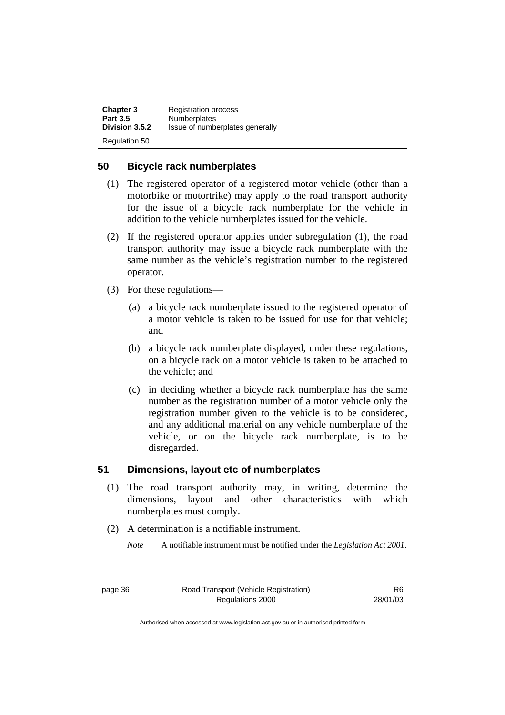| <b>Chapter 3</b> | <b>Registration process</b>     |
|------------------|---------------------------------|
| <b>Part 3.5</b>  | <b>Numberplates</b>             |
| Division 3.5.2   | Issue of numberplates generally |
| Regulation 50    |                                 |

#### **50 Bicycle rack numberplates**

- (1) The registered operator of a registered motor vehicle (other than a motorbike or motortrike) may apply to the road transport authority for the issue of a bicycle rack numberplate for the vehicle in addition to the vehicle numberplates issued for the vehicle.
- (2) If the registered operator applies under subregulation (1), the road transport authority may issue a bicycle rack numberplate with the same number as the vehicle's registration number to the registered operator.
- (3) For these regulations—
	- (a) a bicycle rack numberplate issued to the registered operator of a motor vehicle is taken to be issued for use for that vehicle; and
	- (b) a bicycle rack numberplate displayed, under these regulations, on a bicycle rack on a motor vehicle is taken to be attached to the vehicle; and
	- (c) in deciding whether a bicycle rack numberplate has the same number as the registration number of a motor vehicle only the registration number given to the vehicle is to be considered, and any additional material on any vehicle numberplate of the vehicle, or on the bicycle rack numberplate, is to be disregarded.

### **51 Dimensions, layout etc of numberplates**

- (1) The road transport authority may, in writing, determine the dimensions, layout and other characteristics with which numberplates must comply.
- (2) A determination is a notifiable instrument.
	- *Note* A notifiable instrument must be notified under the *Legislation Act 2001*.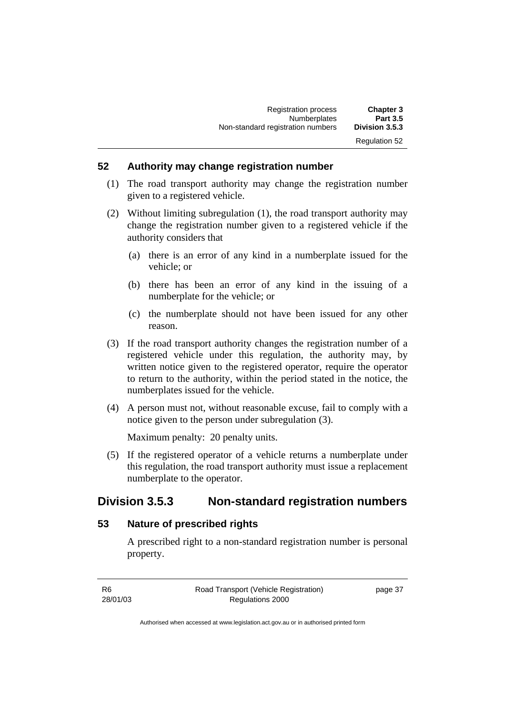### **52 Authority may change registration number**

- (1) The road transport authority may change the registration number given to a registered vehicle.
- (2) Without limiting subregulation (1), the road transport authority may change the registration number given to a registered vehicle if the authority considers that
	- (a) there is an error of any kind in a numberplate issued for the vehicle; or
	- (b) there has been an error of any kind in the issuing of a numberplate for the vehicle; or
	- (c) the numberplate should not have been issued for any other reason.
- (3) If the road transport authority changes the registration number of a registered vehicle under this regulation, the authority may, by written notice given to the registered operator, require the operator to return to the authority, within the period stated in the notice, the numberplates issued for the vehicle.
- (4) A person must not, without reasonable excuse, fail to comply with a notice given to the person under subregulation (3).

Maximum penalty: 20 penalty units.

 (5) If the registered operator of a vehicle returns a numberplate under this regulation, the road transport authority must issue a replacement numberplate to the operator.

## **Division 3.5.3 Non-standard registration numbers**

#### **53 Nature of prescribed rights**

A prescribed right to a non-standard registration number is personal property.

| - R6     | Road Transport (Vehicle Registration) | page 37 |
|----------|---------------------------------------|---------|
| 28/01/03 | Regulations 2000                      |         |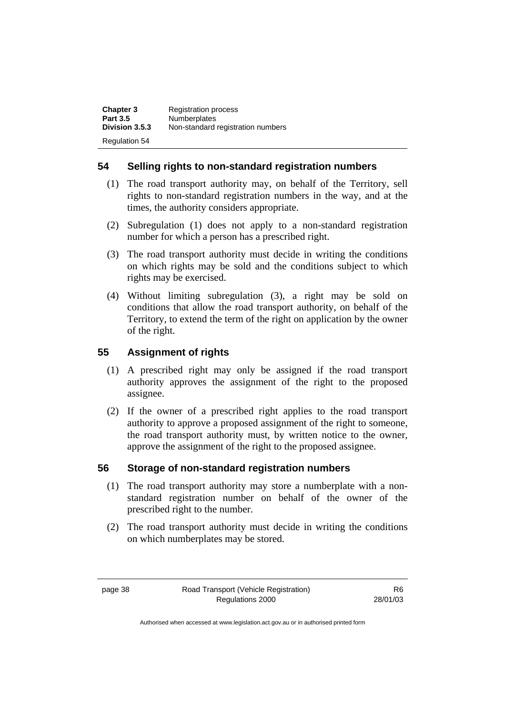| <b>Chapter 3</b>     | <b>Registration process</b>       |
|----------------------|-----------------------------------|
| <b>Part 3.5</b>      | <b>Numberplates</b>               |
| Division 3.5.3       | Non-standard registration numbers |
| <b>Regulation 54</b> |                                   |

### **54 Selling rights to non-standard registration numbers**

- (1) The road transport authority may, on behalf of the Territory, sell rights to non-standard registration numbers in the way, and at the times, the authority considers appropriate.
- (2) Subregulation (1) does not apply to a non-standard registration number for which a person has a prescribed right.
- (3) The road transport authority must decide in writing the conditions on which rights may be sold and the conditions subject to which rights may be exercised.
- (4) Without limiting subregulation (3), a right may be sold on conditions that allow the road transport authority, on behalf of the Territory, to extend the term of the right on application by the owner of the right.

### **55 Assignment of rights**

- (1) A prescribed right may only be assigned if the road transport authority approves the assignment of the right to the proposed assignee.
- (2) If the owner of a prescribed right applies to the road transport authority to approve a proposed assignment of the right to someone, the road transport authority must, by written notice to the owner, approve the assignment of the right to the proposed assignee.

#### **56 Storage of non-standard registration numbers**

- (1) The road transport authority may store a numberplate with a nonstandard registration number on behalf of the owner of the prescribed right to the number.
- (2) The road transport authority must decide in writing the conditions on which numberplates may be stored.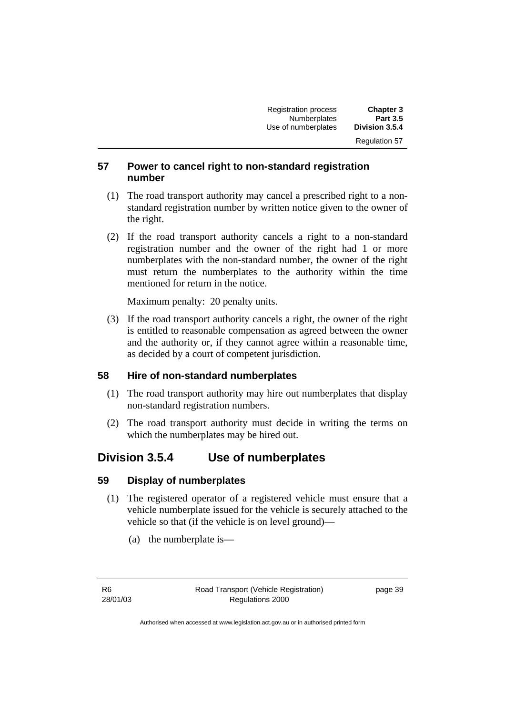| <b>Registration process</b> | <b>Chapter 3</b>     |
|-----------------------------|----------------------|
| <b>Numberplates</b>         | <b>Part 3.5</b>      |
| Use of numberplates         | Division 3.5.4       |
|                             | <b>Regulation 57</b> |

### **57 Power to cancel right to non-standard registration number**

- (1) The road transport authority may cancel a prescribed right to a nonstandard registration number by written notice given to the owner of the right.
- (2) If the road transport authority cancels a right to a non-standard registration number and the owner of the right had 1 or more numberplates with the non-standard number, the owner of the right must return the numberplates to the authority within the time mentioned for return in the notice.

Maximum penalty: 20 penalty units.

 (3) If the road transport authority cancels a right, the owner of the right is entitled to reasonable compensation as agreed between the owner and the authority or, if they cannot agree within a reasonable time, as decided by a court of competent jurisdiction.

#### **58 Hire of non-standard numberplates**

- (1) The road transport authority may hire out numberplates that display non-standard registration numbers.
- (2) The road transport authority must decide in writing the terms on which the numberplates may be hired out.

## **Division 3.5.4 Use of numberplates**

#### **59 Display of numberplates**

- (1) The registered operator of a registered vehicle must ensure that a vehicle numberplate issued for the vehicle is securely attached to the vehicle so that (if the vehicle is on level ground)—
	- (a) the numberplate is—

page 39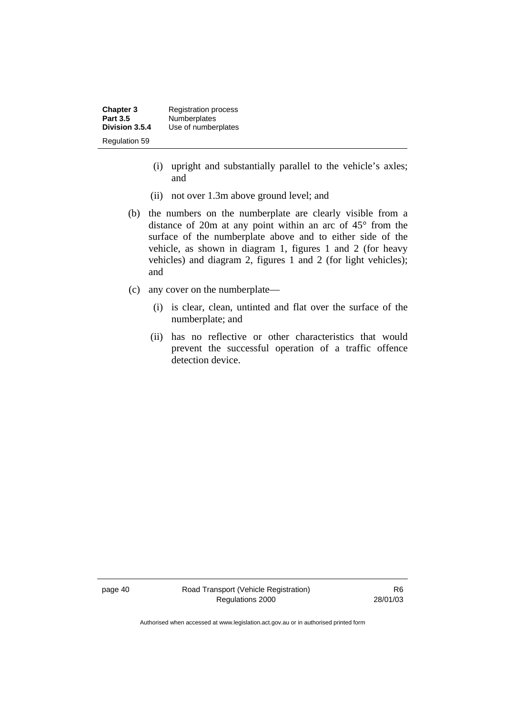**Chapter 3** Registration process<br>**Part 3.5** Numberplates **Part 3.5 Numberplates**<br>**Division 3.5.4 Use of number** Use of numberplates Regulation 59

- (i) upright and substantially parallel to the vehicle's axles; and
- (ii) not over 1.3m above ground level; and
- (b) the numbers on the numberplate are clearly visible from a distance of 20m at any point within an arc of 45° from the surface of the numberplate above and to either side of the vehicle, as shown in diagram 1, figures 1 and 2 (for heavy vehicles) and diagram 2, figures 1 and 2 (for light vehicles); and
- (c) any cover on the numberplate—
	- (i) is clear, clean, untinted and flat over the surface of the numberplate; and
	- (ii) has no reflective or other characteristics that would prevent the successful operation of a traffic offence detection device.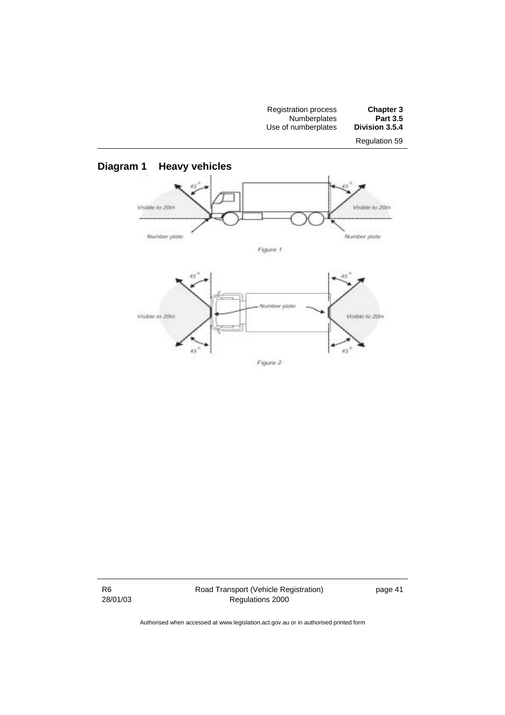



R6 28/01/03 Road Transport (Vehicle Registration) Regulations 2000

page 41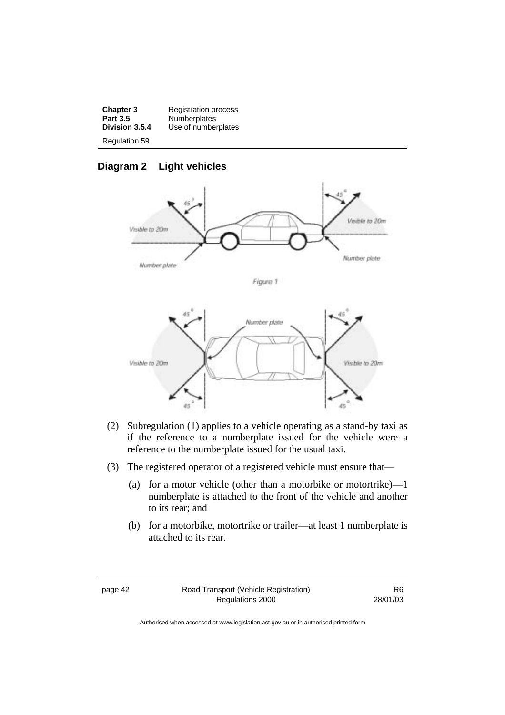| <b>Chapter 3</b>     | <b>Registration process</b> |
|----------------------|-----------------------------|
| <b>Part 3.5</b>      | <b>Numberplates</b>         |
| Division 3.5.4       | Use of numberplates         |
| <b>Regulation 59</b> |                             |

## **Diagram 2 Light vehicles**



Figure 1



- (2) Subregulation (1) applies to a vehicle operating as a stand-by taxi as if the reference to a numberplate issued for the vehicle were a reference to the numberplate issued for the usual taxi.
- (3) The registered operator of a registered vehicle must ensure that—
	- (a) for a motor vehicle (other than a motorbike or motortrike)—1 numberplate is attached to the front of the vehicle and another to its rear; and
	- (b) for a motorbike, motortrike or trailer—at least 1 numberplate is attached to its rear.

page 42 Road Transport (Vehicle Registration) Regulations 2000

R6 28/01/03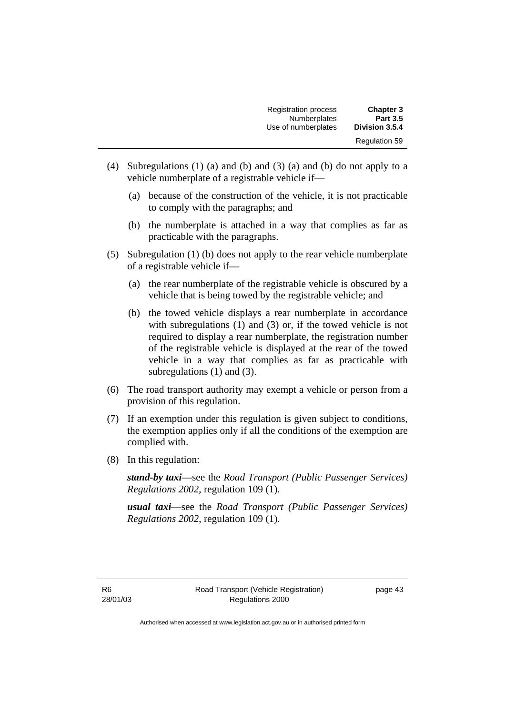| <b>Registration process</b> | <b>Chapter 3</b>     |
|-----------------------------|----------------------|
| Numberplates                | <b>Part 3.5</b>      |
| Use of numberplates         | Division 3.5.4       |
|                             | <b>Regulation 59</b> |

- (4) Subregulations (1) (a) and (b) and (3) (a) and (b) do not apply to a vehicle numberplate of a registrable vehicle if—
	- (a) because of the construction of the vehicle, it is not practicable to comply with the paragraphs; and
	- (b) the numberplate is attached in a way that complies as far as practicable with the paragraphs.
- (5) Subregulation (1) (b) does not apply to the rear vehicle numberplate of a registrable vehicle if—
	- (a) the rear numberplate of the registrable vehicle is obscured by a vehicle that is being towed by the registrable vehicle; and
	- (b) the towed vehicle displays a rear numberplate in accordance with subregulations (1) and (3) or, if the towed vehicle is not required to display a rear numberplate, the registration number of the registrable vehicle is displayed at the rear of the towed vehicle in a way that complies as far as practicable with subregulations (1) and (3).
- (6) The road transport authority may exempt a vehicle or person from a provision of this regulation.
- (7) If an exemption under this regulation is given subject to conditions, the exemption applies only if all the conditions of the exemption are complied with.
- (8) In this regulation:

*stand-by taxi*—see the *Road Transport (Public Passenger Services) Regulations 2002*, regulation 109 (1).

*usual taxi*—see the *Road Transport (Public Passenger Services) Regulations 2002*, regulation 109 (1).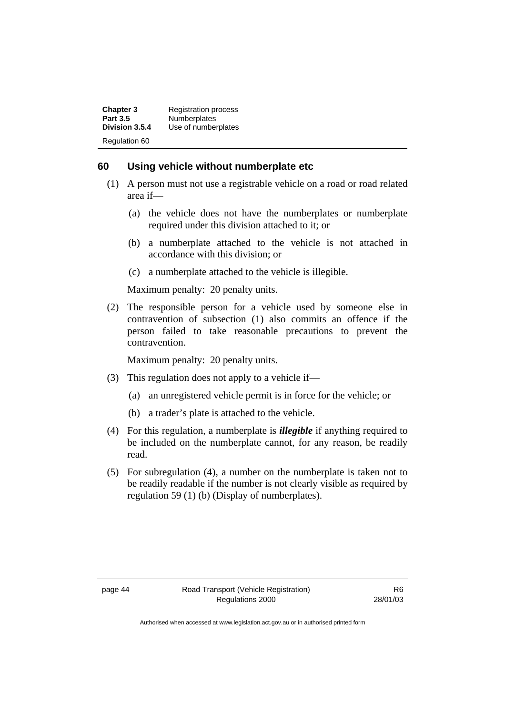| <b>Chapter 3</b> | <b>Registration process</b> |
|------------------|-----------------------------|
| <b>Part 3.5</b>  | Numberplates                |
| Division 3.5.4   | Use of numberplates         |
| Regulation 60    |                             |

#### **60 Using vehicle without numberplate etc**

- (1) A person must not use a registrable vehicle on a road or road related area if—
	- (a) the vehicle does not have the numberplates or numberplate required under this division attached to it; or
	- (b) a numberplate attached to the vehicle is not attached in accordance with this division; or
	- (c) a numberplate attached to the vehicle is illegible.

Maximum penalty: 20 penalty units.

 (2) The responsible person for a vehicle used by someone else in contravention of subsection (1) also commits an offence if the person failed to take reasonable precautions to prevent the contravention.

Maximum penalty: 20 penalty units.

- (3) This regulation does not apply to a vehicle if—
	- (a) an unregistered vehicle permit is in force for the vehicle; or
	- (b) a trader's plate is attached to the vehicle.
- (4) For this regulation, a numberplate is *illegible* if anything required to be included on the numberplate cannot, for any reason, be readily read.
- (5) For subregulation (4), a number on the numberplate is taken not to be readily readable if the number is not clearly visible as required by regulation 59 (1) (b) (Display of numberplates).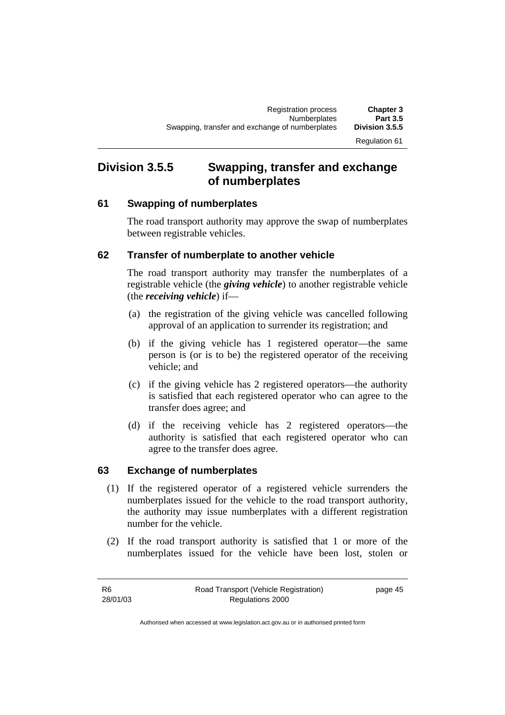# **Division 3.5.5 Swapping, transfer and exchange of numberplates**

### **61 Swapping of numberplates**

The road transport authority may approve the swap of numberplates between registrable vehicles.

### **62 Transfer of numberplate to another vehicle**

The road transport authority may transfer the numberplates of a registrable vehicle (the *giving vehicle*) to another registrable vehicle (the *receiving vehicle*) if—

- (a) the registration of the giving vehicle was cancelled following approval of an application to surrender its registration; and
- (b) if the giving vehicle has 1 registered operator—the same person is (or is to be) the registered operator of the receiving vehicle; and
- (c) if the giving vehicle has 2 registered operators—the authority is satisfied that each registered operator who can agree to the transfer does agree; and
- (d) if the receiving vehicle has 2 registered operators—the authority is satisfied that each registered operator who can agree to the transfer does agree.

### **63 Exchange of numberplates**

- (1) If the registered operator of a registered vehicle surrenders the numberplates issued for the vehicle to the road transport authority, the authority may issue numberplates with a different registration number for the vehicle.
- (2) If the road transport authority is satisfied that 1 or more of the numberplates issued for the vehicle have been lost, stolen or

| -R6      | Road Transport (Vehicle Registration) | page 45 |
|----------|---------------------------------------|---------|
| 28/01/03 | Regulations 2000                      |         |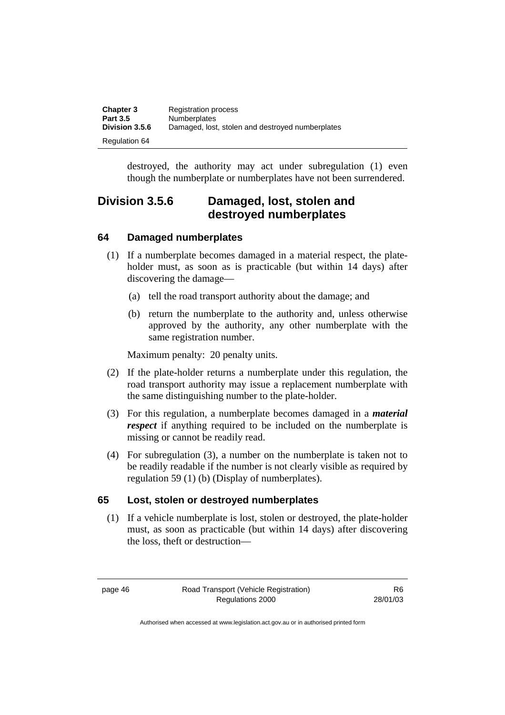| <b>Chapter 3</b>     | <b>Registration process</b>                      |
|----------------------|--------------------------------------------------|
| <b>Part 3.5</b>      | <b>Numberplates</b>                              |
| Division 3.5.6       | Damaged, lost, stolen and destroyed numberplates |
| <b>Regulation 64</b> |                                                  |

destroyed, the authority may act under subregulation (1) even though the numberplate or numberplates have not been surrendered.

## **Division 3.5.6 Damaged, lost, stolen and destroyed numberplates**

### **64 Damaged numberplates**

- (1) If a numberplate becomes damaged in a material respect, the plateholder must, as soon as is practicable (but within 14 days) after discovering the damage—
	- (a) tell the road transport authority about the damage; and
	- (b) return the numberplate to the authority and, unless otherwise approved by the authority, any other numberplate with the same registration number.

Maximum penalty: 20 penalty units.

- (2) If the plate-holder returns a numberplate under this regulation, the road transport authority may issue a replacement numberplate with the same distinguishing number to the plate-holder.
- (3) For this regulation, a numberplate becomes damaged in a *material respect* if anything required to be included on the numberplate is missing or cannot be readily read.
- (4) For subregulation (3), a number on the numberplate is taken not to be readily readable if the number is not clearly visible as required by regulation 59 (1) (b) (Display of numberplates).

#### **65 Lost, stolen or destroyed numberplates**

 (1) If a vehicle numberplate is lost, stolen or destroyed, the plate-holder must, as soon as practicable (but within 14 days) after discovering the loss, theft or destruction—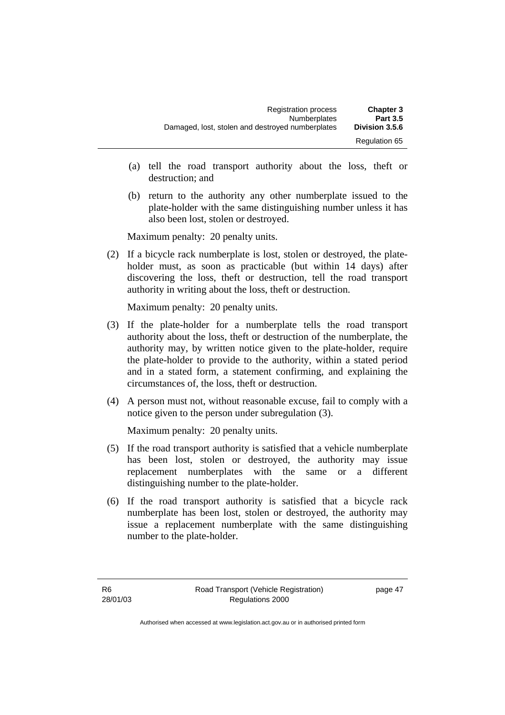| <b>Registration process</b>                      | <b>Chapter 3</b>     |
|--------------------------------------------------|----------------------|
| <b>Numberplates</b>                              | <b>Part 3.5</b>      |
| Damaged, lost, stolen and destroyed numberplates | Division 3.5.6       |
|                                                  | <b>Regulation 65</b> |

- (a) tell the road transport authority about the loss, theft or destruction; and
- (b) return to the authority any other numberplate issued to the plate-holder with the same distinguishing number unless it has also been lost, stolen or destroyed.

Maximum penalty: 20 penalty units.

 (2) If a bicycle rack numberplate is lost, stolen or destroyed, the plateholder must, as soon as practicable (but within 14 days) after discovering the loss, theft or destruction, tell the road transport authority in writing about the loss, theft or destruction.

Maximum penalty: 20 penalty units.

- (3) If the plate-holder for a numberplate tells the road transport authority about the loss, theft or destruction of the numberplate, the authority may, by written notice given to the plate-holder, require the plate-holder to provide to the authority, within a stated period and in a stated form, a statement confirming, and explaining the circumstances of, the loss, theft or destruction.
- (4) A person must not, without reasonable excuse, fail to comply with a notice given to the person under subregulation (3).

Maximum penalty: 20 penalty units.

- (5) If the road transport authority is satisfied that a vehicle numberplate has been lost, stolen or destroyed, the authority may issue replacement numberplates with the same or a different distinguishing number to the plate-holder.
- (6) If the road transport authority is satisfied that a bicycle rack numberplate has been lost, stolen or destroyed, the authority may issue a replacement numberplate with the same distinguishing number to the plate-holder.

page 47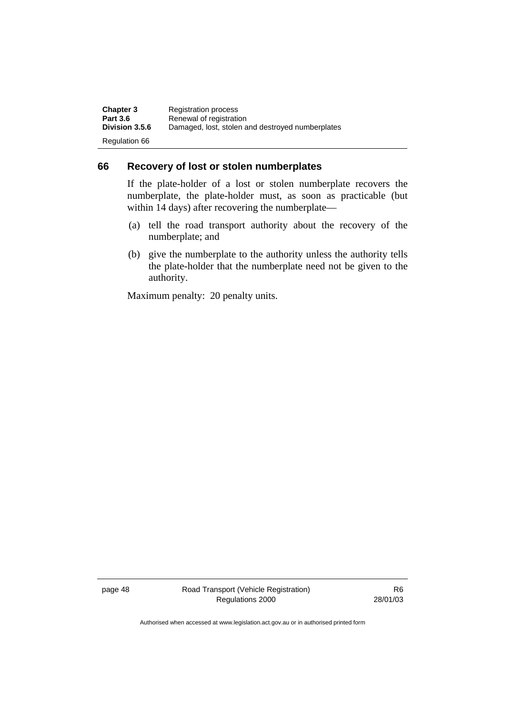| <b>Chapter 3</b>     | <b>Registration process</b>                      |
|----------------------|--------------------------------------------------|
| <b>Part 3.6</b>      | Renewal of registration                          |
| Division 3.5.6       | Damaged, lost, stolen and destroyed numberplates |
| <b>Regulation 66</b> |                                                  |

#### **66 Recovery of lost or stolen numberplates**

If the plate-holder of a lost or stolen numberplate recovers the numberplate, the plate-holder must, as soon as practicable (but within 14 days) after recovering the numberplate—

- (a) tell the road transport authority about the recovery of the numberplate; and
- (b) give the numberplate to the authority unless the authority tells the plate-holder that the numberplate need not be given to the authority.

Maximum penalty: 20 penalty units.

page 48 Road Transport (Vehicle Registration) Regulations 2000

R6 28/01/03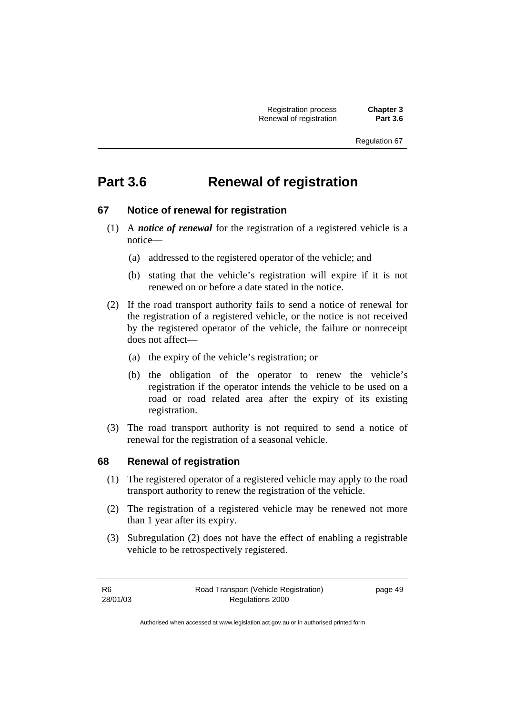# **Part 3.6 Renewal of registration**

### **67 Notice of renewal for registration**

- (1) A *notice of renewal* for the registration of a registered vehicle is a notice—
	- (a) addressed to the registered operator of the vehicle; and
	- (b) stating that the vehicle's registration will expire if it is not renewed on or before a date stated in the notice.
- (2) If the road transport authority fails to send a notice of renewal for the registration of a registered vehicle, or the notice is not received by the registered operator of the vehicle, the failure or nonreceipt does not affect—
	- (a) the expiry of the vehicle's registration; or
	- (b) the obligation of the operator to renew the vehicle's registration if the operator intends the vehicle to be used on a road or road related area after the expiry of its existing registration.
- (3) The road transport authority is not required to send a notice of renewal for the registration of a seasonal vehicle.

#### **68 Renewal of registration**

- (1) The registered operator of a registered vehicle may apply to the road transport authority to renew the registration of the vehicle.
- (2) The registration of a registered vehicle may be renewed not more than 1 year after its expiry.
- (3) Subregulation (2) does not have the effect of enabling a registrable vehicle to be retrospectively registered.

| -R6      | Road Transport (Vehicle Registration) | page 49 |
|----------|---------------------------------------|---------|
| 28/01/03 | Regulations 2000                      |         |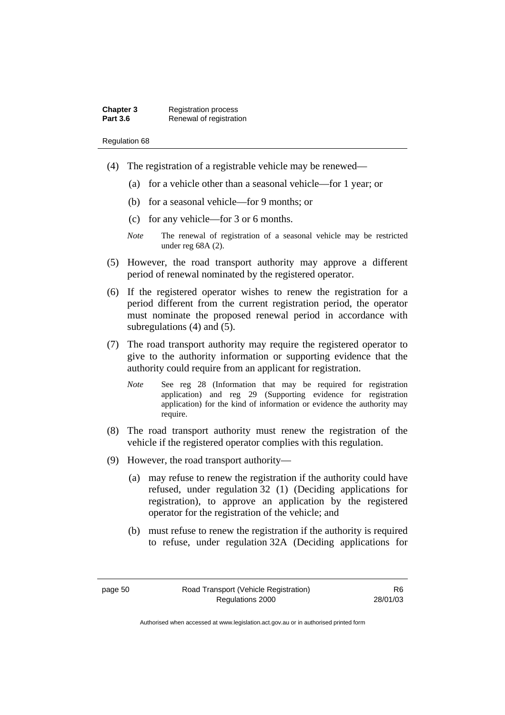| Chapter 3       | <b>Registration process</b> |
|-----------------|-----------------------------|
| <b>Part 3.6</b> | Renewal of registration     |

- (4) The registration of a registrable vehicle may be renewed—
	- (a) for a vehicle other than a seasonal vehicle—for 1 year; or
	- (b) for a seasonal vehicle—for 9 months; or
	- (c) for any vehicle—for 3 or 6 months.
	- *Note* The renewal of registration of a seasonal vehicle may be restricted under reg 68A (2).
- (5) However, the road transport authority may approve a different period of renewal nominated by the registered operator.
- (6) If the registered operator wishes to renew the registration for a period different from the current registration period, the operator must nominate the proposed renewal period in accordance with subregulations (4) and (5).
- (7) The road transport authority may require the registered operator to give to the authority information or supporting evidence that the authority could require from an applicant for registration.
	- *Note* See reg 28 (Information that may be required for registration application) and reg 29 (Supporting evidence for registration application) for the kind of information or evidence the authority may require.
- (8) The road transport authority must renew the registration of the vehicle if the registered operator complies with this regulation.
- (9) However, the road transport authority—
	- (a) may refuse to renew the registration if the authority could have refused, under regulation 32 (1) (Deciding applications for registration), to approve an application by the registered operator for the registration of the vehicle; and
	- (b) must refuse to renew the registration if the authority is required to refuse, under regulation 32A (Deciding applications for

R6 28/01/03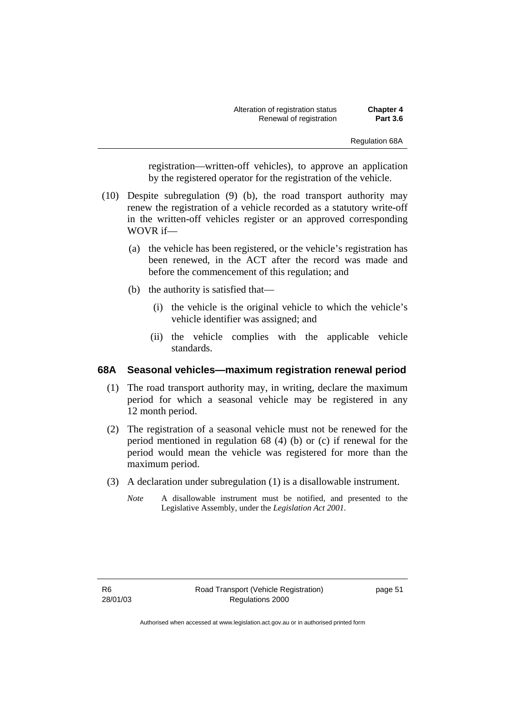Alteration of registration status **Chapter 4 Renewal of registration** 

registration—written-off vehicles), to approve an application by the registered operator for the registration of the vehicle.

- (10) Despite subregulation (9) (b), the road transport authority may renew the registration of a vehicle recorded as a statutory write-off in the written-off vehicles register or an approved corresponding WOVR if—
	- (a) the vehicle has been registered, or the vehicle's registration has been renewed, in the ACT after the record was made and before the commencement of this regulation; and
	- (b) the authority is satisfied that—
		- (i) the vehicle is the original vehicle to which the vehicle's vehicle identifier was assigned; and
		- (ii) the vehicle complies with the applicable vehicle standards.

#### **68A Seasonal vehicles—maximum registration renewal period**

- (1) The road transport authority may, in writing, declare the maximum period for which a seasonal vehicle may be registered in any 12 month period.
- (2) The registration of a seasonal vehicle must not be renewed for the period mentioned in regulation 68 (4) (b) or (c) if renewal for the period would mean the vehicle was registered for more than the maximum period.
- (3) A declaration under subregulation (1) is a disallowable instrument.
	- *Note* A disallowable instrument must be notified, and presented to the Legislative Assembly, under the *Legislation Act 2001*.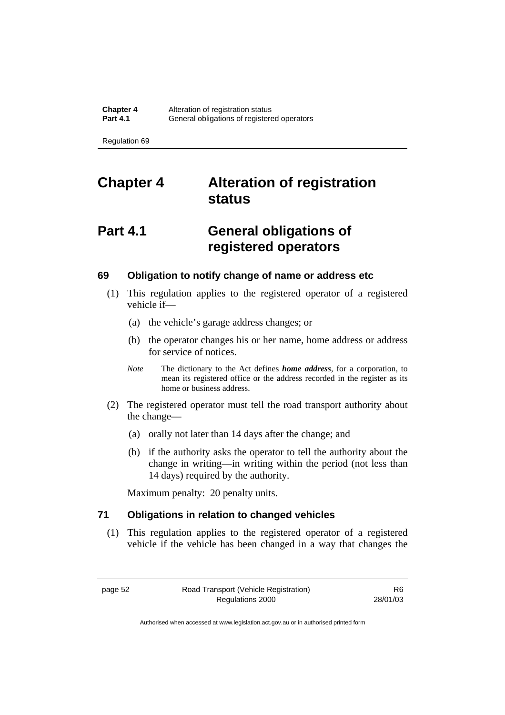# **Chapter 4 Alteration of registration status**

# **Part 4.1 General obligations of registered operators**

#### **69 Obligation to notify change of name or address etc**

- (1) This regulation applies to the registered operator of a registered vehicle if—
	- (a) the vehicle's garage address changes; or
	- (b) the operator changes his or her name, home address or address for service of notices.
	- *Note* The dictionary to the Act defines *home address*, for a corporation, to mean its registered office or the address recorded in the register as its home or business address.
- (2) The registered operator must tell the road transport authority about the change—
	- (a) orally not later than 14 days after the change; and
	- (b) if the authority asks the operator to tell the authority about the change in writing—in writing within the period (not less than 14 days) required by the authority.

Maximum penalty: 20 penalty units.

### **71 Obligations in relation to changed vehicles**

 (1) This regulation applies to the registered operator of a registered vehicle if the vehicle has been changed in a way that changes the

page 52 Road Transport (Vehicle Registration) Regulations 2000

R6 28/01/03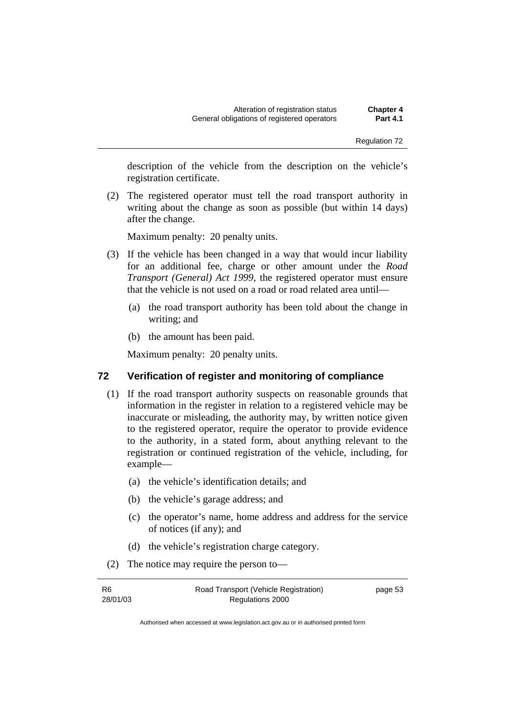description of the vehicle from the description on the vehicle's registration certificate.

 (2) The registered operator must tell the road transport authority in writing about the change as soon as possible (but within 14 days) after the change.

Maximum penalty: 20 penalty units.

- (3) If the vehicle has been changed in a way that would incur liability for an additional fee, charge or other amount under the *Road Transport (General) Act 1999*, the registered operator must ensure that the vehicle is not used on a road or road related area until—
	- (a) the road transport authority has been told about the change in writing; and
	- (b) the amount has been paid.

Maximum penalty: 20 penalty units.

### **72 Verification of register and monitoring of compliance**

- (1) If the road transport authority suspects on reasonable grounds that information in the register in relation to a registered vehicle may be inaccurate or misleading, the authority may, by written notice given to the registered operator, require the operator to provide evidence to the authority, in a stated form, about anything relevant to the registration or continued registration of the vehicle, including, for example—
	- (a) the vehicle's identification details; and
	- (b) the vehicle's garage address; and
	- (c) the operator's name, home address and address for the service of notices (if any); and
	- (d) the vehicle's registration charge category.
- (2) The notice may require the person to—

| R6       | Road Transport (Vehicle Registration) | page 53 |
|----------|---------------------------------------|---------|
| 28/01/03 | Regulations 2000                      |         |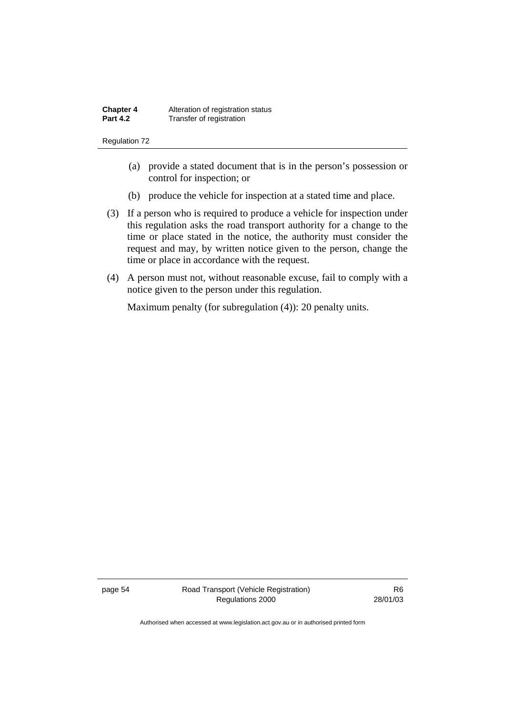- (a) provide a stated document that is in the person's possession or control for inspection; or
- (b) produce the vehicle for inspection at a stated time and place.
- (3) If a person who is required to produce a vehicle for inspection under this regulation asks the road transport authority for a change to the time or place stated in the notice, the authority must consider the request and may, by written notice given to the person, change the time or place in accordance with the request.
- (4) A person must not, without reasonable excuse, fail to comply with a notice given to the person under this regulation.

Maximum penalty (for subregulation (4)): 20 penalty units.

page 54 Road Transport (Vehicle Registration) Regulations 2000

R6 28/01/03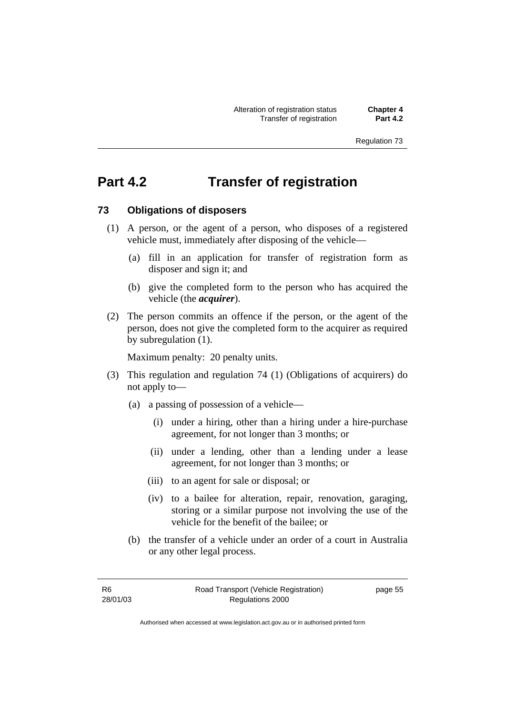## **Part 4.2 Transfer of registration**

### **73 Obligations of disposers**

- (1) A person, or the agent of a person, who disposes of a registered vehicle must, immediately after disposing of the vehicle—
	- (a) fill in an application for transfer of registration form as disposer and sign it; and
	- (b) give the completed form to the person who has acquired the vehicle (the *acquirer*).
- (2) The person commits an offence if the person, or the agent of the person, does not give the completed form to the acquirer as required by subregulation (1).

Maximum penalty: 20 penalty units.

- (3) This regulation and regulation 74 (1) (Obligations of acquirers) do not apply to—
	- (a) a passing of possession of a vehicle—
		- (i) under a hiring, other than a hiring under a hire-purchase agreement, for not longer than 3 months; or
		- (ii) under a lending, other than a lending under a lease agreement, for not longer than 3 months; or
		- (iii) to an agent for sale or disposal; or
		- (iv) to a bailee for alteration, repair, renovation, garaging, storing or a similar purpose not involving the use of the vehicle for the benefit of the bailee; or
	- (b) the transfer of a vehicle under an order of a court in Australia or any other legal process.

| R6       |  |
|----------|--|
| 28/01/03 |  |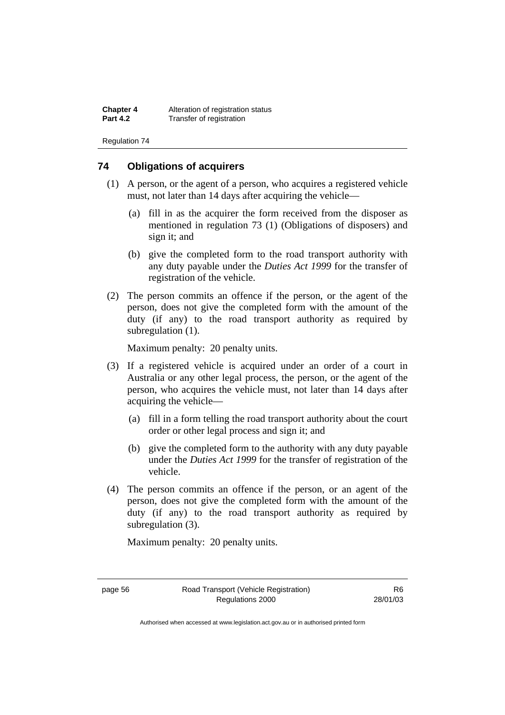**Chapter 4** Alteration of registration status<br>**Part 4.2** Transfer of registration **Transfer of registration** 

Regulation 74

### **74 Obligations of acquirers**

- (1) A person, or the agent of a person, who acquires a registered vehicle must, not later than 14 days after acquiring the vehicle—
	- (a) fill in as the acquirer the form received from the disposer as mentioned in regulation 73 (1) (Obligations of disposers) and sign it; and
	- (b) give the completed form to the road transport authority with any duty payable under the *Duties Act 1999* for the transfer of registration of the vehicle.
- (2) The person commits an offence if the person, or the agent of the person, does not give the completed form with the amount of the duty (if any) to the road transport authority as required by subregulation (1).

Maximum penalty: 20 penalty units.

- (3) If a registered vehicle is acquired under an order of a court in Australia or any other legal process, the person, or the agent of the person, who acquires the vehicle must, not later than 14 days after acquiring the vehicle—
	- (a) fill in a form telling the road transport authority about the court order or other legal process and sign it; and
	- (b) give the completed form to the authority with any duty payable under the *Duties Act 1999* for the transfer of registration of the vehicle.
- (4) The person commits an offence if the person, or an agent of the person, does not give the completed form with the amount of the duty (if any) to the road transport authority as required by subregulation (3).

Maximum penalty: 20 penalty units.

Authorised when accessed at www.legislation.act.gov.au or in authorised printed form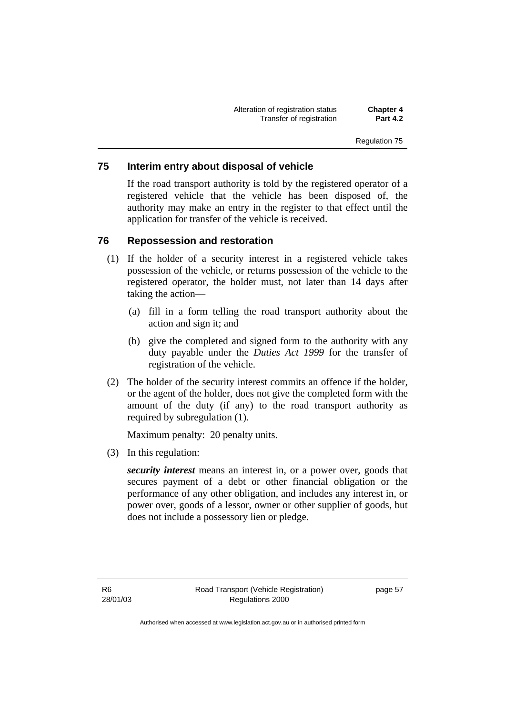Alteration of registration status **Chapter 4 Transfer of registration** 

### **75 Interim entry about disposal of vehicle**

If the road transport authority is told by the registered operator of a registered vehicle that the vehicle has been disposed of, the authority may make an entry in the register to that effect until the application for transfer of the vehicle is received.

### **76 Repossession and restoration**

- (1) If the holder of a security interest in a registered vehicle takes possession of the vehicle, or returns possession of the vehicle to the registered operator, the holder must, not later than 14 days after taking the action—
	- (a) fill in a form telling the road transport authority about the action and sign it; and
	- (b) give the completed and signed form to the authority with any duty payable under the *Duties Act 1999* for the transfer of registration of the vehicle.
- (2) The holder of the security interest commits an offence if the holder, or the agent of the holder, does not give the completed form with the amount of the duty (if any) to the road transport authority as required by subregulation (1).

Maximum penalty: 20 penalty units.

(3) In this regulation:

*security interest* means an interest in, or a power over, goods that secures payment of a debt or other financial obligation or the performance of any other obligation, and includes any interest in, or power over, goods of a lessor, owner or other supplier of goods, but does not include a possessory lien or pledge.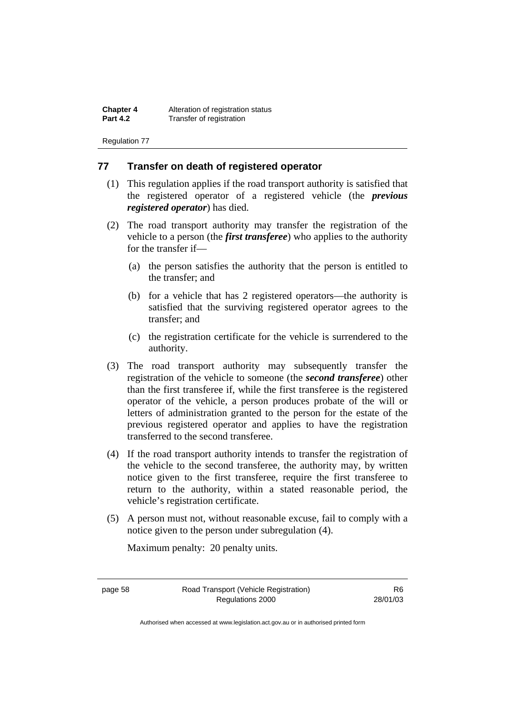**Chapter 4** Alteration of registration status<br>**Part 4.2** Transfer of registration **Transfer of registration** 

Regulation 77

### **77 Transfer on death of registered operator**

- (1) This regulation applies if the road transport authority is satisfied that the registered operator of a registered vehicle (the *previous registered operator*) has died.
- (2) The road transport authority may transfer the registration of the vehicle to a person (the *first transferee*) who applies to the authority for the transfer if—
	- (a) the person satisfies the authority that the person is entitled to the transfer; and
	- (b) for a vehicle that has 2 registered operators—the authority is satisfied that the surviving registered operator agrees to the transfer; and
	- (c) the registration certificate for the vehicle is surrendered to the authority.
- (3) The road transport authority may subsequently transfer the registration of the vehicle to someone (the *second transferee*) other than the first transferee if, while the first transferee is the registered operator of the vehicle, a person produces probate of the will or letters of administration granted to the person for the estate of the previous registered operator and applies to have the registration transferred to the second transferee.
- (4) If the road transport authority intends to transfer the registration of the vehicle to the second transferee, the authority may, by written notice given to the first transferee, require the first transferee to return to the authority, within a stated reasonable period, the vehicle's registration certificate.
- (5) A person must not, without reasonable excuse, fail to comply with a notice given to the person under subregulation (4).

Maximum penalty: 20 penalty units.

page 58 Road Transport (Vehicle Registration) Regulations 2000

R6 28/01/03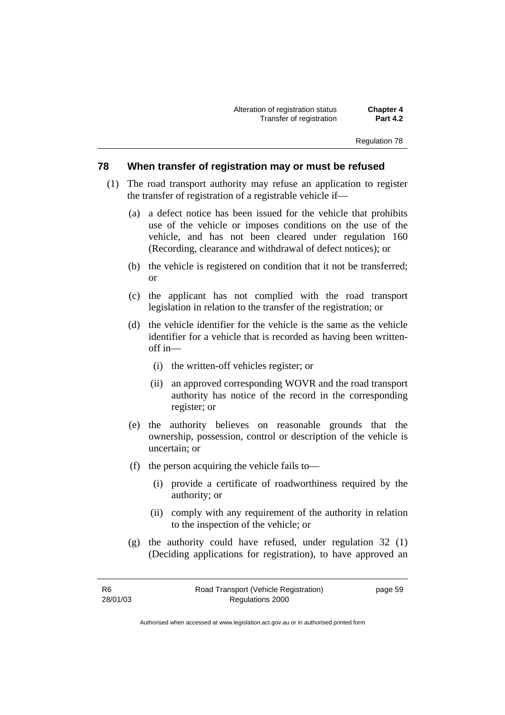Alteration of registration status **Chapter 4 Transfer of registration** 

Regulation 78

### **78 When transfer of registration may or must be refused**

- (1) The road transport authority may refuse an application to register the transfer of registration of a registrable vehicle if—
	- (a) a defect notice has been issued for the vehicle that prohibits use of the vehicle or imposes conditions on the use of the vehicle, and has not been cleared under regulation 160 (Recording, clearance and withdrawal of defect notices); or
	- (b) the vehicle is registered on condition that it not be transferred; or
	- (c) the applicant has not complied with the road transport legislation in relation to the transfer of the registration; or
	- (d) the vehicle identifier for the vehicle is the same as the vehicle identifier for a vehicle that is recorded as having been writtenoff in—
		- (i) the written-off vehicles register; or
		- (ii) an approved corresponding WOVR and the road transport authority has notice of the record in the corresponding register; or
	- (e) the authority believes on reasonable grounds that the ownership, possession, control or description of the vehicle is uncertain; or
	- (f) the person acquiring the vehicle fails to—
		- (i) provide a certificate of roadworthiness required by the authority; or
		- (ii) comply with any requirement of the authority in relation to the inspection of the vehicle; or
	- (g) the authority could have refused, under regulation 32 (1) (Deciding applications for registration), to have approved an

| - R6     | Road Transport (Vehicle Registration) | page 59 |
|----------|---------------------------------------|---------|
| 28/01/03 | Regulations 2000                      |         |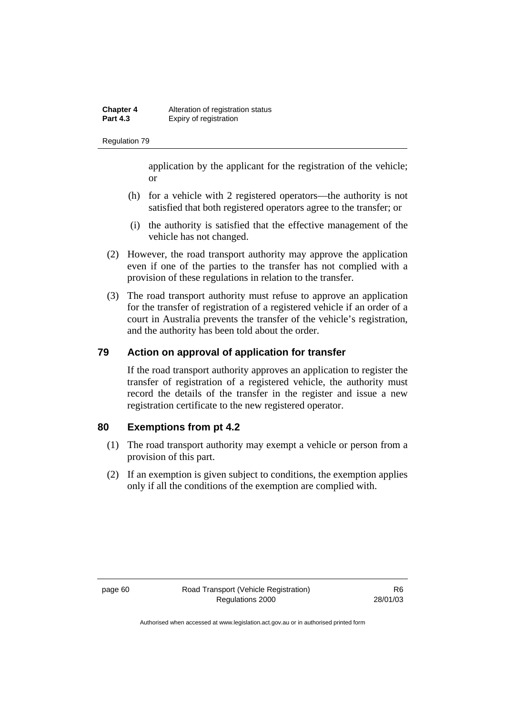application by the applicant for the registration of the vehicle; or

- (h) for a vehicle with 2 registered operators—the authority is not satisfied that both registered operators agree to the transfer; or
- (i) the authority is satisfied that the effective management of the vehicle has not changed.
- (2) However, the road transport authority may approve the application even if one of the parties to the transfer has not complied with a provision of these regulations in relation to the transfer.
- (3) The road transport authority must refuse to approve an application for the transfer of registration of a registered vehicle if an order of a court in Australia prevents the transfer of the vehicle's registration, and the authority has been told about the order.

### **79 Action on approval of application for transfer**

If the road transport authority approves an application to register the transfer of registration of a registered vehicle, the authority must record the details of the transfer in the register and issue a new registration certificate to the new registered operator.

### **80 Exemptions from pt 4.2**

- (1) The road transport authority may exempt a vehicle or person from a provision of this part.
- (2) If an exemption is given subject to conditions, the exemption applies only if all the conditions of the exemption are complied with.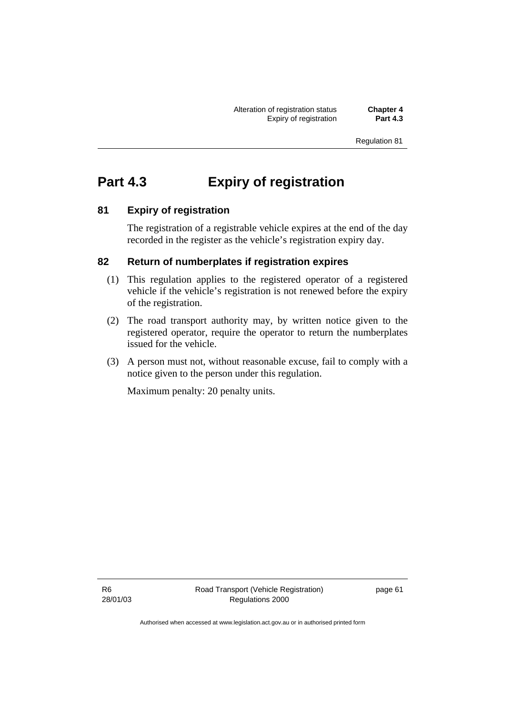Alteration of registration status **Chapter 4 Expiry of registration** 

Regulation 81

## **Part 4.3 Expiry of registration**

### **81 Expiry of registration**

The registration of a registrable vehicle expires at the end of the day recorded in the register as the vehicle's registration expiry day.

### **82 Return of numberplates if registration expires**

- (1) This regulation applies to the registered operator of a registered vehicle if the vehicle's registration is not renewed before the expiry of the registration.
- (2) The road transport authority may, by written notice given to the registered operator, require the operator to return the numberplates issued for the vehicle.
- (3) A person must not, without reasonable excuse, fail to comply with a notice given to the person under this regulation.

Maximum penalty: 20 penalty units.

R6 28/01/03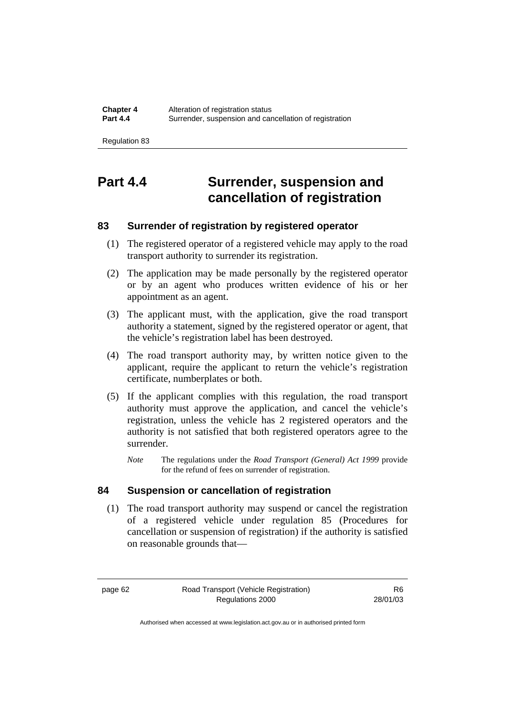# **Part 4.4 Surrender, suspension and cancellation of registration**

### **83 Surrender of registration by registered operator**

- (1) The registered operator of a registered vehicle may apply to the road transport authority to surrender its registration.
- (2) The application may be made personally by the registered operator or by an agent who produces written evidence of his or her appointment as an agent.
- (3) The applicant must, with the application, give the road transport authority a statement, signed by the registered operator or agent, that the vehicle's registration label has been destroyed.
- (4) The road transport authority may, by written notice given to the applicant, require the applicant to return the vehicle's registration certificate, numberplates or both.
- (5) If the applicant complies with this regulation, the road transport authority must approve the application, and cancel the vehicle's registration, unless the vehicle has 2 registered operators and the authority is not satisfied that both registered operators agree to the surrender.
	- *Note* The regulations under the *Road Transport (General) Act 1999* provide for the refund of fees on surrender of registration.

### **84 Suspension or cancellation of registration**

 (1) The road transport authority may suspend or cancel the registration of a registered vehicle under regulation 85 (Procedures for cancellation or suspension of registration) if the authority is satisfied on reasonable grounds that—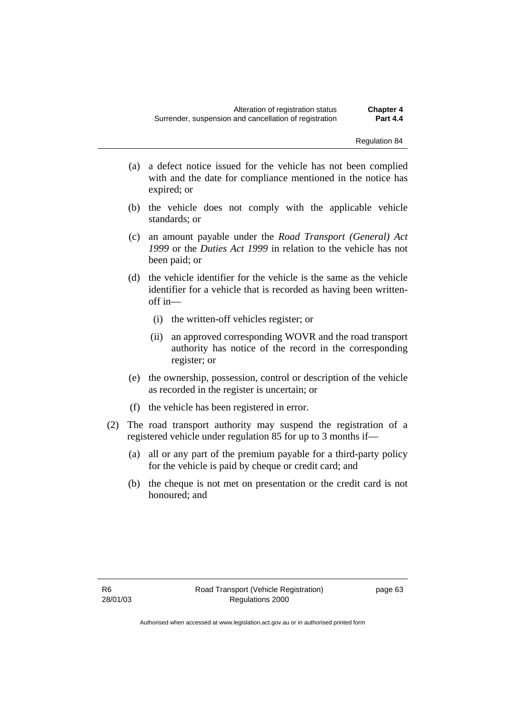- Regulation 84
- (a) a defect notice issued for the vehicle has not been complied with and the date for compliance mentioned in the notice has expired; or
- (b) the vehicle does not comply with the applicable vehicle standards; or
- (c) an amount payable under the *Road Transport (General) Act 1999* or the *Duties Act 1999* in relation to the vehicle has not been paid; or
- (d) the vehicle identifier for the vehicle is the same as the vehicle identifier for a vehicle that is recorded as having been writtenoff in—
	- (i) the written-off vehicles register; or
	- (ii) an approved corresponding WOVR and the road transport authority has notice of the record in the corresponding register; or
- (e) the ownership, possession, control or description of the vehicle as recorded in the register is uncertain; or
- (f) the vehicle has been registered in error.
- (2) The road transport authority may suspend the registration of a registered vehicle under regulation 85 for up to 3 months if—
	- (a) all or any part of the premium payable for a third-party policy for the vehicle is paid by cheque or credit card; and
	- (b) the cheque is not met on presentation or the credit card is not honoured; and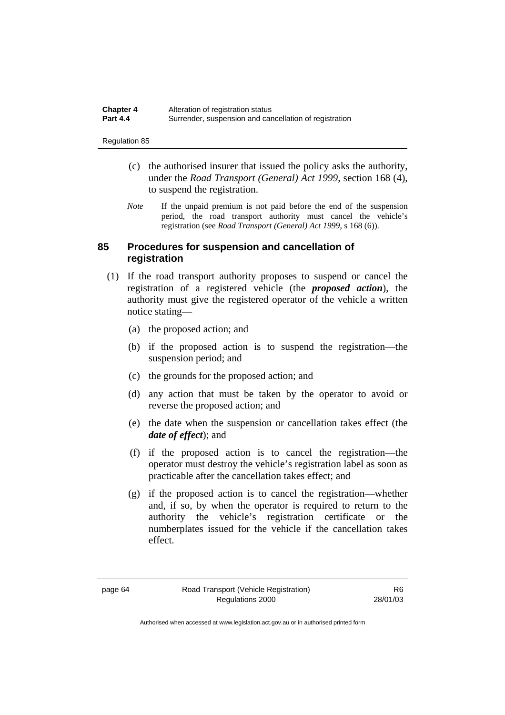| <b>Chapter 4</b> | Alteration of registration status                      |
|------------------|--------------------------------------------------------|
| <b>Part 4.4</b>  | Surrender, suspension and cancellation of registration |

- (c) the authorised insurer that issued the policy asks the authority, under the *Road Transport (General) Act 1999*, section 168 (4), to suspend the registration.
- *Note* If the unpaid premium is not paid before the end of the suspension period, the road transport authority must cancel the vehicle's registration (see *Road Transport (General) Act 1999*, s 168 (6)).

### **85 Procedures for suspension and cancellation of registration**

- (1) If the road transport authority proposes to suspend or cancel the registration of a registered vehicle (the *proposed action*), the authority must give the registered operator of the vehicle a written notice stating—
	- (a) the proposed action; and
	- (b) if the proposed action is to suspend the registration—the suspension period; and
	- (c) the grounds for the proposed action; and
	- (d) any action that must be taken by the operator to avoid or reverse the proposed action; and
	- (e) the date when the suspension or cancellation takes effect (the *date of effect*); and
	- (f) if the proposed action is to cancel the registration—the operator must destroy the vehicle's registration label as soon as practicable after the cancellation takes effect; and
	- (g) if the proposed action is to cancel the registration—whether and, if so, by when the operator is required to return to the authority the vehicle's registration certificate or the numberplates issued for the vehicle if the cancellation takes effect.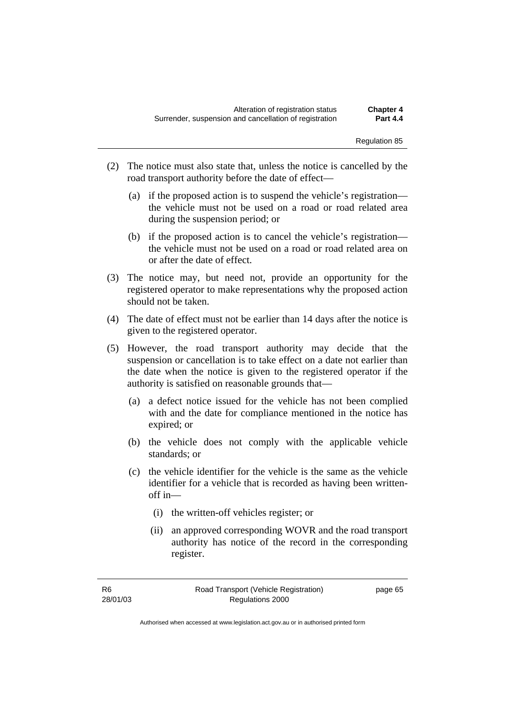- (2) The notice must also state that, unless the notice is cancelled by the road transport authority before the date of effect—
	- (a) if the proposed action is to suspend the vehicle's registration the vehicle must not be used on a road or road related area during the suspension period; or
	- (b) if the proposed action is to cancel the vehicle's registration the vehicle must not be used on a road or road related area on or after the date of effect.
- (3) The notice may, but need not, provide an opportunity for the registered operator to make representations why the proposed action should not be taken.
- (4) The date of effect must not be earlier than 14 days after the notice is given to the registered operator.
- (5) However, the road transport authority may decide that the suspension or cancellation is to take effect on a date not earlier than the date when the notice is given to the registered operator if the authority is satisfied on reasonable grounds that—
	- (a) a defect notice issued for the vehicle has not been complied with and the date for compliance mentioned in the notice has expired; or
	- (b) the vehicle does not comply with the applicable vehicle standards; or
	- (c) the vehicle identifier for the vehicle is the same as the vehicle identifier for a vehicle that is recorded as having been writtenoff in—
		- (i) the written-off vehicles register; or
		- (ii) an approved corresponding WOVR and the road transport authority has notice of the record in the corresponding register.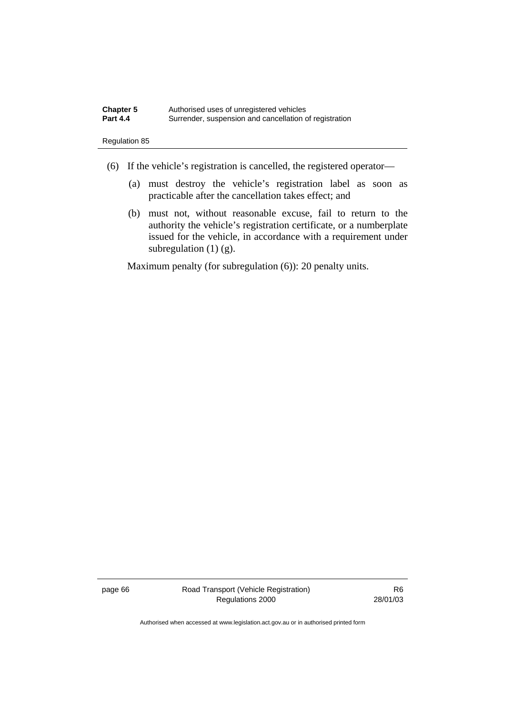- (6) If the vehicle's registration is cancelled, the registered operator—
	- (a) must destroy the vehicle's registration label as soon as practicable after the cancellation takes effect; and
	- (b) must not, without reasonable excuse, fail to return to the authority the vehicle's registration certificate, or a numberplate issued for the vehicle, in accordance with a requirement under subregulation  $(1)$   $(g)$ .

Maximum penalty (for subregulation  $(6)$ ): 20 penalty units.

page 66 Road Transport (Vehicle Registration) Regulations 2000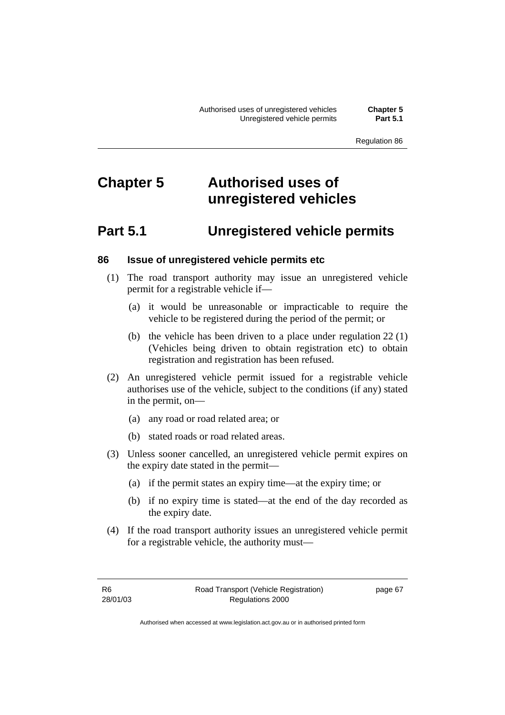# **Chapter 5 Authorised uses of unregistered vehicles**

## **Part 5.1 Unregistered vehicle permits**

### **86 Issue of unregistered vehicle permits etc**

- (1) The road transport authority may issue an unregistered vehicle permit for a registrable vehicle if—
	- (a) it would be unreasonable or impracticable to require the vehicle to be registered during the period of the permit; or
	- (b) the vehicle has been driven to a place under regulation 22 (1) (Vehicles being driven to obtain registration etc) to obtain registration and registration has been refused.
- (2) An unregistered vehicle permit issued for a registrable vehicle authorises use of the vehicle, subject to the conditions (if any) stated in the permit, on—
	- (a) any road or road related area; or
	- (b) stated roads or road related areas.
- (3) Unless sooner cancelled, an unregistered vehicle permit expires on the expiry date stated in the permit—
	- (a) if the permit states an expiry time—at the expiry time; or
	- (b) if no expiry time is stated—at the end of the day recorded as the expiry date.
- (4) If the road transport authority issues an unregistered vehicle permit for a registrable vehicle, the authority must—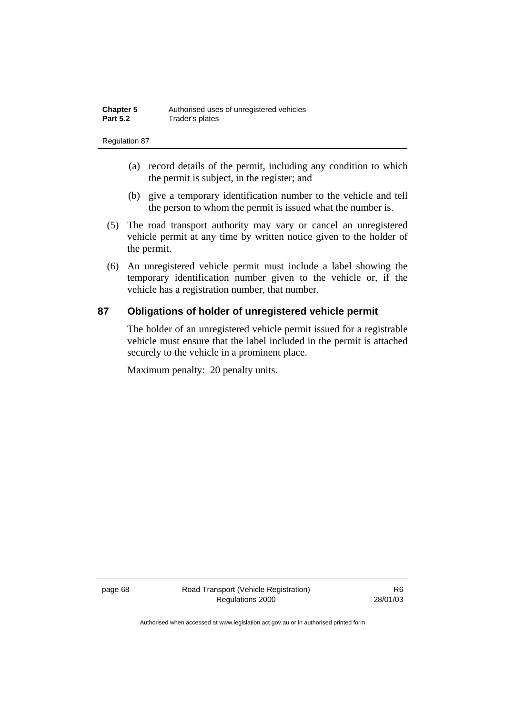- (a) record details of the permit, including any condition to which the permit is subject, in the register; and
- (b) give a temporary identification number to the vehicle and tell the person to whom the permit is issued what the number is.
- (5) The road transport authority may vary or cancel an unregistered vehicle permit at any time by written notice given to the holder of the permit.
- (6) An unregistered vehicle permit must include a label showing the temporary identification number given to the vehicle or, if the vehicle has a registration number, that number.

### **87 Obligations of holder of unregistered vehicle permit**

The holder of an unregistered vehicle permit issued for a registrable vehicle must ensure that the label included in the permit is attached securely to the vehicle in a prominent place.

Maximum penalty: 20 penalty units.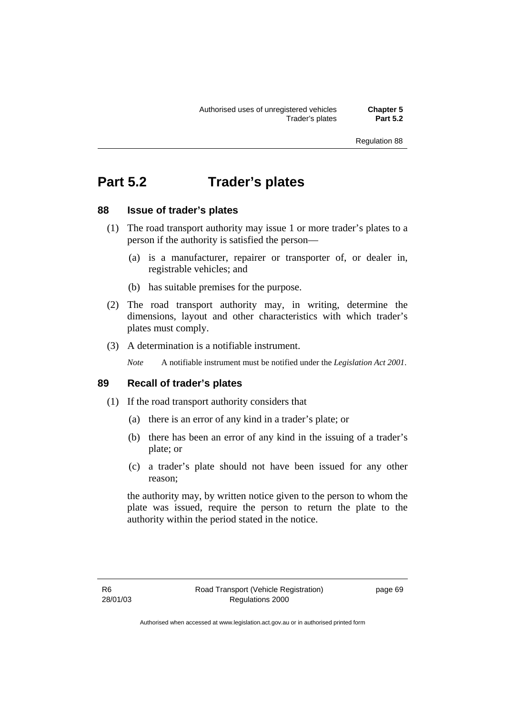# **Part 5.2 Trader's plates**

### **88 Issue of trader's plates**

- (1) The road transport authority may issue 1 or more trader's plates to a person if the authority is satisfied the person—
	- (a) is a manufacturer, repairer or transporter of, or dealer in, registrable vehicles; and
	- (b) has suitable premises for the purpose.
- (2) The road transport authority may, in writing, determine the dimensions, layout and other characteristics with which trader's plates must comply.
- (3) A determination is a notifiable instrument.

*Note* A notifiable instrument must be notified under the *Legislation Act 2001*.

### **89 Recall of trader's plates**

- (1) If the road transport authority considers that
	- (a) there is an error of any kind in a trader's plate; or
	- (b) there has been an error of any kind in the issuing of a trader's plate; or
	- (c) a trader's plate should not have been issued for any other reason;

the authority may, by written notice given to the person to whom the plate was issued, require the person to return the plate to the authority within the period stated in the notice.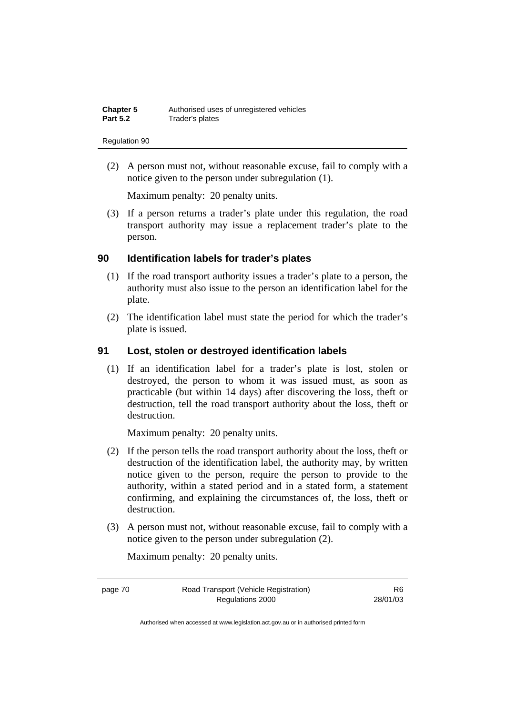(2) A person must not, without reasonable excuse, fail to comply with a notice given to the person under subregulation (1).

Maximum penalty: 20 penalty units.

 (3) If a person returns a trader's plate under this regulation, the road transport authority may issue a replacement trader's plate to the person.

### **90 Identification labels for trader's plates**

- (1) If the road transport authority issues a trader's plate to a person, the authority must also issue to the person an identification label for the plate.
- (2) The identification label must state the period for which the trader's plate is issued.

### **91 Lost, stolen or destroyed identification labels**

 (1) If an identification label for a trader's plate is lost, stolen or destroyed, the person to whom it was issued must, as soon as practicable (but within 14 days) after discovering the loss, theft or destruction, tell the road transport authority about the loss, theft or destruction.

Maximum penalty: 20 penalty units.

- (2) If the person tells the road transport authority about the loss, theft or destruction of the identification label, the authority may, by written notice given to the person, require the person to provide to the authority, within a stated period and in a stated form, a statement confirming, and explaining the circumstances of, the loss, theft or destruction.
- (3) A person must not, without reasonable excuse, fail to comply with a notice given to the person under subregulation (2).

Maximum penalty: 20 penalty units.

page 70 Road Transport (Vehicle Registration) Regulations 2000

R6 28/01/03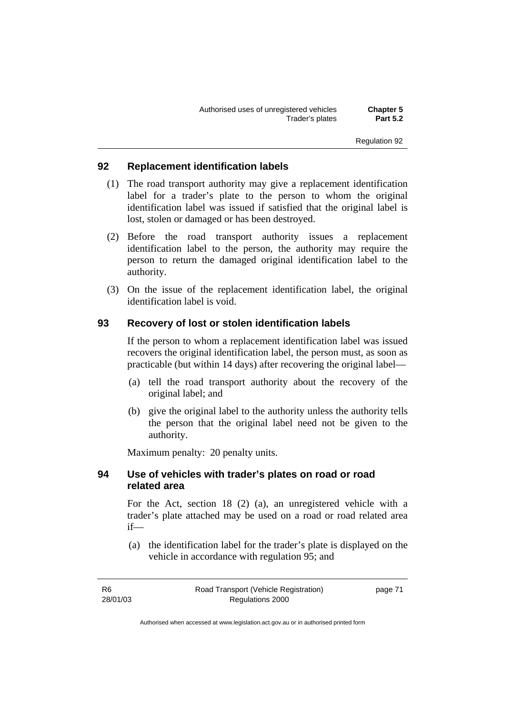### **92 Replacement identification labels**

- (1) The road transport authority may give a replacement identification label for a trader's plate to the person to whom the original identification label was issued if satisfied that the original label is lost, stolen or damaged or has been destroyed.
- (2) Before the road transport authority issues a replacement identification label to the person, the authority may require the person to return the damaged original identification label to the authority.
- (3) On the issue of the replacement identification label, the original identification label is void.

### **93 Recovery of lost or stolen identification labels**

If the person to whom a replacement identification label was issued recovers the original identification label, the person must, as soon as practicable (but within 14 days) after recovering the original label—

- (a) tell the road transport authority about the recovery of the original label; and
- (b) give the original label to the authority unless the authority tells the person that the original label need not be given to the authority.

Maximum penalty: 20 penalty units.

### **94 Use of vehicles with trader's plates on road or road related area**

For the Act, section 18 (2) (a), an unregistered vehicle with a trader's plate attached may be used on a road or road related area if—

 (a) the identification label for the trader's plate is displayed on the vehicle in accordance with regulation 95; and

| -R6      | Road Transport (Vehicle Registration) | page 71 |
|----------|---------------------------------------|---------|
| 28/01/03 | Regulations 2000                      |         |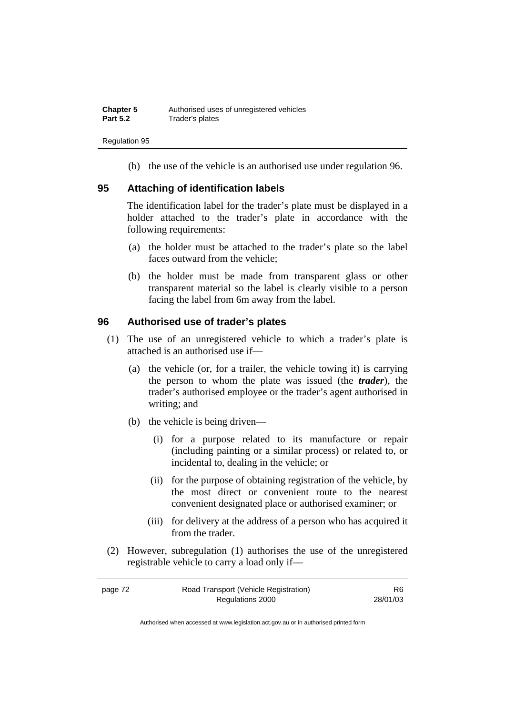(b) the use of the vehicle is an authorised use under regulation 96.

### **95 Attaching of identification labels**

The identification label for the trader's plate must be displayed in a holder attached to the trader's plate in accordance with the following requirements:

- (a) the holder must be attached to the trader's plate so the label faces outward from the vehicle;
- (b) the holder must be made from transparent glass or other transparent material so the label is clearly visible to a person facing the label from 6m away from the label.

### **96 Authorised use of trader's plates**

- (1) The use of an unregistered vehicle to which a trader's plate is attached is an authorised use if—
	- (a) the vehicle (or, for a trailer, the vehicle towing it) is carrying the person to whom the plate was issued (the *trader*), the trader's authorised employee or the trader's agent authorised in writing; and
	- (b) the vehicle is being driven—
		- (i) for a purpose related to its manufacture or repair (including painting or a similar process) or related to, or incidental to, dealing in the vehicle; or
		- (ii) for the purpose of obtaining registration of the vehicle, by the most direct or convenient route to the nearest convenient designated place or authorised examiner; or
		- (iii) for delivery at the address of a person who has acquired it from the trader.
- (2) However, subregulation (1) authorises the use of the unregistered registrable vehicle to carry a load only if—

| page 72 | Road Transport (Vehicle Registration) | R6       |
|---------|---------------------------------------|----------|
|         | Regulations 2000                      | 28/01/03 |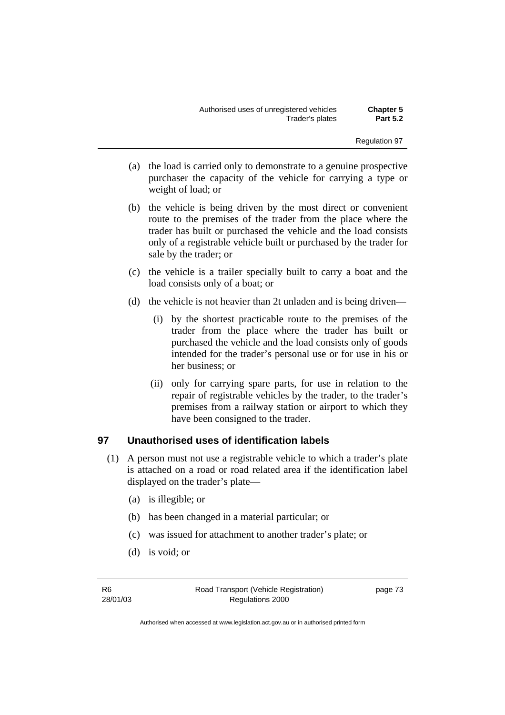- (a) the load is carried only to demonstrate to a genuine prospective purchaser the capacity of the vehicle for carrying a type or weight of load; or
- (b) the vehicle is being driven by the most direct or convenient route to the premises of the trader from the place where the trader has built or purchased the vehicle and the load consists only of a registrable vehicle built or purchased by the trader for sale by the trader; or
- (c) the vehicle is a trailer specially built to carry a boat and the load consists only of a boat; or
- (d) the vehicle is not heavier than 2t unladen and is being driven—
	- (i) by the shortest practicable route to the premises of the trader from the place where the trader has built or purchased the vehicle and the load consists only of goods intended for the trader's personal use or for use in his or her business; or
	- (ii) only for carrying spare parts, for use in relation to the repair of registrable vehicles by the trader, to the trader's premises from a railway station or airport to which they have been consigned to the trader.

### **97 Unauthorised uses of identification labels**

- (1) A person must not use a registrable vehicle to which a trader's plate is attached on a road or road related area if the identification label displayed on the trader's plate—
	- (a) is illegible; or
	- (b) has been changed in a material particular; or
	- (c) was issued for attachment to another trader's plate; or
	- (d) is void; or

R6 28/01/03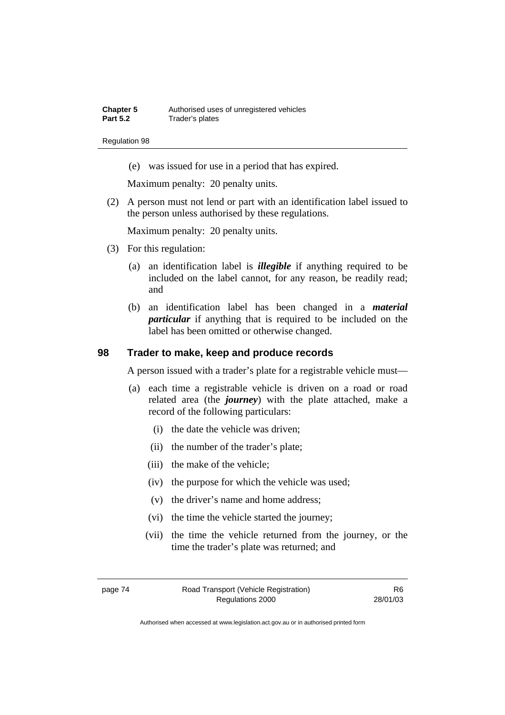(e) was issued for use in a period that has expired.

Maximum penalty: 20 penalty units.

 (2) A person must not lend or part with an identification label issued to the person unless authorised by these regulations.

Maximum penalty: 20 penalty units.

- (3) For this regulation:
	- (a) an identification label is *illegible* if anything required to be included on the label cannot, for any reason, be readily read; and
	- (b) an identification label has been changed in a *material particular* if anything that is required to be included on the label has been omitted or otherwise changed.

### **98 Trader to make, keep and produce records**

A person issued with a trader's plate for a registrable vehicle must—

- (a) each time a registrable vehicle is driven on a road or road related area (the *journey*) with the plate attached, make a record of the following particulars:
	- (i) the date the vehicle was driven;
	- (ii) the number of the trader's plate;
	- (iii) the make of the vehicle;
	- (iv) the purpose for which the vehicle was used;
	- (v) the driver's name and home address;
	- (vi) the time the vehicle started the journey;
	- (vii) the time the vehicle returned from the journey, or the time the trader's plate was returned; and

page 74 Road Transport (Vehicle Registration) Regulations 2000

R6 28/01/03

Authorised when accessed at www.legislation.act.gov.au or in authorised printed form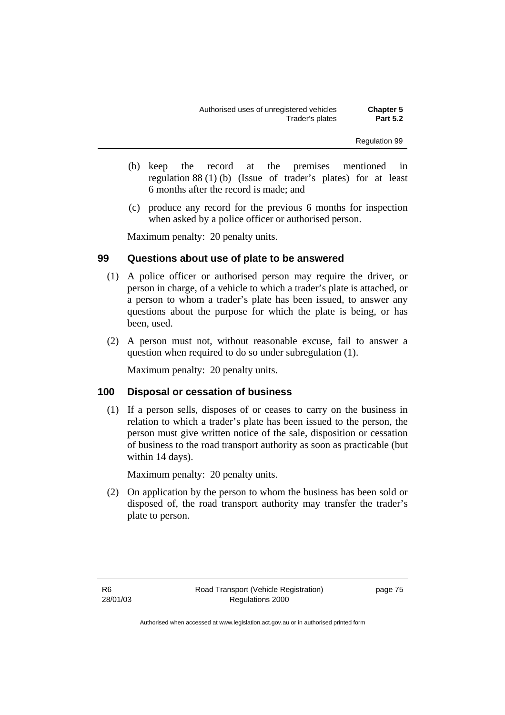- (b) keep the record at the premises mentioned in regulation 88 (1) (b) (Issue of trader's plates) for at least 6 months after the record is made; and
- (c) produce any record for the previous 6 months for inspection when asked by a police officer or authorised person.

Maximum penalty: 20 penalty units.

### **99 Questions about use of plate to be answered**

- (1) A police officer or authorised person may require the driver, or person in charge, of a vehicle to which a trader's plate is attached, or a person to whom a trader's plate has been issued, to answer any questions about the purpose for which the plate is being, or has been, used.
- (2) A person must not, without reasonable excuse, fail to answer a question when required to do so under subregulation (1).

Maximum penalty: 20 penalty units.

### **100 Disposal or cessation of business**

 (1) If a person sells, disposes of or ceases to carry on the business in relation to which a trader's plate has been issued to the person, the person must give written notice of the sale, disposition or cessation of business to the road transport authority as soon as practicable (but within 14 days).

Maximum penalty: 20 penalty units.

 (2) On application by the person to whom the business has been sold or disposed of, the road transport authority may transfer the trader's plate to person.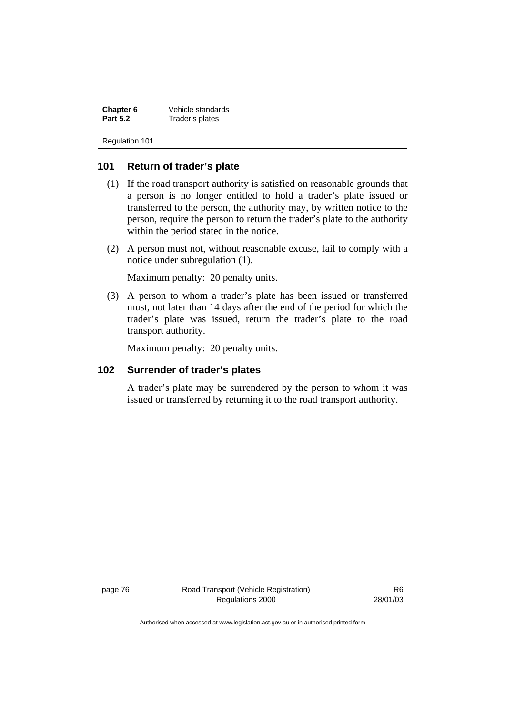**Chapter 6** Vehicle standards<br> **Part 5.2** Trader's plates **Part 5.2** Trader's plates

Regulation 101

### **101 Return of trader's plate**

- (1) If the road transport authority is satisfied on reasonable grounds that a person is no longer entitled to hold a trader's plate issued or transferred to the person, the authority may, by written notice to the person, require the person to return the trader's plate to the authority within the period stated in the notice.
- (2) A person must not, without reasonable excuse, fail to comply with a notice under subregulation (1).

Maximum penalty: 20 penalty units.

 (3) A person to whom a trader's plate has been issued or transferred must, not later than 14 days after the end of the period for which the trader's plate was issued, return the trader's plate to the road transport authority.

Maximum penalty: 20 penalty units.

### **102 Surrender of trader's plates**

A trader's plate may be surrendered by the person to whom it was issued or transferred by returning it to the road transport authority.

page 76 Road Transport (Vehicle Registration) Regulations 2000

R6 28/01/03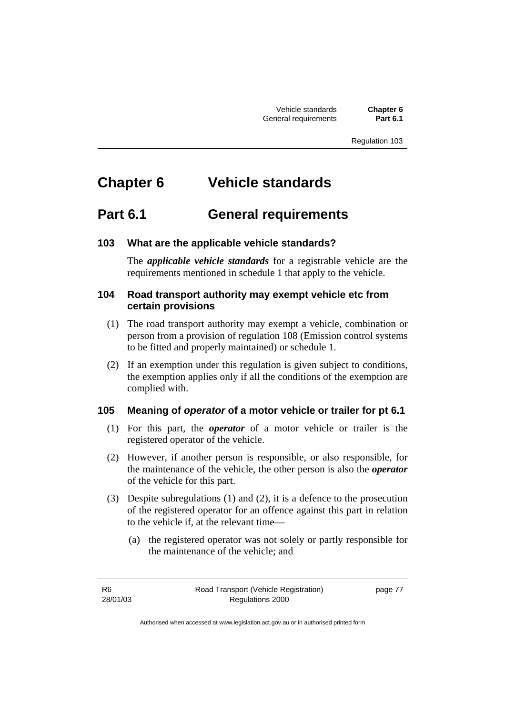Vehicle standards **Chapter 6 General requirements** 

Regulation 103

# **Chapter 6 Vehicle standards**

## **Part 6.1 General requirements**

### **103 What are the applicable vehicle standards?**

The *applicable vehicle standards* for a registrable vehicle are the requirements mentioned in schedule 1 that apply to the vehicle.

### **104 Road transport authority may exempt vehicle etc from certain provisions**

- (1) The road transport authority may exempt a vehicle, combination or person from a provision of regulation 108 (Emission control systems to be fitted and properly maintained) or schedule 1.
- (2) If an exemption under this regulation is given subject to conditions, the exemption applies only if all the conditions of the exemption are complied with.

### **105 Meaning of** *operator* **of a motor vehicle or trailer for pt 6.1**

- (1) For this part, the *operator* of a motor vehicle or trailer is the registered operator of the vehicle.
- (2) However, if another person is responsible, or also responsible, for the maintenance of the vehicle, the other person is also the *operator* of the vehicle for this part.
- (3) Despite subregulations (1) and (2), it is a defence to the prosecution of the registered operator for an offence against this part in relation to the vehicle if, at the relevant time—
	- (a) the registered operator was not solely or partly responsible for the maintenance of the vehicle; and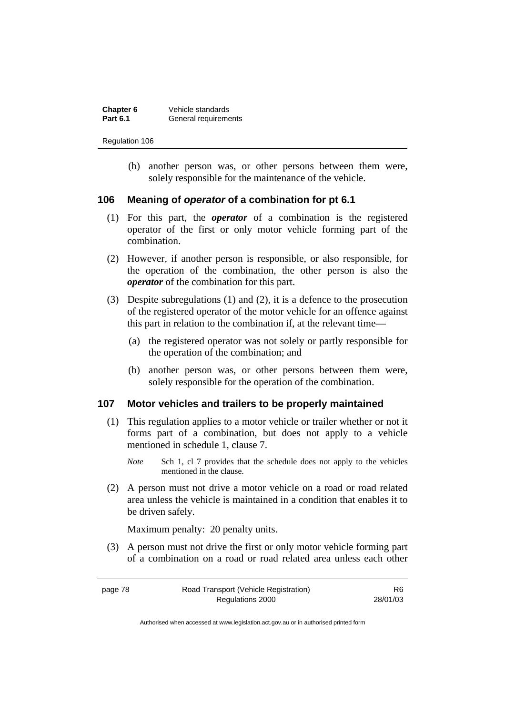| Chapter 6       | Vehicle standards    |
|-----------------|----------------------|
| <b>Part 6.1</b> | General requirements |

 (b) another person was, or other persons between them were, solely responsible for the maintenance of the vehicle.

### **106 Meaning of** *operator* **of a combination for pt 6.1**

- (1) For this part, the *operator* of a combination is the registered operator of the first or only motor vehicle forming part of the combination.
- (2) However, if another person is responsible, or also responsible, for the operation of the combination, the other person is also the *operator* of the combination for this part.
- (3) Despite subregulations (1) and (2), it is a defence to the prosecution of the registered operator of the motor vehicle for an offence against this part in relation to the combination if, at the relevant time—
	- (a) the registered operator was not solely or partly responsible for the operation of the combination; and
	- (b) another person was, or other persons between them were, solely responsible for the operation of the combination.

### **107 Motor vehicles and trailers to be properly maintained**

- (1) This regulation applies to a motor vehicle or trailer whether or not it forms part of a combination, but does not apply to a vehicle mentioned in schedule 1, clause 7.
	- *Note* Sch 1, cl 7 provides that the schedule does not apply to the vehicles mentioned in the clause.
- (2) A person must not drive a motor vehicle on a road or road related area unless the vehicle is maintained in a condition that enables it to be driven safely.

Maximum penalty: 20 penalty units.

 (3) A person must not drive the first or only motor vehicle forming part of a combination on a road or road related area unless each other

R6 28/01/03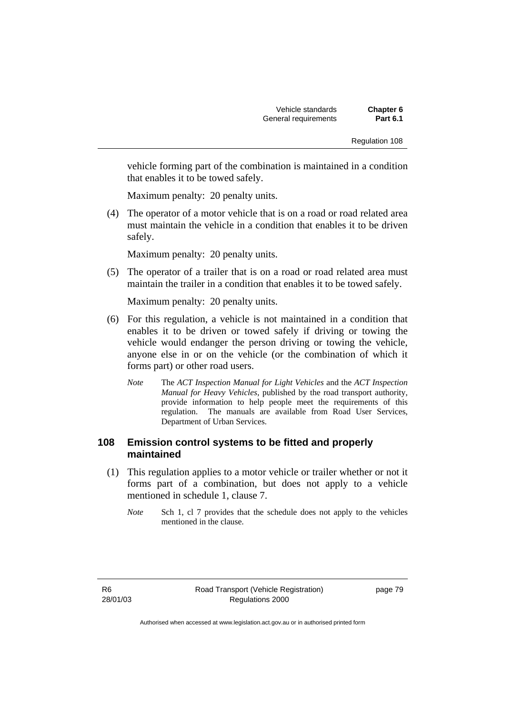vehicle forming part of the combination is maintained in a condition that enables it to be towed safely.

Maximum penalty: 20 penalty units.

 (4) The operator of a motor vehicle that is on a road or road related area must maintain the vehicle in a condition that enables it to be driven safely.

Maximum penalty: 20 penalty units.

 (5) The operator of a trailer that is on a road or road related area must maintain the trailer in a condition that enables it to be towed safely.

Maximum penalty: 20 penalty units.

- (6) For this regulation, a vehicle is not maintained in a condition that enables it to be driven or towed safely if driving or towing the vehicle would endanger the person driving or towing the vehicle, anyone else in or on the vehicle (or the combination of which it forms part) or other road users.
	- *Note* The *ACT Inspection Manual for Light Vehicles* and the *ACT Inspection Manual for Heavy Vehicles*, published by the road transport authority, provide information to help people meet the requirements of this regulation. The manuals are available from Road User Services, Department of Urban Services.

### **108 Emission control systems to be fitted and properly maintained**

- (1) This regulation applies to a motor vehicle or trailer whether or not it forms part of a combination, but does not apply to a vehicle mentioned in schedule 1, clause 7.
	- *Note* Sch 1, cl 7 provides that the schedule does not apply to the vehicles mentioned in the clause.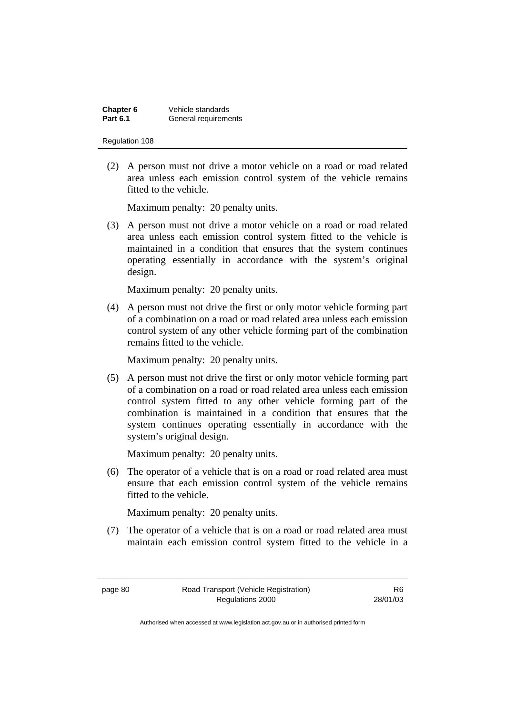| Chapter 6       | Vehicle standards    |
|-----------------|----------------------|
| <b>Part 6.1</b> | General requirements |

 (2) A person must not drive a motor vehicle on a road or road related area unless each emission control system of the vehicle remains fitted to the vehicle.

Maximum penalty: 20 penalty units.

 (3) A person must not drive a motor vehicle on a road or road related area unless each emission control system fitted to the vehicle is maintained in a condition that ensures that the system continues operating essentially in accordance with the system's original design.

Maximum penalty: 20 penalty units.

 (4) A person must not drive the first or only motor vehicle forming part of a combination on a road or road related area unless each emission control system of any other vehicle forming part of the combination remains fitted to the vehicle.

Maximum penalty: 20 penalty units.

 (5) A person must not drive the first or only motor vehicle forming part of a combination on a road or road related area unless each emission control system fitted to any other vehicle forming part of the combination is maintained in a condition that ensures that the system continues operating essentially in accordance with the system's original design.

Maximum penalty: 20 penalty units.

 (6) The operator of a vehicle that is on a road or road related area must ensure that each emission control system of the vehicle remains fitted to the vehicle.

Maximum penalty: 20 penalty units.

 (7) The operator of a vehicle that is on a road or road related area must maintain each emission control system fitted to the vehicle in a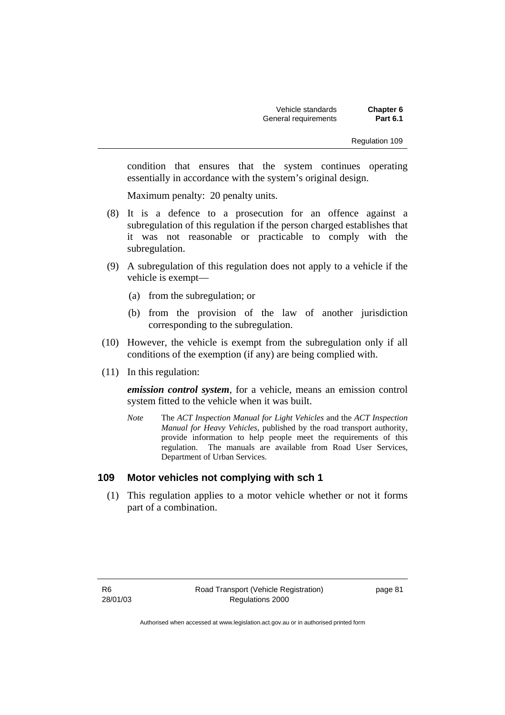condition that ensures that the system continues operating essentially in accordance with the system's original design.

Maximum penalty: 20 penalty units.

- (8) It is a defence to a prosecution for an offence against a subregulation of this regulation if the person charged establishes that it was not reasonable or practicable to comply with the subregulation.
- (9) A subregulation of this regulation does not apply to a vehicle if the vehicle is exempt—
	- (a) from the subregulation; or
	- (b) from the provision of the law of another jurisdiction corresponding to the subregulation.
- (10) However, the vehicle is exempt from the subregulation only if all conditions of the exemption (if any) are being complied with.
- (11) In this regulation:

*emission control system*, for a vehicle, means an emission control system fitted to the vehicle when it was built.

*Note* The *ACT Inspection Manual for Light Vehicles* and the *ACT Inspection Manual for Heavy Vehicles*, published by the road transport authority, provide information to help people meet the requirements of this regulation. The manuals are available from Road User Services, Department of Urban Services.

### **109 Motor vehicles not complying with sch 1**

 (1) This regulation applies to a motor vehicle whether or not it forms part of a combination.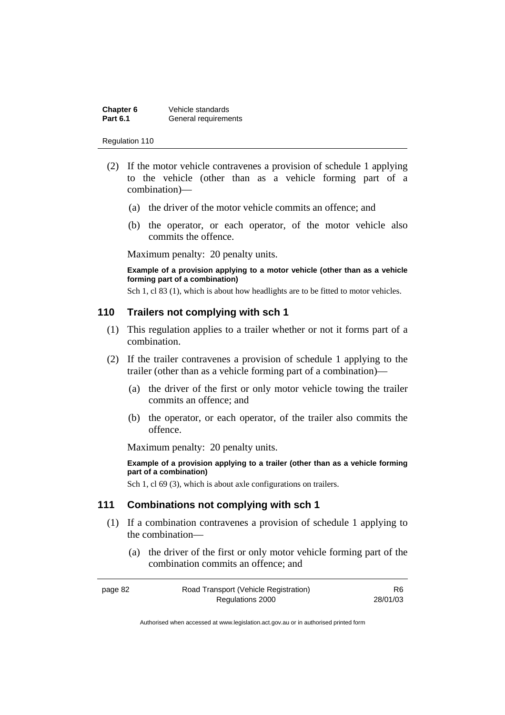| Chapter 6       | Vehicle standards    |
|-----------------|----------------------|
| <b>Part 6.1</b> | General requirements |

- (2) If the motor vehicle contravenes a provision of schedule 1 applying to the vehicle (other than as a vehicle forming part of a combination)—
	- (a) the driver of the motor vehicle commits an offence; and
	- (b) the operator, or each operator, of the motor vehicle also commits the offence.

Maximum penalty: 20 penalty units.

**Example of a provision applying to a motor vehicle (other than as a vehicle forming part of a combination)** 

Sch 1, cl 83 (1), which is about how headlights are to be fitted to motor vehicles.

### **110 Trailers not complying with sch 1**

- (1) This regulation applies to a trailer whether or not it forms part of a combination.
- (2) If the trailer contravenes a provision of schedule 1 applying to the trailer (other than as a vehicle forming part of a combination)—
	- (a) the driver of the first or only motor vehicle towing the trailer commits an offence; and
	- (b) the operator, or each operator, of the trailer also commits the offence.

Maximum penalty: 20 penalty units.

**Example of a provision applying to a trailer (other than as a vehicle forming part of a combination)** 

Sch 1, cl 69 (3), which is about axle configurations on trailers.

### **111 Combinations not complying with sch 1**

- (1) If a combination contravenes a provision of schedule 1 applying to the combination—
	- (a) the driver of the first or only motor vehicle forming part of the combination commits an offence; and

| page 82 | Road Transport (Vehicle Registration) | R6.      |
|---------|---------------------------------------|----------|
|         | Regulations 2000                      | 28/01/03 |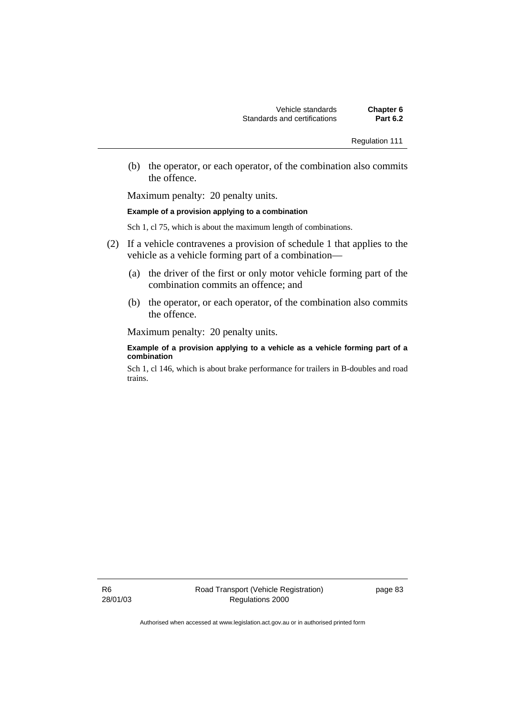(b) the operator, or each operator, of the combination also commits the offence.

Maximum penalty: 20 penalty units.

#### **Example of a provision applying to a combination**

Sch 1, cl 75, which is about the maximum length of combinations.

- (2) If a vehicle contravenes a provision of schedule 1 that applies to the vehicle as a vehicle forming part of a combination—
	- (a) the driver of the first or only motor vehicle forming part of the combination commits an offence; and
	- (b) the operator, or each operator, of the combination also commits the offence.

Maximum penalty: 20 penalty units.

#### **Example of a provision applying to a vehicle as a vehicle forming part of a combination**

Sch 1, cl 146, which is about brake performance for trailers in B-doubles and road trains.

R6 28/01/03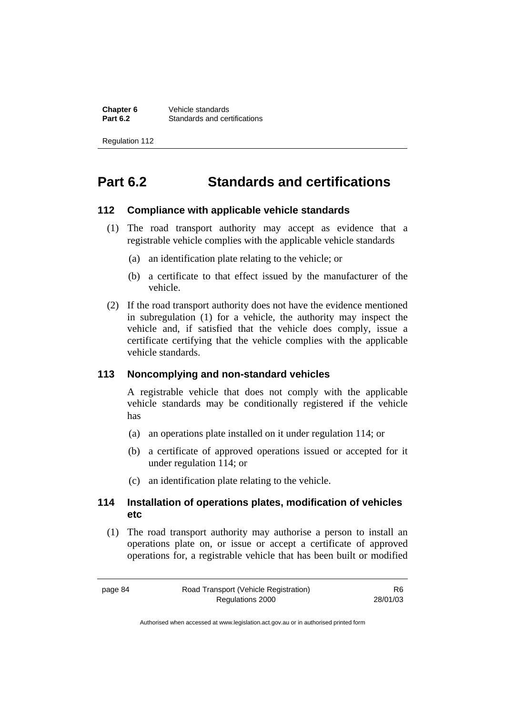**Chapter 6** Vehicle standards<br>**Part 6.2** Standards and cer **Standards and certifications** 

Regulation 112

## **Part 6.2 Standards and certifications**

### **112 Compliance with applicable vehicle standards**

- (1) The road transport authority may accept as evidence that a registrable vehicle complies with the applicable vehicle standards
	- (a) an identification plate relating to the vehicle; or
	- (b) a certificate to that effect issued by the manufacturer of the vehicle.
- (2) If the road transport authority does not have the evidence mentioned in subregulation (1) for a vehicle, the authority may inspect the vehicle and, if satisfied that the vehicle does comply, issue a certificate certifying that the vehicle complies with the applicable vehicle standards.

### **113 Noncomplying and non-standard vehicles**

A registrable vehicle that does not comply with the applicable vehicle standards may be conditionally registered if the vehicle has

- (a) an operations plate installed on it under regulation 114; or
- (b) a certificate of approved operations issued or accepted for it under regulation 114; or
- (c) an identification plate relating to the vehicle.

### **114 Installation of operations plates, modification of vehicles etc**

 (1) The road transport authority may authorise a person to install an operations plate on, or issue or accept a certificate of approved operations for, a registrable vehicle that has been built or modified

R6 28/01/03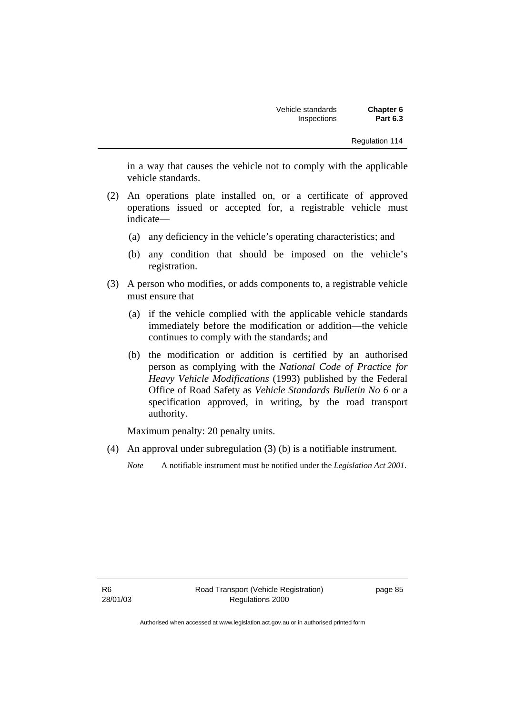in a way that causes the vehicle not to comply with the applicable vehicle standards.

- (2) An operations plate installed on, or a certificate of approved operations issued or accepted for, a registrable vehicle must indicate—
	- (a) any deficiency in the vehicle's operating characteristics; and
	- (b) any condition that should be imposed on the vehicle's registration.
- (3) A person who modifies, or adds components to, a registrable vehicle must ensure that
	- (a) if the vehicle complied with the applicable vehicle standards immediately before the modification or addition—the vehicle continues to comply with the standards; and
	- (b) the modification or addition is certified by an authorised person as complying with the *National Code of Practice for Heavy Vehicle Modifications* (1993) published by the Federal Office of Road Safety as *Vehicle Standards Bulletin No 6* or a specification approved, in writing, by the road transport authority.

Maximum penalty: 20 penalty units.

(4) An approval under subregulation (3) (b) is a notifiable instrument.

*Note* A notifiable instrument must be notified under the *Legislation Act 2001*.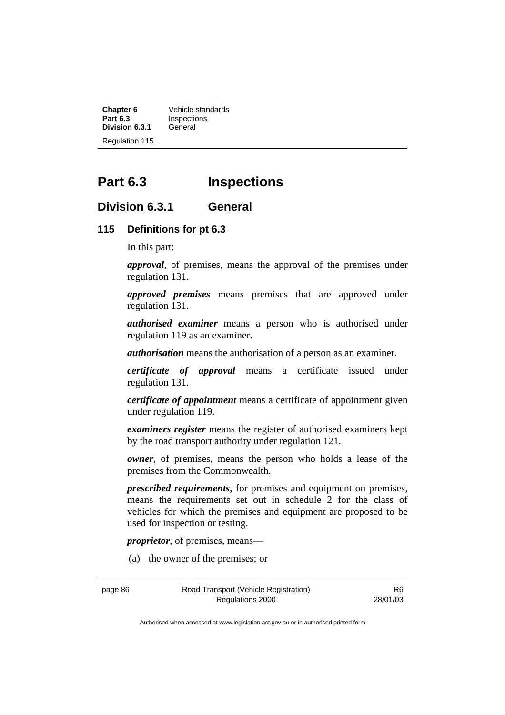**Chapter 6** Vehicle standards<br>**Part 6.3** Inspections **Inspections**<br>General **Division 6.3.1** Regulation 115

## **Part 6.3 Inspections**

### **Division 6.3.1 General**

### **115 Definitions for pt 6.3**

In this part:

*approval*, of premises, means the approval of the premises under regulation 131.

*approved premises* means premises that are approved under regulation 131.

*authorised examiner* means a person who is authorised under regulation 119 as an examiner.

*authorisation* means the authorisation of a person as an examiner.

*certificate of approval* means a certificate issued under regulation 131.

*certificate of appointment* means a certificate of appointment given under regulation 119.

*examiners register* means the register of authorised examiners kept by the road transport authority under regulation 121.

*owner*, of premises, means the person who holds a lease of the premises from the Commonwealth.

*prescribed requirements*, for premises and equipment on premises, means the requirements set out in schedule 2 for the class of vehicles for which the premises and equipment are proposed to be used for inspection or testing.

*proprietor*, of premises, means—

(a) the owner of the premises; or

page 86 Road Transport (Vehicle Registration) Regulations 2000

R6 28/01/03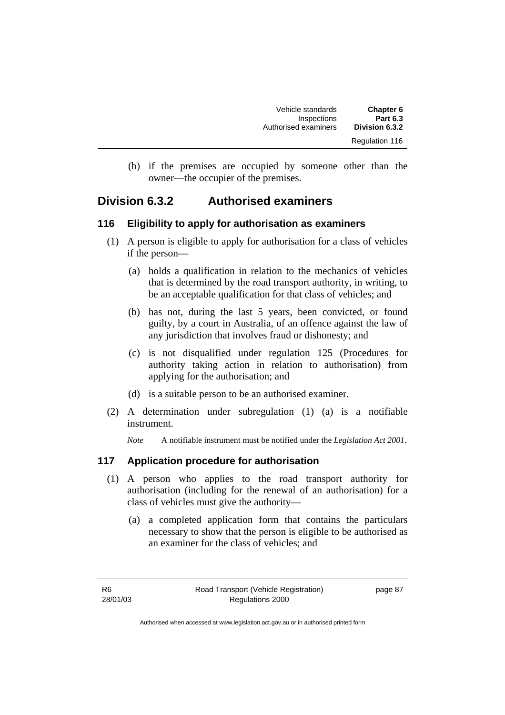| <b>Chapter 6</b><br><b>Part 6.3</b> | Vehicle standards<br>Inspections |
|-------------------------------------|----------------------------------|
| Division 6.3.2                      | Authorised examiners             |
| Regulation 116                      |                                  |

 (b) if the premises are occupied by someone other than the owner—the occupier of the premises.

## **Division 6.3.2 Authorised examiners**

### **116 Eligibility to apply for authorisation as examiners**

- (1) A person is eligible to apply for authorisation for a class of vehicles if the person—
	- (a) holds a qualification in relation to the mechanics of vehicles that is determined by the road transport authority, in writing, to be an acceptable qualification for that class of vehicles; and
	- (b) has not, during the last 5 years, been convicted, or found guilty, by a court in Australia, of an offence against the law of any jurisdiction that involves fraud or dishonesty; and
	- (c) is not disqualified under regulation 125 (Procedures for authority taking action in relation to authorisation) from applying for the authorisation; and
	- (d) is a suitable person to be an authorised examiner.
- (2) A determination under subregulation (1) (a) is a notifiable instrument.

*Note* A notifiable instrument must be notified under the *Legislation Act 2001*.

### **117 Application procedure for authorisation**

- (1) A person who applies to the road transport authority for authorisation (including for the renewal of an authorisation) for a class of vehicles must give the authority—
	- (a) a completed application form that contains the particulars necessary to show that the person is eligible to be authorised as an examiner for the class of vehicles; and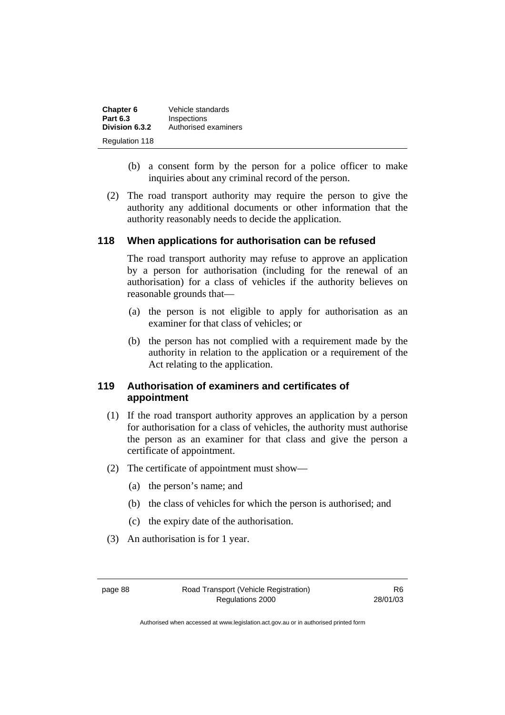| <b>Chapter 6</b>      | Vehicle standards    |
|-----------------------|----------------------|
| <b>Part 6.3</b>       | Inspections          |
| Division 6.3.2        | Authorised examiners |
| <b>Regulation 118</b> |                      |

- (b) a consent form by the person for a police officer to make inquiries about any criminal record of the person.
- (2) The road transport authority may require the person to give the authority any additional documents or other information that the authority reasonably needs to decide the application.

### **118 When applications for authorisation can be refused**

The road transport authority may refuse to approve an application by a person for authorisation (including for the renewal of an authorisation) for a class of vehicles if the authority believes on reasonable grounds that—

- (a) the person is not eligible to apply for authorisation as an examiner for that class of vehicles; or
- (b) the person has not complied with a requirement made by the authority in relation to the application or a requirement of the Act relating to the application.

### **119 Authorisation of examiners and certificates of appointment**

- (1) If the road transport authority approves an application by a person for authorisation for a class of vehicles, the authority must authorise the person as an examiner for that class and give the person a certificate of appointment.
- (2) The certificate of appointment must show—
	- (a) the person's name; and
	- (b) the class of vehicles for which the person is authorised; and
	- (c) the expiry date of the authorisation.
- (3) An authorisation is for 1 year.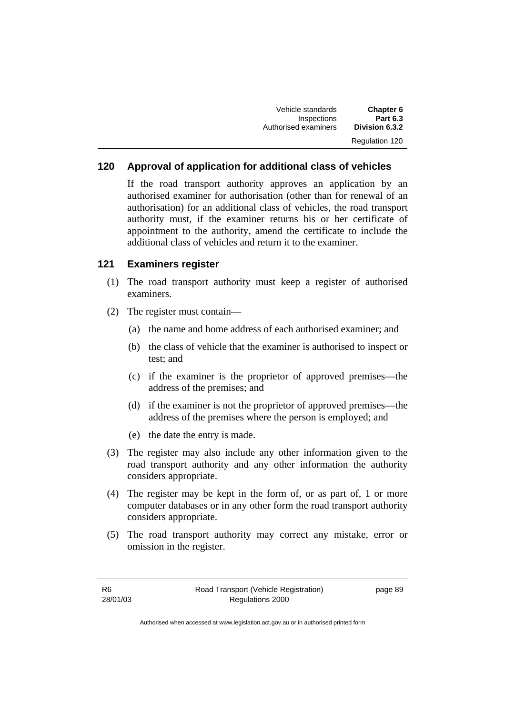| Chapter 6      | Vehicle standards    |
|----------------|----------------------|
| Part 6.3       | Inspections          |
| Division 6.3.2 | Authorised examiners |
| Regulation 120 |                      |

## **120 Approval of application for additional class of vehicles**

If the road transport authority approves an application by an authorised examiner for authorisation (other than for renewal of an authorisation) for an additional class of vehicles, the road transport authority must, if the examiner returns his or her certificate of appointment to the authority, amend the certificate to include the additional class of vehicles and return it to the examiner.

## **121 Examiners register**

- (1) The road transport authority must keep a register of authorised examiners.
- (2) The register must contain—
	- (a) the name and home address of each authorised examiner; and
	- (b) the class of vehicle that the examiner is authorised to inspect or test; and
	- (c) if the examiner is the proprietor of approved premises—the address of the premises; and
	- (d) if the examiner is not the proprietor of approved premises—the address of the premises where the person is employed; and
	- (e) the date the entry is made.
- (3) The register may also include any other information given to the road transport authority and any other information the authority considers appropriate.
- (4) The register may be kept in the form of, or as part of, 1 or more computer databases or in any other form the road transport authority considers appropriate.
- (5) The road transport authority may correct any mistake, error or omission in the register.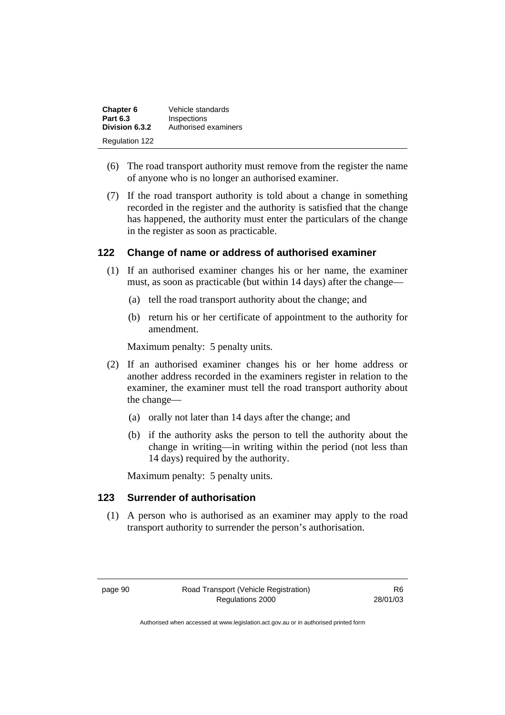| <b>Chapter 6</b>      | Vehicle standards    |
|-----------------------|----------------------|
| <b>Part 6.3</b>       | Inspections          |
| Division 6.3.2        | Authorised examiners |
| <b>Regulation 122</b> |                      |

- (6) The road transport authority must remove from the register the name of anyone who is no longer an authorised examiner.
- (7) If the road transport authority is told about a change in something recorded in the register and the authority is satisfied that the change has happened, the authority must enter the particulars of the change in the register as soon as practicable.

## **122 Change of name or address of authorised examiner**

- (1) If an authorised examiner changes his or her name, the examiner must, as soon as practicable (but within 14 days) after the change—
	- (a) tell the road transport authority about the change; and
	- (b) return his or her certificate of appointment to the authority for amendment.

Maximum penalty: 5 penalty units.

- (2) If an authorised examiner changes his or her home address or another address recorded in the examiners register in relation to the examiner, the examiner must tell the road transport authority about the change—
	- (a) orally not later than 14 days after the change; and
	- (b) if the authority asks the person to tell the authority about the change in writing—in writing within the period (not less than 14 days) required by the authority.

Maximum penalty: 5 penalty units.

## **123 Surrender of authorisation**

 (1) A person who is authorised as an examiner may apply to the road transport authority to surrender the person's authorisation.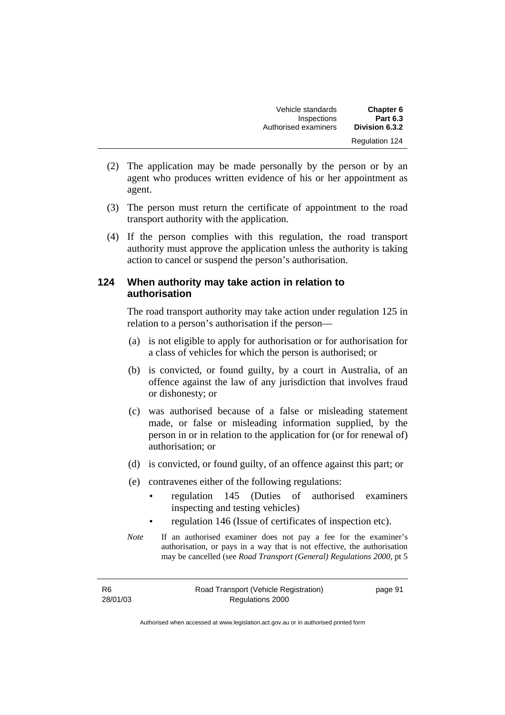| Chapter 6<br><b>Part 6.3</b> | Vehicle standards                   |
|------------------------------|-------------------------------------|
| Division 6.3.2               | Inspections<br>Authorised examiners |
| <b>Regulation 124</b>        |                                     |

- (2) The application may be made personally by the person or by an agent who produces written evidence of his or her appointment as agent.
- (3) The person must return the certificate of appointment to the road transport authority with the application.
- (4) If the person complies with this regulation, the road transport authority must approve the application unless the authority is taking action to cancel or suspend the person's authorisation.

## **124 When authority may take action in relation to authorisation**

The road transport authority may take action under regulation 125 in relation to a person's authorisation if the person—

- (a) is not eligible to apply for authorisation or for authorisation for a class of vehicles for which the person is authorised; or
- (b) is convicted, or found guilty, by a court in Australia, of an offence against the law of any jurisdiction that involves fraud or dishonesty; or
- (c) was authorised because of a false or misleading statement made, or false or misleading information supplied, by the person in or in relation to the application for (or for renewal of) authorisation; or
- (d) is convicted, or found guilty, of an offence against this part; or
- (e) contravenes either of the following regulations:
	- regulation 145 (Duties of authorised examiners inspecting and testing vehicles)
	- regulation 146 (Issue of certificates of inspection etc).
- *Note* If an authorised examiner does not pay a fee for the examiner's authorisation, or pays in a way that is not effective, the authorisation may be cancelled (see *Road Transport (General) Regulations 2000*, pt 5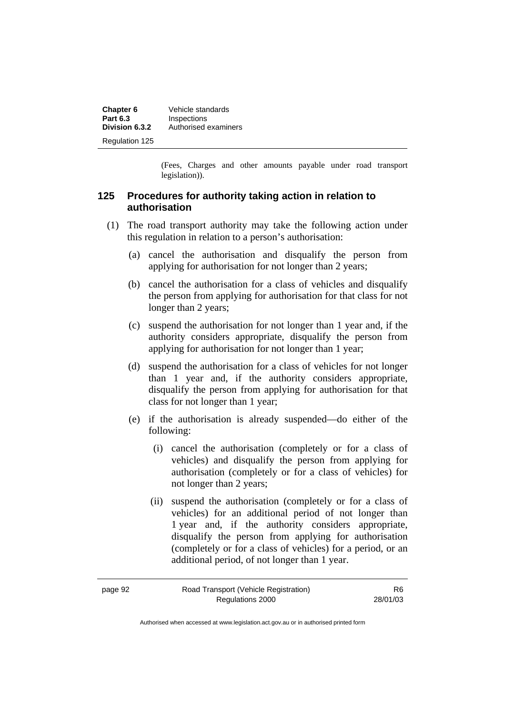| Chapter 6             | Vehicle standards    |
|-----------------------|----------------------|
| <b>Part 6.3</b>       | Inspections          |
| Division 6.3.2        | Authorised examiners |
| <b>Regulation 125</b> |                      |

(Fees, Charges and other amounts payable under road transport legislation)).

## **125 Procedures for authority taking action in relation to authorisation**

- (1) The road transport authority may take the following action under this regulation in relation to a person's authorisation:
	- (a) cancel the authorisation and disqualify the person from applying for authorisation for not longer than 2 years;
	- (b) cancel the authorisation for a class of vehicles and disqualify the person from applying for authorisation for that class for not longer than 2 years;
	- (c) suspend the authorisation for not longer than 1 year and, if the authority considers appropriate, disqualify the person from applying for authorisation for not longer than 1 year;
	- (d) suspend the authorisation for a class of vehicles for not longer than 1 year and, if the authority considers appropriate, disqualify the person from applying for authorisation for that class for not longer than 1 year;
	- (e) if the authorisation is already suspended—do either of the following:
		- (i) cancel the authorisation (completely or for a class of vehicles) and disqualify the person from applying for authorisation (completely or for a class of vehicles) for not longer than 2 years;
		- (ii) suspend the authorisation (completely or for a class of vehicles) for an additional period of not longer than 1 year and, if the authority considers appropriate, disqualify the person from applying for authorisation (completely or for a class of vehicles) for a period, or an additional period, of not longer than 1 year.

| page 92 | Road Transport (Vehicle Registration) | R <sub>6</sub> |
|---------|---------------------------------------|----------------|
|         | Regulations 2000                      | 28/01/03       |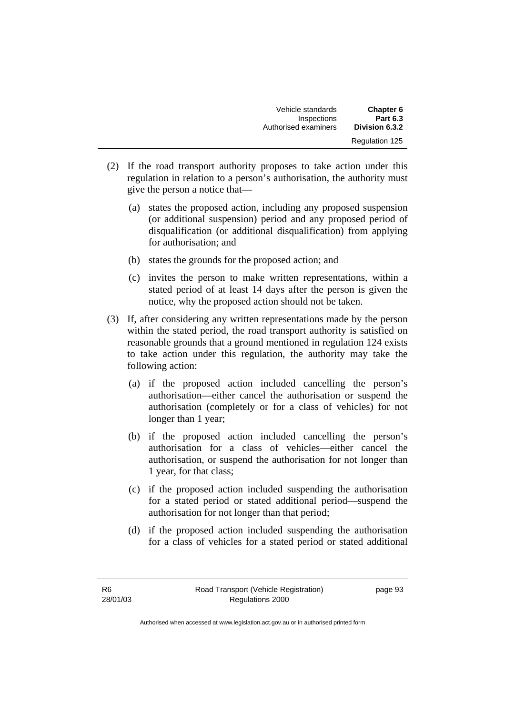| Chapter 6             | Vehicle standards    |
|-----------------------|----------------------|
| <b>Part 6.3</b>       | Inspections          |
| Division 6.3.2        | Authorised examiners |
| <b>Regulation 125</b> |                      |

- (2) If the road transport authority proposes to take action under this regulation in relation to a person's authorisation, the authority must give the person a notice that—
	- (a) states the proposed action, including any proposed suspension (or additional suspension) period and any proposed period of disqualification (or additional disqualification) from applying for authorisation; and
	- (b) states the grounds for the proposed action; and
	- (c) invites the person to make written representations, within a stated period of at least 14 days after the person is given the notice, why the proposed action should not be taken.
- (3) If, after considering any written representations made by the person within the stated period, the road transport authority is satisfied on reasonable grounds that a ground mentioned in regulation 124 exists to take action under this regulation, the authority may take the following action:
	- (a) if the proposed action included cancelling the person's authorisation—either cancel the authorisation or suspend the authorisation (completely or for a class of vehicles) for not longer than 1 year;
	- (b) if the proposed action included cancelling the person's authorisation for a class of vehicles—either cancel the authorisation, or suspend the authorisation for not longer than 1 year, for that class;
	- (c) if the proposed action included suspending the authorisation for a stated period or stated additional period—suspend the authorisation for not longer than that period;
	- (d) if the proposed action included suspending the authorisation for a class of vehicles for a stated period or stated additional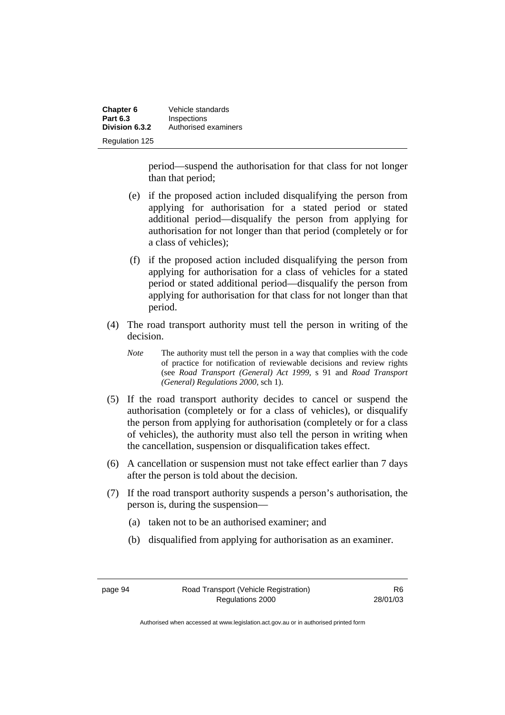| Chapter 6             | Vehicle standards    |
|-----------------------|----------------------|
| <b>Part 6.3</b>       | Inspections          |
| Division 6.3.2        | Authorised examiners |
| <b>Regulation 125</b> |                      |

period—suspend the authorisation for that class for not longer than that period;

- (e) if the proposed action included disqualifying the person from applying for authorisation for a stated period or stated additional period—disqualify the person from applying for authorisation for not longer than that period (completely or for a class of vehicles);
- (f) if the proposed action included disqualifying the person from applying for authorisation for a class of vehicles for a stated period or stated additional period—disqualify the person from applying for authorisation for that class for not longer than that period.
- (4) The road transport authority must tell the person in writing of the decision.
	- *Note* The authority must tell the person in a way that complies with the code of practice for notification of reviewable decisions and review rights (see *Road Transport (General) Act 1999,* s 91 and *Road Transport (General) Regulations 2000*, sch 1).
- (5) If the road transport authority decides to cancel or suspend the authorisation (completely or for a class of vehicles), or disqualify the person from applying for authorisation (completely or for a class of vehicles), the authority must also tell the person in writing when the cancellation, suspension or disqualification takes effect.
- (6) A cancellation or suspension must not take effect earlier than 7 days after the person is told about the decision.
- (7) If the road transport authority suspends a person's authorisation, the person is, during the suspension—
	- (a) taken not to be an authorised examiner; and
	- (b) disqualified from applying for authorisation as an examiner.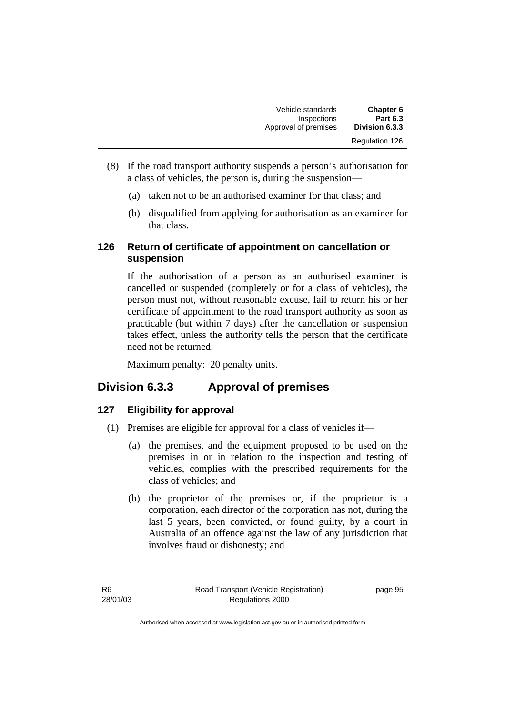| <b>Chapter 6</b><br><b>Part 6.3</b> | Vehicle standards<br>Inspections |
|-------------------------------------|----------------------------------|
| Division 6.3.3                      | Approval of premises             |
| Regulation 126                      |                                  |

- (8) If the road transport authority suspends a person's authorisation for a class of vehicles, the person is, during the suspension—
	- (a) taken not to be an authorised examiner for that class; and
	- (b) disqualified from applying for authorisation as an examiner for that class.

## **126 Return of certificate of appointment on cancellation or suspension**

If the authorisation of a person as an authorised examiner is cancelled or suspended (completely or for a class of vehicles), the person must not, without reasonable excuse, fail to return his or her certificate of appointment to the road transport authority as soon as practicable (but within 7 days) after the cancellation or suspension takes effect, unless the authority tells the person that the certificate need not be returned.

Maximum penalty: 20 penalty units.

## **Division 6.3.3 Approval of premises**

## **127 Eligibility for approval**

- (1) Premises are eligible for approval for a class of vehicles if—
	- (a) the premises, and the equipment proposed to be used on the premises in or in relation to the inspection and testing of vehicles, complies with the prescribed requirements for the class of vehicles; and
	- (b) the proprietor of the premises or, if the proprietor is a corporation, each director of the corporation has not, during the last 5 years, been convicted, or found guilty, by a court in Australia of an offence against the law of any jurisdiction that involves fraud or dishonesty; and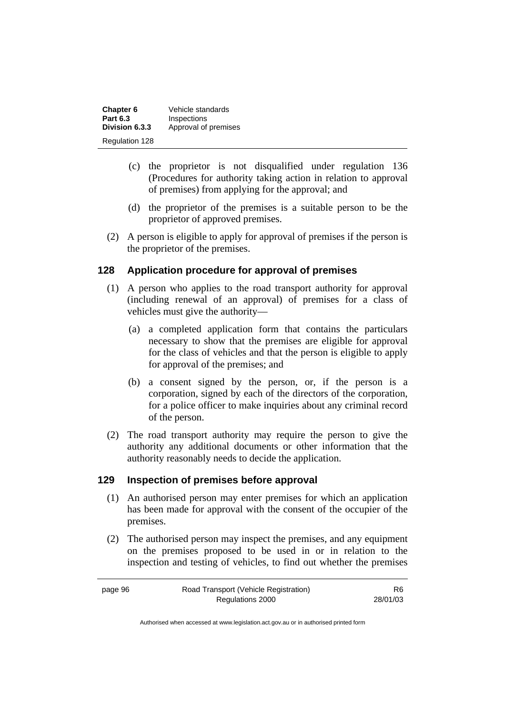| Chapter 6             | Vehicle standards    |
|-----------------------|----------------------|
| <b>Part 6.3</b>       | Inspections          |
| Division 6.3.3        | Approval of premises |
| <b>Regulation 128</b> |                      |

- (c) the proprietor is not disqualified under regulation 136 (Procedures for authority taking action in relation to approval of premises) from applying for the approval; and
- (d) the proprietor of the premises is a suitable person to be the proprietor of approved premises.
- (2) A person is eligible to apply for approval of premises if the person is the proprietor of the premises.

## **128 Application procedure for approval of premises**

- (1) A person who applies to the road transport authority for approval (including renewal of an approval) of premises for a class of vehicles must give the authority—
	- (a) a completed application form that contains the particulars necessary to show that the premises are eligible for approval for the class of vehicles and that the person is eligible to apply for approval of the premises; and
	- (b) a consent signed by the person, or, if the person is a corporation, signed by each of the directors of the corporation, for a police officer to make inquiries about any criminal record of the person.
- (2) The road transport authority may require the person to give the authority any additional documents or other information that the authority reasonably needs to decide the application.

## **129 Inspection of premises before approval**

- (1) An authorised person may enter premises for which an application has been made for approval with the consent of the occupier of the premises.
- (2) The authorised person may inspect the premises, and any equipment on the premises proposed to be used in or in relation to the inspection and testing of vehicles, to find out whether the premises

R6 28/01/03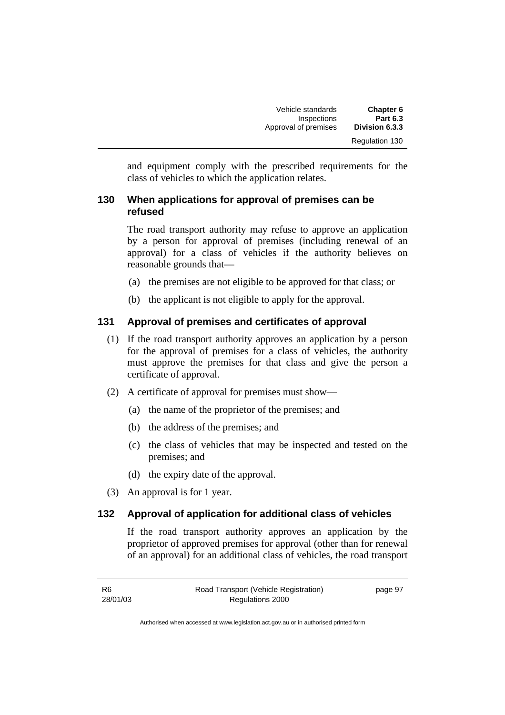| <b>Chapter 6</b>      | Vehicle standards    |
|-----------------------|----------------------|
| <b>Part 6.3</b>       | Inspections          |
| Division 6.3.3        | Approval of premises |
| <b>Regulation 130</b> |                      |

and equipment comply with the prescribed requirements for the class of vehicles to which the application relates.

## **130 When applications for approval of premises can be refused**

The road transport authority may refuse to approve an application by a person for approval of premises (including renewal of an approval) for a class of vehicles if the authority believes on reasonable grounds that—

- (a) the premises are not eligible to be approved for that class; or
- (b) the applicant is not eligible to apply for the approval.

## **131 Approval of premises and certificates of approval**

- (1) If the road transport authority approves an application by a person for the approval of premises for a class of vehicles, the authority must approve the premises for that class and give the person a certificate of approval.
- (2) A certificate of approval for premises must show—
	- (a) the name of the proprietor of the premises; and
	- (b) the address of the premises; and
	- (c) the class of vehicles that may be inspected and tested on the premises; and
	- (d) the expiry date of the approval.
- (3) An approval is for 1 year.

## **132 Approval of application for additional class of vehicles**

If the road transport authority approves an application by the proprietor of approved premises for approval (other than for renewal of an approval) for an additional class of vehicles, the road transport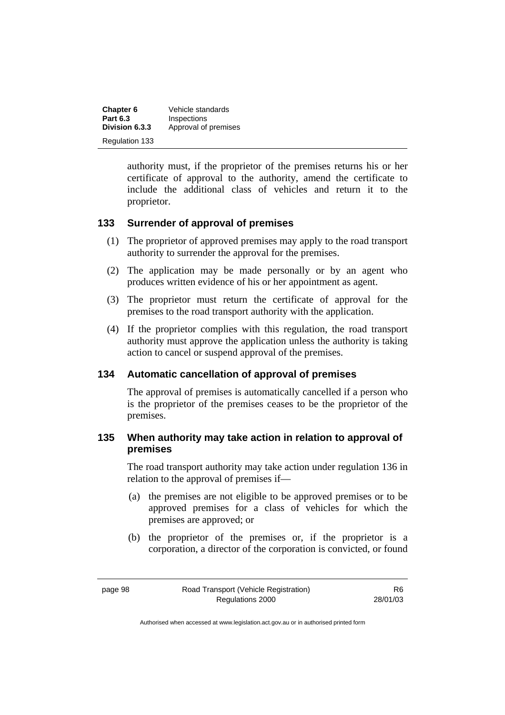| Chapter 6             | Vehicle standards    |
|-----------------------|----------------------|
| <b>Part 6.3</b>       | Inspections          |
| Division 6.3.3        | Approval of premises |
| <b>Regulation 133</b> |                      |

authority must, if the proprietor of the premises returns his or her certificate of approval to the authority, amend the certificate to include the additional class of vehicles and return it to the proprietor.

## **133 Surrender of approval of premises**

- (1) The proprietor of approved premises may apply to the road transport authority to surrender the approval for the premises.
- (2) The application may be made personally or by an agent who produces written evidence of his or her appointment as agent.
- (3) The proprietor must return the certificate of approval for the premises to the road transport authority with the application.
- (4) If the proprietor complies with this regulation, the road transport authority must approve the application unless the authority is taking action to cancel or suspend approval of the premises.

## **134 Automatic cancellation of approval of premises**

The approval of premises is automatically cancelled if a person who is the proprietor of the premises ceases to be the proprietor of the premises.

## **135 When authority may take action in relation to approval of premises**

The road transport authority may take action under regulation 136 in relation to the approval of premises if—

- (a) the premises are not eligible to be approved premises or to be approved premises for a class of vehicles for which the premises are approved; or
- (b) the proprietor of the premises or, if the proprietor is a corporation, a director of the corporation is convicted, or found

R6 28/01/03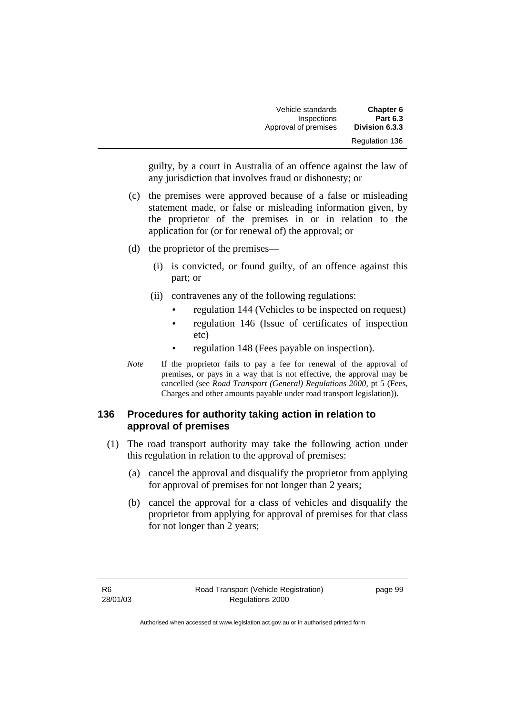| Vehicle standards    | <b>Chapter 6</b>      |
|----------------------|-----------------------|
| Inspections          | <b>Part 6.3</b>       |
| Approval of premises | Division 6.3.3        |
|                      | <b>Regulation 136</b> |

guilty, by a court in Australia of an offence against the law of any jurisdiction that involves fraud or dishonesty; or

- (c) the premises were approved because of a false or misleading statement made, or false or misleading information given, by the proprietor of the premises in or in relation to the application for (or for renewal of) the approval; or
- (d) the proprietor of the premises—
	- (i) is convicted, or found guilty, of an offence against this part; or
	- (ii) contravenes any of the following regulations:
		- regulation 144 (Vehicles to be inspected on request)
		- regulation 146 (Issue of certificates of inspection etc)
		- regulation 148 (Fees payable on inspection).
- *Note* If the proprietor fails to pay a fee for renewal of the approval of premises, or pays in a way that is not effective, the approval may be cancelled (see *Road Transport (General) Regulations 2000*, pt 5 (Fees, Charges and other amounts payable under road transport legislation)).

## **136 Procedures for authority taking action in relation to approval of premises**

- (1) The road transport authority may take the following action under this regulation in relation to the approval of premises:
	- (a) cancel the approval and disqualify the proprietor from applying for approval of premises for not longer than 2 years;
	- (b) cancel the approval for a class of vehicles and disqualify the proprietor from applying for approval of premises for that class for not longer than 2 years;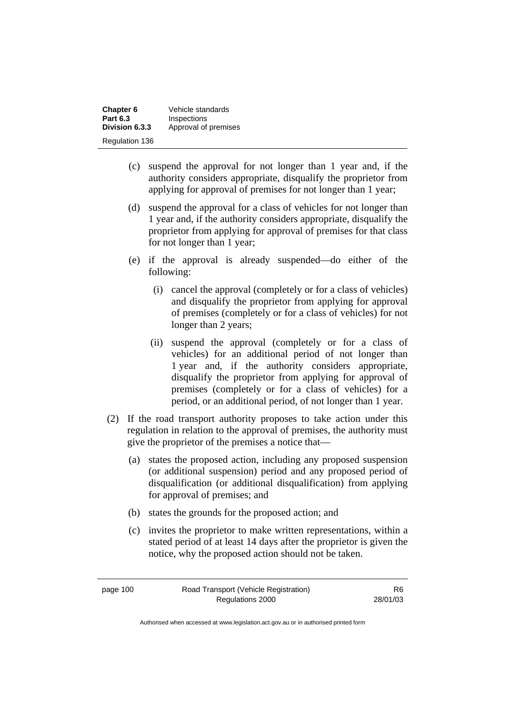| Chapter 6       | Vehicle standards    |
|-----------------|----------------------|
| <b>Part 6.3</b> | Inspections          |
| Division 6.3.3  | Approval of premises |
| Regulation 136  |                      |

- (c) suspend the approval for not longer than 1 year and, if the authority considers appropriate, disqualify the proprietor from applying for approval of premises for not longer than 1 year;
- (d) suspend the approval for a class of vehicles for not longer than 1 year and, if the authority considers appropriate, disqualify the proprietor from applying for approval of premises for that class for not longer than 1 year;
- (e) if the approval is already suspended—do either of the following:
	- (i) cancel the approval (completely or for a class of vehicles) and disqualify the proprietor from applying for approval of premises (completely or for a class of vehicles) for not longer than 2 years;
	- (ii) suspend the approval (completely or for a class of vehicles) for an additional period of not longer than 1 year and, if the authority considers appropriate, disqualify the proprietor from applying for approval of premises (completely or for a class of vehicles) for a period, or an additional period, of not longer than 1 year.
- (2) If the road transport authority proposes to take action under this regulation in relation to the approval of premises, the authority must give the proprietor of the premises a notice that—
	- (a) states the proposed action, including any proposed suspension (or additional suspension) period and any proposed period of disqualification (or additional disqualification) from applying for approval of premises; and
	- (b) states the grounds for the proposed action; and
	- (c) invites the proprietor to make written representations, within a stated period of at least 14 days after the proprietor is given the notice, why the proposed action should not be taken.

page 100 Road Transport (Vehicle Registration) Regulations 2000

R6 28/01/03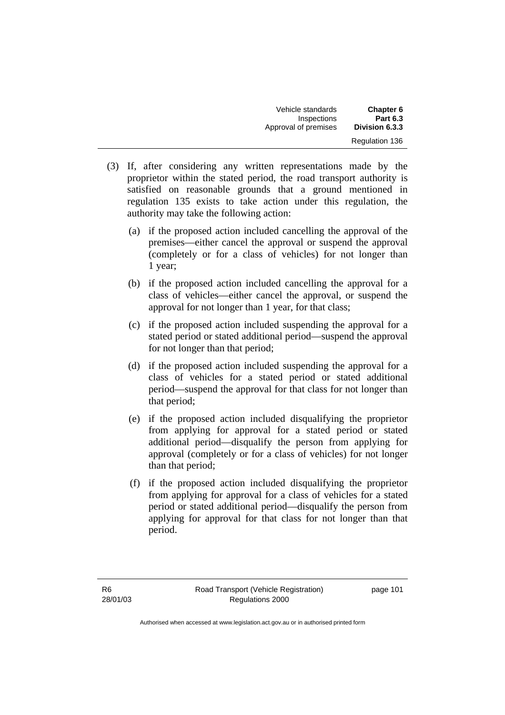| Chapter 6<br><b>Part 6.3</b> | Vehicle standards<br>Inspections |
|------------------------------|----------------------------------|
| Division 6.3.3               | Approval of premises             |
| <b>Regulation 136</b>        |                                  |

- (3) If, after considering any written representations made by the proprietor within the stated period, the road transport authority is satisfied on reasonable grounds that a ground mentioned in regulation 135 exists to take action under this regulation, the authority may take the following action:
	- (a) if the proposed action included cancelling the approval of the premises—either cancel the approval or suspend the approval (completely or for a class of vehicles) for not longer than 1 year;
	- (b) if the proposed action included cancelling the approval for a class of vehicles—either cancel the approval, or suspend the approval for not longer than 1 year, for that class;
	- (c) if the proposed action included suspending the approval for a stated period or stated additional period—suspend the approval for not longer than that period;
	- (d) if the proposed action included suspending the approval for a class of vehicles for a stated period or stated additional period—suspend the approval for that class for not longer than that period;
	- (e) if the proposed action included disqualifying the proprietor from applying for approval for a stated period or stated additional period—disqualify the person from applying for approval (completely or for a class of vehicles) for not longer than that period;
	- (f) if the proposed action included disqualifying the proprietor from applying for approval for a class of vehicles for a stated period or stated additional period—disqualify the person from applying for approval for that class for not longer than that period.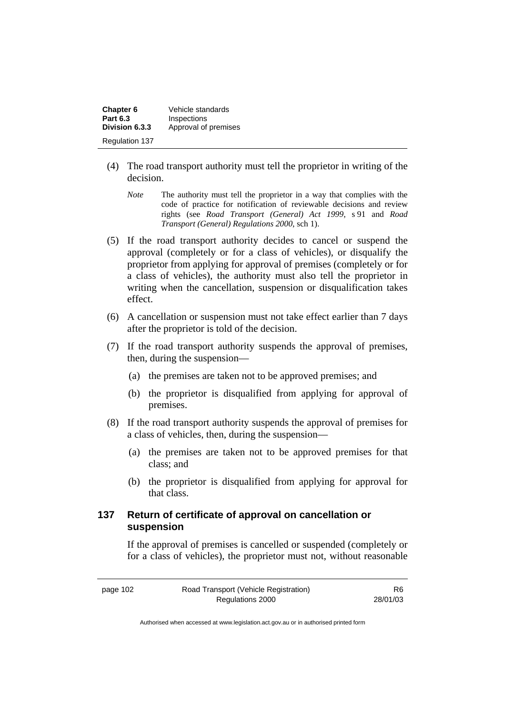| Chapter 6       | Vehicle standards    |
|-----------------|----------------------|
| <b>Part 6.3</b> | Inspections          |
| Division 6.3.3  | Approval of premises |
| Regulation 137  |                      |

- (4) The road transport authority must tell the proprietor in writing of the decision.
	- *Note* The authority must tell the proprietor in a way that complies with the code of practice for notification of reviewable decisions and review rights (see *Road Transport (General) Act 1999*, s 91 and *Road Transport (General) Regulations 2000*, sch 1).
- (5) If the road transport authority decides to cancel or suspend the approval (completely or for a class of vehicles), or disqualify the proprietor from applying for approval of premises (completely or for a class of vehicles), the authority must also tell the proprietor in writing when the cancellation, suspension or disqualification takes effect.
- (6) A cancellation or suspension must not take effect earlier than 7 days after the proprietor is told of the decision.
- (7) If the road transport authority suspends the approval of premises, then, during the suspension—
	- (a) the premises are taken not to be approved premises; and
	- (b) the proprietor is disqualified from applying for approval of premises.
- (8) If the road transport authority suspends the approval of premises for a class of vehicles, then, during the suspension—
	- (a) the premises are taken not to be approved premises for that class; and
	- (b) the proprietor is disqualified from applying for approval for that class.

## **137 Return of certificate of approval on cancellation or suspension**

If the approval of premises is cancelled or suspended (completely or for a class of vehicles), the proprietor must not, without reasonable

| page 102 | Road Transport (Vehicle Registration) | R6       |
|----------|---------------------------------------|----------|
|          | Regulations 2000                      | 28/01/03 |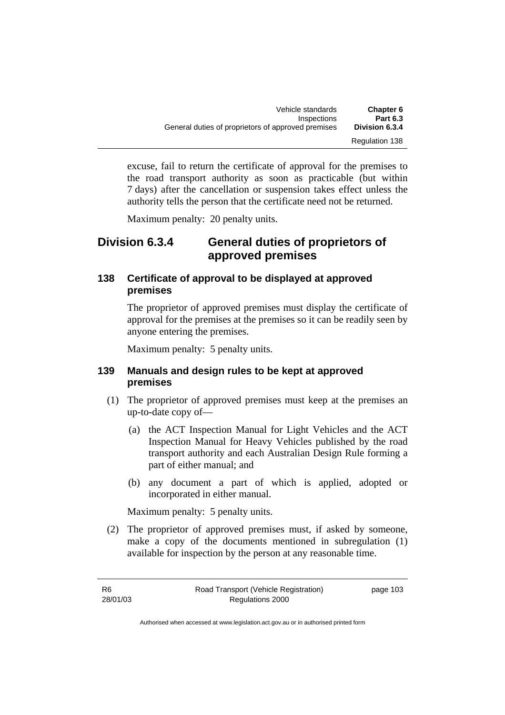| Vehicle standards                                  | <b>Chapter 6</b>      |
|----------------------------------------------------|-----------------------|
| Inspections                                        | <b>Part 6.3</b>       |
| General duties of proprietors of approved premises | Division 6.3.4        |
|                                                    | <b>Regulation 138</b> |

excuse, fail to return the certificate of approval for the premises to the road transport authority as soon as practicable (but within 7 days) after the cancellation or suspension takes effect unless the authority tells the person that the certificate need not be returned.

Maximum penalty: 20 penalty units.

## **Division 6.3.4 General duties of proprietors of approved premises**

## **138 Certificate of approval to be displayed at approved premises**

The proprietor of approved premises must display the certificate of approval for the premises at the premises so it can be readily seen by anyone entering the premises.

Maximum penalty: 5 penalty units.

## **139 Manuals and design rules to be kept at approved premises**

- (1) The proprietor of approved premises must keep at the premises an up-to-date copy of—
	- (a) the ACT Inspection Manual for Light Vehicles and the ACT Inspection Manual for Heavy Vehicles published by the road transport authority and each Australian Design Rule forming a part of either manual; and
	- (b) any document a part of which is applied, adopted or incorporated in either manual.

Maximum penalty: 5 penalty units.

 (2) The proprietor of approved premises must, if asked by someone, make a copy of the documents mentioned in subregulation (1) available for inspection by the person at any reasonable time.

| -R6      | Road Transport (Vehicle Registration) | page 103 |
|----------|---------------------------------------|----------|
| 28/01/03 | Regulations 2000                      |          |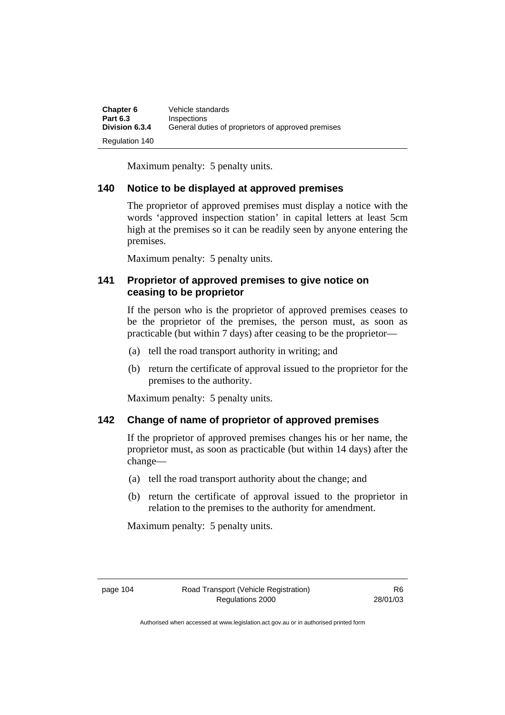| Chapter 6       | Vehicle standards                                  |
|-----------------|----------------------------------------------------|
| <b>Part 6.3</b> | <b>Inspections</b>                                 |
| Division 6.3.4  | General duties of proprietors of approved premises |
| Regulation 140  |                                                    |

Maximum penalty: 5 penalty units.

## **140 Notice to be displayed at approved premises**

The proprietor of approved premises must display a notice with the words 'approved inspection station' in capital letters at least 5cm high at the premises so it can be readily seen by anyone entering the premises.

Maximum penalty: 5 penalty units.

## **141 Proprietor of approved premises to give notice on ceasing to be proprietor**

If the person who is the proprietor of approved premises ceases to be the proprietor of the premises, the person must, as soon as practicable (but within 7 days) after ceasing to be the proprietor—

- (a) tell the road transport authority in writing; and
- (b) return the certificate of approval issued to the proprietor for the premises to the authority.

Maximum penalty: 5 penalty units.

## **142 Change of name of proprietor of approved premises**

If the proprietor of approved premises changes his or her name, the proprietor must, as soon as practicable (but within 14 days) after the change—

- (a) tell the road transport authority about the change; and
- (b) return the certificate of approval issued to the proprietor in relation to the premises to the authority for amendment.

Maximum penalty: 5 penalty units.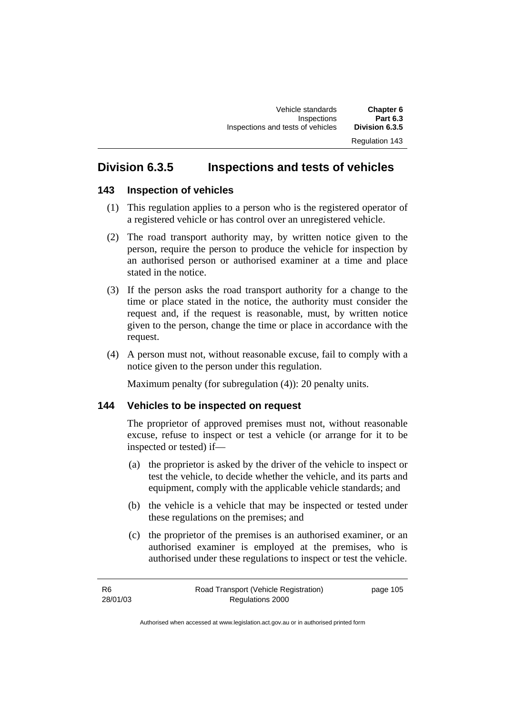## **Division 6.3.5 Inspections and tests of vehicles**

## **143 Inspection of vehicles**

- (1) This regulation applies to a person who is the registered operator of a registered vehicle or has control over an unregistered vehicle.
- (2) The road transport authority may, by written notice given to the person, require the person to produce the vehicle for inspection by an authorised person or authorised examiner at a time and place stated in the notice.
- (3) If the person asks the road transport authority for a change to the time or place stated in the notice, the authority must consider the request and, if the request is reasonable, must, by written notice given to the person, change the time or place in accordance with the request.
- (4) A person must not, without reasonable excuse, fail to comply with a notice given to the person under this regulation.

Maximum penalty (for subregulation (4)): 20 penalty units.

## **144 Vehicles to be inspected on request**

The proprietor of approved premises must not, without reasonable excuse, refuse to inspect or test a vehicle (or arrange for it to be inspected or tested) if—

- (a) the proprietor is asked by the driver of the vehicle to inspect or test the vehicle, to decide whether the vehicle, and its parts and equipment, comply with the applicable vehicle standards; and
- (b) the vehicle is a vehicle that may be inspected or tested under these regulations on the premises; and
- (c) the proprietor of the premises is an authorised examiner, or an authorised examiner is employed at the premises, who is authorised under these regulations to inspect or test the vehicle.

R6 28/01/03 Road Transport (Vehicle Registration) Regulations 2000 page 105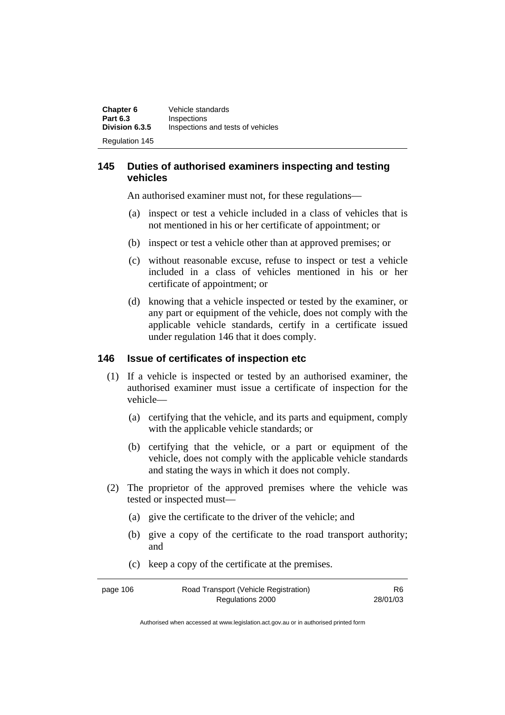| Chapter 6             | Vehicle standards                 |
|-----------------------|-----------------------------------|
| <b>Part 6.3</b>       | Inspections                       |
| Division 6.3.5        | Inspections and tests of vehicles |
| <b>Regulation 145</b> |                                   |

## **145 Duties of authorised examiners inspecting and testing vehicles**

An authorised examiner must not, for these regulations—

- (a) inspect or test a vehicle included in a class of vehicles that is not mentioned in his or her certificate of appointment; or
- (b) inspect or test a vehicle other than at approved premises; or
- (c) without reasonable excuse, refuse to inspect or test a vehicle included in a class of vehicles mentioned in his or her certificate of appointment; or
- (d) knowing that a vehicle inspected or tested by the examiner, or any part or equipment of the vehicle, does not comply with the applicable vehicle standards, certify in a certificate issued under regulation 146 that it does comply.

## **146 Issue of certificates of inspection etc**

- (1) If a vehicle is inspected or tested by an authorised examiner, the authorised examiner must issue a certificate of inspection for the vehicle—
	- (a) certifying that the vehicle, and its parts and equipment, comply with the applicable vehicle standards; or
	- (b) certifying that the vehicle, or a part or equipment of the vehicle, does not comply with the applicable vehicle standards and stating the ways in which it does not comply.
- (2) The proprietor of the approved premises where the vehicle was tested or inspected must—
	- (a) give the certificate to the driver of the vehicle; and
	- (b) give a copy of the certificate to the road transport authority; and
	- (c) keep a copy of the certificate at the premises.

| page 106 | Road Transport (Vehicle Registration) | R6.      |
|----------|---------------------------------------|----------|
|          | Regulations 2000                      | 28/01/03 |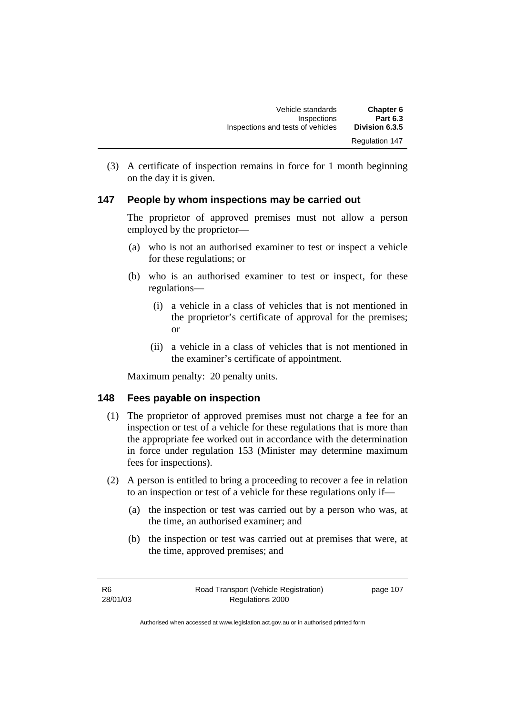| Chapter 6             | Vehicle standards                 |
|-----------------------|-----------------------------------|
| <b>Part 6.3</b>       | Inspections                       |
| Division 6.3.5        | Inspections and tests of vehicles |
| <b>Regulation 147</b> |                                   |

 (3) A certificate of inspection remains in force for 1 month beginning on the day it is given.

## **147 People by whom inspections may be carried out**

The proprietor of approved premises must not allow a person employed by the proprietor—

- (a) who is not an authorised examiner to test or inspect a vehicle for these regulations; or
- (b) who is an authorised examiner to test or inspect, for these regulations—
	- (i) a vehicle in a class of vehicles that is not mentioned in the proprietor's certificate of approval for the premises; or
	- (ii) a vehicle in a class of vehicles that is not mentioned in the examiner's certificate of appointment.

Maximum penalty: 20 penalty units.

### **148 Fees payable on inspection**

- (1) The proprietor of approved premises must not charge a fee for an inspection or test of a vehicle for these regulations that is more than the appropriate fee worked out in accordance with the determination in force under regulation 153 (Minister may determine maximum fees for inspections).
- (2) A person is entitled to bring a proceeding to recover a fee in relation to an inspection or test of a vehicle for these regulations only if—
	- (a) the inspection or test was carried out by a person who was, at the time, an authorised examiner; and
	- (b) the inspection or test was carried out at premises that were, at the time, approved premises; and

R6 28/01/03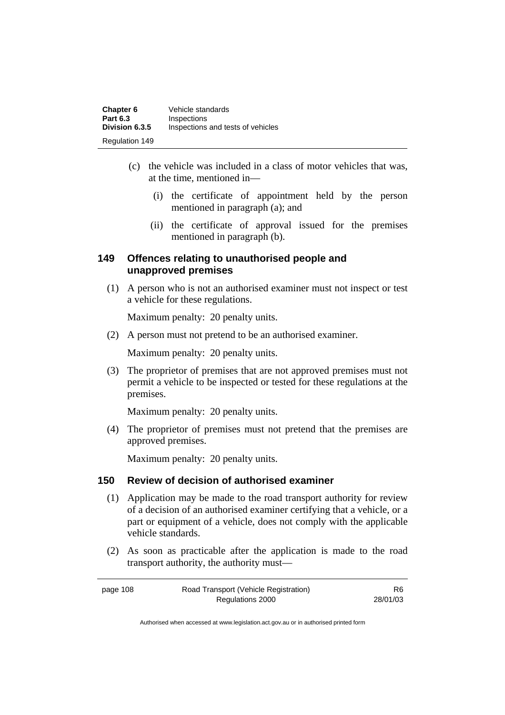| Chapter 6             | Vehicle standards                 |
|-----------------------|-----------------------------------|
| <b>Part 6.3</b>       | Inspections                       |
| Division 6.3.5        | Inspections and tests of vehicles |
| <b>Regulation 149</b> |                                   |

- (c) the vehicle was included in a class of motor vehicles that was, at the time, mentioned in—
	- (i) the certificate of appointment held by the person mentioned in paragraph (a); and
	- (ii) the certificate of approval issued for the premises mentioned in paragraph (b).

## **149 Offences relating to unauthorised people and unapproved premises**

 (1) A person who is not an authorised examiner must not inspect or test a vehicle for these regulations.

Maximum penalty: 20 penalty units.

(2) A person must not pretend to be an authorised examiner.

Maximum penalty: 20 penalty units.

 (3) The proprietor of premises that are not approved premises must not permit a vehicle to be inspected or tested for these regulations at the premises.

Maximum penalty: 20 penalty units.

 (4) The proprietor of premises must not pretend that the premises are approved premises.

Maximum penalty: 20 penalty units.

## **150 Review of decision of authorised examiner**

- (1) Application may be made to the road transport authority for review of a decision of an authorised examiner certifying that a vehicle, or a part or equipment of a vehicle, does not comply with the applicable vehicle standards.
- (2) As soon as practicable after the application is made to the road transport authority, the authority must—

page 108 Road Transport (Vehicle Registration) Regulations 2000 R6 28/01/03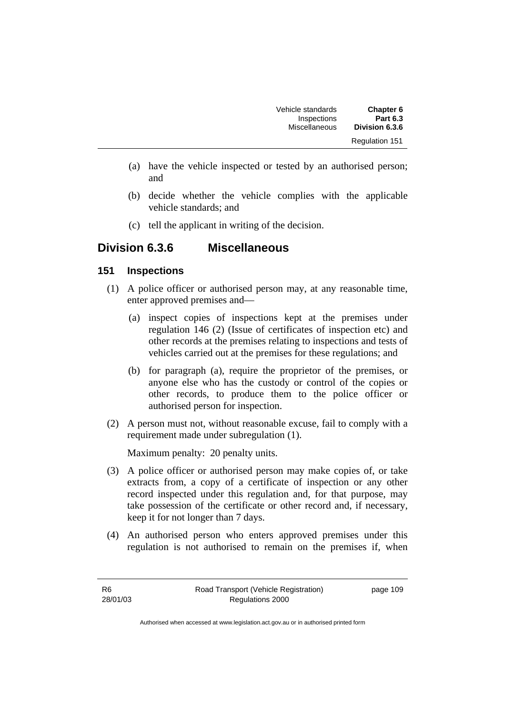| Chapter 6             | Vehicle standards |
|-----------------------|-------------------|
| <b>Part 6.3</b>       | Inspections       |
| Division 6.3.6        | Miscellaneous     |
| <b>Regulation 151</b> |                   |

- (a) have the vehicle inspected or tested by an authorised person; and
- (b) decide whether the vehicle complies with the applicable vehicle standards; and
- (c) tell the applicant in writing of the decision.

## **Division 6.3.6 Miscellaneous**

## **151 Inspections**

- (1) A police officer or authorised person may, at any reasonable time, enter approved premises and—
	- (a) inspect copies of inspections kept at the premises under regulation 146 (2) (Issue of certificates of inspection etc) and other records at the premises relating to inspections and tests of vehicles carried out at the premises for these regulations; and
	- (b) for paragraph (a), require the proprietor of the premises, or anyone else who has the custody or control of the copies or other records, to produce them to the police officer or authorised person for inspection.
- (2) A person must not, without reasonable excuse, fail to comply with a requirement made under subregulation (1).

Maximum penalty: 20 penalty units.

- (3) A police officer or authorised person may make copies of, or take extracts from, a copy of a certificate of inspection or any other record inspected under this regulation and, for that purpose, may take possession of the certificate or other record and, if necessary, keep it for not longer than 7 days.
- (4) An authorised person who enters approved premises under this regulation is not authorised to remain on the premises if, when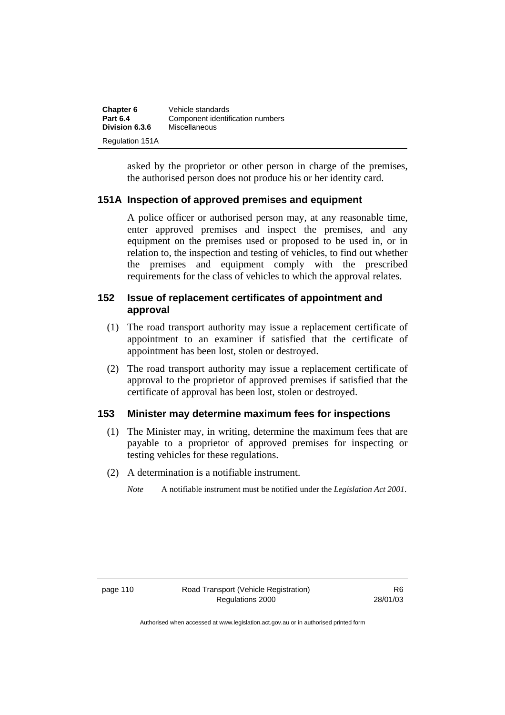| Chapter 6              | Vehicle standards                |
|------------------------|----------------------------------|
| <b>Part 6.4</b>        | Component identification numbers |
| Division 6.3.6         | Miscellaneous                    |
| <b>Regulation 151A</b> |                                  |

asked by the proprietor or other person in charge of the premises, the authorised person does not produce his or her identity card.

## **151A Inspection of approved premises and equipment**

A police officer or authorised person may, at any reasonable time, enter approved premises and inspect the premises, and any equipment on the premises used or proposed to be used in, or in relation to, the inspection and testing of vehicles, to find out whether the premises and equipment comply with the prescribed requirements for the class of vehicles to which the approval relates.

## **152 Issue of replacement certificates of appointment and approval**

- (1) The road transport authority may issue a replacement certificate of appointment to an examiner if satisfied that the certificate of appointment has been lost, stolen or destroyed.
- (2) The road transport authority may issue a replacement certificate of approval to the proprietor of approved premises if satisfied that the certificate of approval has been lost, stolen or destroyed.

## **153 Minister may determine maximum fees for inspections**

- (1) The Minister may, in writing, determine the maximum fees that are payable to a proprietor of approved premises for inspecting or testing vehicles for these regulations.
- (2) A determination is a notifiable instrument.
	- *Note* A notifiable instrument must be notified under the *Legislation Act 2001*.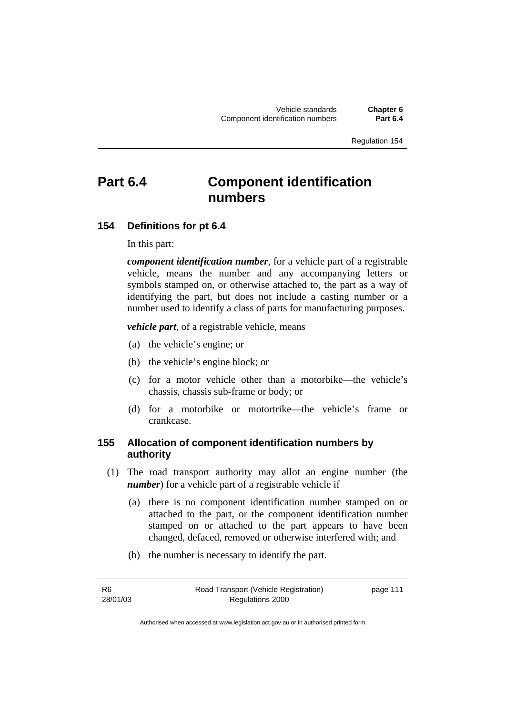# **Part 6.4 Component identification numbers**

## **154 Definitions for pt 6.4**

In this part:

*component identification number*, for a vehicle part of a registrable vehicle, means the number and any accompanying letters or symbols stamped on, or otherwise attached to, the part as a way of identifying the part, but does not include a casting number or a number used to identify a class of parts for manufacturing purposes.

*vehicle part*, of a registrable vehicle, means

- (a) the vehicle's engine; or
- (b) the vehicle's engine block; or
- (c) for a motor vehicle other than a motorbike—the vehicle's chassis, chassis sub-frame or body; or
- (d) for a motorbike or motortrike—the vehicle's frame or crankcase.

## **155 Allocation of component identification numbers by authority**

- (1) The road transport authority may allot an engine number (the *number*) for a vehicle part of a registrable vehicle if-
	- (a) there is no component identification number stamped on or attached to the part, or the component identification number stamped on or attached to the part appears to have been changed, defaced, removed or otherwise interfered with; and
	- (b) the number is necessary to identify the part.

R6 28/01/03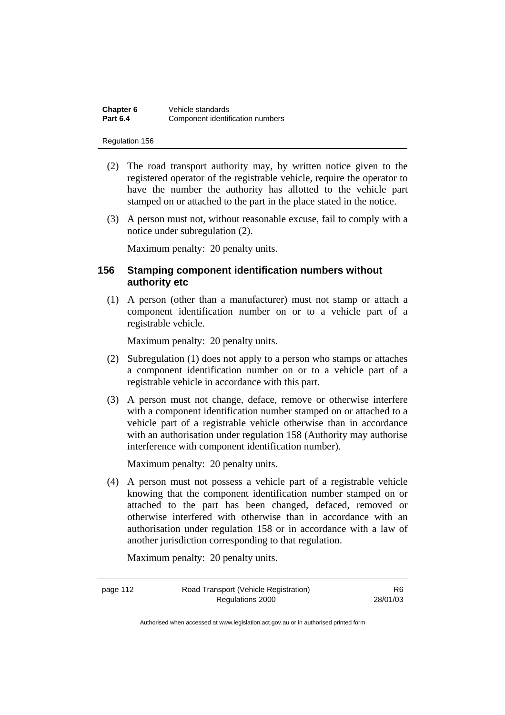| Chapter 6       | Vehicle standards                |
|-----------------|----------------------------------|
| <b>Part 6.4</b> | Component identification numbers |

- (2) The road transport authority may, by written notice given to the registered operator of the registrable vehicle, require the operator to have the number the authority has allotted to the vehicle part stamped on or attached to the part in the place stated in the notice.
- (3) A person must not, without reasonable excuse, fail to comply with a notice under subregulation (2).

Maximum penalty: 20 penalty units.

## **156 Stamping component identification numbers without authority etc**

 (1) A person (other than a manufacturer) must not stamp or attach a component identification number on or to a vehicle part of a registrable vehicle.

Maximum penalty: 20 penalty units.

- (2) Subregulation (1) does not apply to a person who stamps or attaches a component identification number on or to a vehicle part of a registrable vehicle in accordance with this part.
- (3) A person must not change, deface, remove or otherwise interfere with a component identification number stamped on or attached to a vehicle part of a registrable vehicle otherwise than in accordance with an authorisation under regulation 158 (Authority may authorise interference with component identification number).

Maximum penalty: 20 penalty units.

 (4) A person must not possess a vehicle part of a registrable vehicle knowing that the component identification number stamped on or attached to the part has been changed, defaced, removed or otherwise interfered with otherwise than in accordance with an authorisation under regulation 158 or in accordance with a law of another jurisdiction corresponding to that regulation.

Maximum penalty: 20 penalty units.

| page 112 | Road Transport (Vehicle Registration) | R6       |
|----------|---------------------------------------|----------|
|          | Regulations 2000                      | 28/01/03 |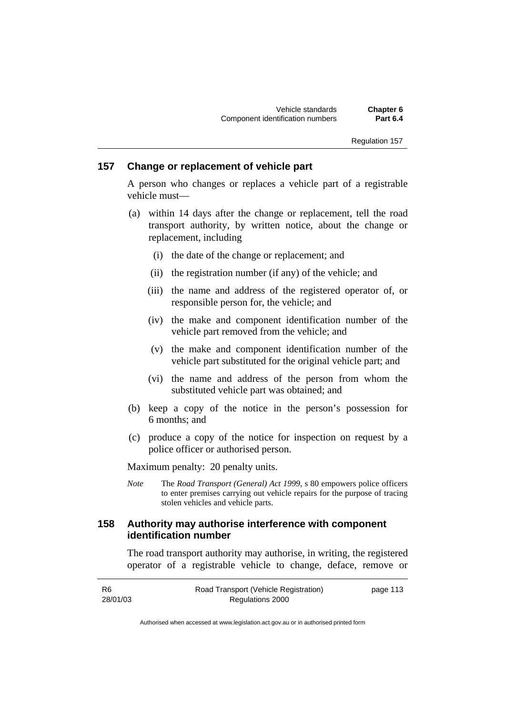## **157 Change or replacement of vehicle part**

A person who changes or replaces a vehicle part of a registrable vehicle must—

- (a) within 14 days after the change or replacement, tell the road transport authority, by written notice, about the change or replacement, including
	- (i) the date of the change or replacement; and
	- (ii) the registration number (if any) of the vehicle; and
	- (iii) the name and address of the registered operator of, or responsible person for, the vehicle; and
	- (iv) the make and component identification number of the vehicle part removed from the vehicle; and
	- (v) the make and component identification number of the vehicle part substituted for the original vehicle part; and
	- (vi) the name and address of the person from whom the substituted vehicle part was obtained; and
- (b) keep a copy of the notice in the person's possession for 6 months; and
- (c) produce a copy of the notice for inspection on request by a police officer or authorised person.

Maximum penalty: 20 penalty units.

*Note* The *Road Transport (General) Act 1999*, s 80 empowers police officers to enter premises carrying out vehicle repairs for the purpose of tracing stolen vehicles and vehicle parts.

## **158 Authority may authorise interference with component identification number**

The road transport authority may authorise, in writing, the registered operator of a registrable vehicle to change, deface, remove or

| -R6      | Road Transport (Vehicle Registration) | page 113 |
|----------|---------------------------------------|----------|
| 28/01/03 | Regulations 2000                      |          |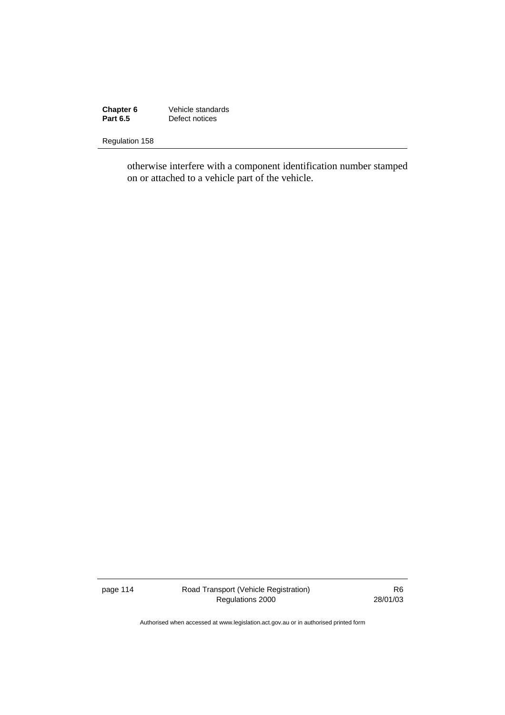**Chapter 6** Vehicle standards<br> **Part 6.5** Defect notices **Part 6.5 Part 6.5 Part 6.5 Part 6.5 Part 6.5 Part 6.5 Part 6.5 Part 6.5 Part 6.5 Part 6.5 Part 6.5 Part 6.5 Part 6.5 Part 6.5 Part 6.5 Part 6.5 Part 6.6 Part 6.6 Part 6.6 Part 6.6 Part 6.6 Part 6.6 Part 6.6 Part 6.6 Part** 

Regulation 158

otherwise interfere with a component identification number stamped on or attached to a vehicle part of the vehicle.

page 114 Road Transport (Vehicle Registration) Regulations 2000

R6 28/01/03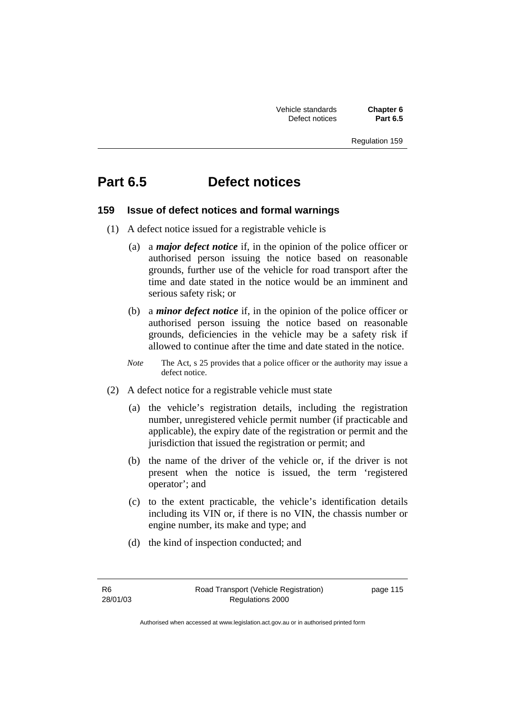Vehicle standards **Chapter 6**  Defect notices

Regulation 159

# **Part 6.5 Defect notices**

## **159 Issue of defect notices and formal warnings**

- (1) A defect notice issued for a registrable vehicle is
	- (a) a *major defect notice* if, in the opinion of the police officer or authorised person issuing the notice based on reasonable grounds, further use of the vehicle for road transport after the time and date stated in the notice would be an imminent and serious safety risk; or
	- (b) a *minor defect notice* if, in the opinion of the police officer or authorised person issuing the notice based on reasonable grounds, deficiencies in the vehicle may be a safety risk if allowed to continue after the time and date stated in the notice.
	- *Note* The Act, s 25 provides that a police officer or the authority may issue a defect notice.
- (2) A defect notice for a registrable vehicle must state
	- (a) the vehicle's registration details, including the registration number, unregistered vehicle permit number (if practicable and applicable), the expiry date of the registration or permit and the jurisdiction that issued the registration or permit; and
	- (b) the name of the driver of the vehicle or, if the driver is not present when the notice is issued, the term 'registered operator'; and
	- (c) to the extent practicable, the vehicle's identification details including its VIN or, if there is no VIN, the chassis number or engine number, its make and type; and
	- (d) the kind of inspection conducted; and

R6 28/01/03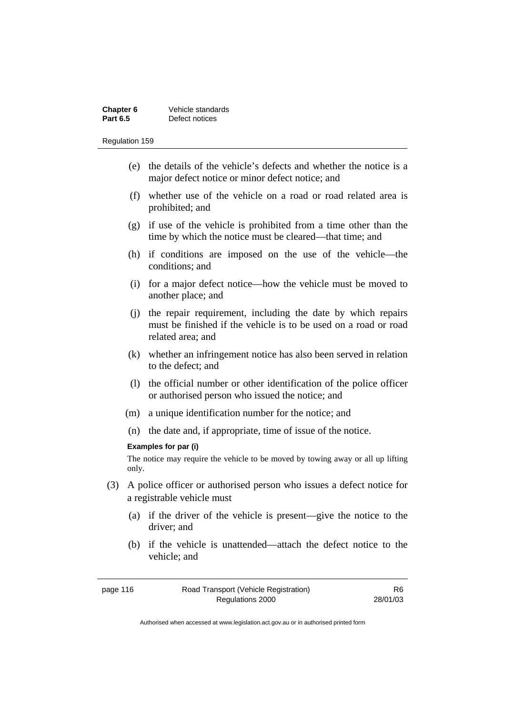| Chapter 6       | Vehicle standards |
|-----------------|-------------------|
| <b>Part 6.5</b> | Defect notices    |

- (e) the details of the vehicle's defects and whether the notice is a major defect notice or minor defect notice; and
- (f) whether use of the vehicle on a road or road related area is prohibited; and
- (g) if use of the vehicle is prohibited from a time other than the time by which the notice must be cleared—that time; and
- (h) if conditions are imposed on the use of the vehicle—the conditions; and
- (i) for a major defect notice—how the vehicle must be moved to another place; and
- (j) the repair requirement, including the date by which repairs must be finished if the vehicle is to be used on a road or road related area; and
- (k) whether an infringement notice has also been served in relation to the defect; and
- (l) the official number or other identification of the police officer or authorised person who issued the notice; and
- (m) a unique identification number for the notice; and
- (n) the date and, if appropriate, time of issue of the notice.

### **Examples for par (i)**

The notice may require the vehicle to be moved by towing away or all up lifting only.

- (3) A police officer or authorised person who issues a defect notice for a registrable vehicle must
	- (a) if the driver of the vehicle is present—give the notice to the driver; and
	- (b) if the vehicle is unattended—attach the defect notice to the vehicle; and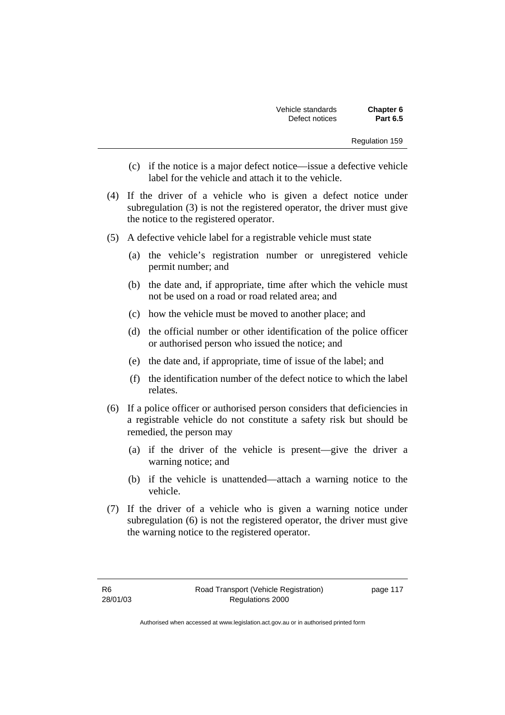| Vehicle standards | Chapter 6       |
|-------------------|-----------------|
| Defect notices    | <b>Part 6.5</b> |

- (c) if the notice is a major defect notice—issue a defective vehicle label for the vehicle and attach it to the vehicle.
- (4) If the driver of a vehicle who is given a defect notice under subregulation (3) is not the registered operator, the driver must give the notice to the registered operator.
- (5) A defective vehicle label for a registrable vehicle must state
	- (a) the vehicle's registration number or unregistered vehicle permit number; and
	- (b) the date and, if appropriate, time after which the vehicle must not be used on a road or road related area; and
	- (c) how the vehicle must be moved to another place; and
	- (d) the official number or other identification of the police officer or authorised person who issued the notice; and
	- (e) the date and, if appropriate, time of issue of the label; and
	- (f) the identification number of the defect notice to which the label relates.
- (6) If a police officer or authorised person considers that deficiencies in a registrable vehicle do not constitute a safety risk but should be remedied, the person may
	- (a) if the driver of the vehicle is present—give the driver a warning notice; and
	- (b) if the vehicle is unattended—attach a warning notice to the vehicle.
- (7) If the driver of a vehicle who is given a warning notice under subregulation (6) is not the registered operator, the driver must give the warning notice to the registered operator.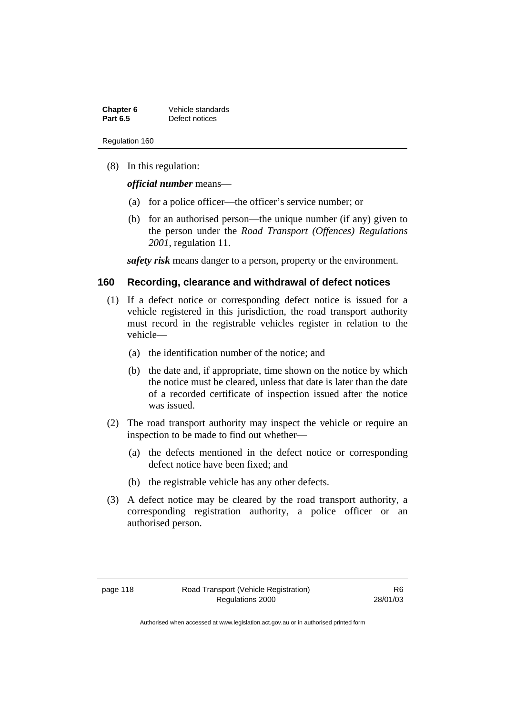| Chapter 6       | Vehicle standards |
|-----------------|-------------------|
| <b>Part 6.5</b> | Defect notices    |

(8) In this regulation:

*official number* means—

- (a) for a police officer—the officer's service number; or
- (b) for an authorised person—the unique number (if any) given to the person under the *Road Transport (Offences) Regulations 2001*, regulation 11.

*safety risk* means danger to a person, property or the environment.

### **160 Recording, clearance and withdrawal of defect notices**

- (1) If a defect notice or corresponding defect notice is issued for a vehicle registered in this jurisdiction, the road transport authority must record in the registrable vehicles register in relation to the vehicle—
	- (a) the identification number of the notice; and
	- (b) the date and, if appropriate, time shown on the notice by which the notice must be cleared, unless that date is later than the date of a recorded certificate of inspection issued after the notice was issued.
- (2) The road transport authority may inspect the vehicle or require an inspection to be made to find out whether—
	- (a) the defects mentioned in the defect notice or corresponding defect notice have been fixed; and
	- (b) the registrable vehicle has any other defects.
- (3) A defect notice may be cleared by the road transport authority, a corresponding registration authority, a police officer or an authorised person.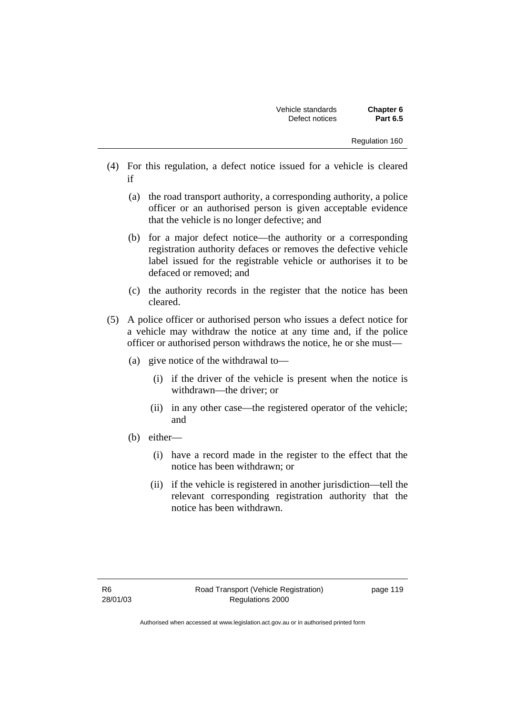- (4) For this regulation, a defect notice issued for a vehicle is cleared if
	- (a) the road transport authority, a corresponding authority, a police officer or an authorised person is given acceptable evidence that the vehicle is no longer defective; and
	- (b) for a major defect notice—the authority or a corresponding registration authority defaces or removes the defective vehicle label issued for the registrable vehicle or authorises it to be defaced or removed; and
	- (c) the authority records in the register that the notice has been cleared.
- (5) A police officer or authorised person who issues a defect notice for a vehicle may withdraw the notice at any time and, if the police officer or authorised person withdraws the notice, he or she must—
	- (a) give notice of the withdrawal to—
		- (i) if the driver of the vehicle is present when the notice is withdrawn—the driver; or
		- (ii) in any other case—the registered operator of the vehicle; and
	- (b) either—
		- (i) have a record made in the register to the effect that the notice has been withdrawn; or
		- (ii) if the vehicle is registered in another jurisdiction—tell the relevant corresponding registration authority that the notice has been withdrawn.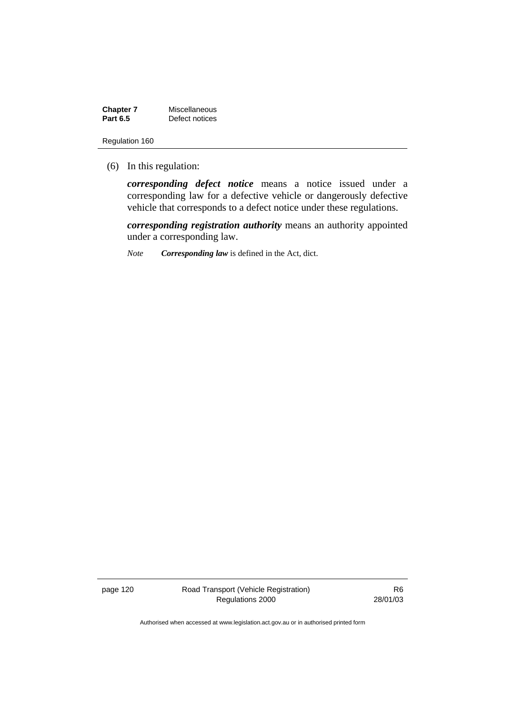**Chapter 7** Miscellaneous<br>**Part 6.5** Defect notices **Defect notices** 

Regulation 160

(6) In this regulation:

*corresponding defect notice* means a notice issued under a corresponding law for a defective vehicle or dangerously defective vehicle that corresponds to a defect notice under these regulations.

*corresponding registration authority* means an authority appointed under a corresponding law.

*Note Corresponding law* is defined in the Act, dict.

page 120 Road Transport (Vehicle Registration) Regulations 2000

R6 28/01/03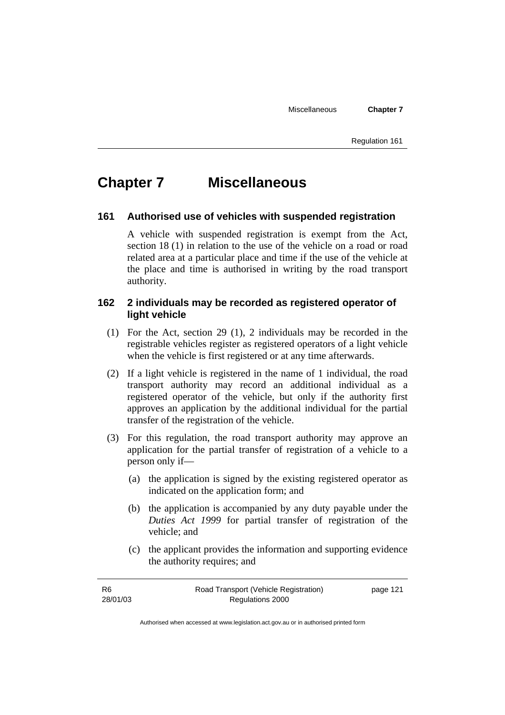Miscellaneous **Chapter 7** 

Regulation 161

# **Chapter 7 Miscellaneous**

### **161 Authorised use of vehicles with suspended registration**

A vehicle with suspended registration is exempt from the Act, section 18 (1) in relation to the use of the vehicle on a road or road related area at a particular place and time if the use of the vehicle at the place and time is authorised in writing by the road transport authority.

## **162 2 individuals may be recorded as registered operator of light vehicle**

- (1) For the Act, section 29 (1), 2 individuals may be recorded in the registrable vehicles register as registered operators of a light vehicle when the vehicle is first registered or at any time afterwards.
- (2) If a light vehicle is registered in the name of 1 individual, the road transport authority may record an additional individual as a registered operator of the vehicle, but only if the authority first approves an application by the additional individual for the partial transfer of the registration of the vehicle.
- (3) For this regulation, the road transport authority may approve an application for the partial transfer of registration of a vehicle to a person only if—
	- (a) the application is signed by the existing registered operator as indicated on the application form; and
	- (b) the application is accompanied by any duty payable under the *Duties Act 1999* for partial transfer of registration of the vehicle; and
	- (c) the applicant provides the information and supporting evidence the authority requires; and

| -R6      | Road Transport (Vehicle Registration) | page 121 |
|----------|---------------------------------------|----------|
| 28/01/03 | Regulations 2000                      |          |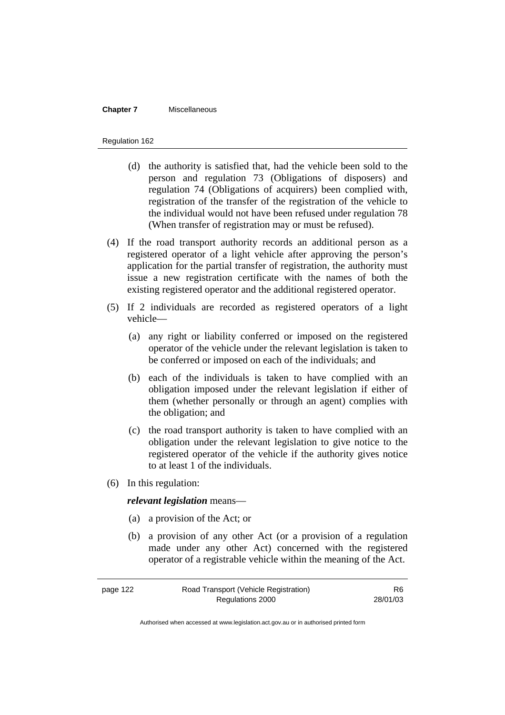### **Chapter 7** Miscellaneous

### Regulation 162

- (d) the authority is satisfied that, had the vehicle been sold to the person and regulation 73 (Obligations of disposers) and regulation 74 (Obligations of acquirers) been complied with, registration of the transfer of the registration of the vehicle to the individual would not have been refused under regulation 78 (When transfer of registration may or must be refused).
- (4) If the road transport authority records an additional person as a registered operator of a light vehicle after approving the person's application for the partial transfer of registration, the authority must issue a new registration certificate with the names of both the existing registered operator and the additional registered operator.
- (5) If 2 individuals are recorded as registered operators of a light vehicle—
	- (a) any right or liability conferred or imposed on the registered operator of the vehicle under the relevant legislation is taken to be conferred or imposed on each of the individuals; and
	- (b) each of the individuals is taken to have complied with an obligation imposed under the relevant legislation if either of them (whether personally or through an agent) complies with the obligation; and
	- (c) the road transport authority is taken to have complied with an obligation under the relevant legislation to give notice to the registered operator of the vehicle if the authority gives notice to at least 1 of the individuals.
- (6) In this regulation:

## *relevant legislation* means—

- (a) a provision of the Act; or
- (b) a provision of any other Act (or a provision of a regulation made under any other Act) concerned with the registered operator of a registrable vehicle within the meaning of the Act.

| page 122 | Road Transport (Vehicle Registration) | R6.      |
|----------|---------------------------------------|----------|
|          | Regulations 2000                      | 28/01/03 |

Authorised when accessed at www.legislation.act.gov.au or in authorised printed form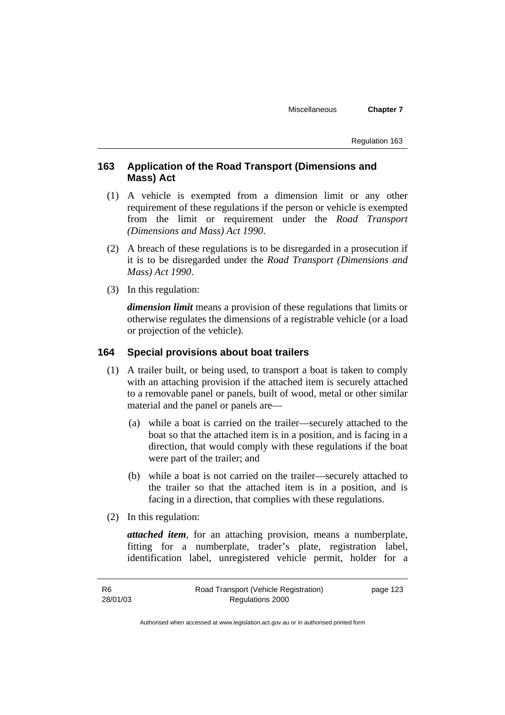Miscellaneous **Chapter 7** 

Regulation 163

## **163 Application of the Road Transport (Dimensions and Mass) Act**

- (1) A vehicle is exempted from a dimension limit or any other requirement of these regulations if the person or vehicle is exempted from the limit or requirement under the *Road Transport (Dimensions and Mass) Act 1990*.
- (2) A breach of these regulations is to be disregarded in a prosecution if it is to be disregarded under the *Road Transport (Dimensions and Mass) Act 1990*.
- (3) In this regulation:

*dimension limit* means a provision of these regulations that limits or otherwise regulates the dimensions of a registrable vehicle (or a load or projection of the vehicle).

## **164 Special provisions about boat trailers**

- (1) A trailer built, or being used, to transport a boat is taken to comply with an attaching provision if the attached item is securely attached to a removable panel or panels, built of wood, metal or other similar material and the panel or panels are—
	- (a) while a boat is carried on the trailer—securely attached to the boat so that the attached item is in a position, and is facing in a direction, that would comply with these regulations if the boat were part of the trailer; and
	- (b) while a boat is not carried on the trailer—securely attached to the trailer so that the attached item is in a position, and is facing in a direction, that complies with these regulations.
- (2) In this regulation:

*attached item*, for an attaching provision, means a numberplate, fitting for a numberplate, trader's plate, registration label, identification label, unregistered vehicle permit, holder for a

R6 28/01/03 Road Transport (Vehicle Registration) Regulations 2000 page 123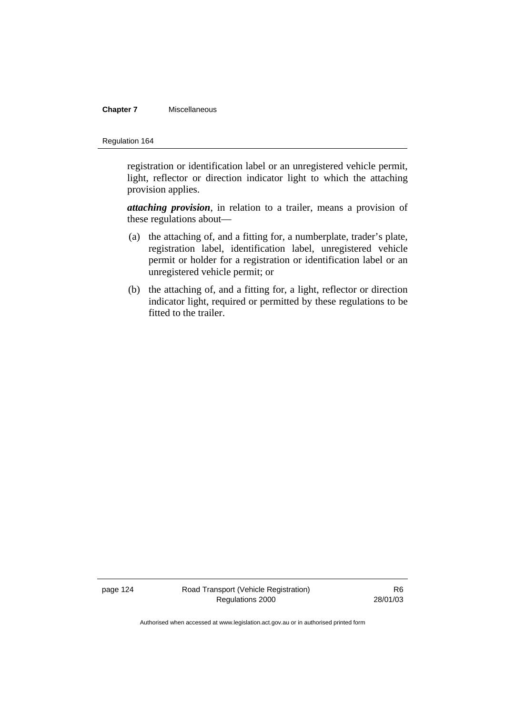### **Chapter 7** Miscellaneous

### Regulation 164

registration or identification label or an unregistered vehicle permit, light, reflector or direction indicator light to which the attaching provision applies.

*attaching provision*, in relation to a trailer, means a provision of these regulations about—

- (a) the attaching of, and a fitting for, a numberplate, trader's plate, registration label, identification label, unregistered vehicle permit or holder for a registration or identification label or an unregistered vehicle permit; or
- (b) the attaching of, and a fitting for, a light, reflector or direction indicator light, required or permitted by these regulations to be fitted to the trailer.

page 124 Road Transport (Vehicle Registration) Regulations 2000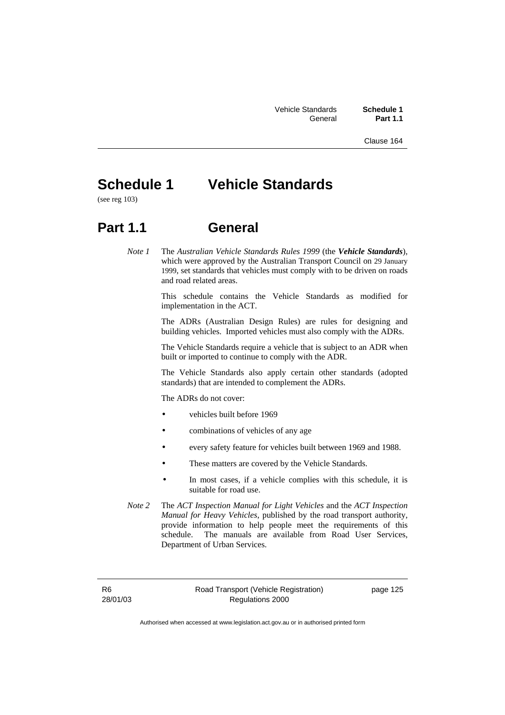Clause 164

# **Schedule 1 Vehicle Standards**

(see reg 103)

## **Part 1.1 General**

*Note 1* The *Australian Vehicle Standards Rules 1999* (the *Vehicle Standards*), which were approved by the Australian Transport Council on 29 January 1999, set standards that vehicles must comply with to be driven on roads and road related areas.

> This schedule contains the Vehicle Standards as modified for implementation in the ACT.

> The ADRs (Australian Design Rules) are rules for designing and building vehicles. Imported vehicles must also comply with the ADRs.

> The Vehicle Standards require a vehicle that is subject to an ADR when built or imported to continue to comply with the ADR.

> The Vehicle Standards also apply certain other standards (adopted standards) that are intended to complement the ADRs.

The ADRs do not cover:

- vehicles built before 1969
- combinations of vehicles of any age
- every safety feature for vehicles built between 1969 and 1988.
- These matters are covered by the Vehicle Standards.
- In most cases, if a vehicle complies with this schedule, it is suitable for road use.
- *Note 2* The *ACT Inspection Manual for Light Vehicles* and the *ACT Inspection Manual for Heavy Vehicles*, published by the road transport authority, provide information to help people meet the requirements of this schedule. The manuals are available from Road User Services, Department of Urban Services.

R6 28/01/03 Road Transport (Vehicle Registration) Regulations 2000

page 125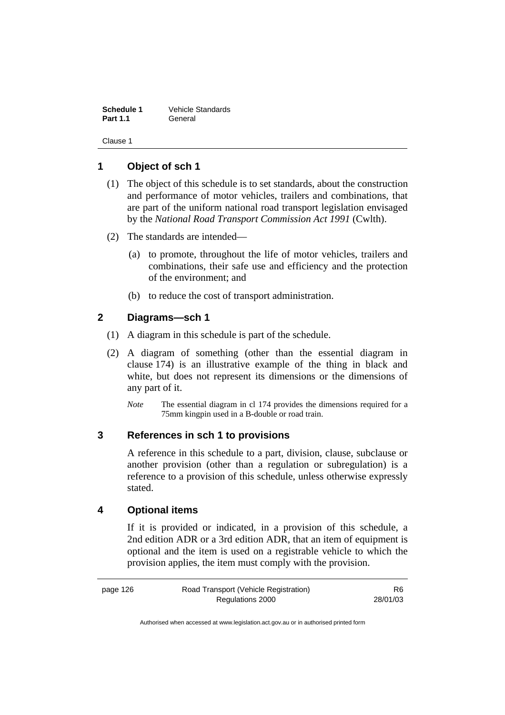**Schedule 1** Vehicle Standards **Part 1.1** General

Clause 1

## **1 Object of sch 1**

- (1) The object of this schedule is to set standards, about the construction and performance of motor vehicles, trailers and combinations, that are part of the uniform national road transport legislation envisaged by the *National Road Transport Commission Act 1991* (Cwlth).
- (2) The standards are intended—
	- (a) to promote, throughout the life of motor vehicles, trailers and combinations, their safe use and efficiency and the protection of the environment; and
	- (b) to reduce the cost of transport administration.

## **2 Diagrams—sch 1**

- (1) A diagram in this schedule is part of the schedule.
- (2) A diagram of something (other than the essential diagram in clause 174) is an illustrative example of the thing in black and white, but does not represent its dimensions or the dimensions of any part of it.
	- *Note* The essential diagram in cl 174 provides the dimensions required for a 75mm kingpin used in a B-double or road train.

## **3 References in sch 1 to provisions**

A reference in this schedule to a part, division, clause, subclause or another provision (other than a regulation or subregulation) is a reference to a provision of this schedule, unless otherwise expressly stated.

## **4 Optional items**

If it is provided or indicated, in a provision of this schedule, a 2nd edition ADR or a 3rd edition ADR, that an item of equipment is optional and the item is used on a registrable vehicle to which the provision applies, the item must comply with the provision.

| page 126 | Road Transport (Vehicle Registration) | R6       |
|----------|---------------------------------------|----------|
|          | Regulations 2000                      | 28/01/03 |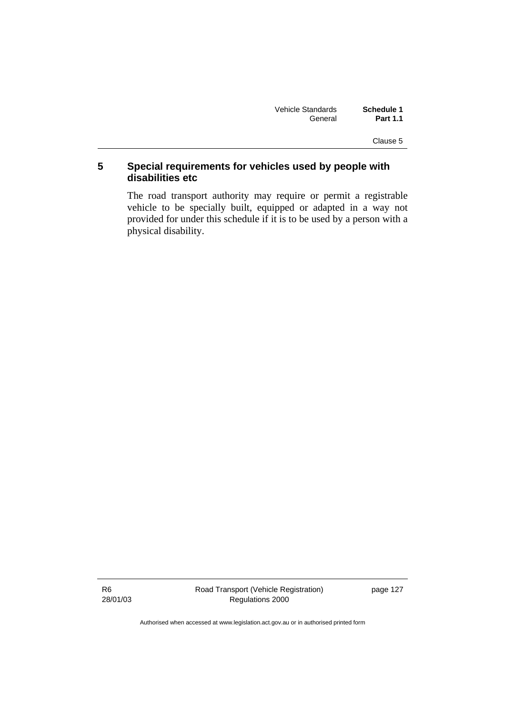| Vehicle Standards | Schedule 1      |
|-------------------|-----------------|
| General           | <b>Part 1.1</b> |

Clause 5

## **5 Special requirements for vehicles used by people with disabilities etc**

The road transport authority may require or permit a registrable vehicle to be specially built, equipped or adapted in a way not provided for under this schedule if it is to be used by a person with a physical disability.

R6 28/01/03 page 127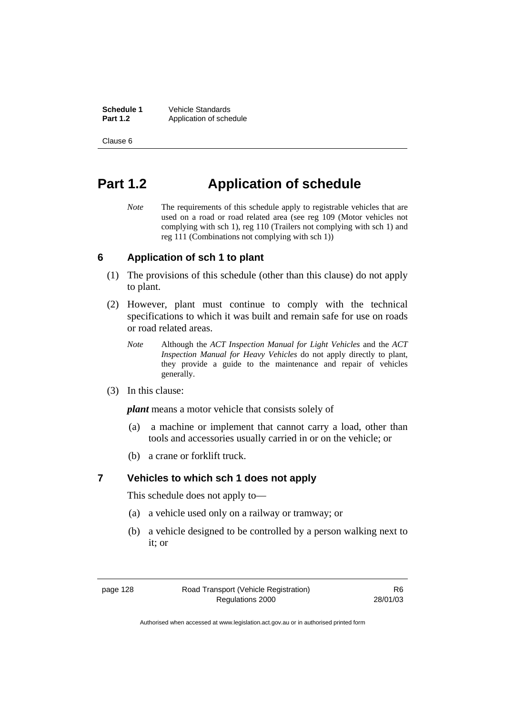**Schedule 1** Vehicle Standards<br> **Part 1.2** Application of sche Application of schedule

Clause 6

## **Part 1.2 Application of schedule**

*Note* The requirements of this schedule apply to registrable vehicles that are used on a road or road related area (see reg 109 (Motor vehicles not complying with sch 1), reg 110 (Trailers not complying with sch 1) and reg 111 (Combinations not complying with sch 1))

#### **6 Application of sch 1 to plant**

- (1) The provisions of this schedule (other than this clause) do not apply to plant.
- (2) However, plant must continue to comply with the technical specifications to which it was built and remain safe for use on roads or road related areas.
	- *Note* Although the *ACT Inspection Manual for Light Vehicles* and the *ACT Inspection Manual for Heavy Vehicles* do not apply directly to plant, they provide a guide to the maintenance and repair of vehicles generally.
- (3) In this clause:

*plant* means a motor vehicle that consists solely of—

- (a) a machine or implement that cannot carry a load, other than tools and accessories usually carried in or on the vehicle; or
- (b) a crane or forklift truck.

## **7 Vehicles to which sch 1 does not apply**

This schedule does not apply to—

- (a) a vehicle used only on a railway or tramway; or
- (b) a vehicle designed to be controlled by a person walking next to it; or

page 128 Road Transport (Vehicle Registration) Regulations 2000

R6 28/01/03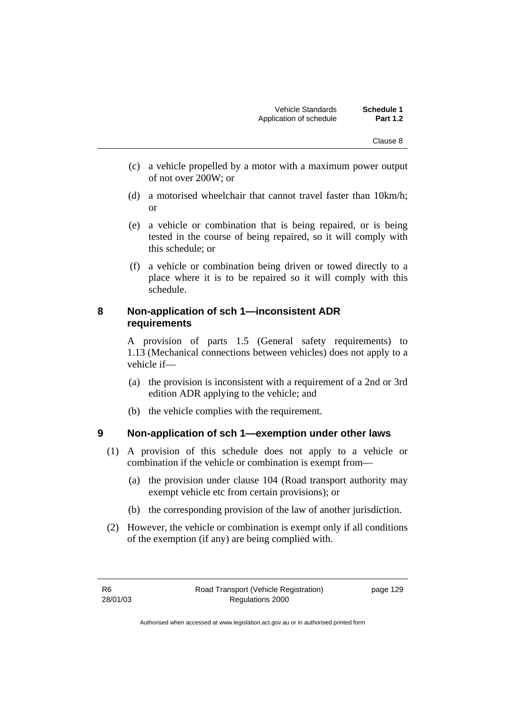- (c) a vehicle propelled by a motor with a maximum power output of not over 200W; or
- (d) a motorised wheelchair that cannot travel faster than 10km/h; or
- (e) a vehicle or combination that is being repaired, or is being tested in the course of being repaired, so it will comply with this schedule; or
- (f) a vehicle or combination being driven or towed directly to a place where it is to be repaired so it will comply with this schedule.

## **8 Non-application of sch 1—inconsistent ADR requirements**

A provision of parts 1.5 (General safety requirements) to 1.13 (Mechanical connections between vehicles) does not apply to a vehicle if—

- (a) the provision is inconsistent with a requirement of a 2nd or 3rd edition ADR applying to the vehicle; and
- (b) the vehicle complies with the requirement.

## **9 Non-application of sch 1—exemption under other laws**

- (1) A provision of this schedule does not apply to a vehicle or combination if the vehicle or combination is exempt from—
	- (a) the provision under clause 104 (Road transport authority may exempt vehicle etc from certain provisions); or
	- (b) the corresponding provision of the law of another jurisdiction.
- (2) However, the vehicle or combination is exempt only if all conditions of the exemption (if any) are being complied with.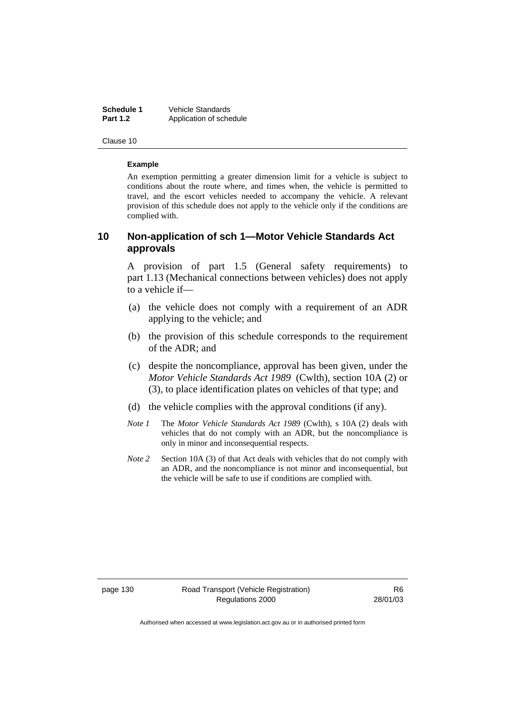**Schedule 1** Vehicle Standards<br> **Part 1.2** Application of sche Application of schedule

Clause 10

#### **Example**

An exemption permitting a greater dimension limit for a vehicle is subject to conditions about the route where, and times when, the vehicle is permitted to travel, and the escort vehicles needed to accompany the vehicle. A relevant provision of this schedule does not apply to the vehicle only if the conditions are complied with.

## **10 Non-application of sch 1—Motor Vehicle Standards Act approvals**

A provision of part 1.5 (General safety requirements) to part 1.13 (Mechanical connections between vehicles) does not apply to a vehicle if—

- (a) the vehicle does not comply with a requirement of an ADR applying to the vehicle; and
- (b) the provision of this schedule corresponds to the requirement of the ADR; and
- (c) despite the noncompliance, approval has been given, under the *Motor Vehicle Standards Act 1989* (Cwlth), section 10A (2) or (3), to place identification plates on vehicles of that type; and
- (d) the vehicle complies with the approval conditions (if any).
- *Note 1* The *Motor Vehicle Standards Act 1989* (Cwlth), s 10A (2) deals with vehicles that do not comply with an ADR, but the noncompliance is only in minor and inconsequential respects.
- *Note 2* Section 10A (3) of that Act deals with vehicles that do not comply with an ADR, and the noncompliance is not minor and inconsequential, but the vehicle will be safe to use if conditions are complied with.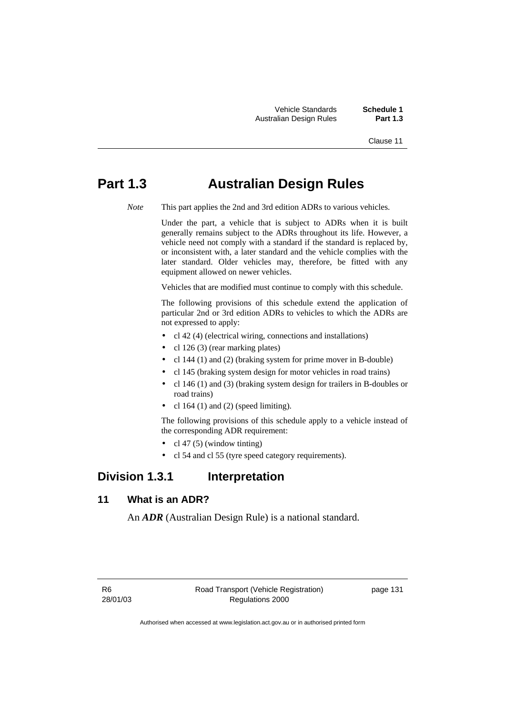Vehicle Standards **Schedule 1 Australian Design Rules** 

Clause 11

## **Part 1.3 Australian Design Rules**

*Note* This part applies the 2nd and 3rd edition ADRs to various vehicles.

 Under the part, a vehicle that is subject to ADRs when it is built generally remains subject to the ADRs throughout its life. However, a vehicle need not comply with a standard if the standard is replaced by, or inconsistent with, a later standard and the vehicle complies with the later standard. Older vehicles may, therefore, be fitted with any equipment allowed on newer vehicles.

Vehicles that are modified must continue to comply with this schedule.

 The following provisions of this schedule extend the application of particular 2nd or 3rd edition ADRs to vehicles to which the ADRs are not expressed to apply:

- cl 42 (4) (electrical wiring, connections and installations)
- cl 126 (3) (rear marking plates)
- cl 144 (1) and (2) (braking system for prime mover in B-double)
- cl 145 (braking system design for motor vehicles in road trains)
- cl 146 (1) and (3) (braking system design for trailers in B-doubles or road trains)
- cl 164 $(1)$  and  $(2)$  (speed limiting).

 The following provisions of this schedule apply to a vehicle instead of the corresponding ADR requirement:

- cl 47 (5) (window tinting)
- cl 54 and cl 55 (tyre speed category requirements).

## **Division 1.3.1 Interpretation**

## **11 What is an ADR?**

An *ADR* (Australian Design Rule) is a national standard.

R6 28/01/03 page 131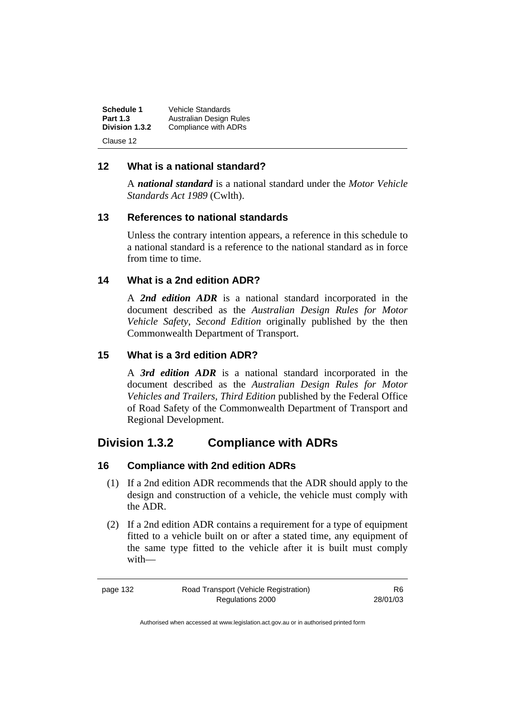| Schedule 1      | Vehicle Standards       |
|-----------------|-------------------------|
| <b>Part 1.3</b> | Australian Design Rules |
| Division 1.3.2  | Compliance with ADRs    |
| Clause 12       |                         |

## **12 What is a national standard?**

A *national standard* is a national standard under the *Motor Vehicle Standards Act 1989* (Cwlth).

## **13 References to national standards**

Unless the contrary intention appears, a reference in this schedule to a national standard is a reference to the national standard as in force from time to time.

## **14 What is a 2nd edition ADR?**

A *2nd edition ADR* is a national standard incorporated in the document described as the *Australian Design Rules for Motor Vehicle Safety, Second Edition* originally published by the then Commonwealth Department of Transport.

## **15 What is a 3rd edition ADR?**

A *3rd edition ADR* is a national standard incorporated in the document described as the *Australian Design Rules for Motor Vehicles and Trailers, Third Edition* published by the Federal Office of Road Safety of the Commonwealth Department of Transport and Regional Development.

## **Division 1.3.2 Compliance with ADRs**

## **16 Compliance with 2nd edition ADRs**

- (1) If a 2nd edition ADR recommends that the ADR should apply to the design and construction of a vehicle, the vehicle must comply with the ADR.
- (2) If a 2nd edition ADR contains a requirement for a type of equipment fitted to a vehicle built on or after a stated time, any equipment of the same type fitted to the vehicle after it is built must comply with—

R6 28/01/03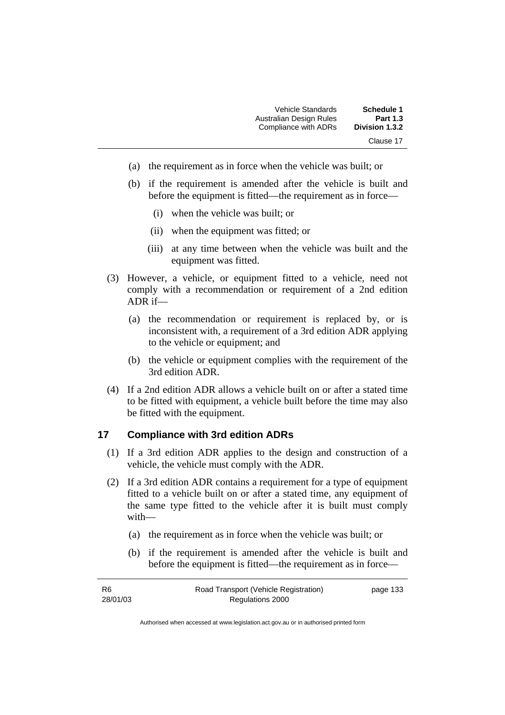| <b>Schedule 1</b> | Vehicle Standards       |
|-------------------|-------------------------|
| <b>Part 1.3</b>   | Australian Design Rules |
| Division 1.3.2    | Compliance with ADRs    |
| Clause 17         |                         |

- (a) the requirement as in force when the vehicle was built; or
- (b) if the requirement is amended after the vehicle is built and before the equipment is fitted—the requirement as in force—
	- (i) when the vehicle was built; or
	- (ii) when the equipment was fitted; or
	- (iii) at any time between when the vehicle was built and the equipment was fitted.
- (3) However, a vehicle, or equipment fitted to a vehicle, need not comply with a recommendation or requirement of a 2nd edition ADR if—
	- (a) the recommendation or requirement is replaced by, or is inconsistent with, a requirement of a 3rd edition ADR applying to the vehicle or equipment; and
	- (b) the vehicle or equipment complies with the requirement of the 3rd edition ADR.
- (4) If a 2nd edition ADR allows a vehicle built on or after a stated time to be fitted with equipment, a vehicle built before the time may also be fitted with the equipment.

## **17 Compliance with 3rd edition ADRs**

- (1) If a 3rd edition ADR applies to the design and construction of a vehicle, the vehicle must comply with the ADR.
- (2) If a 3rd edition ADR contains a requirement for a type of equipment fitted to a vehicle built on or after a stated time, any equipment of the same type fitted to the vehicle after it is built must comply with—
	- (a) the requirement as in force when the vehicle was built; or
	- (b) if the requirement is amended after the vehicle is built and before the equipment is fitted—the requirement as in force—

| R6       | Road Transport (Vehicle Registration) | page 133 |
|----------|---------------------------------------|----------|
| 28/01/03 | Regulations 2000                      |          |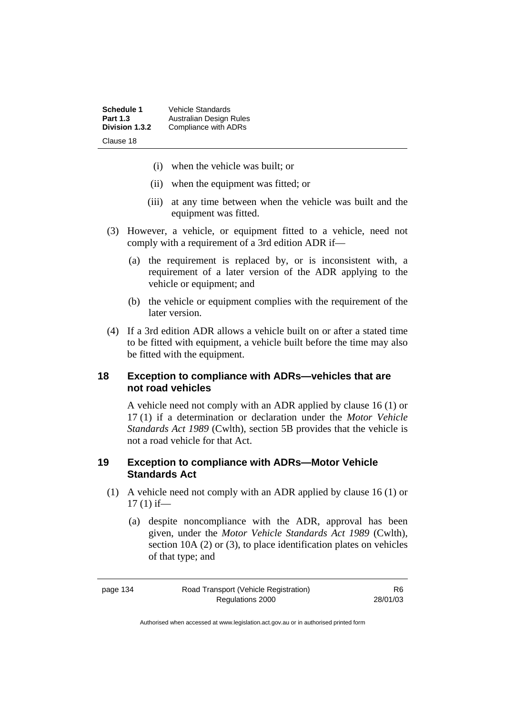| Schedule 1      | Vehicle Standards       |
|-----------------|-------------------------|
| <b>Part 1.3</b> | Australian Design Rules |
| Division 1.3.2  | Compliance with ADRs    |
| Clause 18       |                         |

- (i) when the vehicle was built; or
- (ii) when the equipment was fitted; or
- (iii) at any time between when the vehicle was built and the equipment was fitted.
- (3) However, a vehicle, or equipment fitted to a vehicle, need not comply with a requirement of a 3rd edition ADR if—
	- (a) the requirement is replaced by, or is inconsistent with, a requirement of a later version of the ADR applying to the vehicle or equipment; and
	- (b) the vehicle or equipment complies with the requirement of the later version.
- (4) If a 3rd edition ADR allows a vehicle built on or after a stated time to be fitted with equipment, a vehicle built before the time may also be fitted with the equipment.

## **18 Exception to compliance with ADRs—vehicles that are not road vehicles**

A vehicle need not comply with an ADR applied by clause 16 (1) or 17 (1) if a determination or declaration under the *Motor Vehicle Standards Act 1989* (Cwlth), section 5B provides that the vehicle is not a road vehicle for that Act.

## **19 Exception to compliance with ADRs—Motor Vehicle Standards Act**

- (1) A vehicle need not comply with an ADR applied by clause 16 (1) or  $17(1)$  if—
	- (a) despite noncompliance with the ADR, approval has been given, under the *Motor Vehicle Standards Act 1989* (Cwlth), section 10A (2) or (3), to place identification plates on vehicles of that type; and

R6 28/01/03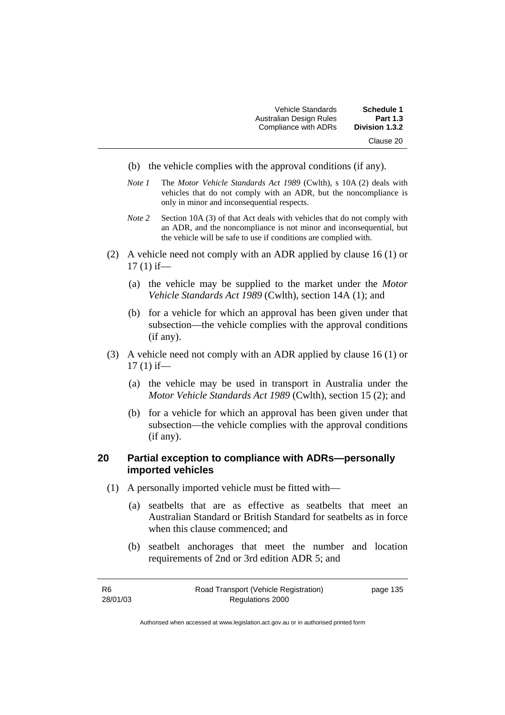| <b>Schedule 1</b> | <b>Vehicle Standards</b> |
|-------------------|--------------------------|
| <b>Part 1.3</b>   | Australian Design Rules  |
| Division 1.3.2    | Compliance with ADRs     |
| Clause 20         |                          |

- (b) the vehicle complies with the approval conditions (if any).
- *Note 1* The *Motor Vehicle Standards Act 1989* (Cwlth), s 10A (2) deals with vehicles that do not comply with an ADR, but the noncompliance is only in minor and inconsequential respects.
- *Note 2* Section 10A (3) of that Act deals with vehicles that do not comply with an ADR, and the noncompliance is not minor and inconsequential, but the vehicle will be safe to use if conditions are complied with.
- (2) A vehicle need not comply with an ADR applied by clause 16 (1) or  $17(1)$  if—
	- (a) the vehicle may be supplied to the market under the *Motor Vehicle Standards Act 1989* (Cwlth), section 14A (1); and
	- (b) for a vehicle for which an approval has been given under that subsection—the vehicle complies with the approval conditions (if any).
- (3) A vehicle need not comply with an ADR applied by clause 16 (1) or  $17(1)$  if—
	- (a) the vehicle may be used in transport in Australia under the *Motor Vehicle Standards Act 1989* (Cwlth), section 15 (2); and
	- (b) for a vehicle for which an approval has been given under that subsection—the vehicle complies with the approval conditions (if any).

## **20 Partial exception to compliance with ADRs—personally imported vehicles**

- (1) A personally imported vehicle must be fitted with—
	- (a) seatbelts that are as effective as seatbelts that meet an Australian Standard or British Standard for seatbelts as in force when this clause commenced; and
	- (b) seatbelt anchorages that meet the number and location requirements of 2nd or 3rd edition ADR 5; and

| -R6      | Road Transport (Vehicle Registration) | page 135 |
|----------|---------------------------------------|----------|
| 28/01/03 | Regulations 2000                      |          |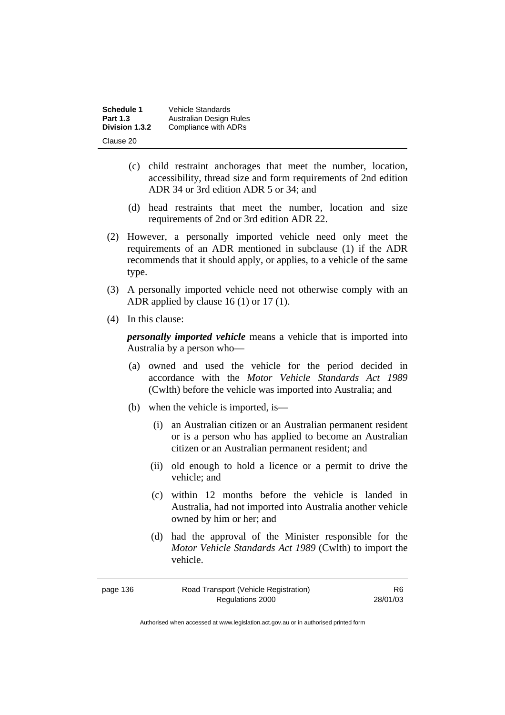| Schedule 1      | Vehicle Standards       |
|-----------------|-------------------------|
| <b>Part 1.3</b> | Australian Design Rules |
| Division 1.3.2  | Compliance with ADRs    |
| Clause 20       |                         |

- (c) child restraint anchorages that meet the number, location, accessibility, thread size and form requirements of 2nd edition ADR 34 or 3rd edition ADR 5 or 34; and
- (d) head restraints that meet the number, location and size requirements of 2nd or 3rd edition ADR 22.
- (2) However, a personally imported vehicle need only meet the requirements of an ADR mentioned in subclause (1) if the ADR recommends that it should apply, or applies, to a vehicle of the same type.
- (3) A personally imported vehicle need not otherwise comply with an ADR applied by clause 16 (1) or 17 (1).
- (4) In this clause:

*personally imported vehicle* means a vehicle that is imported into Australia by a person who—

- (a) owned and used the vehicle for the period decided in accordance with the *Motor Vehicle Standards Act 1989*  (Cwlth) before the vehicle was imported into Australia; and
- (b) when the vehicle is imported, is—
	- (i) an Australian citizen or an Australian permanent resident or is a person who has applied to become an Australian citizen or an Australian permanent resident; and
	- (ii) old enough to hold a licence or a permit to drive the vehicle; and
	- (c) within 12 months before the vehicle is landed in Australia, had not imported into Australia another vehicle owned by him or her; and
	- (d) had the approval of the Minister responsible for the *Motor Vehicle Standards Act 1989* (Cwlth) to import the vehicle.

| page 136 | Road Transport (Vehicle Registration) | R6.      |
|----------|---------------------------------------|----------|
|          | Regulations 2000                      | 28/01/03 |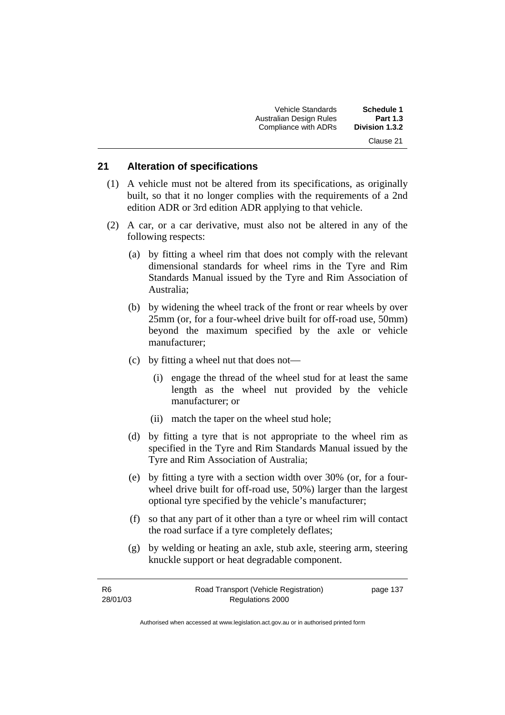| <b>Schedule 1</b> | <b>Vehicle Standards</b> |
|-------------------|--------------------------|
| <b>Part 1.3</b>   | Australian Design Rules  |
| Division 1.3.2    | Compliance with ADRs     |
| Clause 21         |                          |

#### **21 Alteration of specifications**

- (1) A vehicle must not be altered from its specifications, as originally built, so that it no longer complies with the requirements of a 2nd edition ADR or 3rd edition ADR applying to that vehicle.
- (2) A car, or a car derivative, must also not be altered in any of the following respects:
	- (a) by fitting a wheel rim that does not comply with the relevant dimensional standards for wheel rims in the Tyre and Rim Standards Manual issued by the Tyre and Rim Association of Australia;
	- (b) by widening the wheel track of the front or rear wheels by over 25mm (or, for a four-wheel drive built for off-road use, 50mm) beyond the maximum specified by the axle or vehicle manufacturer;
	- (c) by fitting a wheel nut that does not—
		- (i) engage the thread of the wheel stud for at least the same length as the wheel nut provided by the vehicle manufacturer; or
		- (ii) match the taper on the wheel stud hole;
	- (d) by fitting a tyre that is not appropriate to the wheel rim as specified in the Tyre and Rim Standards Manual issued by the Tyre and Rim Association of Australia;
	- (e) by fitting a tyre with a section width over 30% (or, for a fourwheel drive built for off-road use, 50%) larger than the largest optional tyre specified by the vehicle's manufacturer;
	- (f) so that any part of it other than a tyre or wheel rim will contact the road surface if a tyre completely deflates;
	- (g) by welding or heating an axle, stub axle, steering arm, steering knuckle support or heat degradable component.

| -R6      | Road Transport (Vehicle Registration) | page 137 |
|----------|---------------------------------------|----------|
| 28/01/03 | Regulations 2000                      |          |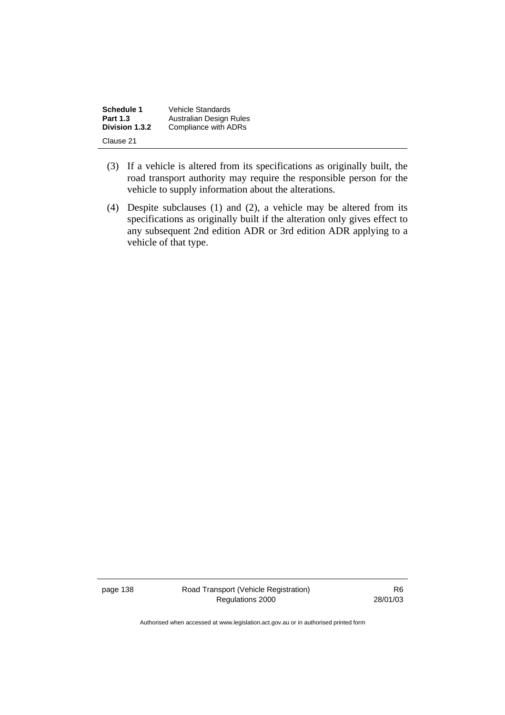| Schedule 1      | Vehicle Standards       |
|-----------------|-------------------------|
| <b>Part 1.3</b> | Australian Design Rules |
| Division 1.3.2  | Compliance with ADRs    |
| Clause 21       |                         |

- (3) If a vehicle is altered from its specifications as originally built, the road transport authority may require the responsible person for the vehicle to supply information about the alterations.
- (4) Despite subclauses (1) and (2), a vehicle may be altered from its specifications as originally built if the alteration only gives effect to any subsequent 2nd edition ADR or 3rd edition ADR applying to a vehicle of that type.

page 138 Road Transport (Vehicle Registration) Regulations 2000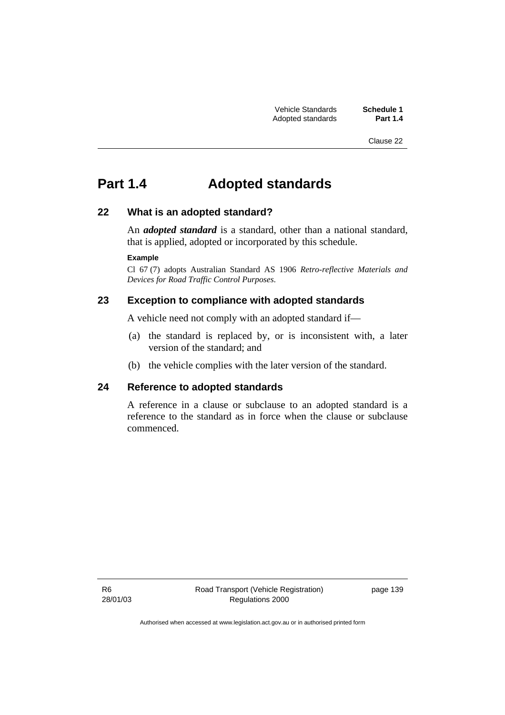Clause 22

# **Part 1.4 Adopted standards**

## **22 What is an adopted standard?**

An *adopted standard* is a standard, other than a national standard, that is applied, adopted or incorporated by this schedule.

#### **Example**

Cl 67 (7) adopts Australian Standard AS 1906 *Retro-reflective Materials and Devices for Road Traffic Control Purposes*.

## **23 Exception to compliance with adopted standards**

A vehicle need not comply with an adopted standard if—

- (a) the standard is replaced by, or is inconsistent with, a later version of the standard; and
- (b) the vehicle complies with the later version of the standard.

## **24 Reference to adopted standards**

A reference in a clause or subclause to an adopted standard is a reference to the standard as in force when the clause or subclause commenced.

R6 28/01/03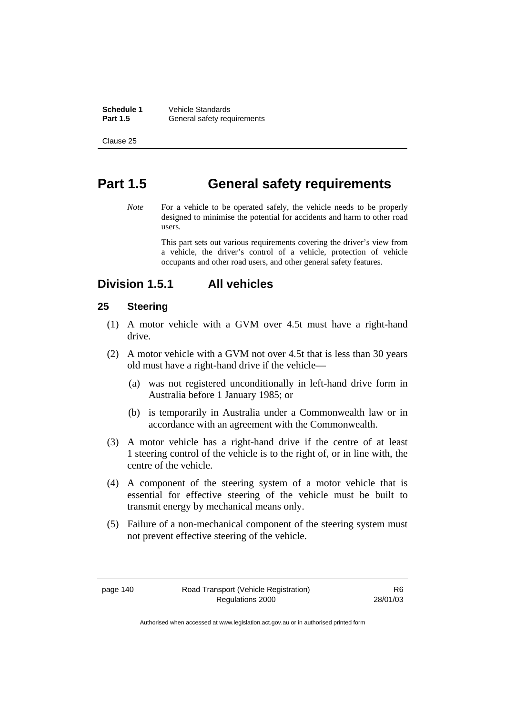**Schedule 1** Vehicle Standards<br>**Part 1.5** General safety reg **General safety requirements** 

Clause 25

## **Part 1.5 General safety requirements**

*Note* For a vehicle to be operated safely, the vehicle needs to be properly designed to minimise the potential for accidents and harm to other road users.

> This part sets out various requirements covering the driver's view from a vehicle, the driver's control of a vehicle, protection of vehicle occupants and other road users, and other general safety features.

## **Division 1.5.1 All vehicles**

#### **25 Steering**

- (1) A motor vehicle with a GVM over 4.5t must have a right-hand drive.
- (2) A motor vehicle with a GVM not over 4.5t that is less than 30 years old must have a right-hand drive if the vehicle—
	- (a) was not registered unconditionally in left-hand drive form in Australia before 1 January 1985; or
	- (b) is temporarily in Australia under a Commonwealth law or in accordance with an agreement with the Commonwealth.
- (3) A motor vehicle has a right-hand drive if the centre of at least 1 steering control of the vehicle is to the right of, or in line with, the centre of the vehicle.
- (4) A component of the steering system of a motor vehicle that is essential for effective steering of the vehicle must be built to transmit energy by mechanical means only.
- (5) Failure of a non-mechanical component of the steering system must not prevent effective steering of the vehicle.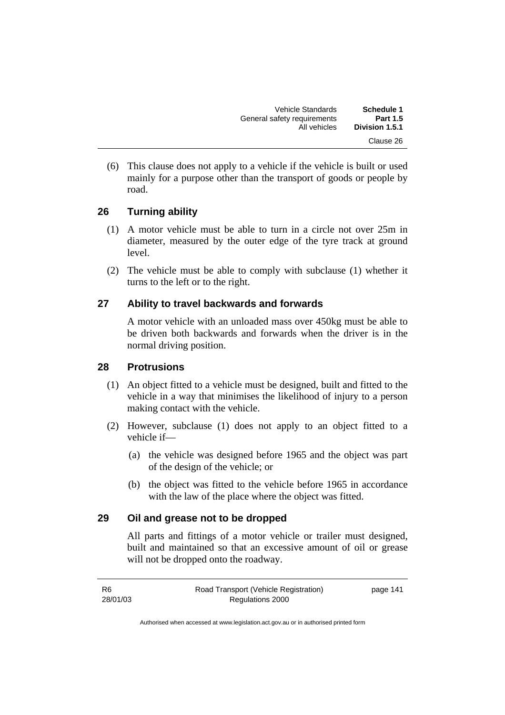| <b>Schedule 1</b><br><b>Part 1.5</b> | Vehicle Standards                           |
|--------------------------------------|---------------------------------------------|
| Division 1.5.1                       | General safety requirements<br>All vehicles |
| Clause 26                            |                                             |

 (6) This clause does not apply to a vehicle if the vehicle is built or used mainly for a purpose other than the transport of goods or people by road.

## **26 Turning ability**

- (1) A motor vehicle must be able to turn in a circle not over 25m in diameter, measured by the outer edge of the tyre track at ground level.
- (2) The vehicle must be able to comply with subclause (1) whether it turns to the left or to the right.

## **27 Ability to travel backwards and forwards**

A motor vehicle with an unloaded mass over 450kg must be able to be driven both backwards and forwards when the driver is in the normal driving position.

## **28 Protrusions**

- (1) An object fitted to a vehicle must be designed, built and fitted to the vehicle in a way that minimises the likelihood of injury to a person making contact with the vehicle.
- (2) However, subclause (1) does not apply to an object fitted to a vehicle if—
	- (a) the vehicle was designed before 1965 and the object was part of the design of the vehicle; or
	- (b) the object was fitted to the vehicle before 1965 in accordance with the law of the place where the object was fitted.

## **29 Oil and grease not to be dropped**

All parts and fittings of a motor vehicle or trailer must designed, built and maintained so that an excessive amount of oil or grease will not be dropped onto the roadway.

| R6       | Road Transport (Vehicle Registration) | page 141 |
|----------|---------------------------------------|----------|
| 28/01/03 | Regulations 2000                      |          |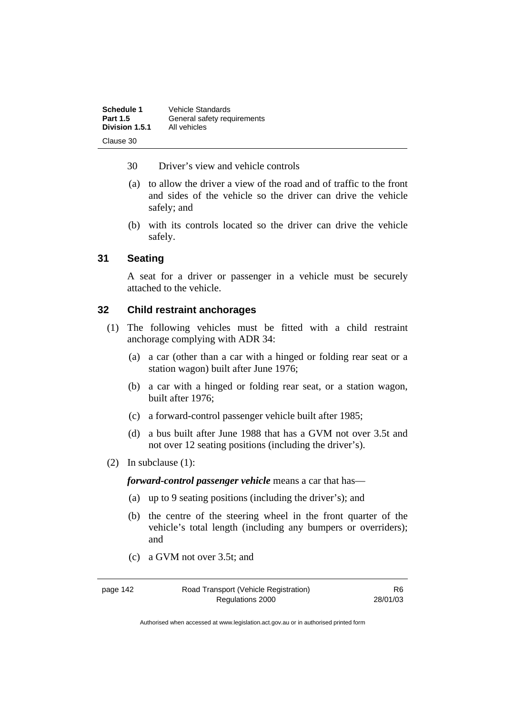| Schedule 1      | Vehicle Standards           |
|-----------------|-----------------------------|
| <b>Part 1.5</b> | General safety requirements |
| Division 1.5.1  | All vehicles                |
| Clause 30       |                             |

- 30 Driver's view and vehicle controls
- (a) to allow the driver a view of the road and of traffic to the front and sides of the vehicle so the driver can drive the vehicle safely; and
- (b) with its controls located so the driver can drive the vehicle safely.

## **31 Seating**

A seat for a driver or passenger in a vehicle must be securely attached to the vehicle.

## **32 Child restraint anchorages**

- (1) The following vehicles must be fitted with a child restraint anchorage complying with ADR 34:
	- (a) a car (other than a car with a hinged or folding rear seat or a station wagon) built after June 1976;
	- (b) a car with a hinged or folding rear seat, or a station wagon, built after 1976;
	- (c) a forward-control passenger vehicle built after 1985;
	- (d) a bus built after June 1988 that has a GVM not over 3.5t and not over 12 seating positions (including the driver's).
- (2) In subclause (1):

*forward-control passenger vehicle* means a car that has—

- (a) up to 9 seating positions (including the driver's); and
- (b) the centre of the steering wheel in the front quarter of the vehicle's total length (including any bumpers or overriders); and
- (c) a GVM not over 3.5t; and

page 142 Road Transport (Vehicle Registration) Regulations 2000

R6 28/01/03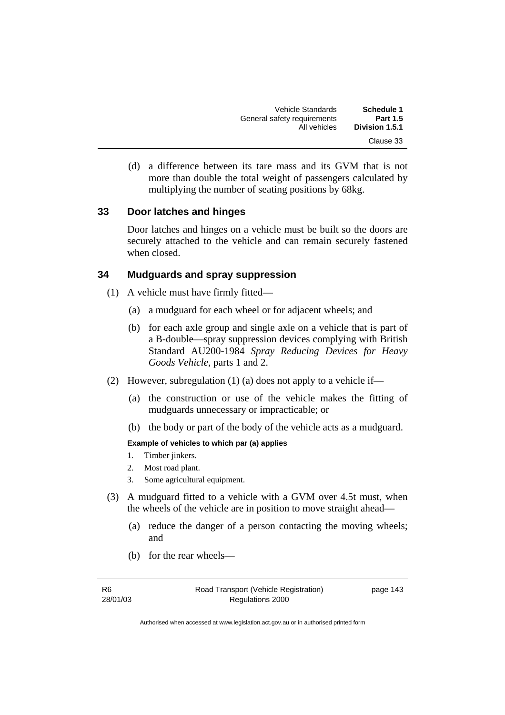| Schedule 1      | Vehicle Standards           |
|-----------------|-----------------------------|
| <b>Part 1.5</b> | General safety requirements |
| Division 1.5.1  | All vehicles                |
| Clause 33       |                             |

 (d) a difference between its tare mass and its GVM that is not more than double the total weight of passengers calculated by multiplying the number of seating positions by 68kg.

#### **33 Door latches and hinges**

Door latches and hinges on a vehicle must be built so the doors are securely attached to the vehicle and can remain securely fastened when closed.

#### **34 Mudguards and spray suppression**

- (1) A vehicle must have firmly fitted—
	- (a) a mudguard for each wheel or for adjacent wheels; and
	- (b) for each axle group and single axle on a vehicle that is part of a B-double—spray suppression devices complying with British Standard AU200-1984 *Spray Reducing Devices for Heavy Goods Vehicle*, parts 1 and 2.
- (2) However, subregulation (1) (a) does not apply to a vehicle if—
	- (a) the construction or use of the vehicle makes the fitting of mudguards unnecessary or impracticable; or
	- (b) the body or part of the body of the vehicle acts as a mudguard.

#### **Example of vehicles to which par (a) applies**

- 1. Timber jinkers.
- 2. Most road plant.
- 3. Some agricultural equipment.
- (3) A mudguard fitted to a vehicle with a GVM over 4.5t must, when the wheels of the vehicle are in position to move straight ahead—
	- (a) reduce the danger of a person contacting the moving wheels; and
	- (b) for the rear wheels—

R6 28/01/03 page 143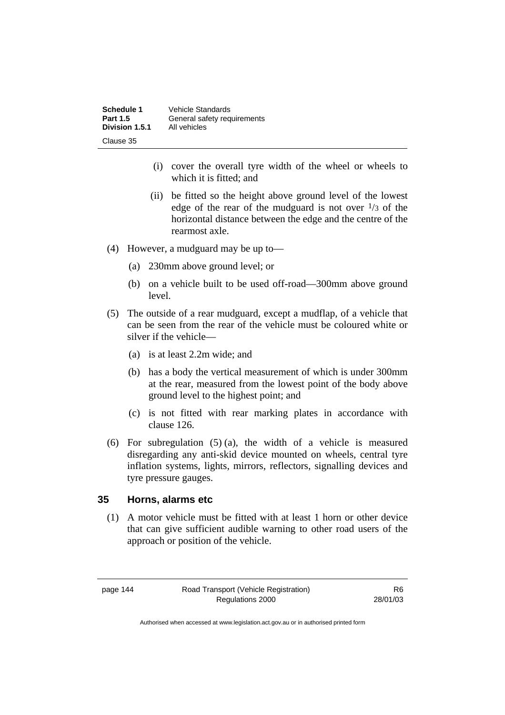| <b>Schedule 1</b> | Vehicle Standards           |
|-------------------|-----------------------------|
| <b>Part 1.5</b>   | General safety requirements |
| Division 1.5.1    | All vehicles                |
| Clause 35         |                             |

- (i) cover the overall tyre width of the wheel or wheels to which it is fitted; and
- (ii) be fitted so the height above ground level of the lowest edge of the rear of the mudguard is not over  $\frac{1}{3}$  of the horizontal distance between the edge and the centre of the rearmost axle.
- (4) However, a mudguard may be up to—
	- (a) 230mm above ground level; or
	- (b) on a vehicle built to be used off-road—300mm above ground level.
- (5) The outside of a rear mudguard, except a mudflap, of a vehicle that can be seen from the rear of the vehicle must be coloured white or silver if the vehicle—
	- (a) is at least 2.2m wide; and
	- (b) has a body the vertical measurement of which is under 300mm at the rear, measured from the lowest point of the body above ground level to the highest point; and
	- (c) is not fitted with rear marking plates in accordance with clause 126.
- (6) For subregulation (5) (a), the width of a vehicle is measured disregarding any anti-skid device mounted on wheels, central tyre inflation systems, lights, mirrors, reflectors, signalling devices and tyre pressure gauges.

## **35 Horns, alarms etc**

 (1) A motor vehicle must be fitted with at least 1 horn or other device that can give sufficient audible warning to other road users of the approach or position of the vehicle.

page 144 Road Transport (Vehicle Registration) Regulations 2000

R6 28/01/03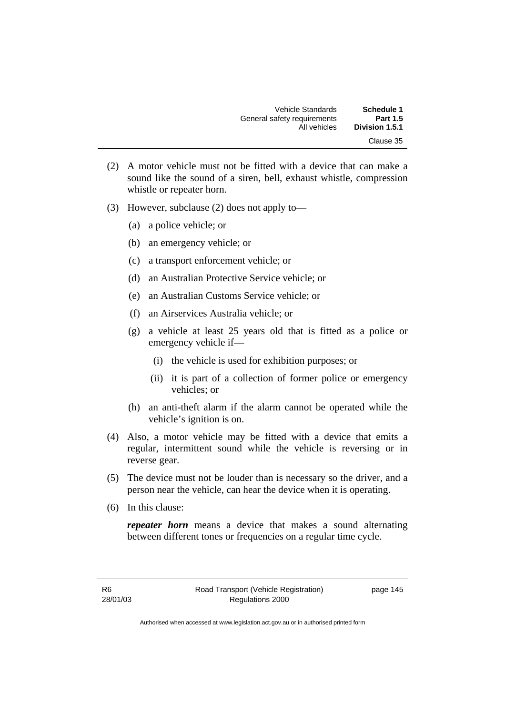| Schedule 1      | <b>Vehicle Standards</b>    |
|-----------------|-----------------------------|
| <b>Part 1.5</b> | General safety requirements |
| Division 1.5.1  | All vehicles                |
| Clause 35       |                             |

- (2) A motor vehicle must not be fitted with a device that can make a sound like the sound of a siren, bell, exhaust whistle, compression whistle or repeater horn.
- (3) However, subclause (2) does not apply to—
	- (a) a police vehicle; or
	- (b) an emergency vehicle; or
	- (c) a transport enforcement vehicle; or
	- (d) an Australian Protective Service vehicle; or
	- (e) an Australian Customs Service vehicle; or
	- (f) an Airservices Australia vehicle; or
	- (g) a vehicle at least 25 years old that is fitted as a police or emergency vehicle if—
		- (i) the vehicle is used for exhibition purposes; or
		- (ii) it is part of a collection of former police or emergency vehicles; or
	- (h) an anti-theft alarm if the alarm cannot be operated while the vehicle's ignition is on.
- (4) Also, a motor vehicle may be fitted with a device that emits a regular, intermittent sound while the vehicle is reversing or in reverse gear.
- (5) The device must not be louder than is necessary so the driver, and a person near the vehicle, can hear the device when it is operating.
- (6) In this clause:

*repeater horn* means a device that makes a sound alternating between different tones or frequencies on a regular time cycle.

page 145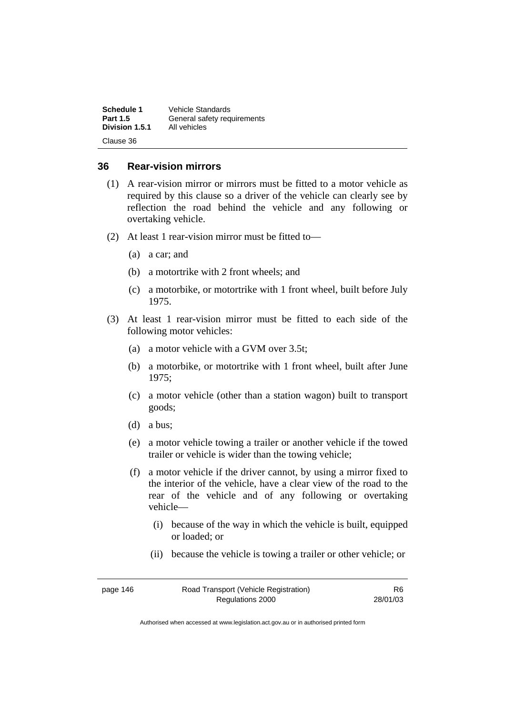| Schedule 1      | Vehicle Standards           |
|-----------------|-----------------------------|
| <b>Part 1.5</b> | General safety requirements |
| Division 1.5.1  | All vehicles                |
| Clause 36       |                             |

## **36 Rear-vision mirrors**

- (1) A rear-vision mirror or mirrors must be fitted to a motor vehicle as required by this clause so a driver of the vehicle can clearly see by reflection the road behind the vehicle and any following or overtaking vehicle.
- (2) At least 1 rear-vision mirror must be fitted to—
	- (a) a car; and
	- (b) a motortrike with 2 front wheels; and
	- (c) a motorbike, or motortrike with 1 front wheel, built before July 1975.
- (3) At least 1 rear-vision mirror must be fitted to each side of the following motor vehicles:
	- (a) a motor vehicle with a GVM over 3.5t;
	- (b) a motorbike, or motortrike with 1 front wheel, built after June 1975;
	- (c) a motor vehicle (other than a station wagon) built to transport goods;
	- (d) a bus;
	- (e) a motor vehicle towing a trailer or another vehicle if the towed trailer or vehicle is wider than the towing vehicle;
	- (f) a motor vehicle if the driver cannot, by using a mirror fixed to the interior of the vehicle, have a clear view of the road to the rear of the vehicle and of any following or overtaking vehicle—
		- (i) because of the way in which the vehicle is built, equipped or loaded; or
		- (ii) because the vehicle is towing a trailer or other vehicle; or

| page 146 | Road Transport (Vehicle Registration) | R6.      |
|----------|---------------------------------------|----------|
|          | Regulations 2000                      | 28/01/03 |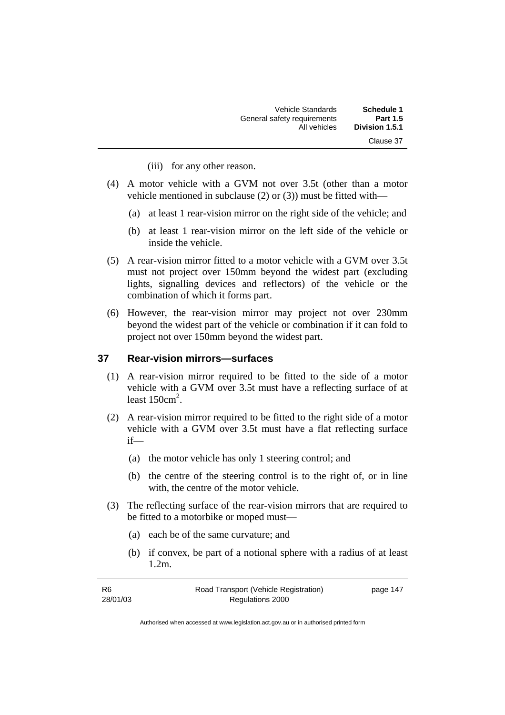| Schedule 1      | Vehicle Standards           |
|-----------------|-----------------------------|
| <b>Part 1.5</b> | General safety requirements |
| Division 1.5.1  | All vehicles                |
| Clause 37       |                             |

- (iii) for any other reason.
- (4) A motor vehicle with a GVM not over 3.5t (other than a motor vehicle mentioned in subclause (2) or (3)) must be fitted with—
	- (a) at least 1 rear-vision mirror on the right side of the vehicle; and
	- (b) at least 1 rear-vision mirror on the left side of the vehicle or inside the vehicle.
- (5) A rear-vision mirror fitted to a motor vehicle with a GVM over 3.5t must not project over 150mm beyond the widest part (excluding lights, signalling devices and reflectors) of the vehicle or the combination of which it forms part.
- (6) However, the rear-vision mirror may project not over 230mm beyond the widest part of the vehicle or combination if it can fold to project not over 150mm beyond the widest part.

#### **37 Rear-vision mirrors—surfaces**

- (1) A rear-vision mirror required to be fitted to the side of a motor vehicle with a GVM over 3.5t must have a reflecting surface of at least  $150 \text{cm}^2$ .
- (2) A rear-vision mirror required to be fitted to the right side of a motor vehicle with a GVM over 3.5t must have a flat reflecting surface if—
	- (a) the motor vehicle has only 1 steering control; and
	- (b) the centre of the steering control is to the right of, or in line with, the centre of the motor vehicle.
- (3) The reflecting surface of the rear-vision mirrors that are required to be fitted to a motorbike or moped must—
	- (a) each be of the same curvature; and
	- (b) if convex, be part of a notional sphere with a radius of at least 1.2m.

| -R6      | Road Transport (Vehicle Registration) | page 147 |
|----------|---------------------------------------|----------|
| 28/01/03 | Regulations 2000                      |          |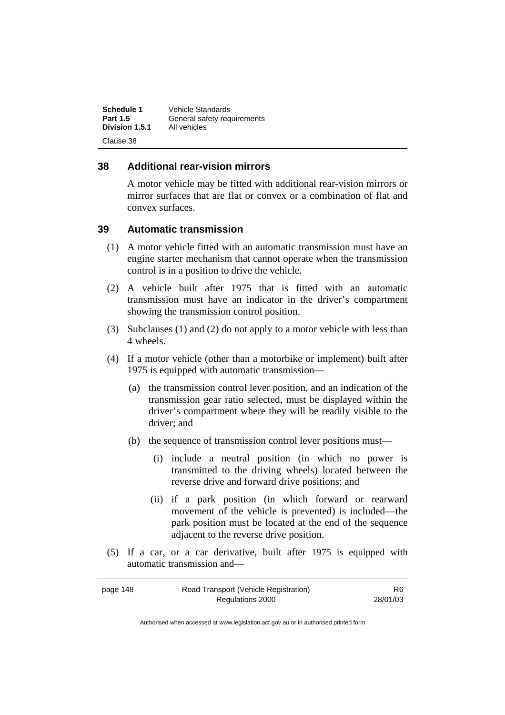| Schedule 1      | <b>Vehicle Standards</b>    |
|-----------------|-----------------------------|
| <b>Part 1.5</b> | General safety requirements |
| Division 1.5.1  | All vehicles                |
| Clause 38       |                             |

## **38 Additional rear-vision mirrors**

A motor vehicle may be fitted with additional rear-vision mirrors or mirror surfaces that are flat or convex or a combination of flat and convex surfaces.

## **39 Automatic transmission**

- (1) A motor vehicle fitted with an automatic transmission must have an engine starter mechanism that cannot operate when the transmission control is in a position to drive the vehicle.
- (2) A vehicle built after 1975 that is fitted with an automatic transmission must have an indicator in the driver's compartment showing the transmission control position.
- (3) Subclauses (1) and (2) do not apply to a motor vehicle with less than 4 wheels.
- (4) If a motor vehicle (other than a motorbike or implement) built after 1975 is equipped with automatic transmission—
	- (a) the transmission control lever position, and an indication of the transmission gear ratio selected, must be displayed within the driver's compartment where they will be readily visible to the driver; and
	- (b) the sequence of transmission control lever positions must—
		- (i) include a neutral position (in which no power is transmitted to the driving wheels) located between the reverse drive and forward drive positions; and
		- (ii) if a park position (in which forward or rearward movement of the vehicle is prevented) is included—the park position must be located at the end of the sequence adjacent to the reverse drive position.
- (5) If a car, or a car derivative, built after 1975 is equipped with automatic transmission and—

| page 148 | Road Transport (Vehicle Registration) | R <sub>6</sub> |
|----------|---------------------------------------|----------------|
|          | Regulations 2000                      | 28/01/03       |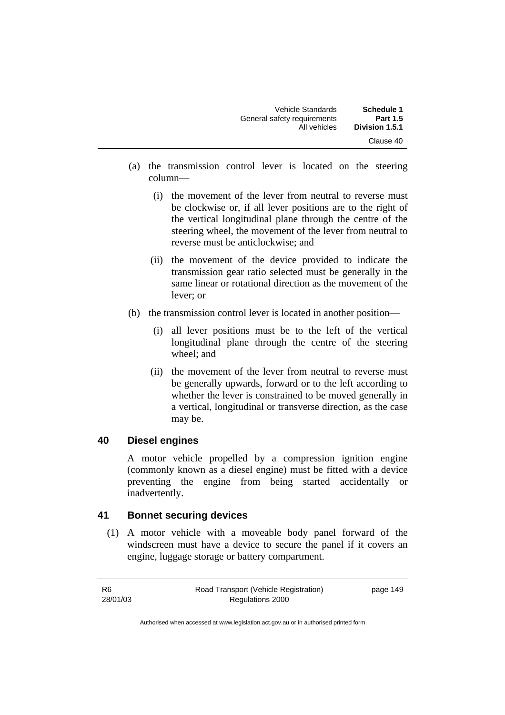| Schedule 1                  | Vehicle Standards           |
|-----------------------------|-----------------------------|
| <b>Part 1.5</b>             | General safety requirements |
| Division 1.5.1<br>Clause 40 | All vehicles                |

- (a) the transmission control lever is located on the steering column—
	- (i) the movement of the lever from neutral to reverse must be clockwise or, if all lever positions are to the right of the vertical longitudinal plane through the centre of the steering wheel, the movement of the lever from neutral to reverse must be anticlockwise; and
	- (ii) the movement of the device provided to indicate the transmission gear ratio selected must be generally in the same linear or rotational direction as the movement of the lever; or
- (b) the transmission control lever is located in another position—
	- (i) all lever positions must be to the left of the vertical longitudinal plane through the centre of the steering wheel; and
	- (ii) the movement of the lever from neutral to reverse must be generally upwards, forward or to the left according to whether the lever is constrained to be moved generally in a vertical, longitudinal or transverse direction, as the case may be.

## **40 Diesel engines**

A motor vehicle propelled by a compression ignition engine (commonly known as a diesel engine) must be fitted with a device preventing the engine from being started accidentally or inadvertently.

## **41 Bonnet securing devices**

 (1) A motor vehicle with a moveable body panel forward of the windscreen must have a device to secure the panel if it covers an engine, luggage storage or battery compartment.

| -R6      | Road Transport (Vehicle Registration) | page 149 |
|----------|---------------------------------------|----------|
| 28/01/03 | Regulations 2000                      |          |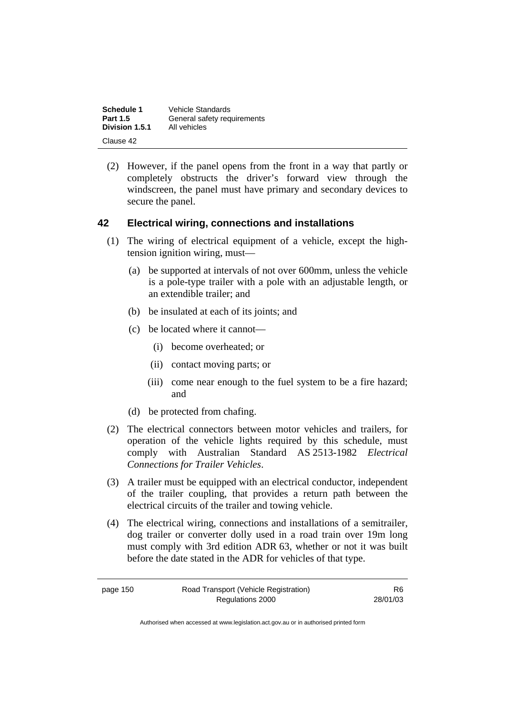| Schedule 1      | Vehicle Standards           |
|-----------------|-----------------------------|
| <b>Part 1.5</b> | General safety requirements |
| Division 1.5.1  | All vehicles                |
| Clause 42       |                             |

 (2) However, if the panel opens from the front in a way that partly or completely obstructs the driver's forward view through the windscreen, the panel must have primary and secondary devices to secure the panel.

## **42 Electrical wiring, connections and installations**

- (1) The wiring of electrical equipment of a vehicle, except the hightension ignition wiring, must—
	- (a) be supported at intervals of not over 600mm, unless the vehicle is a pole-type trailer with a pole with an adjustable length, or an extendible trailer; and
	- (b) be insulated at each of its joints; and
	- (c) be located where it cannot—
		- (i) become overheated; or
		- (ii) contact moving parts; or
		- (iii) come near enough to the fuel system to be a fire hazard; and
	- (d) be protected from chafing.
- (2) The electrical connectors between motor vehicles and trailers, for operation of the vehicle lights required by this schedule, must comply with Australian Standard AS 2513-1982 *Electrical Connections for Trailer Vehicles*.
- (3) A trailer must be equipped with an electrical conductor, independent of the trailer coupling, that provides a return path between the electrical circuits of the trailer and towing vehicle.
- (4) The electrical wiring, connections and installations of a semitrailer, dog trailer or converter dolly used in a road train over 19m long must comply with 3rd edition ADR 63, whether or not it was built before the date stated in the ADR for vehicles of that type.

page 150 Road Transport (Vehicle Registration) Regulations 2000 R6 28/01/03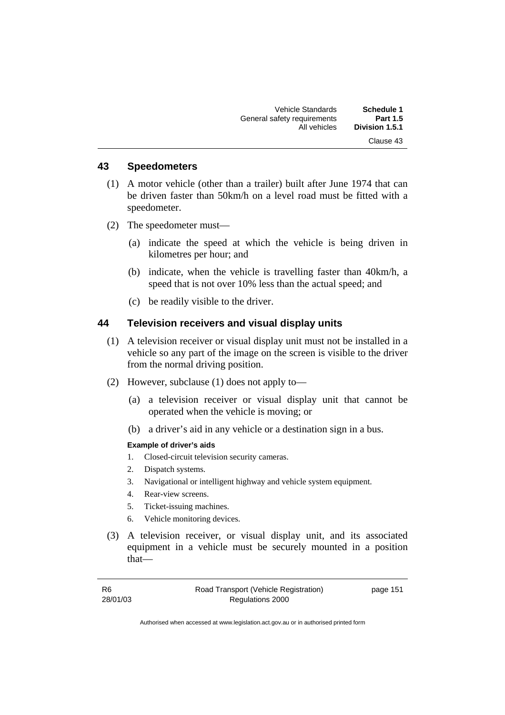## **43 Speedometers**

- (1) A motor vehicle (other than a trailer) built after June 1974 that can be driven faster than 50km/h on a level road must be fitted with a speedometer.
- (2) The speedometer must—
	- (a) indicate the speed at which the vehicle is being driven in kilometres per hour; and
	- (b) indicate, when the vehicle is travelling faster than 40km/h, a speed that is not over 10% less than the actual speed; and
	- (c) be readily visible to the driver.

#### **44 Television receivers and visual display units**

- (1) A television receiver or visual display unit must not be installed in a vehicle so any part of the image on the screen is visible to the driver from the normal driving position.
- (2) However, subclause (1) does not apply to—
	- (a) a television receiver or visual display unit that cannot be operated when the vehicle is moving; or
	- (b) a driver's aid in any vehicle or a destination sign in a bus.

#### **Example of driver's aids**

- 1. Closed-circuit television security cameras.
- 2. Dispatch systems.
- 3. Navigational or intelligent highway and vehicle system equipment.
- 4. Rear-view screens.
- 5. Ticket-issuing machines.
- 6. Vehicle monitoring devices.
- (3) A television receiver, or visual display unit, and its associated equipment in a vehicle must be securely mounted in a position that—

| R <sub>6</sub> | Road Transport (Vehicle Registration) | page 151 |
|----------------|---------------------------------------|----------|
| 28/01/03       | Regulations 2000                      |          |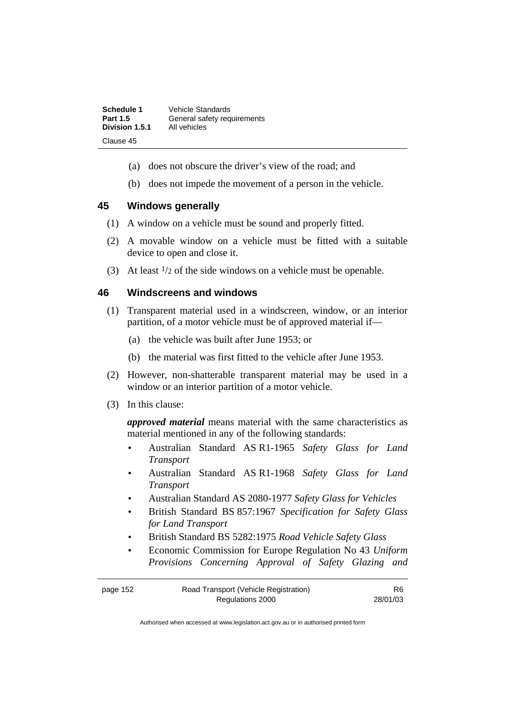| Schedule 1      | Vehicle Standards           |
|-----------------|-----------------------------|
| <b>Part 1.5</b> | General safety requirements |
| Division 1.5.1  | All vehicles                |
| Clause 45       |                             |

- (a) does not obscure the driver's view of the road; and
- (b) does not impede the movement of a person in the vehicle.

#### **45 Windows generally**

- (1) A window on a vehicle must be sound and properly fitted.
- (2) A movable window on a vehicle must be fitted with a suitable device to open and close it.
- (3) At least  $\frac{1}{2}$  of the side windows on a vehicle must be openable.

#### **46 Windscreens and windows**

- (1) Transparent material used in a windscreen, window, or an interior partition, of a motor vehicle must be of approved material if—
	- (a) the vehicle was built after June 1953; or
	- (b) the material was first fitted to the vehicle after June 1953.
- (2) However, non-shatterable transparent material may be used in a window or an interior partition of a motor vehicle.
- (3) In this clause:

*approved material* means material with the same characteristics as material mentioned in any of the following standards:

- Australian Standard AS R1-1965 *Safety Glass for Land Transport*
- Australian Standard AS R1-1968 *Safety Glass for Land Transport*
- Australian Standard AS 2080-1977 *Safety Glass for Vehicles*
- British Standard BS 857:1967 *Specification for Safety Glass for Land Transport*
- British Standard BS 5282:1975 *Road Vehicle Safety Glass*
- Economic Commission for Europe Regulation No 43 *Uniform Provisions Concerning Approval of Safety Glazing and*

| page 152 | Road Transport (Vehicle Registration) | R6       |
|----------|---------------------------------------|----------|
|          | Regulations 2000                      | 28/01/03 |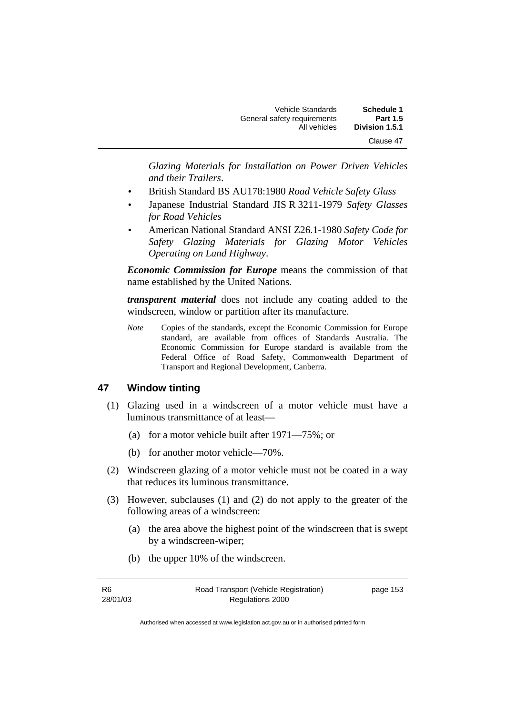| <b>Schedule 1</b> | <b>Vehicle Standards</b>    |
|-------------------|-----------------------------|
| <b>Part 1.5</b>   | General safety requirements |
| Division 1.5.1    | All vehicles                |
| Clause 47         |                             |

*Glazing Materials for Installation on Power Driven Vehicles and their Trailers*.

- British Standard BS AU178:1980 *Road Vehicle Safety Glass*
- Japanese Industrial Standard JIS R 3211-1979 *Safety Glasses for Road Vehicles*
- American National Standard ANSI Z26.1-1980 *Safety Code for Safety Glazing Materials for Glazing Motor Vehicles Operating on Land Highway*.

*Economic Commission for Europe* means the commission of that name established by the United Nations.

*transparent material* does not include any coating added to the windscreen, window or partition after its manufacture.

*Note* Copies of the standards, except the Economic Commission for Europe standard, are available from offices of Standards Australia. The Economic Commission for Europe standard is available from the Federal Office of Road Safety, Commonwealth Department of Transport and Regional Development, Canberra.

#### **47 Window tinting**

- (1) Glazing used in a windscreen of a motor vehicle must have a luminous transmittance of at least—
	- (a) for a motor vehicle built after 1971—75%; or
	- (b) for another motor vehicle—70%.
- (2) Windscreen glazing of a motor vehicle must not be coated in a way that reduces its luminous transmittance.
- (3) However, subclauses (1) and (2) do not apply to the greater of the following areas of a windscreen:
	- (a) the area above the highest point of the windscreen that is swept by a windscreen-wiper;
	- (b) the upper 10% of the windscreen.

| R6       | Road Transport (Vehicle Registration) | page 153 |
|----------|---------------------------------------|----------|
| 28/01/03 | Regulations 2000                      |          |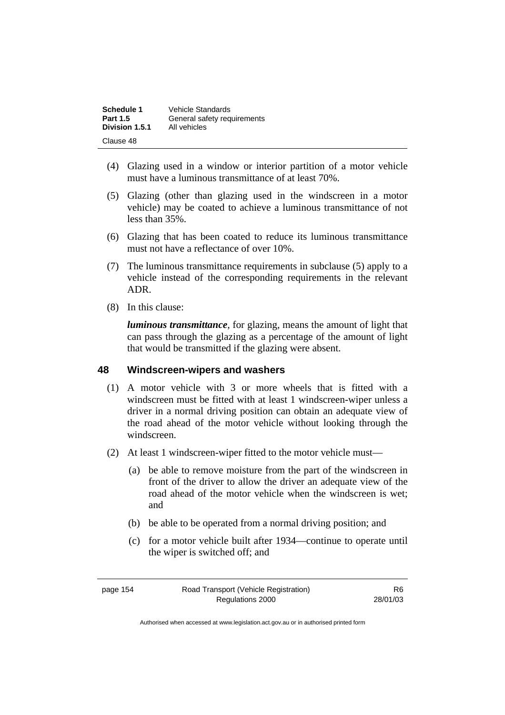| Schedule 1      | <b>Vehicle Standards</b>    |
|-----------------|-----------------------------|
| <b>Part 1.5</b> | General safety requirements |
| Division 1.5.1  | All vehicles                |
| Clause 48       |                             |

- (4) Glazing used in a window or interior partition of a motor vehicle must have a luminous transmittance of at least 70%.
- (5) Glazing (other than glazing used in the windscreen in a motor vehicle) may be coated to achieve a luminous transmittance of not less than 35%.
- (6) Glazing that has been coated to reduce its luminous transmittance must not have a reflectance of over 10%.
- (7) The luminous transmittance requirements in subclause (5) apply to a vehicle instead of the corresponding requirements in the relevant ADR.
- (8) In this clause:

*luminous transmittance*, for glazing, means the amount of light that can pass through the glazing as a percentage of the amount of light that would be transmitted if the glazing were absent.

## **48 Windscreen-wipers and washers**

- (1) A motor vehicle with 3 or more wheels that is fitted with a windscreen must be fitted with at least 1 windscreen-wiper unless a driver in a normal driving position can obtain an adequate view of the road ahead of the motor vehicle without looking through the windscreen.
- (2) At least 1 windscreen-wiper fitted to the motor vehicle must—
	- (a) be able to remove moisture from the part of the windscreen in front of the driver to allow the driver an adequate view of the road ahead of the motor vehicle when the windscreen is wet; and
	- (b) be able to be operated from a normal driving position; and
	- (c) for a motor vehicle built after 1934—continue to operate until the wiper is switched off; and

page 154 Road Transport (Vehicle Registration) Regulations 2000

R6 28/01/03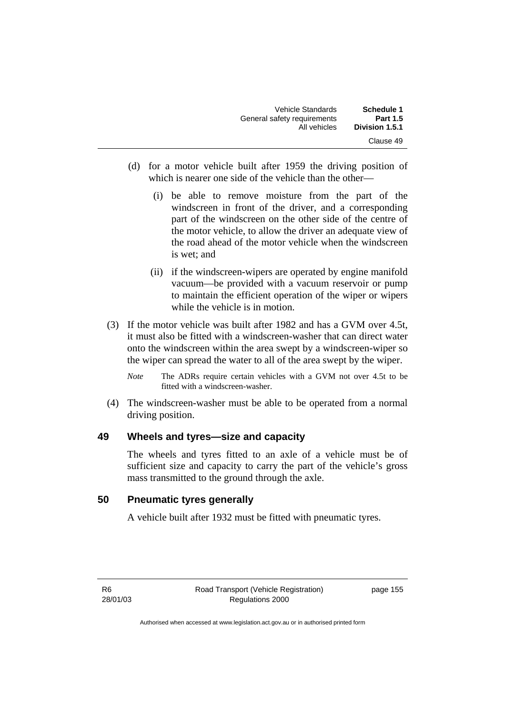| Schedule 1<br><b>Part 1.5</b> | <b>Vehicle Standards</b><br>General safety requirements |
|-------------------------------|---------------------------------------------------------|
| Division 1.5.1                | All vehicles                                            |
| Clause 49                     |                                                         |

- (d) for a motor vehicle built after 1959 the driving position of which is nearer one side of the vehicle than the other—
	- (i) be able to remove moisture from the part of the windscreen in front of the driver, and a corresponding part of the windscreen on the other side of the centre of the motor vehicle, to allow the driver an adequate view of the road ahead of the motor vehicle when the windscreen is wet; and
	- (ii) if the windscreen-wipers are operated by engine manifold vacuum—be provided with a vacuum reservoir or pump to maintain the efficient operation of the wiper or wipers while the vehicle is in motion.
- (3) If the motor vehicle was built after 1982 and has a GVM over 4.5t, it must also be fitted with a windscreen-washer that can direct water onto the windscreen within the area swept by a windscreen-wiper so the wiper can spread the water to all of the area swept by the wiper.
	- *Note* The ADRs require certain vehicles with a GVM not over 4.5t to be fitted with a windscreen-washer.
- (4) The windscreen-washer must be able to be operated from a normal driving position.

## **49 Wheels and tyres—size and capacity**

The wheels and tyres fitted to an axle of a vehicle must be of sufficient size and capacity to carry the part of the vehicle's gross mass transmitted to the ground through the axle.

## **50 Pneumatic tyres generally**

A vehicle built after 1932 must be fitted with pneumatic tyres.

page 155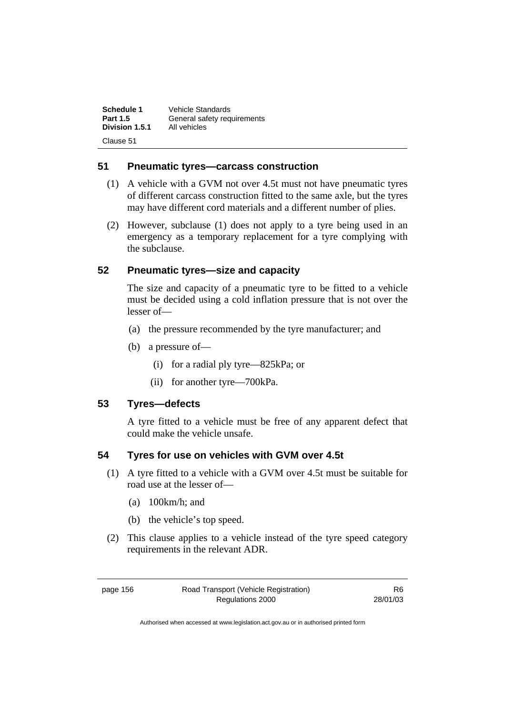| Schedule 1      | Vehicle Standards           |
|-----------------|-----------------------------|
| <b>Part 1.5</b> | General safety requirements |
| Division 1.5.1  | All vehicles                |
| Clause 51       |                             |

## **51 Pneumatic tyres—carcass construction**

- (1) A vehicle with a GVM not over 4.5t must not have pneumatic tyres of different carcass construction fitted to the same axle, but the tyres may have different cord materials and a different number of plies.
- (2) However, subclause (1) does not apply to a tyre being used in an emergency as a temporary replacement for a tyre complying with the subclause.

## **52 Pneumatic tyres—size and capacity**

The size and capacity of a pneumatic tyre to be fitted to a vehicle must be decided using a cold inflation pressure that is not over the lesser of—

- (a) the pressure recommended by the tyre manufacturer; and
- (b) a pressure of—
	- (i) for a radial ply tyre—825kPa; or
	- (ii) for another tyre—700kPa.

## **53 Tyres—defects**

A tyre fitted to a vehicle must be free of any apparent defect that could make the vehicle unsafe.

## **54 Tyres for use on vehicles with GVM over 4.5t**

- (1) A tyre fitted to a vehicle with a GVM over 4.5t must be suitable for road use at the lesser of—
	- (a) 100km/h; and
	- (b) the vehicle's top speed.
- (2) This clause applies to a vehicle instead of the tyre speed category requirements in the relevant ADR.

page 156 Road Transport (Vehicle Registration) Regulations 2000

R6 28/01/03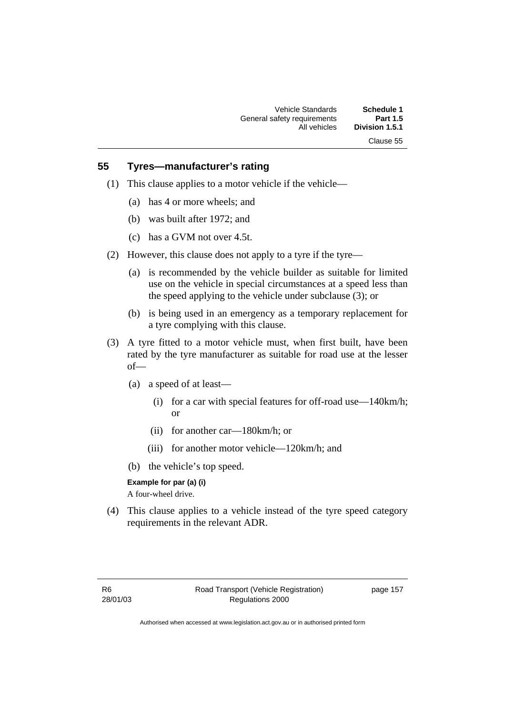## **55 Tyres—manufacturer's rating**

- (1) This clause applies to a motor vehicle if the vehicle—
	- (a) has 4 or more wheels; and
	- (b) was built after 1972; and
	- (c) has a GVM not over 4.5t.
- (2) However, this clause does not apply to a tyre if the tyre—
	- (a) is recommended by the vehicle builder as suitable for limited use on the vehicle in special circumstances at a speed less than the speed applying to the vehicle under subclause (3); or
	- (b) is being used in an emergency as a temporary replacement for a tyre complying with this clause.
- (3) A tyre fitted to a motor vehicle must, when first built, have been rated by the tyre manufacturer as suitable for road use at the lesser of—
	- (a) a speed of at least—
		- (i) for a car with special features for off-road use—140km/h; or
		- (ii) for another car—180km/h; or
		- (iii) for another motor vehicle—120km/h; and
	- (b) the vehicle's top speed.

#### **Example for par (a) (i)**

A four-wheel drive.

 (4) This clause applies to a vehicle instead of the tyre speed category requirements in the relevant ADR.

page 157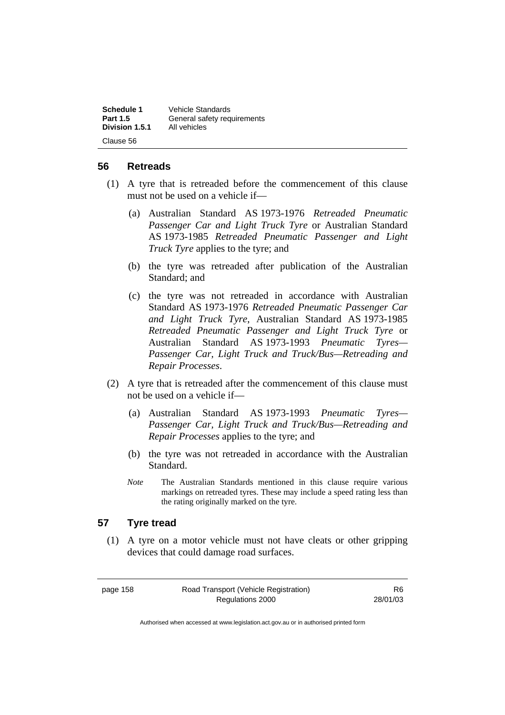| Schedule 1      | <b>Vehicle Standards</b>    |
|-----------------|-----------------------------|
| <b>Part 1.5</b> | General safety requirements |
| Division 1.5.1  | All vehicles                |
| Clause 56       |                             |

#### **56 Retreads**

- (1) A tyre that is retreaded before the commencement of this clause must not be used on a vehicle if—
	- (a) Australian Standard AS 1973-1976 *Retreaded Pneumatic Passenger Car and Light Truck Tyre* or Australian Standard AS 1973-1985 *Retreaded Pneumatic Passenger and Light Truck Tyre* applies to the tyre; and
	- (b) the tyre was retreaded after publication of the Australian Standard; and
	- (c) the tyre was not retreaded in accordance with Australian Standard AS 1973-1976 *Retreaded Pneumatic Passenger Car and Light Truck Tyre*, Australian Standard AS 1973-1985 *Retreaded Pneumatic Passenger and Light Truck Tyre* or Australian Standard AS 1973-1993 *Pneumatic Tyres— Passenger Car, Light Truck and Truck/Bus—Retreading and Repair Processes*.
- (2) A tyre that is retreaded after the commencement of this clause must not be used on a vehicle if—
	- (a) Australian Standard AS 1973-1993 *Pneumatic Tyres— Passenger Car, Light Truck and Truck/Bus—Retreading and Repair Processes* applies to the tyre; and
	- (b) the tyre was not retreaded in accordance with the Australian Standard.
	- *Note* The Australian Standards mentioned in this clause require various markings on retreaded tyres. These may include a speed rating less than the rating originally marked on the tyre.

## **57 Tyre tread**

 (1) A tyre on a motor vehicle must not have cleats or other gripping devices that could damage road surfaces.

page 158 Road Transport (Vehicle Registration) Regulations 2000

R6 28/01/03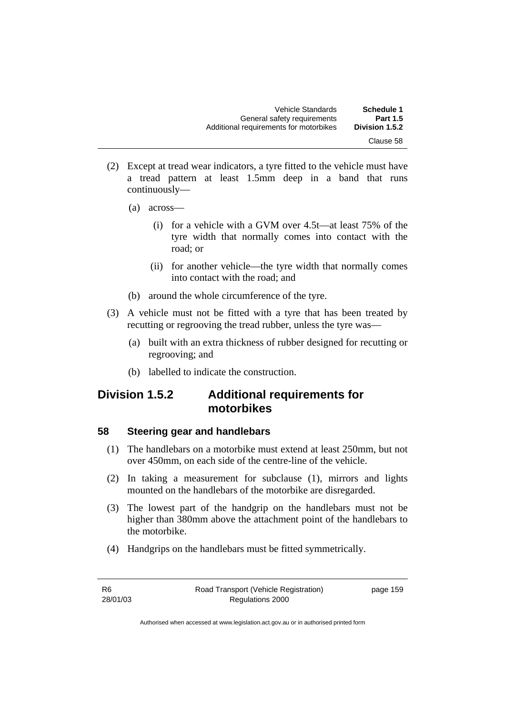- (2) Except at tread wear indicators, a tyre fitted to the vehicle must have a tread pattern at least 1.5mm deep in a band that runs continuously—
	- (a) across—
		- (i) for a vehicle with a GVM over 4.5t—at least 75% of the tyre width that normally comes into contact with the road; or
		- (ii) for another vehicle—the tyre width that normally comes into contact with the road; and
	- (b) around the whole circumference of the tyre.
- (3) A vehicle must not be fitted with a tyre that has been treated by recutting or regrooving the tread rubber, unless the tyre was—
	- (a) built with an extra thickness of rubber designed for recutting or regrooving; and
	- (b) labelled to indicate the construction.

## **Division 1.5.2 Additional requirements for motorbikes**

## **58 Steering gear and handlebars**

- (1) The handlebars on a motorbike must extend at least 250mm, but not over 450mm, on each side of the centre-line of the vehicle.
- (2) In taking a measurement for subclause (1), mirrors and lights mounted on the handlebars of the motorbike are disregarded.
- (3) The lowest part of the handgrip on the handlebars must not be higher than 380mm above the attachment point of the handlebars to the motorbike.
- (4) Handgrips on the handlebars must be fitted symmetrically.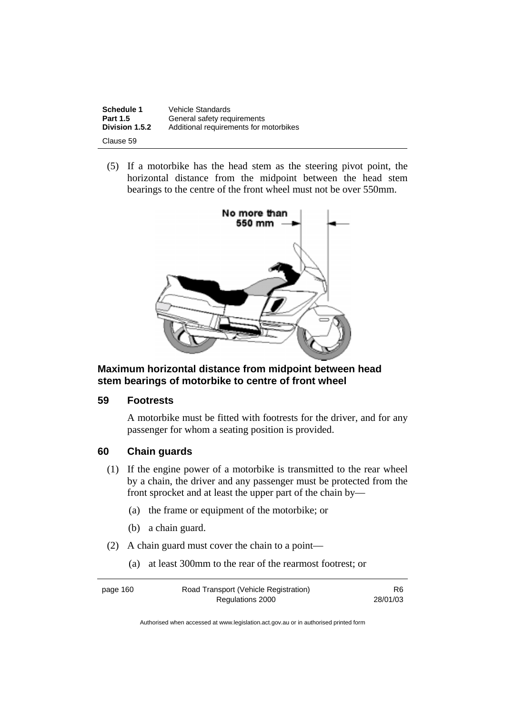| Schedule 1      | Vehicle Standards                      |
|-----------------|----------------------------------------|
| <b>Part 1.5</b> | General safety requirements            |
| Division 1.5.2  | Additional requirements for motorbikes |
| Clause 59       |                                        |

 (5) If a motorbike has the head stem as the steering pivot point, the horizontal distance from the midpoint between the head stem bearings to the centre of the front wheel must not be over 550mm.



**Maximum horizontal distance from midpoint between head stem bearings of motorbike to centre of front wheel** 

#### **59 Footrests**

A motorbike must be fitted with footrests for the driver, and for any passenger for whom a seating position is provided.

## **60 Chain guards**

- (1) If the engine power of a motorbike is transmitted to the rear wheel by a chain, the driver and any passenger must be protected from the front sprocket and at least the upper part of the chain by—
	- (a) the frame or equipment of the motorbike; or
	- (b) a chain guard.
- (2) A chain guard must cover the chain to a point—
	- (a) at least 300mm to the rear of the rearmost footrest; or

page 160 Road Transport (Vehicle Registration) Regulations 2000

R6 28/01/03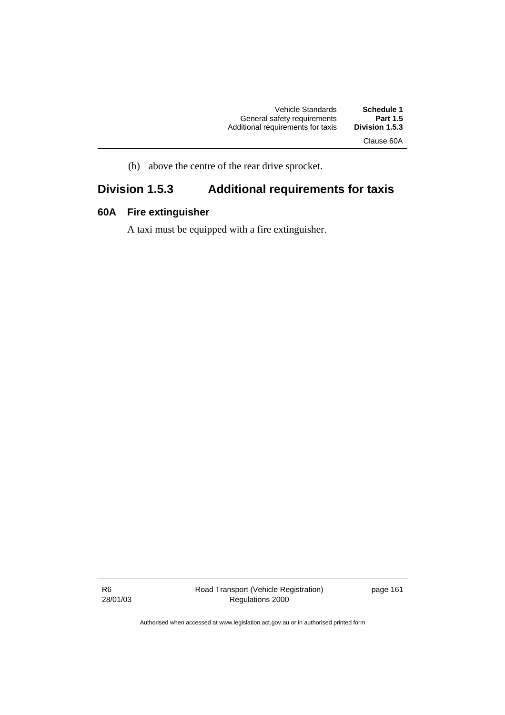| <b>Vehicle Standards</b>          | Schedule 1      |
|-----------------------------------|-----------------|
| General safety requirements       | <b>Part 1.5</b> |
| Additional requirements for taxis | Division 1.5.3  |
|                                   |                 |

Clause 60A

(b) above the centre of the rear drive sprocket.

## **Division 1.5.3 Additional requirements for taxis**

### **60A Fire extinguisher**

A taxi must be equipped with a fire extinguisher.

R6 28/01/03 Road Transport (Vehicle Registration) Regulations 2000

page 161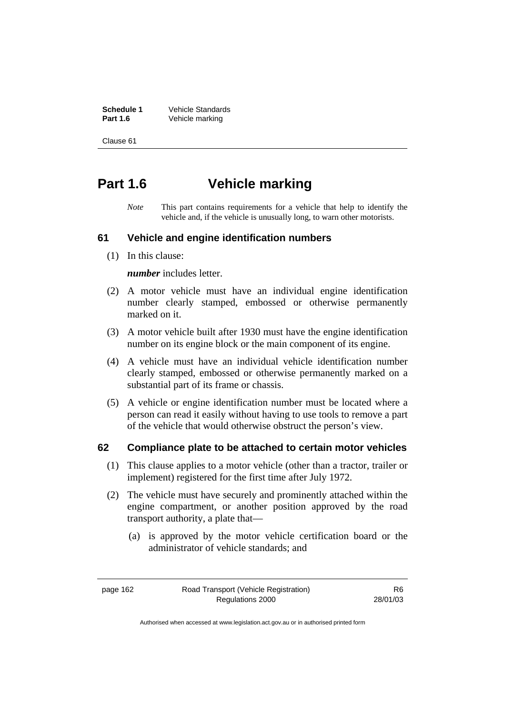**Schedule 1** Vehicle Standards<br>Part 1.6 Vehicle marking **Part 1.6** Vehicle marking

Clause 61

## **Part 1.6 Vehicle marking**

*Note* This part contains requirements for a vehicle that help to identify the vehicle and, if the vehicle is unusually long, to warn other motorists.

#### **61 Vehicle and engine identification numbers**

(1) In this clause:

*number* includes letter.

- (2) A motor vehicle must have an individual engine identification number clearly stamped, embossed or otherwise permanently marked on it.
- (3) A motor vehicle built after 1930 must have the engine identification number on its engine block or the main component of its engine.
- (4) A vehicle must have an individual vehicle identification number clearly stamped, embossed or otherwise permanently marked on a substantial part of its frame or chassis.
- (5) A vehicle or engine identification number must be located where a person can read it easily without having to use tools to remove a part of the vehicle that would otherwise obstruct the person's view.

#### **62 Compliance plate to be attached to certain motor vehicles**

- (1) This clause applies to a motor vehicle (other than a tractor, trailer or implement) registered for the first time after July 1972.
- (2) The vehicle must have securely and prominently attached within the engine compartment, or another position approved by the road transport authority, a plate that—
	- (a) is approved by the motor vehicle certification board or the administrator of vehicle standards; and

page 162 Road Transport (Vehicle Registration) Regulations 2000

R6 28/01/03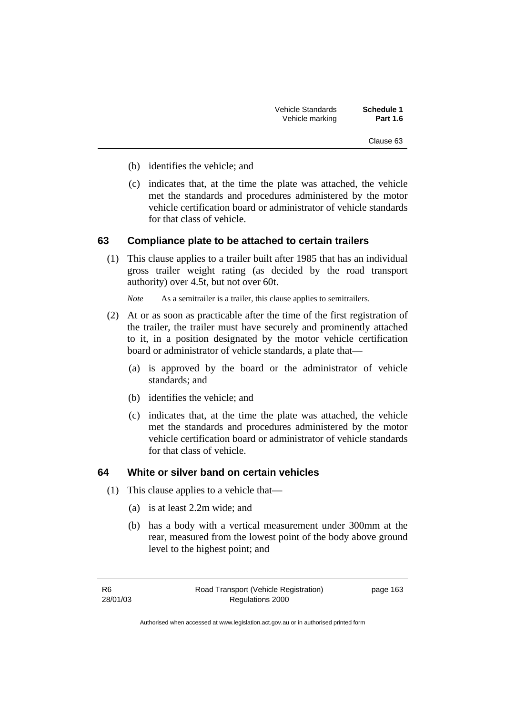| <b>Vehicle Standards</b> | Schedule 1      |
|--------------------------|-----------------|
| Vehicle marking          | <b>Part 1.6</b> |

Clause 63

- (b) identifies the vehicle; and
- (c) indicates that, at the time the plate was attached, the vehicle met the standards and procedures administered by the motor vehicle certification board or administrator of vehicle standards for that class of vehicle.

#### **63 Compliance plate to be attached to certain trailers**

 (1) This clause applies to a trailer built after 1985 that has an individual gross trailer weight rating (as decided by the road transport authority) over 4.5t, but not over 60t.

*Note* As a semitrailer is a trailer, this clause applies to semitrailers.

- (2) At or as soon as practicable after the time of the first registration of the trailer, the trailer must have securely and prominently attached to it, in a position designated by the motor vehicle certification board or administrator of vehicle standards, a plate that—
	- (a) is approved by the board or the administrator of vehicle standards; and
	- (b) identifies the vehicle; and
	- (c) indicates that, at the time the plate was attached, the vehicle met the standards and procedures administered by the motor vehicle certification board or administrator of vehicle standards for that class of vehicle.

#### **64 White or silver band on certain vehicles**

- (1) This clause applies to a vehicle that—
	- (a) is at least 2.2m wide; and
	- (b) has a body with a vertical measurement under 300mm at the rear, measured from the lowest point of the body above ground level to the highest point; and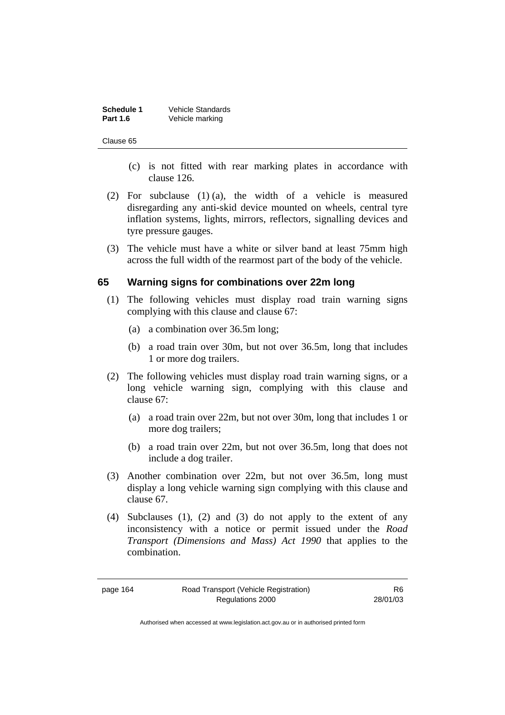| <b>Schedule 1</b> | <b>Vehicle Standards</b> |
|-------------------|--------------------------|
| <b>Part 1.6</b>   | Vehicle marking          |

#### Clause 65

- (c) is not fitted with rear marking plates in accordance with clause 126.
- (2) For subclause (1) (a), the width of a vehicle is measured disregarding any anti-skid device mounted on wheels, central tyre inflation systems, lights, mirrors, reflectors, signalling devices and tyre pressure gauges.
- (3) The vehicle must have a white or silver band at least 75mm high across the full width of the rearmost part of the body of the vehicle.

#### **65 Warning signs for combinations over 22m long**

- (1) The following vehicles must display road train warning signs complying with this clause and clause 67:
	- (a) a combination over 36.5m long;
	- (b) a road train over 30m, but not over 36.5m, long that includes 1 or more dog trailers.
- (2) The following vehicles must display road train warning signs, or a long vehicle warning sign, complying with this clause and clause 67:
	- (a) a road train over 22m, but not over 30m, long that includes 1 or more dog trailers;
	- (b) a road train over 22m, but not over 36.5m, long that does not include a dog trailer.
- (3) Another combination over 22m, but not over 36.5m, long must display a long vehicle warning sign complying with this clause and clause 67.
- (4) Subclauses (1), (2) and (3) do not apply to the extent of any inconsistency with a notice or permit issued under the *Road Transport (Dimensions and Mass) Act 1990* that applies to the combination.

page 164 Road Transport (Vehicle Registration) Regulations 2000

R6 28/01/03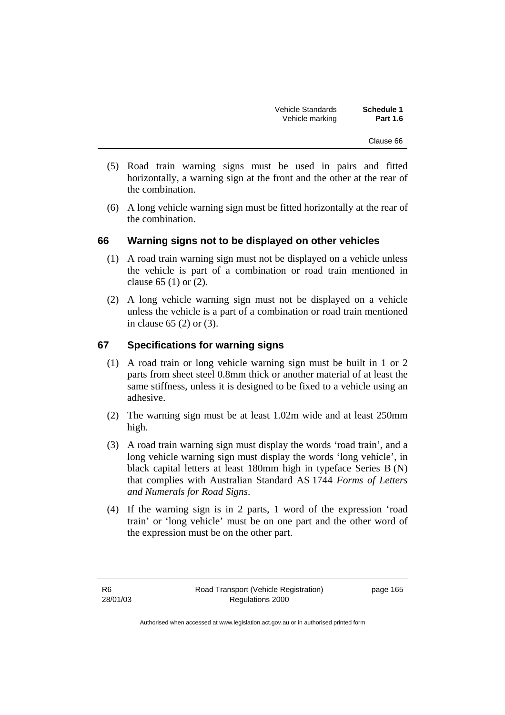| <b>Vehicle Standards</b> | Schedule 1      |
|--------------------------|-----------------|
| Vehicle marking          | <b>Part 1.6</b> |

- (5) Road train warning signs must be used in pairs and fitted horizontally, a warning sign at the front and the other at the rear of the combination.
- (6) A long vehicle warning sign must be fitted horizontally at the rear of the combination.

#### **66 Warning signs not to be displayed on other vehicles**

- (1) A road train warning sign must not be displayed on a vehicle unless the vehicle is part of a combination or road train mentioned in clause 65 (1) or (2).
- (2) A long vehicle warning sign must not be displayed on a vehicle unless the vehicle is a part of a combination or road train mentioned in clause 65 (2) or (3).

### **67 Specifications for warning signs**

- (1) A road train or long vehicle warning sign must be built in 1 or 2 parts from sheet steel 0.8mm thick or another material of at least the same stiffness, unless it is designed to be fixed to a vehicle using an adhesive.
- (2) The warning sign must be at least 1.02m wide and at least 250mm high.
- (3) A road train warning sign must display the words 'road train', and a long vehicle warning sign must display the words 'long vehicle', in black capital letters at least 180mm high in typeface Series B (N) that complies with Australian Standard AS 1744 *Forms of Letters and Numerals for Road Signs*.
- (4) If the warning sign is in 2 parts, 1 word of the expression 'road train' or 'long vehicle' must be on one part and the other word of the expression must be on the other part.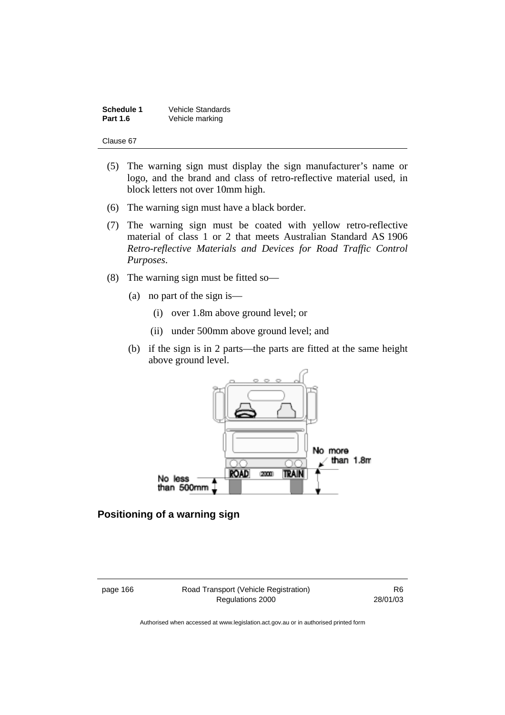| <b>Schedule 1</b> | <b>Vehicle Standards</b> |
|-------------------|--------------------------|
| <b>Part 1.6</b>   | Vehicle marking          |

Clause 67

- (5) The warning sign must display the sign manufacturer's name or logo, and the brand and class of retro-reflective material used, in block letters not over 10mm high.
- (6) The warning sign must have a black border.
- (7) The warning sign must be coated with yellow retro-reflective material of class 1 or 2 that meets Australian Standard AS 1906 *Retro-reflective Materials and Devices for Road Traffic Control Purposes*.
- (8) The warning sign must be fitted so—
	- (a) no part of the sign is—
		- (i) over 1.8m above ground level; or
		- (ii) under 500mm above ground level; and
	- (b) if the sign is in 2 parts—the parts are fitted at the same height above ground level.



#### **Positioning of a warning sign**

page 166 Road Transport (Vehicle Registration) Regulations 2000

R6 28/01/03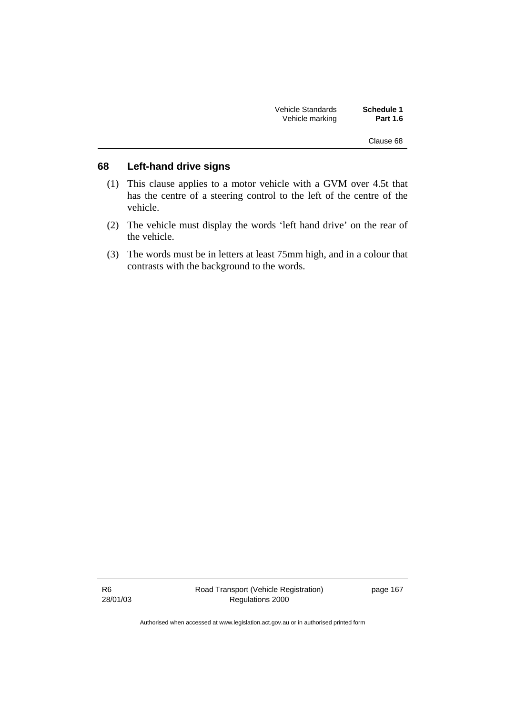| Schedule 1<br><b>Part 1.6</b> | Vehicle Standards<br>Vehicle marking |  |
|-------------------------------|--------------------------------------|--|
| Clause 68                     |                                      |  |
|                               |                                      |  |

### **68 Left-hand drive signs**

- (1) This clause applies to a motor vehicle with a GVM over 4.5t that has the centre of a steering control to the left of the centre of the vehicle.
- (2) The vehicle must display the words 'left hand drive' on the rear of the vehicle.
- (3) The words must be in letters at least 75mm high, and in a colour that contrasts with the background to the words.

R6 28/01/03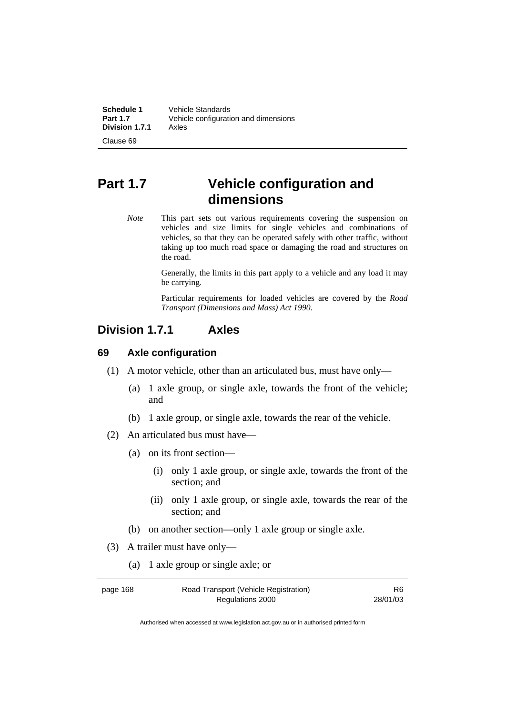| <b>Schedule 1</b> | Vehicle Standards                    |
|-------------------|--------------------------------------|
| Part 1.7          | Vehicle configuration and dimensions |
| Division 1.7.1    | Axles                                |

### Clause 69

## **Part 1.7 Vehicle configuration and dimensions**

*Note* This part sets out various requirements covering the suspension on vehicles and size limits for single vehicles and combinations of vehicles, so that they can be operated safely with other traffic, without taking up too much road space or damaging the road and structures on the road.

> Generally, the limits in this part apply to a vehicle and any load it may be carrying.

> Particular requirements for loaded vehicles are covered by the *Road Transport (Dimensions and Mass) Act 1990*.

### **Division 1.7.1 Axles**

#### **69 Axle configuration**

- (1) A motor vehicle, other than an articulated bus, must have only—
	- (a) 1 axle group, or single axle, towards the front of the vehicle; and
	- (b) 1 axle group, or single axle, towards the rear of the vehicle.
- (2) An articulated bus must have—
	- (a) on its front section—
		- (i) only 1 axle group, or single axle, towards the front of the section; and
		- (ii) only 1 axle group, or single axle, towards the rear of the section; and
	- (b) on another section—only 1 axle group or single axle.
- (3) A trailer must have only—
	- (a) 1 axle group or single axle; or

| page 168 | Road Transport (Vehicle Registration) | R6.      |
|----------|---------------------------------------|----------|
|          | Regulations 2000                      | 28/01/03 |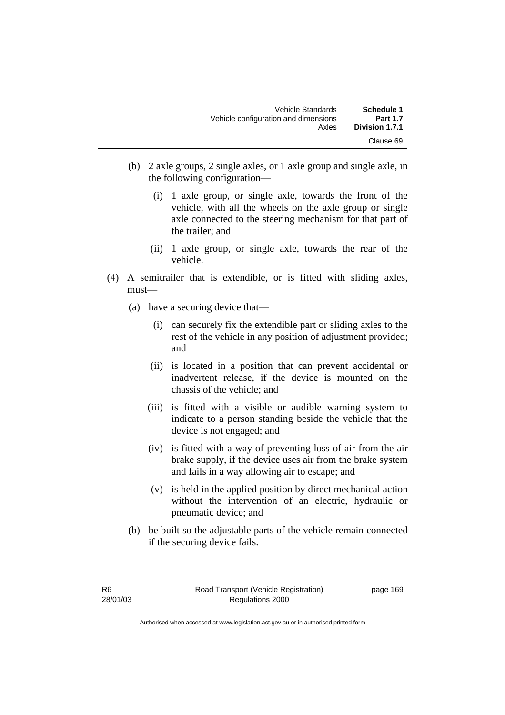| Vehicle Standards                    | Schedule 1      |
|--------------------------------------|-----------------|
| Vehicle configuration and dimensions | <b>Part 1.7</b> |
| Axles                                | Division 1.7.1  |
|                                      | Clause 69       |

- (b) 2 axle groups, 2 single axles, or 1 axle group and single axle, in the following configuration—
	- (i) 1 axle group, or single axle, towards the front of the vehicle, with all the wheels on the axle group or single axle connected to the steering mechanism for that part of the trailer; and
	- (ii) 1 axle group, or single axle, towards the rear of the vehicle.
- (4) A semitrailer that is extendible, or is fitted with sliding axles, must—
	- (a) have a securing device that—
		- (i) can securely fix the extendible part or sliding axles to the rest of the vehicle in any position of adjustment provided; and
		- (ii) is located in a position that can prevent accidental or inadvertent release, if the device is mounted on the chassis of the vehicle; and
		- (iii) is fitted with a visible or audible warning system to indicate to a person standing beside the vehicle that the device is not engaged; and
		- (iv) is fitted with a way of preventing loss of air from the air brake supply, if the device uses air from the brake system and fails in a way allowing air to escape; and
		- (v) is held in the applied position by direct mechanical action without the intervention of an electric, hydraulic or pneumatic device; and
	- (b) be built so the adjustable parts of the vehicle remain connected if the securing device fails.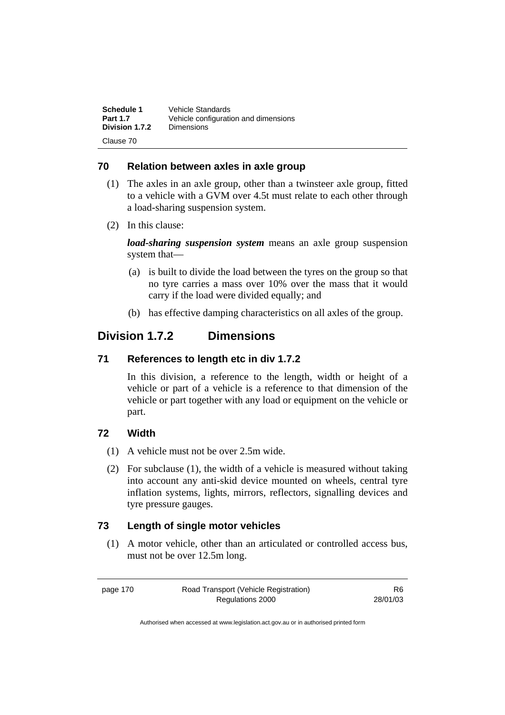| Schedule 1      | Vehicle Standards                    |
|-----------------|--------------------------------------|
| <b>Part 1.7</b> | Vehicle configuration and dimensions |
| Division 1.7.2  | <b>Dimensions</b>                    |
| Clause 70       |                                      |

### **70 Relation between axles in axle group**

- (1) The axles in an axle group, other than a twinsteer axle group, fitted to a vehicle with a GVM over 4.5t must relate to each other through a load-sharing suspension system.
- (2) In this clause:

*load-sharing suspension system* means an axle group suspension system that—

- (a) is built to divide the load between the tyres on the group so that no tyre carries a mass over 10% over the mass that it would carry if the load were divided equally; and
- (b) has effective damping characteristics on all axles of the group.

### **Division 1.7.2 Dimensions**

#### **71 References to length etc in div 1.7.2**

In this division, a reference to the length, width or height of a vehicle or part of a vehicle is a reference to that dimension of the vehicle or part together with any load or equipment on the vehicle or part.

#### **72 Width**

- (1) A vehicle must not be over 2.5m wide.
- (2) For subclause (1), the width of a vehicle is measured without taking into account any anti-skid device mounted on wheels, central tyre inflation systems, lights, mirrors, reflectors, signalling devices and tyre pressure gauges.

#### **73 Length of single motor vehicles**

 (1) A motor vehicle, other than an articulated or controlled access bus, must not be over 12.5m long.

page 170 Road Transport (Vehicle Registration) Regulations 2000

R6 28/01/03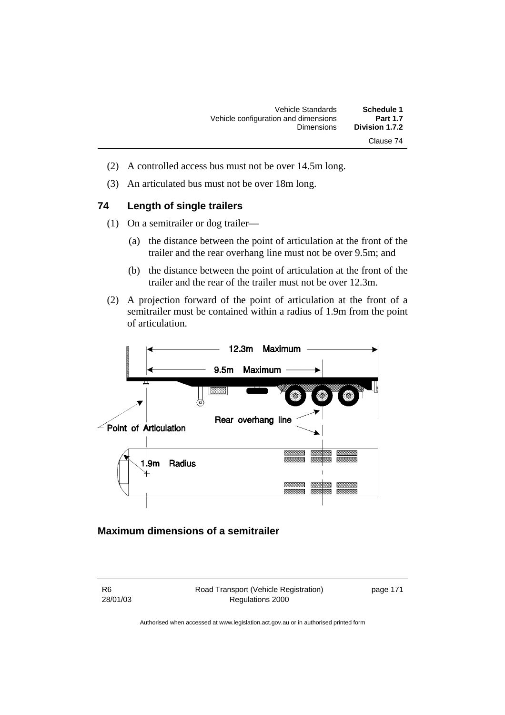| Schedule 1      | Vehicle Standards                    |
|-----------------|--------------------------------------|
| <b>Part 1.7</b> | Vehicle configuration and dimensions |
| Division 1.7.2  | <b>Dimensions</b>                    |
| Clause 74       |                                      |

- (2) A controlled access bus must not be over 14.5m long.
- (3) An articulated bus must not be over 18m long.

#### **74 Length of single trailers**

- (1) On a semitrailer or dog trailer—
	- (a) the distance between the point of articulation at the front of the trailer and the rear overhang line must not be over 9.5m; and
	- (b) the distance between the point of articulation at the front of the trailer and the rear of the trailer must not be over 12.3m.
- (2) A projection forward of the point of articulation at the front of a semitrailer must be contained within a radius of 1.9m from the point of articulation.



### **Maximum dimensions of a semitrailer**

R6 28/01/03 Road Transport (Vehicle Registration) Regulations 2000

page 171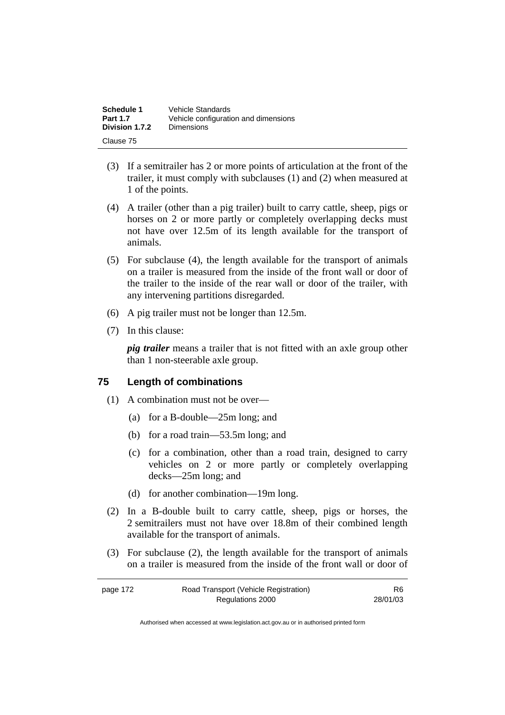| <b>Schedule 1</b> | Vehicle Standards                    |
|-------------------|--------------------------------------|
| <b>Part 1.7</b>   | Vehicle configuration and dimensions |
| Division 1.7.2    | Dimensions                           |
| Clause 75         |                                      |

- (3) If a semitrailer has 2 or more points of articulation at the front of the trailer, it must comply with subclauses (1) and (2) when measured at 1 of the points.
- (4) A trailer (other than a pig trailer) built to carry cattle, sheep, pigs or horses on 2 or more partly or completely overlapping decks must not have over 12.5m of its length available for the transport of animals.
- (5) For subclause (4), the length available for the transport of animals on a trailer is measured from the inside of the front wall or door of the trailer to the inside of the rear wall or door of the trailer, with any intervening partitions disregarded.
- (6) A pig trailer must not be longer than 12.5m.
- (7) In this clause:

*pig trailer* means a trailer that is not fitted with an axle group other than 1 non-steerable axle group.

#### **75 Length of combinations**

- (1) A combination must not be over—
	- (a) for a B-double—25m long; and
	- (b) for a road train—53.5m long; and
	- (c) for a combination, other than a road train, designed to carry vehicles on 2 or more partly or completely overlapping decks—25m long; and
	- (d) for another combination—19m long.
- (2) In a B-double built to carry cattle, sheep, pigs or horses, the 2 semitrailers must not have over 18.8m of their combined length available for the transport of animals.
- (3) For subclause (2), the length available for the transport of animals on a trailer is measured from the inside of the front wall or door of

| page 172 | Road Transport (Vehicle Registration) | R6       |
|----------|---------------------------------------|----------|
|          | Regulations 2000                      | 28/01/03 |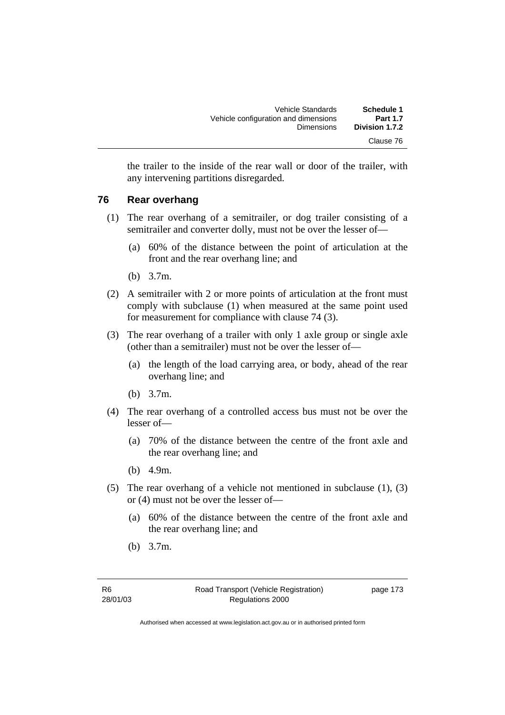| Schedule 1      | Vehicle Standards                    |
|-----------------|--------------------------------------|
| <b>Part 1.7</b> | Vehicle configuration and dimensions |
| Division 1.7.2  | <b>Dimensions</b>                    |
| Clause 76       |                                      |

the trailer to the inside of the rear wall or door of the trailer, with any intervening partitions disregarded.

#### **76 Rear overhang**

- (1) The rear overhang of a semitrailer, or dog trailer consisting of a semitrailer and converter dolly, must not be over the lesser of—
	- (a) 60% of the distance between the point of articulation at the front and the rear overhang line; and
	- (b) 3.7m.
- (2) A semitrailer with 2 or more points of articulation at the front must comply with subclause (1) when measured at the same point used for measurement for compliance with clause 74 (3).
- (3) The rear overhang of a trailer with only 1 axle group or single axle (other than a semitrailer) must not be over the lesser of—
	- (a) the length of the load carrying area, or body, ahead of the rear overhang line; and
	- (b) 3.7m.
- (4) The rear overhang of a controlled access bus must not be over the lesser of—
	- (a) 70% of the distance between the centre of the front axle and the rear overhang line; and
	- (b) 4.9m.
- (5) The rear overhang of a vehicle not mentioned in subclause (1), (3) or (4) must not be over the lesser of—
	- (a) 60% of the distance between the centre of the front axle and the rear overhang line; and
	- (b) 3.7m.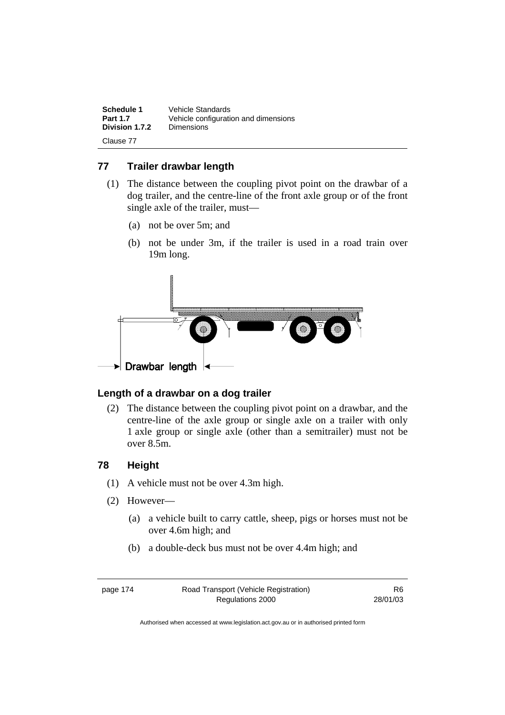| Schedule 1      | Vehicle Standards                    |
|-----------------|--------------------------------------|
| <b>Part 1.7</b> | Vehicle configuration and dimensions |
| Division 1.7.2  | <b>Dimensions</b>                    |
| Clause 77       |                                      |

#### **77 Trailer drawbar length**

- (1) The distance between the coupling pivot point on the drawbar of a dog trailer, and the centre-line of the front axle group or of the front single axle of the trailer, must—
	- (a) not be over 5m; and
	- (b) not be under 3m, if the trailer is used in a road train over 19m long.



#### **Length of a drawbar on a dog trailer**

 (2) The distance between the coupling pivot point on a drawbar, and the centre-line of the axle group or single axle on a trailer with only 1 axle group or single axle (other than a semitrailer) must not be over 8.5m.

#### **78 Height**

- (1) A vehicle must not be over 4.3m high.
- (2) However—
	- (a) a vehicle built to carry cattle, sheep, pigs or horses must not be over 4.6m high; and
	- (b) a double-deck bus must not be over 4.4m high; and

page 174 Road Transport (Vehicle Registration) Regulations 2000

R6 28/01/03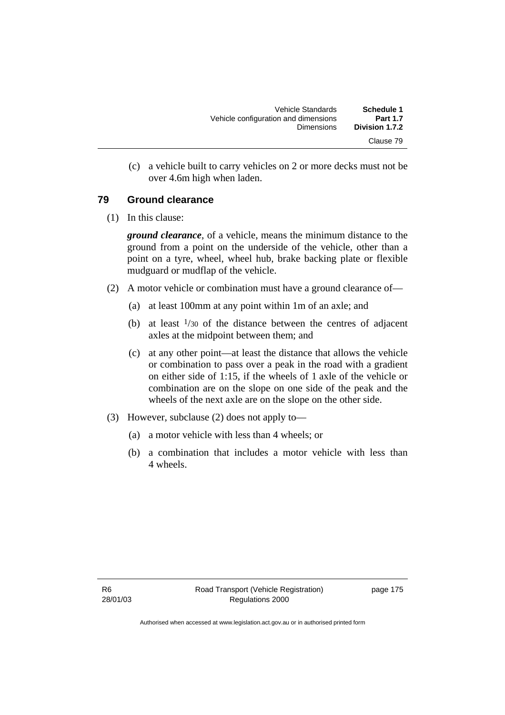| Schedule 1<br><b>Part 1.7</b> | <b>Vehicle Standards</b><br>Vehicle configuration and dimensions |  |
|-------------------------------|------------------------------------------------------------------|--|
| Division 1.7.2                | <b>Dimensions</b>                                                |  |
| Clause 79                     |                                                                  |  |

 (c) a vehicle built to carry vehicles on 2 or more decks must not be over 4.6m high when laden.

#### **79 Ground clearance**

(1) In this clause:

*ground clearance*, of a vehicle, means the minimum distance to the ground from a point on the underside of the vehicle, other than a point on a tyre, wheel, wheel hub, brake backing plate or flexible mudguard or mudflap of the vehicle.

- (2) A motor vehicle or combination must have a ground clearance of—
	- (a) at least 100mm at any point within 1m of an axle; and
	- (b) at least  $\frac{1}{30}$  of the distance between the centres of adjacent axles at the midpoint between them; and
	- (c) at any other point—at least the distance that allows the vehicle or combination to pass over a peak in the road with a gradient on either side of 1:15, if the wheels of 1 axle of the vehicle or combination are on the slope on one side of the peak and the wheels of the next axle are on the slope on the other side.
- (3) However, subclause (2) does not apply to—
	- (a) a motor vehicle with less than 4 wheels; or
	- (b) a combination that includes a motor vehicle with less than 4 wheels.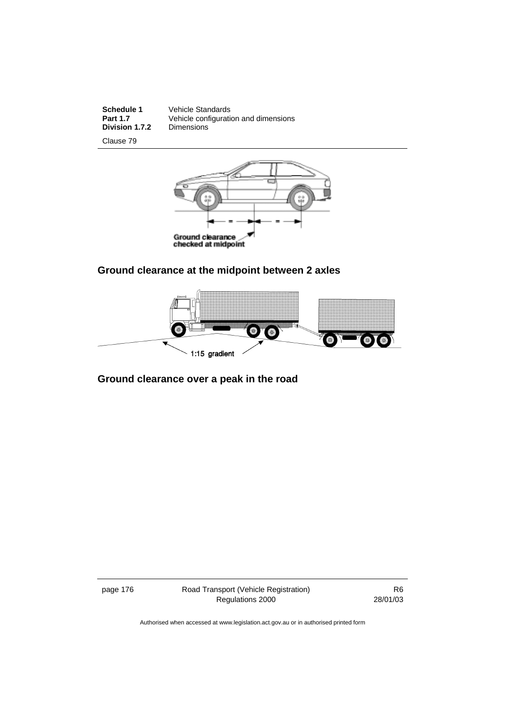**Division 1.7.2** 

**Schedule 1** Vehicle Standards<br> **Part 1.7** Vehicle configuration **Part 1.7** Vehicle configuration and dimensions

Clause 79



### **Ground clearance at the midpoint between 2 axles**



### **Ground clearance over a peak in the road**

page 176 Road Transport (Vehicle Registration) Regulations 2000

R6 28/01/03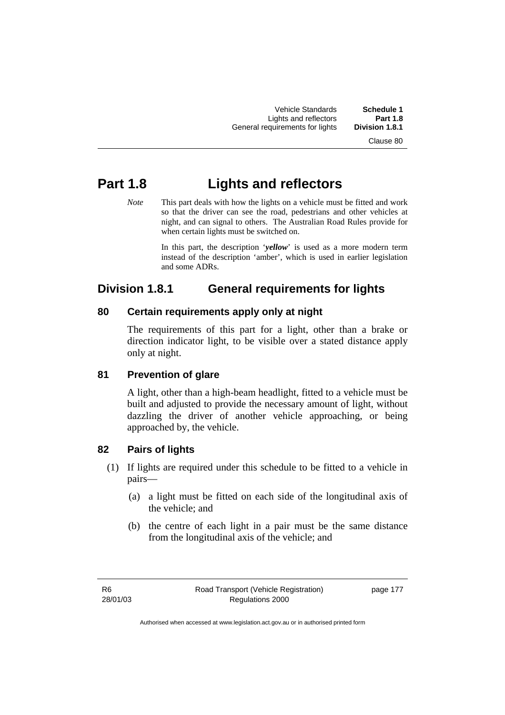Vehicle Standards **Schedule 1**  Lights and reflectors **Part 1.8 General requirements for lights** 

Clause 80

# **Part 1.8 Lights and reflectors**

*Note* This part deals with how the lights on a vehicle must be fitted and work so that the driver can see the road, pedestrians and other vehicles at night, and can signal to others. The Australian Road Rules provide for when certain lights must be switched on.

> In this part, the description '*yellow*' is used as a more modern term instead of the description 'amber', which is used in earlier legislation and some ADRs.

## **Division 1.8.1 General requirements for lights**

### **80 Certain requirements apply only at night**

The requirements of this part for a light, other than a brake or direction indicator light, to be visible over a stated distance apply only at night.

### **81 Prevention of glare**

A light, other than a high-beam headlight, fitted to a vehicle must be built and adjusted to provide the necessary amount of light, without dazzling the driver of another vehicle approaching, or being approached by, the vehicle.

### **82 Pairs of lights**

- (1) If lights are required under this schedule to be fitted to a vehicle in pairs—
	- (a) a light must be fitted on each side of the longitudinal axis of the vehicle; and
	- (b) the centre of each light in a pair must be the same distance from the longitudinal axis of the vehicle; and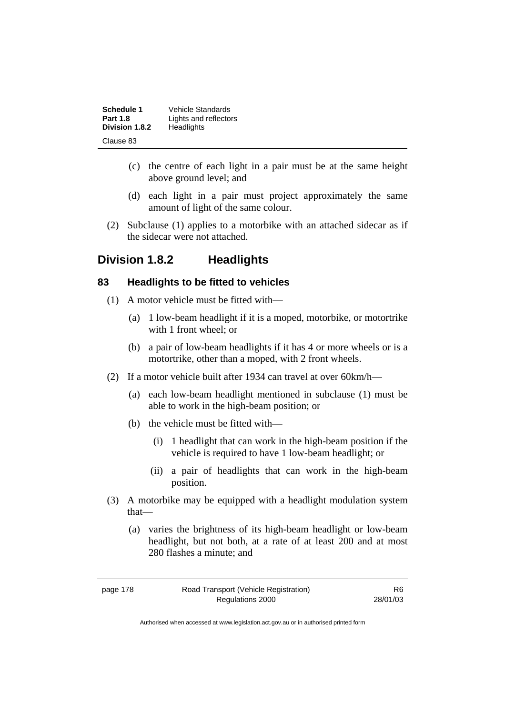| Schedule 1      | Vehicle Standards     |
|-----------------|-----------------------|
| <b>Part 1.8</b> | Lights and reflectors |
| Division 1.8.2  | Headlights            |
| Clause 83       |                       |

- (c) the centre of each light in a pair must be at the same height above ground level; and
- (d) each light in a pair must project approximately the same amount of light of the same colour.
- (2) Subclause (1) applies to a motorbike with an attached sidecar as if the sidecar were not attached.

### **Division 1.8.2 Headlights**

#### **83 Headlights to be fitted to vehicles**

- (1) A motor vehicle must be fitted with—
	- (a) 1 low-beam headlight if it is a moped, motorbike, or motortrike with 1 front wheel; or
	- (b) a pair of low-beam headlights if it has 4 or more wheels or is a motortrike, other than a moped, with 2 front wheels.
- (2) If a motor vehicle built after 1934 can travel at over 60km/h—
	- (a) each low-beam headlight mentioned in subclause (1) must be able to work in the high-beam position; or
	- (b) the vehicle must be fitted with—
		- (i) 1 headlight that can work in the high-beam position if the vehicle is required to have 1 low-beam headlight; or
		- (ii) a pair of headlights that can work in the high-beam position.
- (3) A motorbike may be equipped with a headlight modulation system that—
	- (a) varies the brightness of its high-beam headlight or low-beam headlight, but not both, at a rate of at least 200 and at most 280 flashes a minute; and

| page 178 |  |  |  |
|----------|--|--|--|
|----------|--|--|--|

R6 28/01/03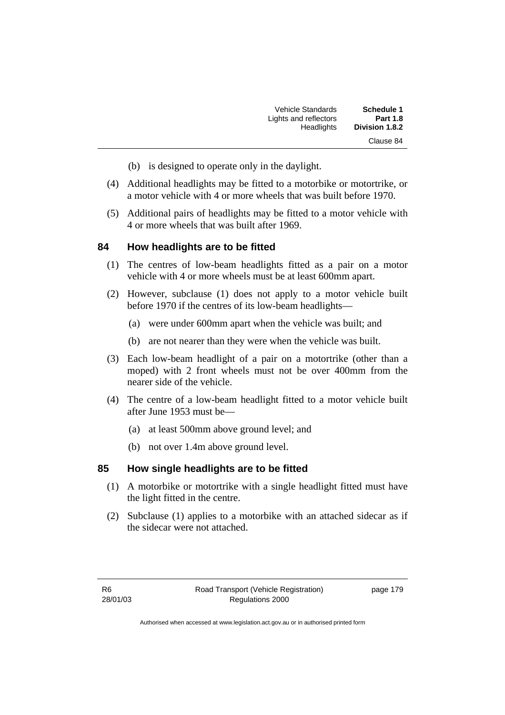| <b>Schedule 1</b> | Vehicle Standards     |
|-------------------|-----------------------|
| <b>Part 1.8</b>   | Lights and reflectors |
| Division 1.8.2    | <b>Headlights</b>     |
| Clause 84         |                       |

- (b) is designed to operate only in the daylight.
- (4) Additional headlights may be fitted to a motorbike or motortrike, or a motor vehicle with 4 or more wheels that was built before 1970.
- (5) Additional pairs of headlights may be fitted to a motor vehicle with 4 or more wheels that was built after 1969.

#### **84 How headlights are to be fitted**

- (1) The centres of low-beam headlights fitted as a pair on a motor vehicle with 4 or more wheels must be at least 600mm apart.
- (2) However, subclause (1) does not apply to a motor vehicle built before 1970 if the centres of its low-beam headlights—
	- (a) were under 600mm apart when the vehicle was built; and
	- (b) are not nearer than they were when the vehicle was built.
- (3) Each low-beam headlight of a pair on a motortrike (other than a moped) with 2 front wheels must not be over 400mm from the nearer side of the vehicle.
- (4) The centre of a low-beam headlight fitted to a motor vehicle built after June 1953 must be—
	- (a) at least 500mm above ground level; and
	- (b) not over 1.4m above ground level.

#### **85 How single headlights are to be fitted**

- (1) A motorbike or motortrike with a single headlight fitted must have the light fitted in the centre.
- (2) Subclause (1) applies to a motorbike with an attached sidecar as if the sidecar were not attached.

page 179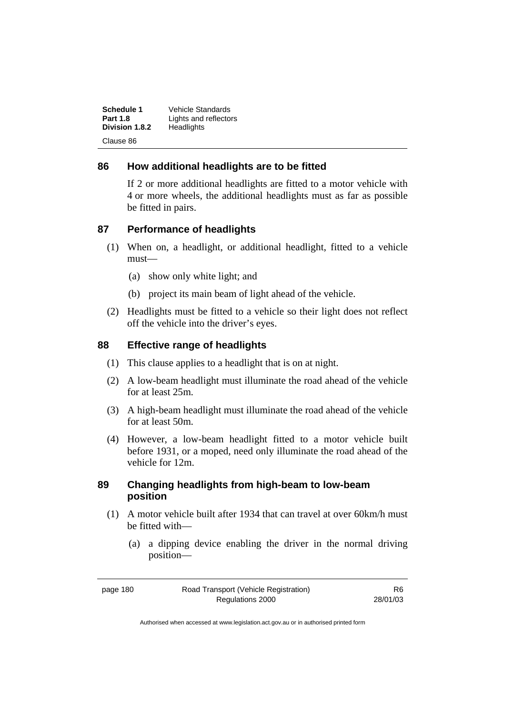| Schedule 1      | Vehicle Standards     |
|-----------------|-----------------------|
| <b>Part 1.8</b> | Lights and reflectors |
| Division 1.8.2  | Headlights            |
| Clause 86       |                       |

#### **86 How additional headlights are to be fitted**

If 2 or more additional headlights are fitted to a motor vehicle with 4 or more wheels, the additional headlights must as far as possible be fitted in pairs.

#### **87 Performance of headlights**

- (1) When on, a headlight, or additional headlight, fitted to a vehicle must—
	- (a) show only white light; and
	- (b) project its main beam of light ahead of the vehicle.
- (2) Headlights must be fitted to a vehicle so their light does not reflect off the vehicle into the driver's eyes.

#### **88 Effective range of headlights**

- (1) This clause applies to a headlight that is on at night.
- (2) A low-beam headlight must illuminate the road ahead of the vehicle for at least 25m.
- (3) A high-beam headlight must illuminate the road ahead of the vehicle for at least 50m.
- (4) However, a low-beam headlight fitted to a motor vehicle built before 1931, or a moped, need only illuminate the road ahead of the vehicle for 12m.

#### **89 Changing headlights from high-beam to low-beam position**

- (1) A motor vehicle built after 1934 that can travel at over 60km/h must be fitted with—
	- (a) a dipping device enabling the driver in the normal driving position—

page 180 Road Transport (Vehicle Registration) Regulations 2000

R6 28/01/03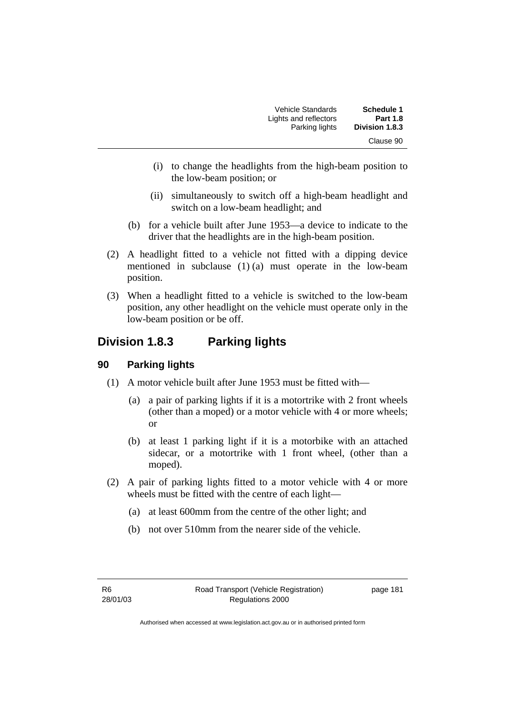| Schedule 1      | Vehicle Standards     |
|-----------------|-----------------------|
| <b>Part 1.8</b> | Lights and reflectors |
| Division 1.8.3  | Parking lights        |
| Clause 90       |                       |

- (i) to change the headlights from the high-beam position to the low-beam position; or
- (ii) simultaneously to switch off a high-beam headlight and switch on a low-beam headlight; and
- (b) for a vehicle built after June 1953—a device to indicate to the driver that the headlights are in the high-beam position.
- (2) A headlight fitted to a vehicle not fitted with a dipping device mentioned in subclause (1) (a) must operate in the low-beam position.
- (3) When a headlight fitted to a vehicle is switched to the low-beam position, any other headlight on the vehicle must operate only in the low-beam position or be off.

### **Division 1.8.3 Parking lights**

### **90 Parking lights**

- (1) A motor vehicle built after June 1953 must be fitted with—
	- (a) a pair of parking lights if it is a motortrike with 2 front wheels (other than a moped) or a motor vehicle with 4 or more wheels; or
	- (b) at least 1 parking light if it is a motorbike with an attached sidecar, or a motortrike with 1 front wheel, (other than a moped).
- (2) A pair of parking lights fitted to a motor vehicle with 4 or more wheels must be fitted with the centre of each light—
	- (a) at least 600mm from the centre of the other light; and
	- (b) not over 510mm from the nearer side of the vehicle.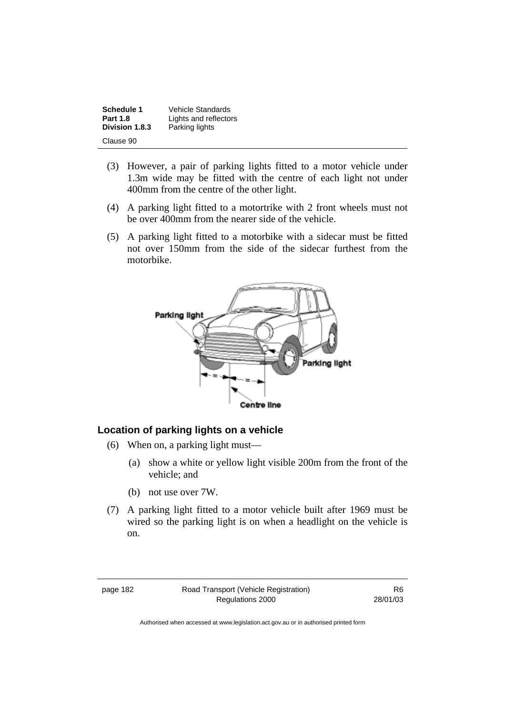| Schedule 1      | Vehicle Standards     |
|-----------------|-----------------------|
| <b>Part 1.8</b> | Lights and reflectors |
| Division 1.8.3  | Parking lights        |
| Clause 90       |                       |

- (3) However, a pair of parking lights fitted to a motor vehicle under 1.3m wide may be fitted with the centre of each light not under 400mm from the centre of the other light.
- (4) A parking light fitted to a motortrike with 2 front wheels must not be over 400mm from the nearer side of the vehicle.
- (5) A parking light fitted to a motorbike with a sidecar must be fitted not over 150mm from the side of the sidecar furthest from the motorbike.



#### **Location of parking lights on a vehicle**

- (6) When on, a parking light must—
	- (a) show a white or yellow light visible 200m from the front of the vehicle; and
	- (b) not use over 7W.
- (7) A parking light fitted to a motor vehicle built after 1969 must be wired so the parking light is on when a headlight on the vehicle is on.

page 182 Road Transport (Vehicle Registration) Regulations 2000

R6 28/01/03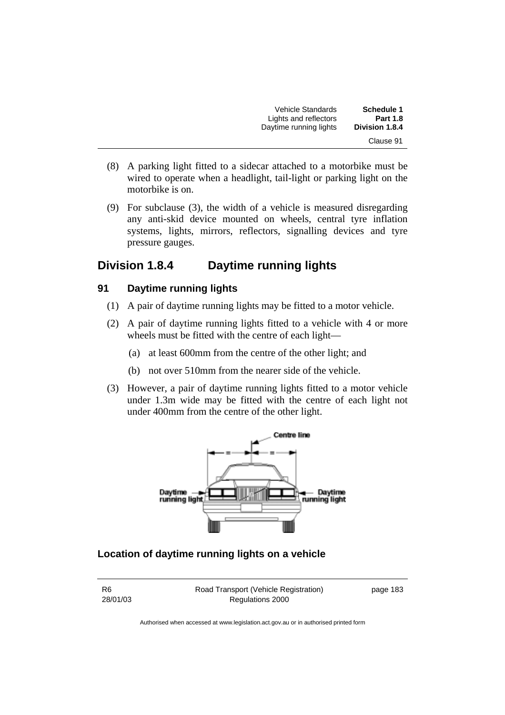| <b>Schedule 1</b>     | Vehicle Standards      |
|-----------------------|------------------------|
| <b>Part 1.8</b>       | Lights and reflectors  |
| <b>Division 1.8.4</b> | Daytime running lights |
| Clause 91             |                        |

- (8) A parking light fitted to a sidecar attached to a motorbike must be wired to operate when a headlight, tail-light or parking light on the motorbike is on.
- (9) For subclause (3), the width of a vehicle is measured disregarding any anti-skid device mounted on wheels, central tyre inflation systems, lights, mirrors, reflectors, signalling devices and tyre pressure gauges.

### **Division 1.8.4 Daytime running lights**

#### **91 Daytime running lights**

- (1) A pair of daytime running lights may be fitted to a motor vehicle.
- (2) A pair of daytime running lights fitted to a vehicle with 4 or more wheels must be fitted with the centre of each light—
	- (a) at least 600mm from the centre of the other light; and
	- (b) not over 510mm from the nearer side of the vehicle.
- (3) However, a pair of daytime running lights fitted to a motor vehicle under 1.3m wide may be fitted with the centre of each light not under 400mm from the centre of the other light.



### **Location of daytime running lights on a vehicle**

R6 28/01/03 Road Transport (Vehicle Registration) Regulations 2000

page 183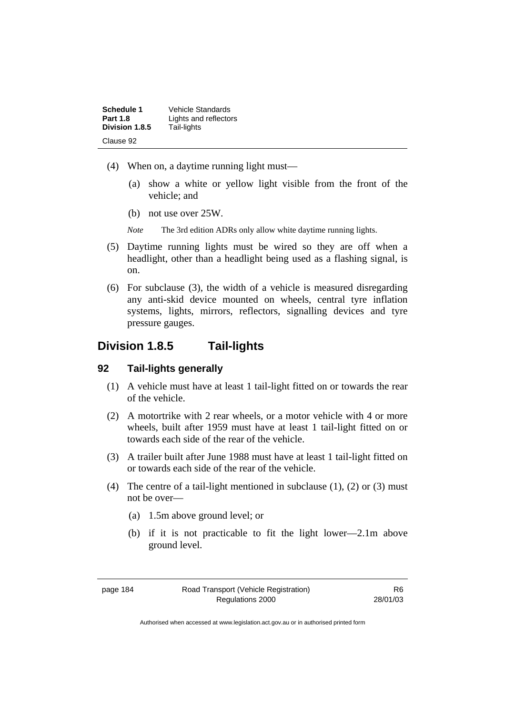| Schedule 1      | Vehicle Standards     |
|-----------------|-----------------------|
| <b>Part 1.8</b> | Lights and reflectors |
| Division 1.8.5  | Tail-lights           |
| Clause 92       |                       |

- (4) When on, a daytime running light must—
	- (a) show a white or yellow light visible from the front of the vehicle; and
	- (b) not use over 25W.
	- *Note* The 3rd edition ADRs only allow white daytime running lights.
- (5) Daytime running lights must be wired so they are off when a headlight, other than a headlight being used as a flashing signal, is on.
- (6) For subclause (3), the width of a vehicle is measured disregarding any anti-skid device mounted on wheels, central tyre inflation systems, lights, mirrors, reflectors, signalling devices and tyre pressure gauges.

### **Division 1.8.5 Tail-lights**

#### **92 Tail-lights generally**

- (1) A vehicle must have at least 1 tail-light fitted on or towards the rear of the vehicle.
- (2) A motortrike with 2 rear wheels, or a motor vehicle with 4 or more wheels, built after 1959 must have at least 1 tail-light fitted on or towards each side of the rear of the vehicle.
- (3) A trailer built after June 1988 must have at least 1 tail-light fitted on or towards each side of the rear of the vehicle.
- (4) The centre of a tail-light mentioned in subclause  $(1)$ ,  $(2)$  or  $(3)$  must not be over—
	- (a) 1.5m above ground level; or
	- (b) if it is not practicable to fit the light lower—2.1m above ground level.

R6 28/01/03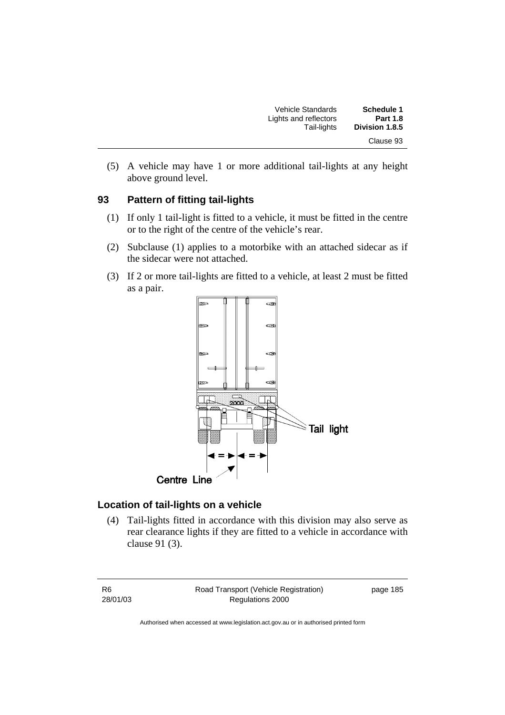| <b>Schedule 1</b><br><b>Part 1.8</b> | Vehicle Standards<br>Lights and reflectors |
|--------------------------------------|--------------------------------------------|
| Division 1.8.5                       | Tail-lights                                |
| Clause 93                            |                                            |

 (5) A vehicle may have 1 or more additional tail-lights at any height above ground level.

#### **93 Pattern of fitting tail-lights**

- (1) If only 1 tail-light is fitted to a vehicle, it must be fitted in the centre or to the right of the centre of the vehicle's rear.
- (2) Subclause (1) applies to a motorbike with an attached sidecar as if the sidecar were not attached.
- (3) If 2 or more tail-lights are fitted to a vehicle, at least 2 must be fitted as a pair.



#### **Location of tail-lights on a vehicle**

 (4) Tail-lights fitted in accordance with this division may also serve as rear clearance lights if they are fitted to a vehicle in accordance with clause 91 (3).

R6 28/01/03 Road Transport (Vehicle Registration) Regulations 2000 page 185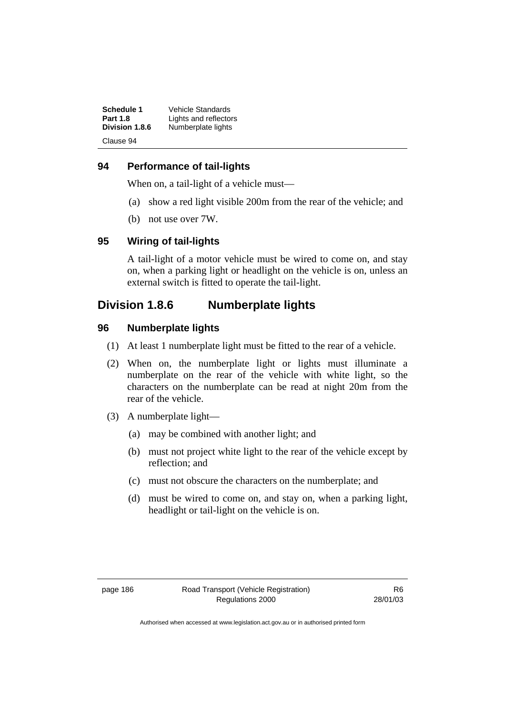| Schedule 1      | <b>Vehicle Standards</b> |
|-----------------|--------------------------|
| <b>Part 1.8</b> | Lights and reflectors    |
| Division 1.8.6  | Numberplate lights       |
| Clause 94       |                          |

#### **94 Performance of tail-lights**

When on, a tail-light of a vehicle must—

- (a) show a red light visible 200m from the rear of the vehicle; and
- (b) not use over 7W.

### **95 Wiring of tail-lights**

A tail-light of a motor vehicle must be wired to come on, and stay on, when a parking light or headlight on the vehicle is on, unless an external switch is fitted to operate the tail-light.

### **Division 1.8.6 Numberplate lights**

#### **96 Numberplate lights**

- (1) At least 1 numberplate light must be fitted to the rear of a vehicle.
- (2) When on, the numberplate light or lights must illuminate a numberplate on the rear of the vehicle with white light, so the characters on the numberplate can be read at night 20m from the rear of the vehicle.
- (3) A numberplate light—
	- (a) may be combined with another light; and
	- (b) must not project white light to the rear of the vehicle except by reflection; and
	- (c) must not obscure the characters on the numberplate; and
	- (d) must be wired to come on, and stay on, when a parking light, headlight or tail-light on the vehicle is on.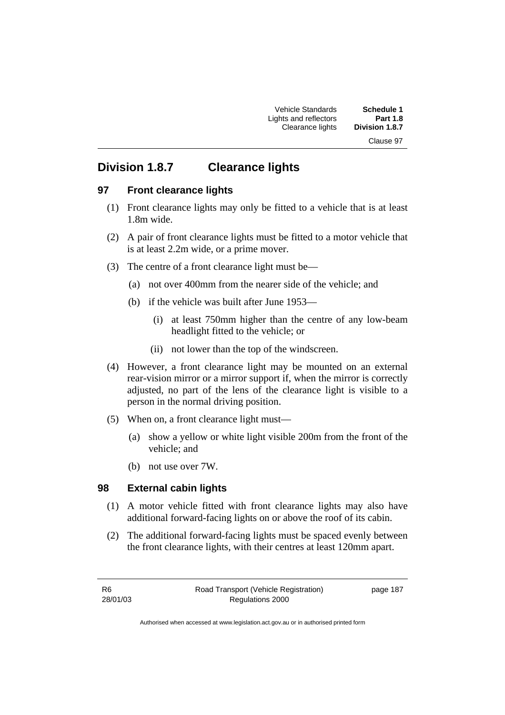Clause 97

## **Division 1.8.7 Clearance lights**

#### **97 Front clearance lights**

- (1) Front clearance lights may only be fitted to a vehicle that is at least 1.8m wide.
- (2) A pair of front clearance lights must be fitted to a motor vehicle that is at least 2.2m wide, or a prime mover.
- (3) The centre of a front clearance light must be—
	- (a) not over 400mm from the nearer side of the vehicle; and
	- (b) if the vehicle was built after June 1953—
		- (i) at least 750mm higher than the centre of any low-beam headlight fitted to the vehicle; or
		- (ii) not lower than the top of the windscreen.
- (4) However, a front clearance light may be mounted on an external rear-vision mirror or a mirror support if, when the mirror is correctly adjusted, no part of the lens of the clearance light is visible to a person in the normal driving position.
- (5) When on, a front clearance light must—
	- (a) show a yellow or white light visible 200m from the front of the vehicle; and
	- (b) not use over 7W.

### **98 External cabin lights**

- (1) A motor vehicle fitted with front clearance lights may also have additional forward-facing lights on or above the roof of its cabin.
- (2) The additional forward-facing lights must be spaced evenly between the front clearance lights, with their centres at least 120mm apart.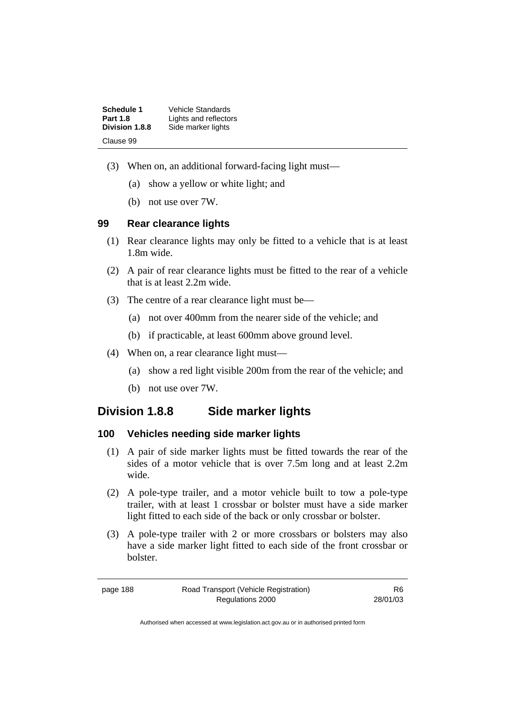| Schedule 1      | <b>Vehicle Standards</b> |
|-----------------|--------------------------|
| <b>Part 1.8</b> | Lights and reflectors    |
| Division 1.8.8  | Side marker lights       |
| Clause 99       |                          |

- (3) When on, an additional forward-facing light must—
	- (a) show a yellow or white light; and
	- (b) not use over 7W.

#### **99 Rear clearance lights**

- (1) Rear clearance lights may only be fitted to a vehicle that is at least 1.8m wide.
- (2) A pair of rear clearance lights must be fitted to the rear of a vehicle that is at least 2.2m wide.
- (3) The centre of a rear clearance light must be—
	- (a) not over 400mm from the nearer side of the vehicle; and
	- (b) if practicable, at least 600mm above ground level.
- (4) When on, a rear clearance light must—
	- (a) show a red light visible 200m from the rear of the vehicle; and
	- (b) not use over 7W.

### **Division 1.8.8 Side marker lights**

#### **100 Vehicles needing side marker lights**

- (1) A pair of side marker lights must be fitted towards the rear of the sides of a motor vehicle that is over 7.5m long and at least 2.2m wide.
- (2) A pole-type trailer, and a motor vehicle built to tow a pole-type trailer, with at least 1 crossbar or bolster must have a side marker light fitted to each side of the back or only crossbar or bolster.
- (3) A pole-type trailer with 2 or more crossbars or bolsters may also have a side marker light fitted to each side of the front crossbar or bolster.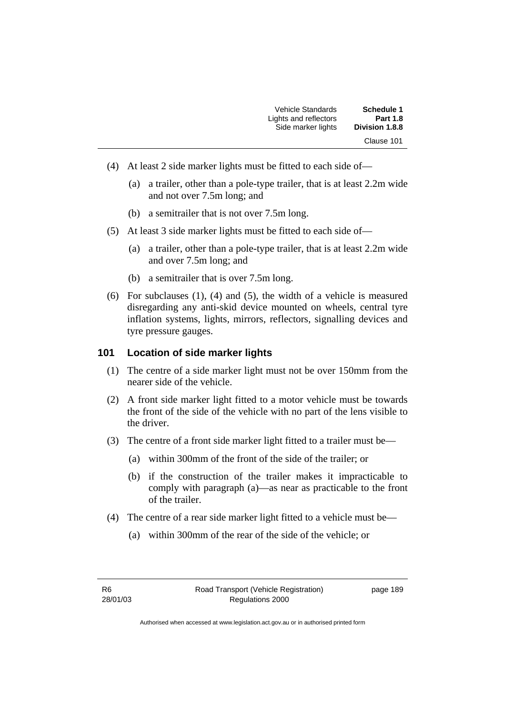| Vehicle Standards     | <b>Schedule 1</b>     |
|-----------------------|-----------------------|
| Lights and reflectors | <b>Part 1.8</b>       |
| Side marker lights    | <b>Division 1.8.8</b> |
|                       | Clause 101            |

- (4) At least 2 side marker lights must be fitted to each side of—
	- (a) a trailer, other than a pole-type trailer, that is at least 2.2m wide and not over 7.5m long; and
	- (b) a semitrailer that is not over 7.5m long.
- (5) At least 3 side marker lights must be fitted to each side of—
	- (a) a trailer, other than a pole-type trailer, that is at least 2.2m wide and over 7.5m long; and
	- (b) a semitrailer that is over 7.5m long.
- (6) For subclauses (1), (4) and (5), the width of a vehicle is measured disregarding any anti-skid device mounted on wheels, central tyre inflation systems, lights, mirrors, reflectors, signalling devices and tyre pressure gauges.

#### **101 Location of side marker lights**

- (1) The centre of a side marker light must not be over 150mm from the nearer side of the vehicle.
- (2) A front side marker light fitted to a motor vehicle must be towards the front of the side of the vehicle with no part of the lens visible to the driver.
- (3) The centre of a front side marker light fitted to a trailer must be—
	- (a) within 300mm of the front of the side of the trailer; or
	- (b) if the construction of the trailer makes it impracticable to comply with paragraph (a)—as near as practicable to the front of the trailer.
- (4) The centre of a rear side marker light fitted to a vehicle must be—
	- (a) within 300mm of the rear of the side of the vehicle; or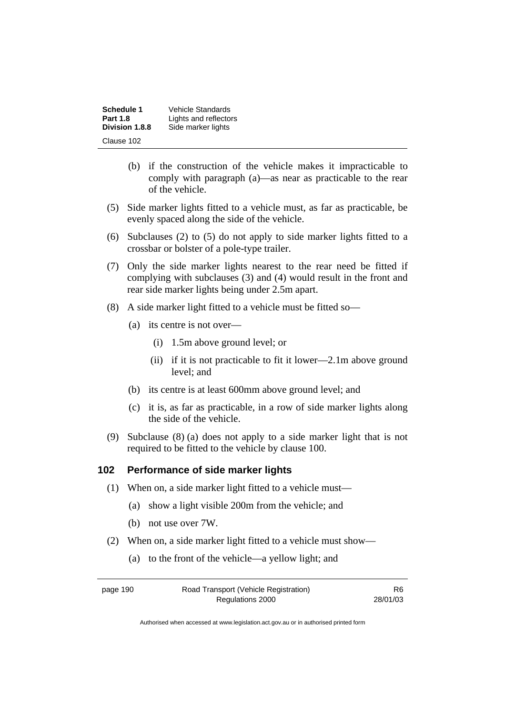| Schedule 1      | Vehicle Standards     |
|-----------------|-----------------------|
| <b>Part 1.8</b> | Lights and reflectors |
| Division 1.8.8  | Side marker lights    |
| Clause 102      |                       |

- (b) if the construction of the vehicle makes it impracticable to comply with paragraph (a)—as near as practicable to the rear of the vehicle.
- (5) Side marker lights fitted to a vehicle must, as far as practicable, be evenly spaced along the side of the vehicle.
- (6) Subclauses (2) to (5) do not apply to side marker lights fitted to a crossbar or bolster of a pole-type trailer.
- (7) Only the side marker lights nearest to the rear need be fitted if complying with subclauses (3) and (4) would result in the front and rear side marker lights being under 2.5m apart.
- (8) A side marker light fitted to a vehicle must be fitted so—
	- (a) its centre is not over—
		- (i) 1.5m above ground level; or
		- (ii) if it is not practicable to fit it lower—2.1m above ground level; and
	- (b) its centre is at least 600mm above ground level; and
	- (c) it is, as far as practicable, in a row of side marker lights along the side of the vehicle.
- (9) Subclause (8) (a) does not apply to a side marker light that is not required to be fitted to the vehicle by clause 100.

#### **102 Performance of side marker lights**

- (1) When on, a side marker light fitted to a vehicle must—
	- (a) show a light visible 200m from the vehicle; and
	- (b) not use over 7W.
- (2) When on, a side marker light fitted to a vehicle must show—
	- (a) to the front of the vehicle—a yellow light; and

page 190 Road Transport (Vehicle Registration) Regulations 2000

R6 28/01/03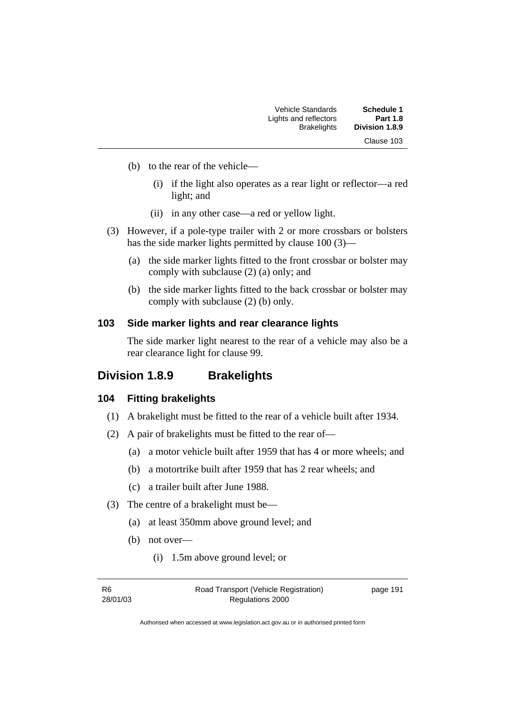| Schedule 1      | Vehicle Standards     |
|-----------------|-----------------------|
| <b>Part 1.8</b> | Lights and reflectors |
| Division 1.8.9  | <b>Brakelights</b>    |
| Clause 103      |                       |

- (b) to the rear of the vehicle—
	- (i) if the light also operates as a rear light or reflector—a red light; and
	- (ii) in any other case—a red or yellow light.
- (3) However, if a pole-type trailer with 2 or more crossbars or bolsters has the side marker lights permitted by clause 100 (3)—
	- (a) the side marker lights fitted to the front crossbar or bolster may comply with subclause (2) (a) only; and
	- (b) the side marker lights fitted to the back crossbar or bolster may comply with subclause (2) (b) only.

#### **103 Side marker lights and rear clearance lights**

The side marker light nearest to the rear of a vehicle may also be a rear clearance light for clause 99.

### **Division 1.8.9 Brakelights**

#### **104 Fitting brakelights**

- (1) A brakelight must be fitted to the rear of a vehicle built after 1934.
- (2) A pair of brakelights must be fitted to the rear of—
	- (a) a motor vehicle built after 1959 that has 4 or more wheels; and
	- (b) a motortrike built after 1959 that has 2 rear wheels; and
	- (c) a trailer built after June 1988.
- (3) The centre of a brakelight must be—
	- (a) at least 350mm above ground level; and
	- (b) not over—
		- (i) 1.5m above ground level; or

R6 28/01/03 Road Transport (Vehicle Registration) Regulations 2000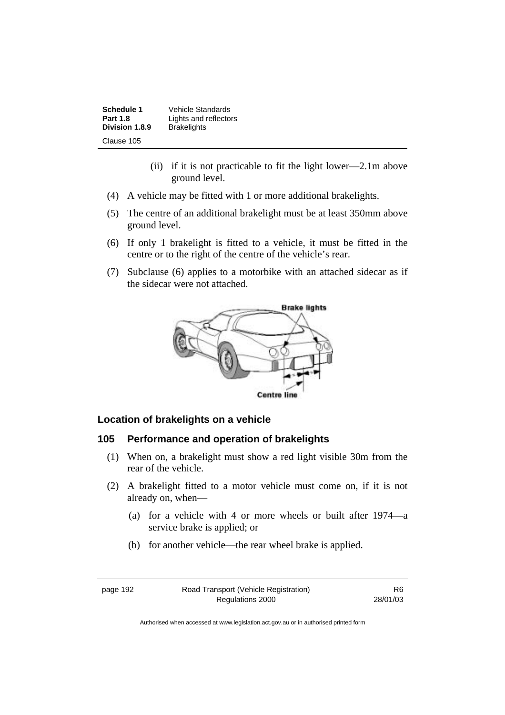**Schedule 1** Vehicle Standards<br>**Part 1.8 Lights and reflecto Lights and reflectors**<br>**Brakelights Division 1.8.9** Clause 105

- (ii) if it is not practicable to fit the light lower—2.1m above ground level.
- (4) A vehicle may be fitted with 1 or more additional brakelights.
- (5) The centre of an additional brakelight must be at least 350mm above ground level.
- (6) If only 1 brakelight is fitted to a vehicle, it must be fitted in the centre or to the right of the centre of the vehicle's rear.
- (7) Subclause (6) applies to a motorbike with an attached sidecar as if the sidecar were not attached.



#### **Location of brakelights on a vehicle**

#### **105 Performance and operation of brakelights**

- (1) When on, a brakelight must show a red light visible 30m from the rear of the vehicle.
- (2) A brakelight fitted to a motor vehicle must come on, if it is not already on, when—
	- (a) for a vehicle with 4 or more wheels or built after 1974—a service brake is applied; or
	- (b) for another vehicle—the rear wheel brake is applied.

page 192 Road Transport (Vehicle Registration) Regulations 2000

R6 28/01/03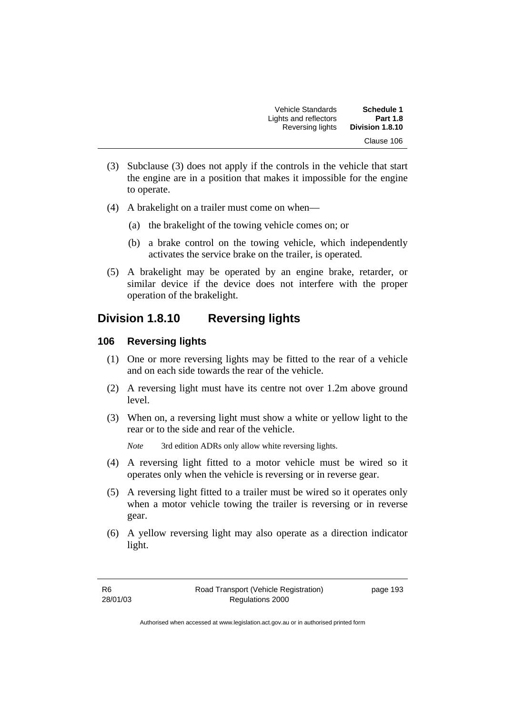Vehicle Standards **Schedule 1**  Lights and reflectors **Part 1.8 Reversing lights** Clause 106

- (3) Subclause (3) does not apply if the controls in the vehicle that start the engine are in a position that makes it impossible for the engine to operate.
- (4) A brakelight on a trailer must come on when—
	- (a) the brakelight of the towing vehicle comes on; or
	- (b) a brake control on the towing vehicle, which independently activates the service brake on the trailer, is operated.
- (5) A brakelight may be operated by an engine brake, retarder, or similar device if the device does not interfere with the proper operation of the brakelight.

### **Division 1.8.10 Reversing lights**

#### **106 Reversing lights**

- (1) One or more reversing lights may be fitted to the rear of a vehicle and on each side towards the rear of the vehicle.
- (2) A reversing light must have its centre not over 1.2m above ground level.
- (3) When on, a reversing light must show a white or yellow light to the rear or to the side and rear of the vehicle.

*Note* 3rd edition ADRs only allow white reversing lights.

- (4) A reversing light fitted to a motor vehicle must be wired so it operates only when the vehicle is reversing or in reverse gear.
- (5) A reversing light fitted to a trailer must be wired so it operates only when a motor vehicle towing the trailer is reversing or in reverse gear.
- (6) A yellow reversing light may also operate as a direction indicator light.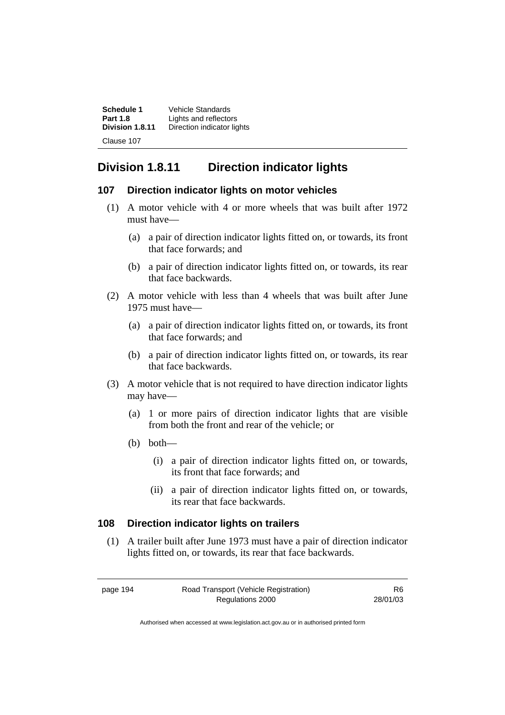| Schedule 1      | <b>Vehicle Standards</b>   |
|-----------------|----------------------------|
| <b>Part 1.8</b> | Lights and reflectors      |
| Division 1.8.11 | Direction indicator lights |
| Clause 107      |                            |

### **Division 1.8.11 Direction indicator lights**

#### **107 Direction indicator lights on motor vehicles**

- (1) A motor vehicle with 4 or more wheels that was built after 1972 must have—
	- (a) a pair of direction indicator lights fitted on, or towards, its front that face forwards; and
	- (b) a pair of direction indicator lights fitted on, or towards, its rear that face backwards.
- (2) A motor vehicle with less than 4 wheels that was built after June 1975 must have—
	- (a) a pair of direction indicator lights fitted on, or towards, its front that face forwards; and
	- (b) a pair of direction indicator lights fitted on, or towards, its rear that face backwards.
- (3) A motor vehicle that is not required to have direction indicator lights may have—
	- (a) 1 or more pairs of direction indicator lights that are visible from both the front and rear of the vehicle; or
	- (b) both—
		- (i) a pair of direction indicator lights fitted on, or towards, its front that face forwards; and
		- (ii) a pair of direction indicator lights fitted on, or towards, its rear that face backwards.

#### **108 Direction indicator lights on trailers**

 (1) A trailer built after June 1973 must have a pair of direction indicator lights fitted on, or towards, its rear that face backwards.

R6 28/01/03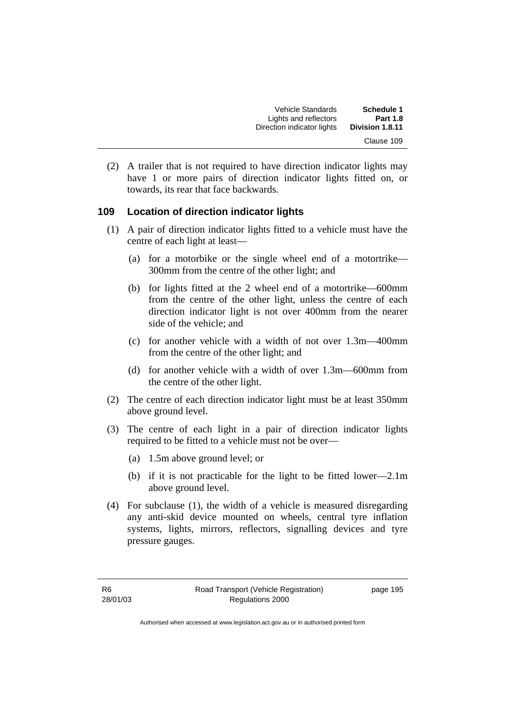| <b>Schedule 1</b> | Vehicle Standards          |
|-------------------|----------------------------|
| <b>Part 1.8</b>   | Lights and reflectors      |
| Division 1.8.11   | Direction indicator lights |
| Clause 109        |                            |

 (2) A trailer that is not required to have direction indicator lights may have 1 or more pairs of direction indicator lights fitted on, or towards, its rear that face backwards.

#### **109 Location of direction indicator lights**

- (1) A pair of direction indicator lights fitted to a vehicle must have the centre of each light at least—
	- (a) for a motorbike or the single wheel end of a motortrike— 300mm from the centre of the other light; and
	- (b) for lights fitted at the 2 wheel end of a motortrike—600mm from the centre of the other light, unless the centre of each direction indicator light is not over 400mm from the nearer side of the vehicle; and
	- (c) for another vehicle with a width of not over 1.3m—400mm from the centre of the other light; and
	- (d) for another vehicle with a width of over 1.3m—600mm from the centre of the other light.
- (2) The centre of each direction indicator light must be at least 350mm above ground level.
- (3) The centre of each light in a pair of direction indicator lights required to be fitted to a vehicle must not be over—
	- (a) 1.5m above ground level; or
	- (b) if it is not practicable for the light to be fitted lower—2.1m above ground level.
- (4) For subclause (1), the width of a vehicle is measured disregarding any anti-skid device mounted on wheels, central tyre inflation systems, lights, mirrors, reflectors, signalling devices and tyre pressure gauges.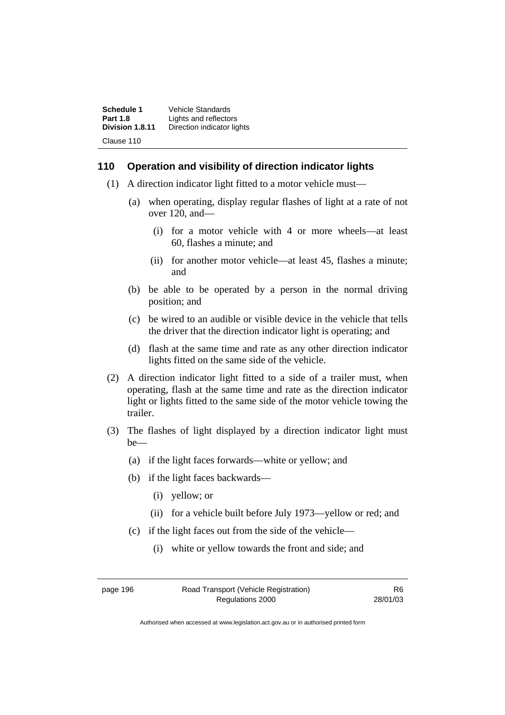| Schedule 1      | Vehicle Standards          |
|-----------------|----------------------------|
| <b>Part 1.8</b> | Lights and reflectors      |
| Division 1.8.11 | Direction indicator lights |
| Clause 110      |                            |

#### **110 Operation and visibility of direction indicator lights**

- (1) A direction indicator light fitted to a motor vehicle must—
	- (a) when operating, display regular flashes of light at a rate of not over 120, and—
		- (i) for a motor vehicle with 4 or more wheels—at least 60, flashes a minute; and
		- (ii) for another motor vehicle—at least 45, flashes a minute; and
	- (b) be able to be operated by a person in the normal driving position; and
	- (c) be wired to an audible or visible device in the vehicle that tells the driver that the direction indicator light is operating; and
	- (d) flash at the same time and rate as any other direction indicator lights fitted on the same side of the vehicle.
- (2) A direction indicator light fitted to a side of a trailer must, when operating, flash at the same time and rate as the direction indicator light or lights fitted to the same side of the motor vehicle towing the trailer.
- (3) The flashes of light displayed by a direction indicator light must be—
	- (a) if the light faces forwards—white or yellow; and
	- (b) if the light faces backwards—
		- (i) yellow; or
		- (ii) for a vehicle built before July 1973—yellow or red; and
	- (c) if the light faces out from the side of the vehicle—
		- (i) white or yellow towards the front and side; and

page 196 Road Transport (Vehicle Registration) Regulations 2000

R6 28/01/03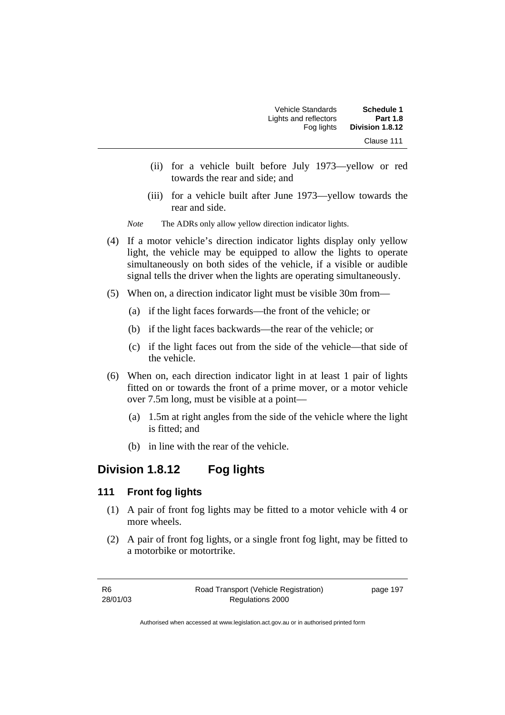| Schedule 1<br><b>Part 1.8</b> | Vehicle Standards<br>Lights and reflectors |
|-------------------------------|--------------------------------------------|
| Division 1.8.12               | Fog lights                                 |
| Clause 111                    |                                            |

- (ii) for a vehicle built before July 1973—yellow or red towards the rear and side; and
- (iii) for a vehicle built after June 1973—yellow towards the rear and side.
- *Note* The ADRs only allow yellow direction indicator lights.
- (4) If a motor vehicle's direction indicator lights display only yellow light, the vehicle may be equipped to allow the lights to operate simultaneously on both sides of the vehicle, if a visible or audible signal tells the driver when the lights are operating simultaneously.
- (5) When on, a direction indicator light must be visible 30m from—
	- (a) if the light faces forwards—the front of the vehicle; or
	- (b) if the light faces backwards—the rear of the vehicle; or
	- (c) if the light faces out from the side of the vehicle—that side of the vehicle.
- (6) When on, each direction indicator light in at least 1 pair of lights fitted on or towards the front of a prime mover, or a motor vehicle over 7.5m long, must be visible at a point—
	- (a) 1.5m at right angles from the side of the vehicle where the light is fitted; and
	- (b) in line with the rear of the vehicle.

## **Division 1.8.12 Fog lights**

#### **111 Front fog lights**

- (1) A pair of front fog lights may be fitted to a motor vehicle with 4 or more wheels.
- (2) A pair of front fog lights, or a single front fog light, may be fitted to a motorbike or motortrike.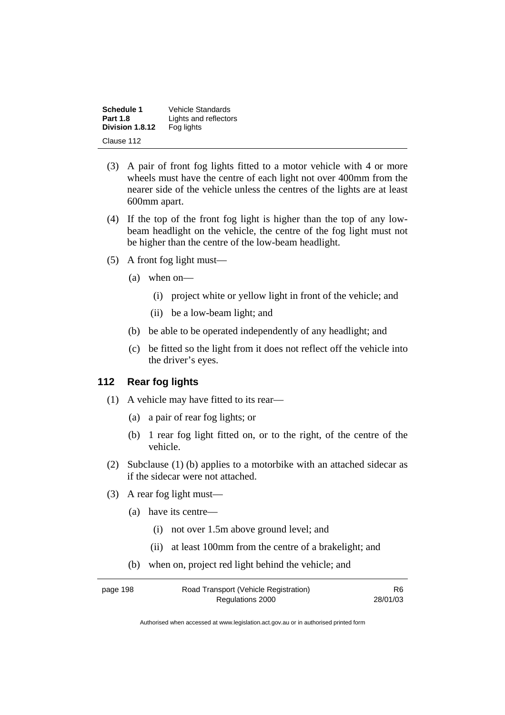| Schedule 1      | Vehicle Standards     |
|-----------------|-----------------------|
| <b>Part 1.8</b> | Lights and reflectors |
| Division 1.8.12 | Fog lights            |
| Clause 112      |                       |

- (3) A pair of front fog lights fitted to a motor vehicle with 4 or more wheels must have the centre of each light not over 400mm from the nearer side of the vehicle unless the centres of the lights are at least 600mm apart.
- (4) If the top of the front fog light is higher than the top of any lowbeam headlight on the vehicle, the centre of the fog light must not be higher than the centre of the low-beam headlight.
- (5) A front fog light must—
	- (a) when on—
		- (i) project white or yellow light in front of the vehicle; and
		- (ii) be a low-beam light; and
	- (b) be able to be operated independently of any headlight; and
	- (c) be fitted so the light from it does not reflect off the vehicle into the driver's eyes.

## **112 Rear fog lights**

- (1) A vehicle may have fitted to its rear—
	- (a) a pair of rear fog lights; or
	- (b) 1 rear fog light fitted on, or to the right, of the centre of the vehicle.
- (2) Subclause (1) (b) applies to a motorbike with an attached sidecar as if the sidecar were not attached.
- (3) A rear fog light must—
	- (a) have its centre—
		- (i) not over 1.5m above ground level; and
		- (ii) at least 100mm from the centre of a brakelight; and
	- (b) when on, project red light behind the vehicle; and

| page 198 | Road Transport (Vehicle Registration) | R6       |
|----------|---------------------------------------|----------|
|          | Regulations 2000                      | 28/01/03 |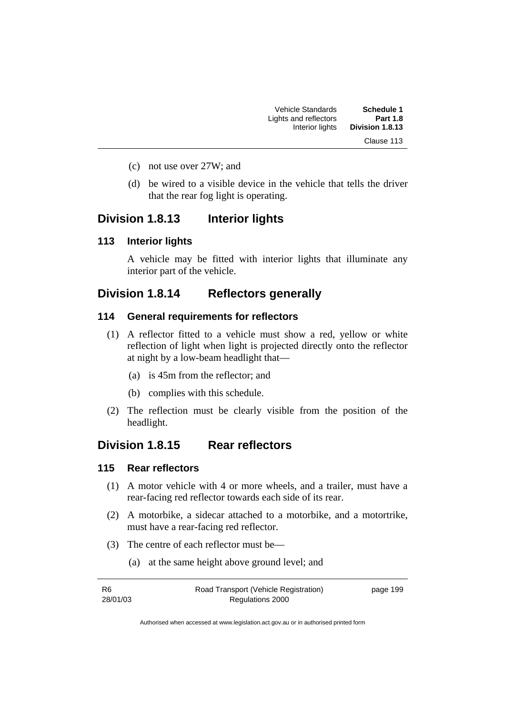| <b>Schedule 1</b> | <b>Vehicle Standards</b> |
|-------------------|--------------------------|
| <b>Part 1.8</b>   | Lights and reflectors    |
| Division 1.8.13   | Interior lights          |
| Clause 113        |                          |

- (c) not use over 27W; and
- (d) be wired to a visible device in the vehicle that tells the driver that the rear fog light is operating.

## **Division 1.8.13 Interior lights**

### **113 Interior lights**

A vehicle may be fitted with interior lights that illuminate any interior part of the vehicle.

## **Division 1.8.14 Reflectors generally**

#### **114 General requirements for reflectors**

- (1) A reflector fitted to a vehicle must show a red, yellow or white reflection of light when light is projected directly onto the reflector at night by a low-beam headlight that—
	- (a) is 45m from the reflector; and
	- (b) complies with this schedule.
- (2) The reflection must be clearly visible from the position of the headlight.

## **Division 1.8.15 Rear reflectors**

## **115 Rear reflectors**

- (1) A motor vehicle with 4 or more wheels, and a trailer, must have a rear-facing red reflector towards each side of its rear.
- (2) A motorbike, a sidecar attached to a motorbike, and a motortrike, must have a rear-facing red reflector.
- (3) The centre of each reflector must be—
	- (a) at the same height above ground level; and

| -R6      | Road Transport (Vehicle Registration) | page 199 |
|----------|---------------------------------------|----------|
| 28/01/03 | Regulations 2000                      |          |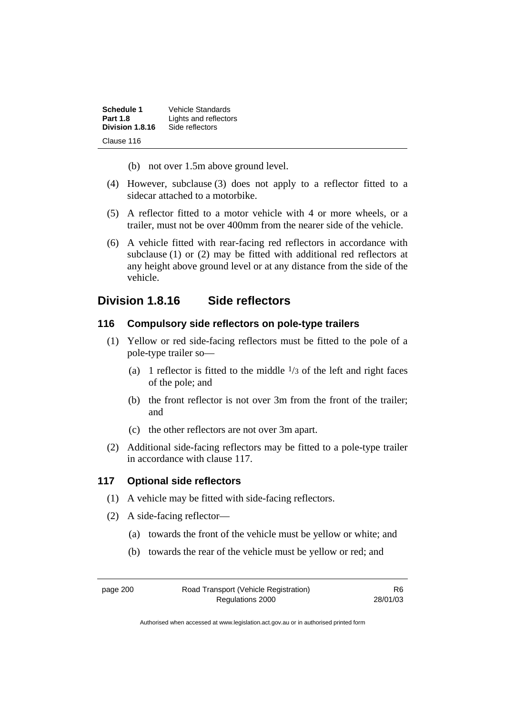| Schedule 1      | Vehicle Standards     |
|-----------------|-----------------------|
| <b>Part 1.8</b> | Lights and reflectors |
| Division 1.8.16 | Side reflectors       |
| Clause 116      |                       |

- (b) not over 1.5m above ground level.
- (4) However, subclause (3) does not apply to a reflector fitted to a sidecar attached to a motorbike.
- (5) A reflector fitted to a motor vehicle with 4 or more wheels, or a trailer, must not be over 400mm from the nearer side of the vehicle.
- (6) A vehicle fitted with rear-facing red reflectors in accordance with subclause (1) or (2) may be fitted with additional red reflectors at any height above ground level or at any distance from the side of the vehicle.

## **Division 1.8.16 Side reflectors**

## **116 Compulsory side reflectors on pole-type trailers**

- (1) Yellow or red side-facing reflectors must be fitted to the pole of a pole-type trailer so—
	- (a) 1 reflector is fitted to the middle  $\frac{1}{3}$  of the left and right faces of the pole; and
	- (b) the front reflector is not over 3m from the front of the trailer; and
	- (c) the other reflectors are not over 3m apart.
- (2) Additional side-facing reflectors may be fitted to a pole-type trailer in accordance with clause 117.

## **117 Optional side reflectors**

- (1) A vehicle may be fitted with side-facing reflectors.
- (2) A side-facing reflector—
	- (a) towards the front of the vehicle must be yellow or white; and
	- (b) towards the rear of the vehicle must be yellow or red; and

page 200 Road Transport (Vehicle Registration) Regulations 2000

R6 28/01/03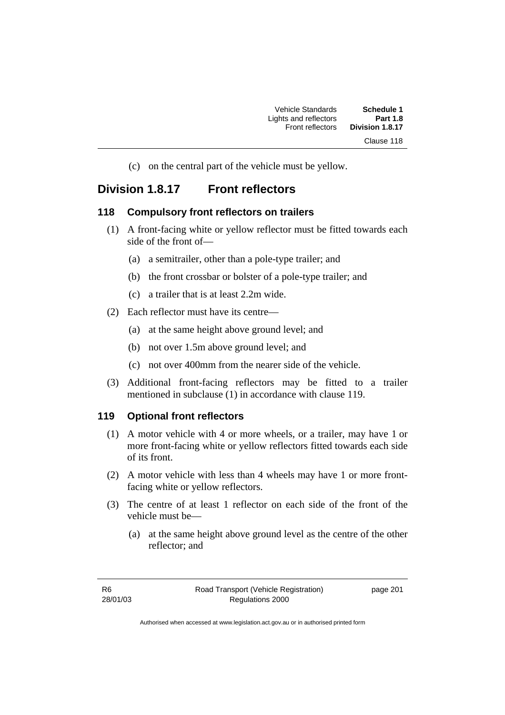(c) on the central part of the vehicle must be yellow.

## **Division 1.8.17 Front reflectors**

## **118 Compulsory front reflectors on trailers**

- (1) A front-facing white or yellow reflector must be fitted towards each side of the front of—
	- (a) a semitrailer, other than a pole-type trailer; and
	- (b) the front crossbar or bolster of a pole-type trailer; and
	- (c) a trailer that is at least 2.2m wide.
- (2) Each reflector must have its centre—
	- (a) at the same height above ground level; and
	- (b) not over 1.5m above ground level; and
	- (c) not over 400mm from the nearer side of the vehicle.
- (3) Additional front-facing reflectors may be fitted to a trailer mentioned in subclause (1) in accordance with clause 119.

## **119 Optional front reflectors**

- (1) A motor vehicle with 4 or more wheels, or a trailer, may have 1 or more front-facing white or yellow reflectors fitted towards each side of its front.
- (2) A motor vehicle with less than 4 wheels may have 1 or more frontfacing white or yellow reflectors.
- (3) The centre of at least 1 reflector on each side of the front of the vehicle must be—
	- (a) at the same height above ground level as the centre of the other reflector; and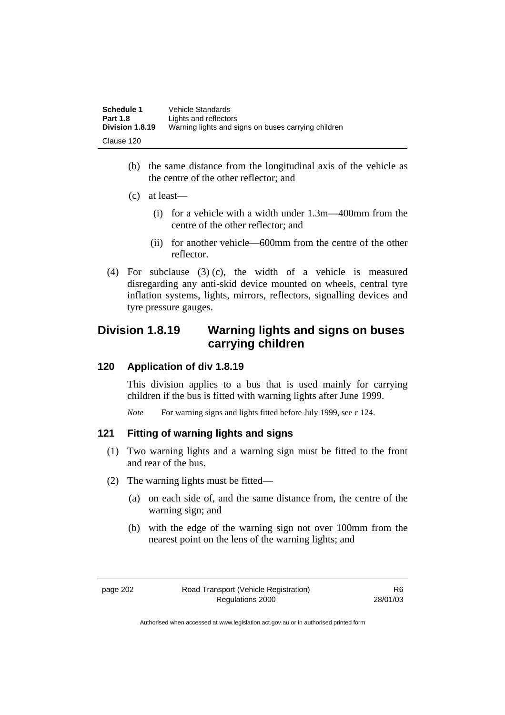| <b>Schedule 1</b> | Vehicle Standards                                   |
|-------------------|-----------------------------------------------------|
| <b>Part 1.8</b>   | Lights and reflectors                               |
| Division 1.8.19   | Warning lights and signs on buses carrying children |
| Clause 120        |                                                     |

- (b) the same distance from the longitudinal axis of the vehicle as the centre of the other reflector; and
- (c) at least—
	- (i) for a vehicle with a width under 1.3m—400mm from the centre of the other reflector; and
	- (ii) for another vehicle—600mm from the centre of the other reflector.
- (4) For subclause (3) (c), the width of a vehicle is measured disregarding any anti-skid device mounted on wheels, central tyre inflation systems, lights, mirrors, reflectors, signalling devices and tyre pressure gauges.

## **Division 1.8.19 Warning lights and signs on buses carrying children**

## **120 Application of div 1.8.19**

This division applies to a bus that is used mainly for carrying children if the bus is fitted with warning lights after June 1999.

*Note* For warning signs and lights fitted before July 1999, see c 124.

## **121 Fitting of warning lights and signs**

- (1) Two warning lights and a warning sign must be fitted to the front and rear of the bus.
- (2) The warning lights must be fitted—
	- (a) on each side of, and the same distance from, the centre of the warning sign; and
	- (b) with the edge of the warning sign not over 100mm from the nearest point on the lens of the warning lights; and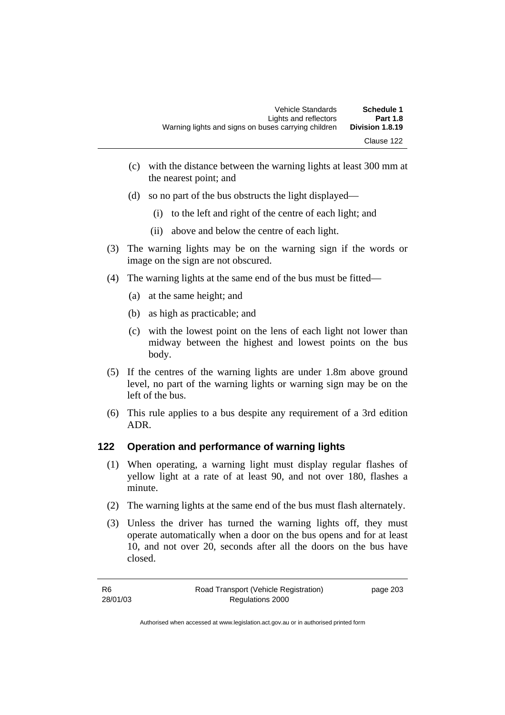| Warning lights and signs on buses carrying children | Vehicle Standards<br>Lights and reflectors | Schedule 1<br><b>Part 1.8</b><br>Division 1.8.19 |
|-----------------------------------------------------|--------------------------------------------|--------------------------------------------------|
|                                                     |                                            | Clause 122                                       |

- (c) with the distance between the warning lights at least 300 mm at the nearest point; and
- (d) so no part of the bus obstructs the light displayed—
	- (i) to the left and right of the centre of each light; and
	- (ii) above and below the centre of each light.
- (3) The warning lights may be on the warning sign if the words or image on the sign are not obscured.
- (4) The warning lights at the same end of the bus must be fitted—
	- (a) at the same height; and
	- (b) as high as practicable; and
	- (c) with the lowest point on the lens of each light not lower than midway between the highest and lowest points on the bus body.
- (5) If the centres of the warning lights are under 1.8m above ground level, no part of the warning lights or warning sign may be on the left of the bus.
- (6) This rule applies to a bus despite any requirement of a 3rd edition ADR.

## **122 Operation and performance of warning lights**

- (1) When operating, a warning light must display regular flashes of yellow light at a rate of at least 90, and not over 180, flashes a minute.
- (2) The warning lights at the same end of the bus must flash alternately.
- (3) Unless the driver has turned the warning lights off, they must operate automatically when a door on the bus opens and for at least 10, and not over 20, seconds after all the doors on the bus have closed.

| -R6      | Road Transport (Vehicle Registration) | page 203 |
|----------|---------------------------------------|----------|
| 28/01/03 | Regulations 2000                      |          |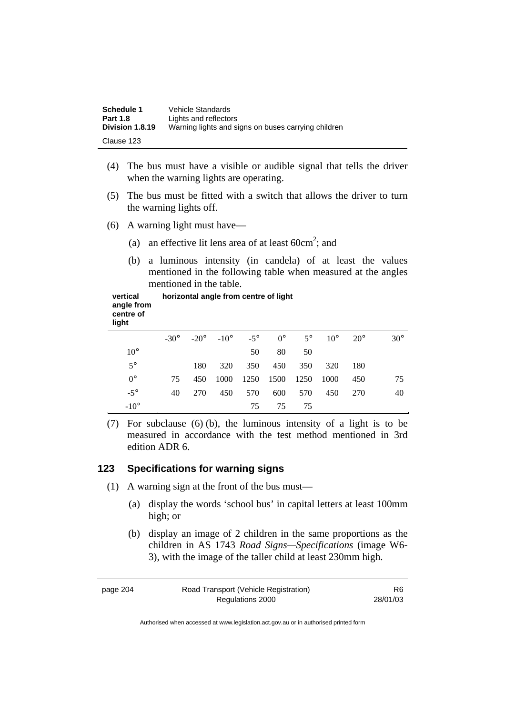| <b>Schedule 1</b><br><b>Part 1.8</b> | Vehicle Standards<br>Lights and reflectors          |
|--------------------------------------|-----------------------------------------------------|
| Division 1.8.19                      | Warning lights and signs on buses carrying children |
| Clause 123                           |                                                     |

- (4) The bus must have a visible or audible signal that tells the driver when the warning lights are operating.
- (5) The bus must be fitted with a switch that allows the driver to turn the warning lights off.
- (6) A warning light must have—
- (a) an effective lit lens area of at least  $60 \text{cm}^2$ ; and
	- (b) a luminous intensity (in candela) of at least the values mentioned in the following table when measured at the angles mentioned in the table.

**vertical angle from centre of light horizontal angle from centre of light**

|              |              |        |         |    |                 |    | $-30^{\circ}$ $-20^{\circ}$ $-10^{\circ}$ $-5^{\circ}$ 0° $5^{\circ}$ 10° 20° |         | $30^\circ$ |
|--------------|--------------|--------|---------|----|-----------------|----|-------------------------------------------------------------------------------|---------|------------|
| $10^{\circ}$ |              |        |         | 50 | 80              | 50 |                                                                               |         |            |
| $5^{\circ}$  |              |        | 180 320 |    |                 |    | 350 450 350 320 180                                                           |         |            |
| $0^{\circ}$  | 75           |        |         |    |                 |    | 450 1000 1250 1500 1250 1000 450                                              |         | 75         |
| $-5^\circ$   |              | 40 270 |         |    | 450 570 600 570 |    |                                                                               | 450 270 | 40         |
| $-10^\circ$  | $\mathbf{r}$ |        |         |    | 75 75 75        |    |                                                                               |         |            |

 (7) For subclause (6) (b), the luminous intensity of a light is to be measured in accordance with the test method mentioned in 3rd edition ADR 6.

## **123 Specifications for warning signs**

- (1) A warning sign at the front of the bus must—
	- (a) display the words 'school bus' in capital letters at least 100mm high; or
	- (b) display an image of 2 children in the same proportions as the children in AS 1743 *Road Signs—Specifications* (image W6- 3), with the image of the taller child at least 230mm high.

| page 204 | Road Transport (Vehicle Registration) | R6       |
|----------|---------------------------------------|----------|
|          | Regulations 2000                      | 28/01/03 |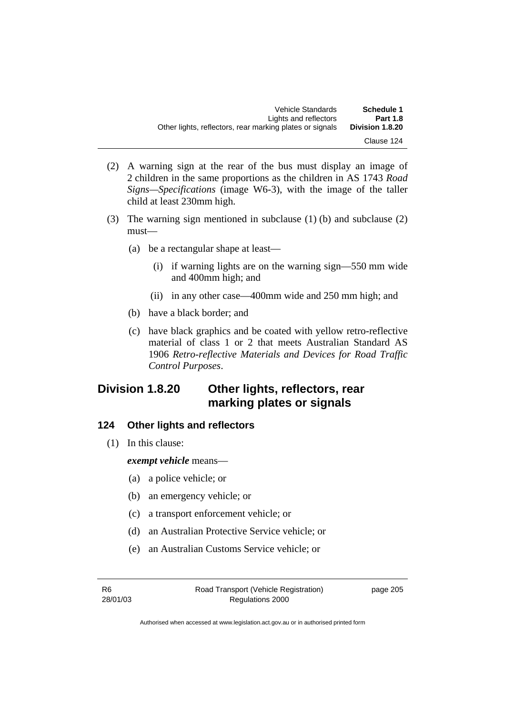- (2) A warning sign at the rear of the bus must display an image of 2 children in the same proportions as the children in AS 1743 *Road Signs—Specifications* (image W6-3), with the image of the taller child at least 230mm high.
- (3) The warning sign mentioned in subclause (1) (b) and subclause (2) must—
	- (a) be a rectangular shape at least—
		- (i) if warning lights are on the warning sign—550 mm wide and 400mm high; and
		- (ii) in any other case—400mm wide and 250 mm high; and
	- (b) have a black border; and
	- (c) have black graphics and be coated with yellow retro-reflective material of class 1 or 2 that meets Australian Standard AS 1906 *Retro-reflective Materials and Devices for Road Traffic Control Purposes*.

# **Division 1.8.20 Other lights, reflectors, rear marking plates or signals**

## **124 Other lights and reflectors**

(1) In this clause:

*exempt vehicle* means—

- (a) a police vehicle; or
- (b) an emergency vehicle; or
- (c) a transport enforcement vehicle; or
- (d) an Australian Protective Service vehicle; or
- (e) an Australian Customs Service vehicle; or

R6 28/01/03 page 205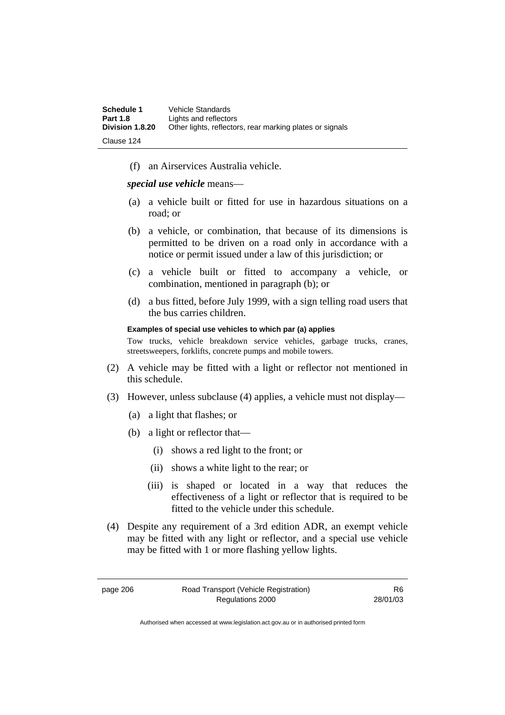| <b>Schedule 1</b> | Vehicle Standards                                        |
|-------------------|----------------------------------------------------------|
| <b>Part 1.8</b>   | Lights and reflectors                                    |
| Division 1.8.20   | Other lights, reflectors, rear marking plates or signals |
| -Clause 124       |                                                          |

(f) an Airservices Australia vehicle.

*special use vehicle* means—

- (a) a vehicle built or fitted for use in hazardous situations on a road; or
- (b) a vehicle, or combination, that because of its dimensions is permitted to be driven on a road only in accordance with a notice or permit issued under a law of this jurisdiction; or
- (c) a vehicle built or fitted to accompany a vehicle, or combination, mentioned in paragraph (b); or
- (d) a bus fitted, before July 1999, with a sign telling road users that the bus carries children.

#### **Examples of special use vehicles to which par (a) applies**

Tow trucks, vehicle breakdown service vehicles, garbage trucks, cranes, streetsweepers, forklifts, concrete pumps and mobile towers.

- (2) A vehicle may be fitted with a light or reflector not mentioned in this schedule.
- (3) However, unless subclause (4) applies, a vehicle must not display—
	- (a) a light that flashes; or
	- (b) a light or reflector that—
		- (i) shows a red light to the front; or
		- (ii) shows a white light to the rear; or
		- (iii) is shaped or located in a way that reduces the effectiveness of a light or reflector that is required to be fitted to the vehicle under this schedule.
- (4) Despite any requirement of a 3rd edition ADR, an exempt vehicle may be fitted with any light or reflector, and a special use vehicle may be fitted with 1 or more flashing yellow lights.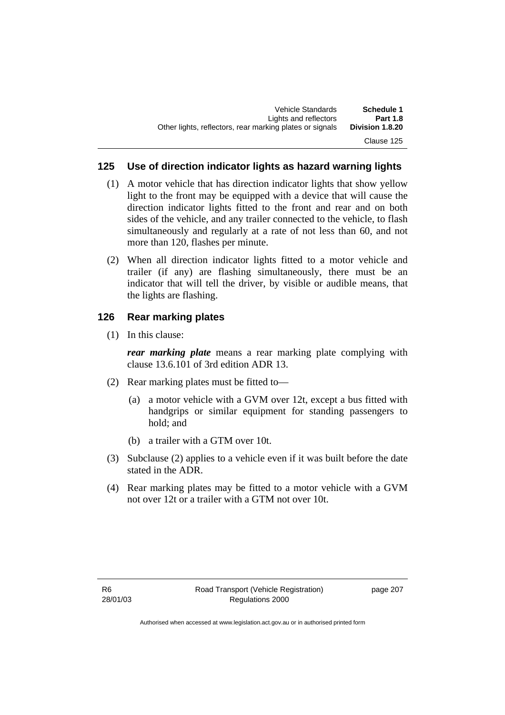## **125 Use of direction indicator lights as hazard warning lights**

- (1) A motor vehicle that has direction indicator lights that show yellow light to the front may be equipped with a device that will cause the direction indicator lights fitted to the front and rear and on both sides of the vehicle, and any trailer connected to the vehicle, to flash simultaneously and regularly at a rate of not less than 60, and not more than 120, flashes per minute.
- (2) When all direction indicator lights fitted to a motor vehicle and trailer (if any) are flashing simultaneously, there must be an indicator that will tell the driver, by visible or audible means, that the lights are flashing.

## **126 Rear marking plates**

(1) In this clause:

*rear marking plate* means a rear marking plate complying with clause 13.6.101 of 3rd edition ADR 13.

- (2) Rear marking plates must be fitted to—
	- (a) a motor vehicle with a GVM over 12t, except a bus fitted with handgrips or similar equipment for standing passengers to hold; and
	- (b) a trailer with a GTM over 10t.
- (3) Subclause (2) applies to a vehicle even if it was built before the date stated in the ADR.
- (4) Rear marking plates may be fitted to a motor vehicle with a GVM not over 12t or a trailer with a GTM not over 10t.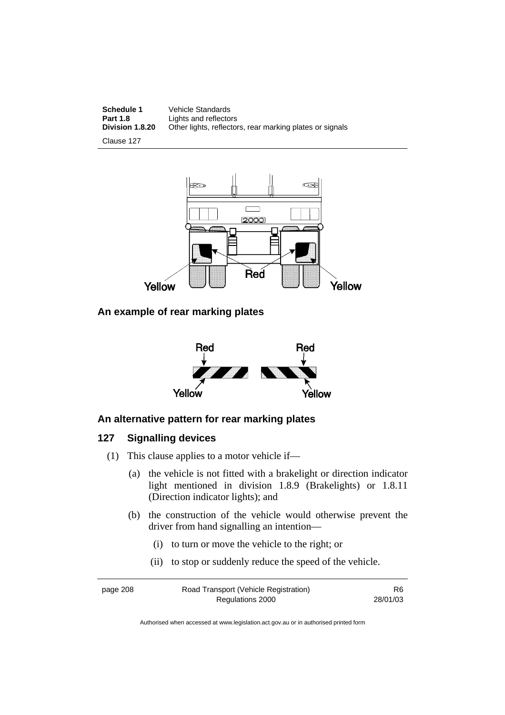**Schedule 1** Vehicle Standards<br> **Part 1.8** Lights and reflector **Part 1.8** Lights and reflectors<br>**Division 1.8.20** Other lights, reflector Other lights, reflectors, rear marking plates or signals

Clause 127



## **An example of rear marking plates**



## **An alternative pattern for rear marking plates**

## **127 Signalling devices**

- (1) This clause applies to a motor vehicle if—
	- (a) the vehicle is not fitted with a brakelight or direction indicator light mentioned in division 1.8.9 (Brakelights) or 1.8.11 (Direction indicator lights); and
	- (b) the construction of the vehicle would otherwise prevent the driver from hand signalling an intention—
		- (i) to turn or move the vehicle to the right; or
		- (ii) to stop or suddenly reduce the speed of the vehicle.

| page 208 | Road Transport (Vehicle Registration) | R <sub>6</sub> |
|----------|---------------------------------------|----------------|
|          | Regulations 2000                      | 28/01/03       |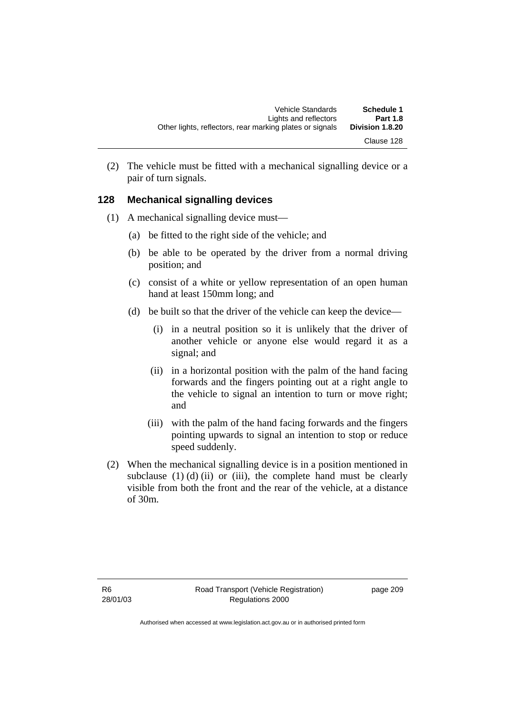(2) The vehicle must be fitted with a mechanical signalling device or a pair of turn signals.

## **128 Mechanical signalling devices**

- (1) A mechanical signalling device must—
	- (a) be fitted to the right side of the vehicle; and
	- (b) be able to be operated by the driver from a normal driving position; and
	- (c) consist of a white or yellow representation of an open human hand at least 150mm long; and
	- (d) be built so that the driver of the vehicle can keep the device—
		- (i) in a neutral position so it is unlikely that the driver of another vehicle or anyone else would regard it as a signal; and
		- (ii) in a horizontal position with the palm of the hand facing forwards and the fingers pointing out at a right angle to the vehicle to signal an intention to turn or move right; and
		- (iii) with the palm of the hand facing forwards and the fingers pointing upwards to signal an intention to stop or reduce speed suddenly.
- (2) When the mechanical signalling device is in a position mentioned in subclause  $(1)$   $(d)$   $(ii)$  or  $(iii)$ , the complete hand must be clearly visible from both the front and the rear of the vehicle, at a distance of 30m.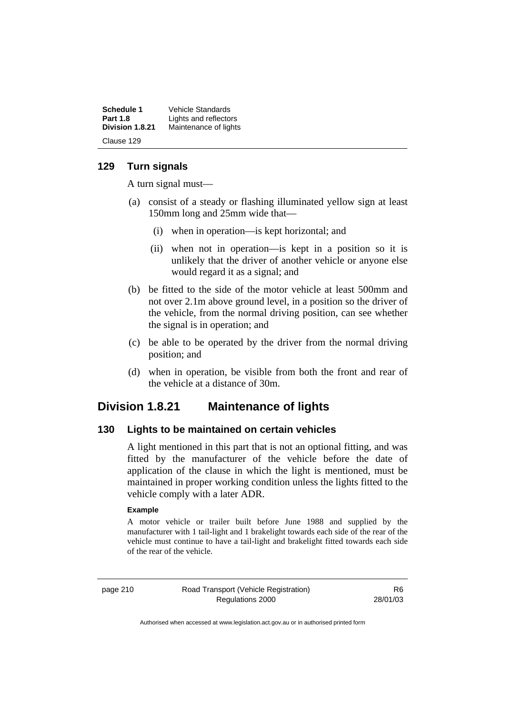| <b>Schedule 1</b> | Vehicle Standards     |
|-------------------|-----------------------|
| <b>Part 1.8</b>   | Lights and reflectors |
| Division 1.8.21   | Maintenance of lights |
| Clause 129        |                       |

## **129 Turn signals**

A turn signal must—

- (a) consist of a steady or flashing illuminated yellow sign at least 150mm long and 25mm wide that—
	- (i) when in operation—is kept horizontal; and
	- (ii) when not in operation—is kept in a position so it is unlikely that the driver of another vehicle or anyone else would regard it as a signal; and
- (b) be fitted to the side of the motor vehicle at least 500mm and not over 2.1m above ground level, in a position so the driver of the vehicle, from the normal driving position, can see whether the signal is in operation; and
- (c) be able to be operated by the driver from the normal driving position; and
- (d) when in operation, be visible from both the front and rear of the vehicle at a distance of 30m.

## **Division 1.8.21 Maintenance of lights**

#### **130 Lights to be maintained on certain vehicles**

A light mentioned in this part that is not an optional fitting, and was fitted by the manufacturer of the vehicle before the date of application of the clause in which the light is mentioned, must be maintained in proper working condition unless the lights fitted to the vehicle comply with a later ADR.

#### **Example**

A motor vehicle or trailer built before June 1988 and supplied by the manufacturer with 1 tail-light and 1 brakelight towards each side of the rear of the vehicle must continue to have a tail-light and brakelight fitted towards each side of the rear of the vehicle.

page 210 Road Transport (Vehicle Registration) Regulations 2000

R6 28/01/03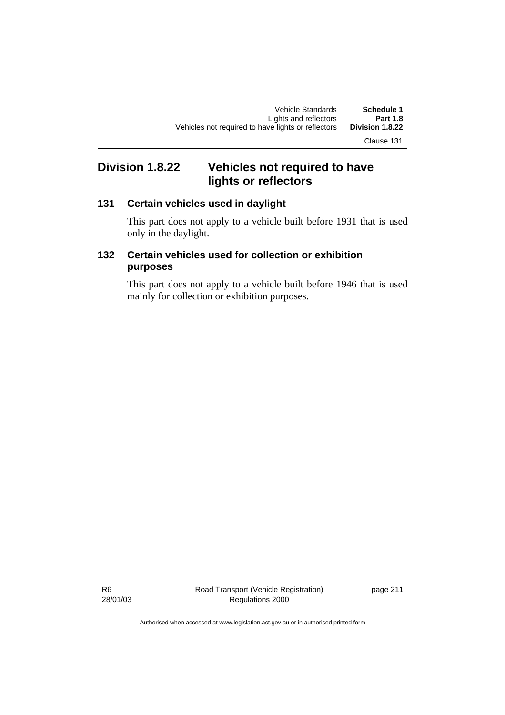Clause 131

# **Division 1.8.22 Vehicles not required to have lights or reflectors**

## **131 Certain vehicles used in daylight**

This part does not apply to a vehicle built before 1931 that is used only in the daylight.

## **132 Certain vehicles used for collection or exhibition purposes**

This part does not apply to a vehicle built before 1946 that is used mainly for collection or exhibition purposes.

R6 28/01/03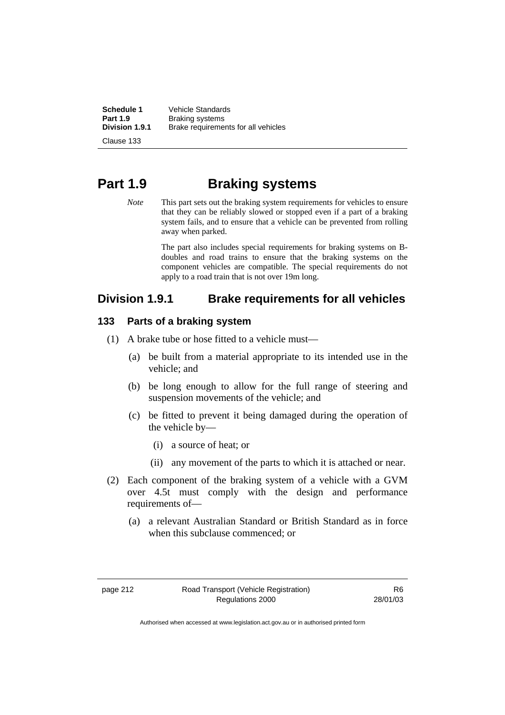**Schedule 1** Vehicle Standards<br>**Part 1.9** Braking systems **Part 1.9 Braking systems**<br>**Division 1.9.1 Brake requireme Division 1.9.1** Brake requirements for all vehicles

Clause 133

# **Part 1.9 Braking systems**

*Note* This part sets out the braking system requirements for vehicles to ensure that they can be reliably slowed or stopped even if a part of a braking system fails, and to ensure that a vehicle can be prevented from rolling away when parked.

> The part also includes special requirements for braking systems on Bdoubles and road trains to ensure that the braking systems on the component vehicles are compatible. The special requirements do not apply to a road train that is not over 19m long.

## **Division 1.9.1 Brake requirements for all vehicles**

## **133 Parts of a braking system**

- (1) A brake tube or hose fitted to a vehicle must—
	- (a) be built from a material appropriate to its intended use in the vehicle; and
	- (b) be long enough to allow for the full range of steering and suspension movements of the vehicle; and
	- (c) be fitted to prevent it being damaged during the operation of the vehicle by—
		- (i) a source of heat; or
		- (ii) any movement of the parts to which it is attached or near.
- (2) Each component of the braking system of a vehicle with a GVM over 4.5t must comply with the design and performance requirements of—
	- (a) a relevant Australian Standard or British Standard as in force when this subclause commenced; or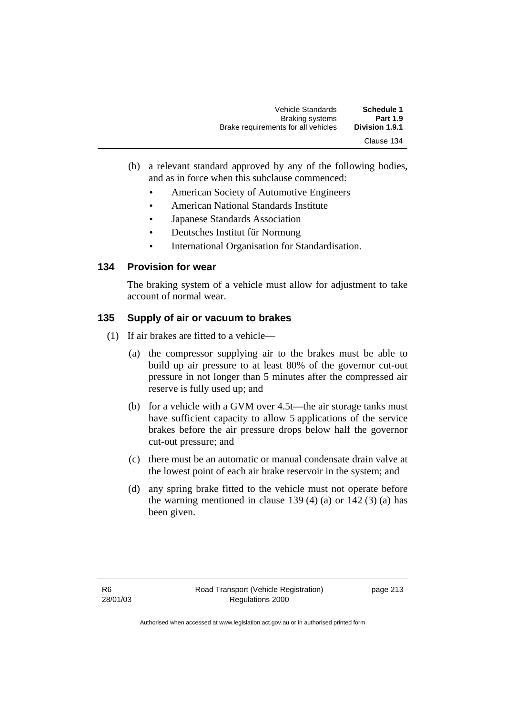- (b) a relevant standard approved by any of the following bodies, and as in force when this subclause commenced:
	- American Society of Automotive Engineers
	- American National Standards Institute
	- Japanese Standards Association
	- Deutsches Institut für Normung
	- International Organisation for Standardisation.

## **134 Provision for wear**

The braking system of a vehicle must allow for adjustment to take account of normal wear.

## **135 Supply of air or vacuum to brakes**

- (1) If air brakes are fitted to a vehicle—
	- (a) the compressor supplying air to the brakes must be able to build up air pressure to at least 80% of the governor cut-out pressure in not longer than 5 minutes after the compressed air reserve is fully used up; and
	- (b) for a vehicle with a GVM over 4.5t—the air storage tanks must have sufficient capacity to allow 5 applications of the service brakes before the air pressure drops below half the governor cut-out pressure; and
	- (c) there must be an automatic or manual condensate drain valve at the lowest point of each air brake reservoir in the system; and
	- (d) any spring brake fitted to the vehicle must not operate before the warning mentioned in clause 139 (4) (a) or 142 (3) (a) has been given.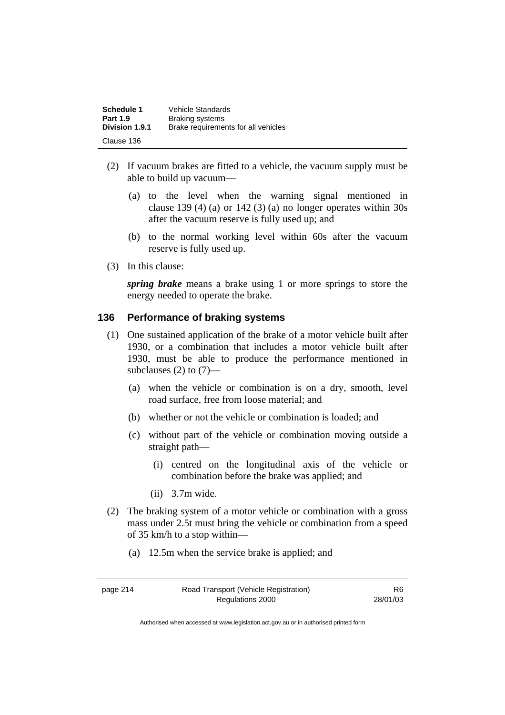| <b>Schedule 1</b> | <b>Vehicle Standards</b>            |
|-------------------|-------------------------------------|
| <b>Part 1.9</b>   | <b>Braking systems</b>              |
| Division 1.9.1    | Brake requirements for all vehicles |
| Clause 136        |                                     |

- (2) If vacuum brakes are fitted to a vehicle, the vacuum supply must be able to build up vacuum—
	- (a) to the level when the warning signal mentioned in clause 139 (4) (a) or 142 (3) (a) no longer operates within  $30s$ after the vacuum reserve is fully used up; and
	- (b) to the normal working level within 60s after the vacuum reserve is fully used up.
- (3) In this clause:

*spring brake* means a brake using 1 or more springs to store the energy needed to operate the brake.

#### **136 Performance of braking systems**

- (1) One sustained application of the brake of a motor vehicle built after 1930, or a combination that includes a motor vehicle built after 1930, must be able to produce the performance mentioned in subclauses  $(2)$  to  $(7)$ —
	- (a) when the vehicle or combination is on a dry, smooth, level road surface, free from loose material; and
	- (b) whether or not the vehicle or combination is loaded; and
	- (c) without part of the vehicle or combination moving outside a straight path—
		- (i) centred on the longitudinal axis of the vehicle or combination before the brake was applied; and
		- (ii) 3.7m wide.
- (2) The braking system of a motor vehicle or combination with a gross mass under 2.5t must bring the vehicle or combination from a speed of 35 km/h to a stop within—
	- (a) 12.5m when the service brake is applied; and

page 214 Road Transport (Vehicle Registration) Regulations 2000

R6 28/01/03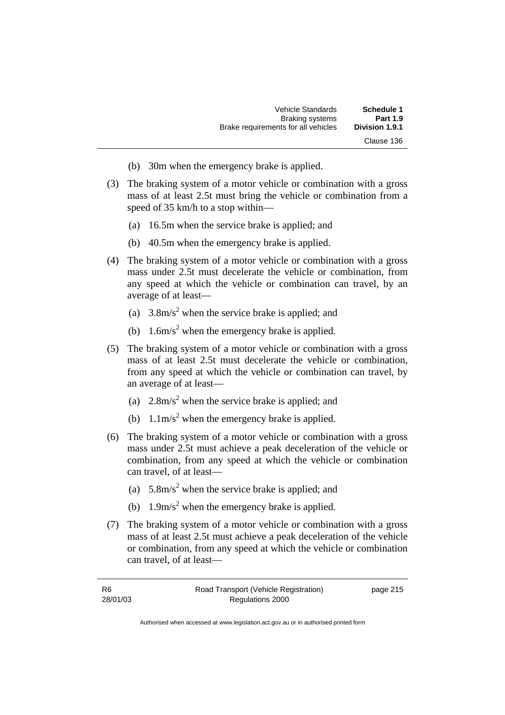- (b) 30m when the emergency brake is applied.
- (3) The braking system of a motor vehicle or combination with a gross mass of at least 2.5t must bring the vehicle or combination from a speed of 35 km/h to a stop within—
	- (a) 16.5m when the service brake is applied; and
	- (b) 40.5m when the emergency brake is applied.
- (4) The braking system of a motor vehicle or combination with a gross mass under 2.5t must decelerate the vehicle or combination, from any speed at which the vehicle or combination can travel, by an average of at least—
- (a)  $3.8 \text{m/s}^2$  when the service brake is applied; and
- (b)  $1.6 \text{m/s}^2$  when the emergency brake is applied.
	- (5) The braking system of a motor vehicle or combination with a gross mass of at least 2.5t must decelerate the vehicle or combination, from any speed at which the vehicle or combination can travel, by an average of at least—
- (a)  $2.8 \text{m/s}^2$  when the service brake is applied; and
- (b)  $1.1 \text{m/s}^2$  when the emergency brake is applied.
	- (6) The braking system of a motor vehicle or combination with a gross mass under 2.5t must achieve a peak deceleration of the vehicle or combination, from any speed at which the vehicle or combination can travel, of at least—
- (a)  $5.8 \text{m/s}^2$  when the service brake is applied; and
- (b)  $1.9 \text{m/s}^2$  when the emergency brake is applied.
	- (7) The braking system of a motor vehicle or combination with a gross mass of at least 2.5t must achieve a peak deceleration of the vehicle or combination, from any speed at which the vehicle or combination can travel, of at least—

| -R6      | Road Transport (Vehicle Registration) | page 215 |
|----------|---------------------------------------|----------|
| 28/01/03 | Regulations 2000                      |          |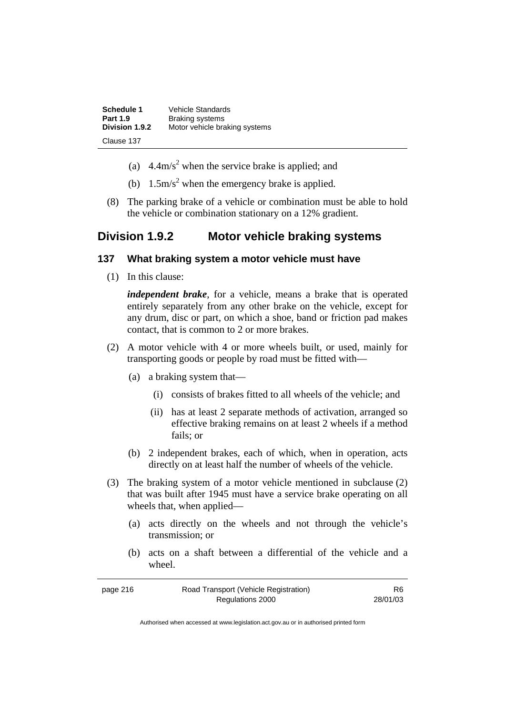| <b>Schedule 1</b> | <b>Vehicle Standards</b>      |
|-------------------|-------------------------------|
| <b>Part 1.9</b>   | <b>Braking systems</b>        |
| Division 1.9.2    | Motor vehicle braking systems |
| Clause 137        |                               |

- (a)  $4.4 \text{m/s}^2$  when the service brake is applied; and
- (b)  $1.5 \text{m/s}^2$  when the emergency brake is applied.
	- (8) The parking brake of a vehicle or combination must be able to hold the vehicle or combination stationary on a 12% gradient.

## **Division 1.9.2 Motor vehicle braking systems**

#### **137 What braking system a motor vehicle must have**

(1) In this clause:

*independent brake*, for a vehicle, means a brake that is operated entirely separately from any other brake on the vehicle, except for any drum, disc or part, on which a shoe, band or friction pad makes contact, that is common to 2 or more brakes.

- (2) A motor vehicle with 4 or more wheels built, or used, mainly for transporting goods or people by road must be fitted with—
	- (a) a braking system that—
		- (i) consists of brakes fitted to all wheels of the vehicle; and
		- (ii) has at least 2 separate methods of activation, arranged so effective braking remains on at least 2 wheels if a method fails; or
	- (b) 2 independent brakes, each of which, when in operation, acts directly on at least half the number of wheels of the vehicle.
- (3) The braking system of a motor vehicle mentioned in subclause (2) that was built after 1945 must have a service brake operating on all wheels that, when applied—
	- (a) acts directly on the wheels and not through the vehicle's transmission; or
	- (b) acts on a shaft between a differential of the vehicle and a wheel.

| page 216 | Road Transport (Vehicle Registration) | R <sub>6</sub> |
|----------|---------------------------------------|----------------|
|          | Regulations 2000                      | 28/01/03       |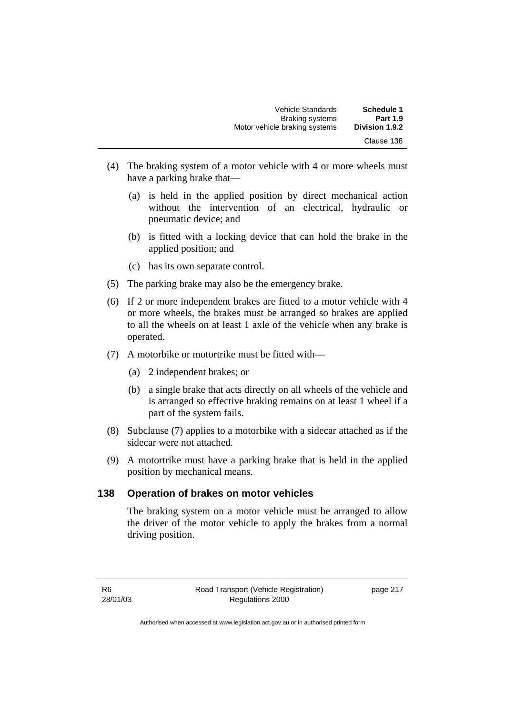- (4) The braking system of a motor vehicle with 4 or more wheels must have a parking brake that—
	- (a) is held in the applied position by direct mechanical action without the intervention of an electrical, hydraulic or pneumatic device; and
	- (b) is fitted with a locking device that can hold the brake in the applied position; and
	- (c) has its own separate control.
- (5) The parking brake may also be the emergency brake.
- (6) If 2 or more independent brakes are fitted to a motor vehicle with 4 or more wheels, the brakes must be arranged so brakes are applied to all the wheels on at least 1 axle of the vehicle when any brake is operated.
- (7) A motorbike or motortrike must be fitted with—
	- (a) 2 independent brakes; or
	- (b) a single brake that acts directly on all wheels of the vehicle and is arranged so effective braking remains on at least 1 wheel if a part of the system fails.
- (8) Subclause (7) applies to a motorbike with a sidecar attached as if the sidecar were not attached.
- (9) A motortrike must have a parking brake that is held in the applied position by mechanical means.

## **138 Operation of brakes on motor vehicles**

The braking system on a motor vehicle must be arranged to allow the driver of the motor vehicle to apply the brakes from a normal driving position.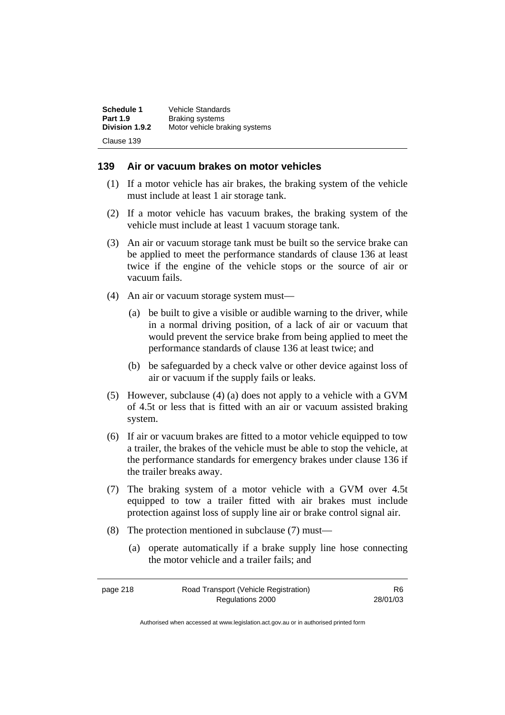| Schedule 1      | Vehicle Standards             |
|-----------------|-------------------------------|
| <b>Part 1.9</b> | <b>Braking systems</b>        |
| Division 1.9.2  | Motor vehicle braking systems |
| Clause 139      |                               |

## **139 Air or vacuum brakes on motor vehicles**

- (1) If a motor vehicle has air brakes, the braking system of the vehicle must include at least 1 air storage tank.
- (2) If a motor vehicle has vacuum brakes, the braking system of the vehicle must include at least 1 vacuum storage tank.
- (3) An air or vacuum storage tank must be built so the service brake can be applied to meet the performance standards of clause 136 at least twice if the engine of the vehicle stops or the source of air or vacuum fails.
- (4) An air or vacuum storage system must—
	- (a) be built to give a visible or audible warning to the driver, while in a normal driving position, of a lack of air or vacuum that would prevent the service brake from being applied to meet the performance standards of clause 136 at least twice; and
	- (b) be safeguarded by a check valve or other device against loss of air or vacuum if the supply fails or leaks.
- (5) However, subclause (4) (a) does not apply to a vehicle with a GVM of 4.5t or less that is fitted with an air or vacuum assisted braking system.
- (6) If air or vacuum brakes are fitted to a motor vehicle equipped to tow a trailer, the brakes of the vehicle must be able to stop the vehicle, at the performance standards for emergency brakes under clause 136 if the trailer breaks away.
- (7) The braking system of a motor vehicle with a GVM over 4.5t equipped to tow a trailer fitted with air brakes must include protection against loss of supply line air or brake control signal air.
- (8) The protection mentioned in subclause (7) must—
	- (a) operate automatically if a brake supply line hose connecting the motor vehicle and a trailer fails; and

| page 218 | Road Transport (Vehicle Registration) | R6.      |
|----------|---------------------------------------|----------|
|          | Regulations 2000                      | 28/01/03 |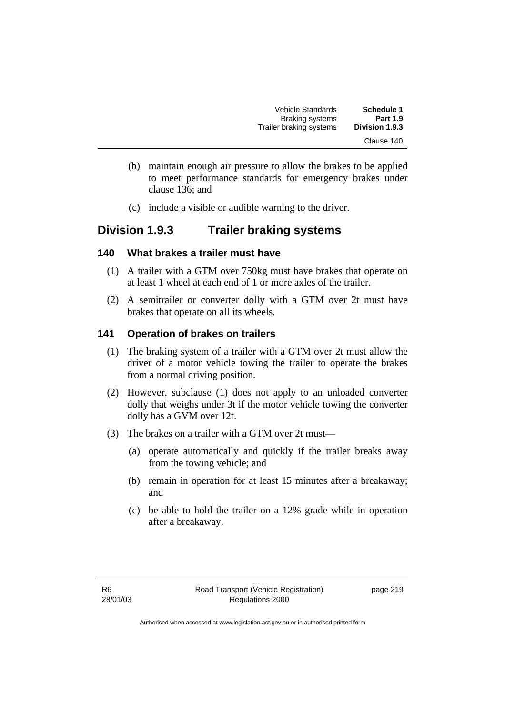| <b>Schedule 1</b> | <b>Vehicle Standards</b> |
|-------------------|--------------------------|
| <b>Part 1.9</b>   | <b>Braking systems</b>   |
| Division 1.9.3    | Trailer braking systems  |
| Clause 140        |                          |

- (b) maintain enough air pressure to allow the brakes to be applied to meet performance standards for emergency brakes under clause 136; and
- (c) include a visible or audible warning to the driver.

## **Division 1.9.3 Trailer braking systems**

#### **140 What brakes a trailer must have**

- (1) A trailer with a GTM over 750kg must have brakes that operate on at least 1 wheel at each end of 1 or more axles of the trailer.
- (2) A semitrailer or converter dolly with a GTM over 2t must have brakes that operate on all its wheels.

## **141 Operation of brakes on trailers**

- (1) The braking system of a trailer with a GTM over 2t must allow the driver of a motor vehicle towing the trailer to operate the brakes from a normal driving position.
- (2) However, subclause (1) does not apply to an unloaded converter dolly that weighs under 3t if the motor vehicle towing the converter dolly has a GVM over 12t.
- (3) The brakes on a trailer with a GTM over 2t must—
	- (a) operate automatically and quickly if the trailer breaks away from the towing vehicle; and
	- (b) remain in operation for at least 15 minutes after a breakaway; and
	- (c) be able to hold the trailer on a 12% grade while in operation after a breakaway.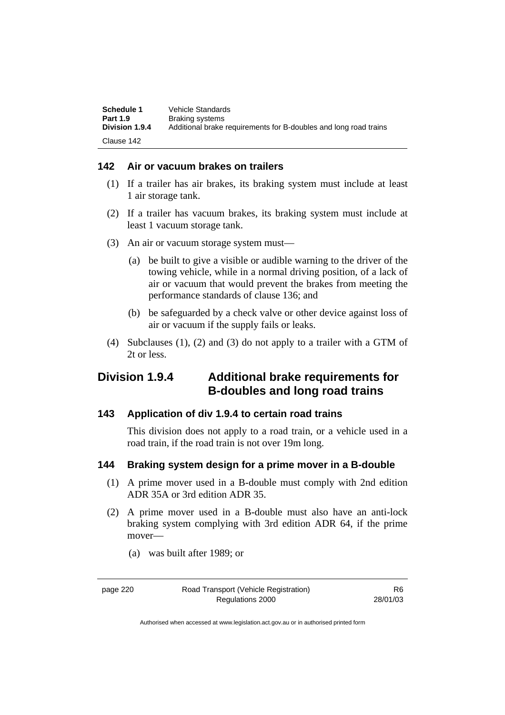| Schedule 1<br><b>Part 1.9</b> | Vehicle Standards<br><b>Braking systems</b>                      |
|-------------------------------|------------------------------------------------------------------|
| Division 1.9.4                | Additional brake requirements for B-doubles and long road trains |
| Clause 142                    |                                                                  |

## **142 Air or vacuum brakes on trailers**

- (1) If a trailer has air brakes, its braking system must include at least 1 air storage tank.
- (2) If a trailer has vacuum brakes, its braking system must include at least 1 vacuum storage tank.
- (3) An air or vacuum storage system must—
	- (a) be built to give a visible or audible warning to the driver of the towing vehicle, while in a normal driving position, of a lack of air or vacuum that would prevent the brakes from meeting the performance standards of clause 136; and
	- (b) be safeguarded by a check valve or other device against loss of air or vacuum if the supply fails or leaks.
- (4) Subclauses (1), (2) and (3) do not apply to a trailer with a GTM of 2t or less.

## **Division 1.9.4 Additional brake requirements for B-doubles and long road trains**

## **143 Application of div 1.9.4 to certain road trains**

This division does not apply to a road train, or a vehicle used in a road train, if the road train is not over 19m long.

## **144 Braking system design for a prime mover in a B-double**

- (1) A prime mover used in a B-double must comply with 2nd edition ADR 35A or 3rd edition ADR 35.
- (2) A prime mover used in a B-double must also have an anti-lock braking system complying with 3rd edition ADR 64, if the prime mover—
	- (a) was built after 1989; or

page 220 Road Transport (Vehicle Registration) Regulations 2000

R6 28/01/03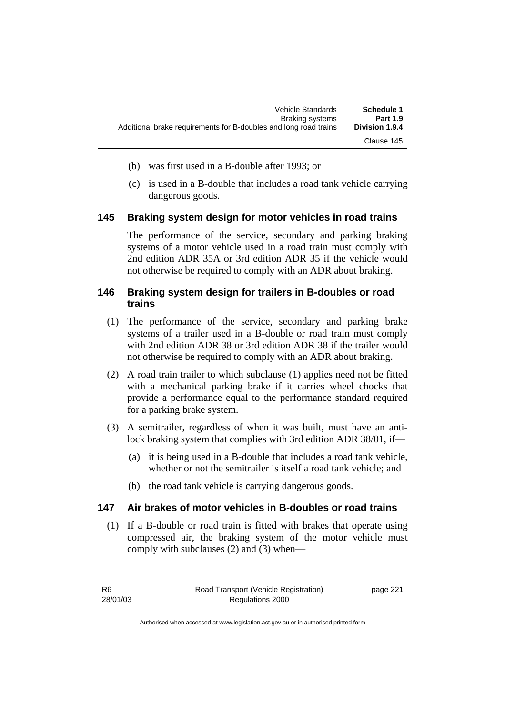- (b) was first used in a B-double after 1993; or
- (c) is used in a B-double that includes a road tank vehicle carrying dangerous goods.

## **145 Braking system design for motor vehicles in road trains**

The performance of the service, secondary and parking braking systems of a motor vehicle used in a road train must comply with 2nd edition ADR 35A or 3rd edition ADR 35 if the vehicle would not otherwise be required to comply with an ADR about braking.

## **146 Braking system design for trailers in B-doubles or road trains**

- (1) The performance of the service, secondary and parking brake systems of a trailer used in a B-double or road train must comply with 2nd edition ADR 38 or 3rd edition ADR 38 if the trailer would not otherwise be required to comply with an ADR about braking.
- (2) A road train trailer to which subclause (1) applies need not be fitted with a mechanical parking brake if it carries wheel chocks that provide a performance equal to the performance standard required for a parking brake system.
- (3) A semitrailer, regardless of when it was built, must have an antilock braking system that complies with 3rd edition ADR 38/01, if—
	- (a) it is being used in a B-double that includes a road tank vehicle, whether or not the semitrailer is itself a road tank vehicle; and
	- (b) the road tank vehicle is carrying dangerous goods.

## **147 Air brakes of motor vehicles in B-doubles or road trains**

 (1) If a B-double or road train is fitted with brakes that operate using compressed air, the braking system of the motor vehicle must comply with subclauses (2) and (3) when—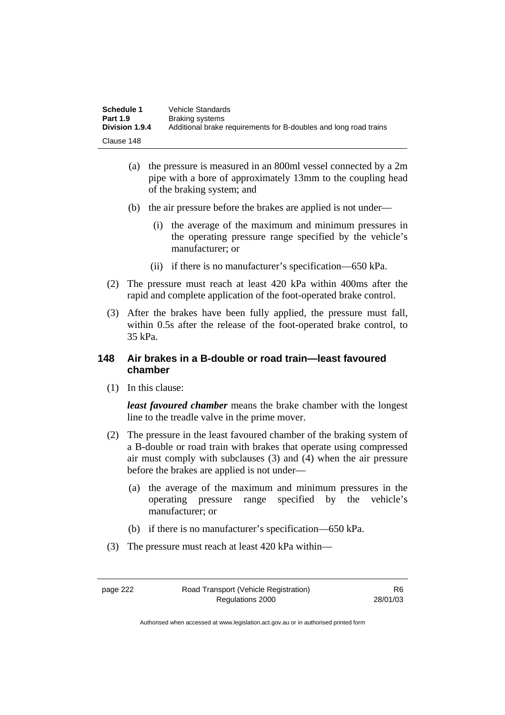| Schedule 1            | Vehicle Standards                                                |
|-----------------------|------------------------------------------------------------------|
| <b>Part 1.9</b>       | Braking systems                                                  |
| <b>Division 1.9.4</b> | Additional brake requirements for B-doubles and long road trains |
| Clause 148            |                                                                  |

- (a) the pressure is measured in an 800ml vessel connected by a 2m pipe with a bore of approximately 13mm to the coupling head of the braking system; and
- (b) the air pressure before the brakes are applied is not under—
	- (i) the average of the maximum and minimum pressures in the operating pressure range specified by the vehicle's manufacturer; or
	- (ii) if there is no manufacturer's specification—650 kPa.
- (2) The pressure must reach at least 420 kPa within 400ms after the rapid and complete application of the foot-operated brake control.
- (3) After the brakes have been fully applied, the pressure must fall, within 0.5s after the release of the foot-operated brake control, to 35 kPa.

## **148 Air brakes in a B-double or road train—least favoured chamber**

(1) In this clause:

*least favoured chamber* means the brake chamber with the longest line to the treadle valve in the prime mover.

- (2) The pressure in the least favoured chamber of the braking system of a B-double or road train with brakes that operate using compressed air must comply with subclauses (3) and (4) when the air pressure before the brakes are applied is not under—
	- (a) the average of the maximum and minimum pressures in the operating pressure range specified by the vehicle's manufacturer; or
	- (b) if there is no manufacturer's specification—650 kPa.
- (3) The pressure must reach at least 420 kPa within—

page 222 Road Transport (Vehicle Registration) Regulations 2000

R6 28/01/03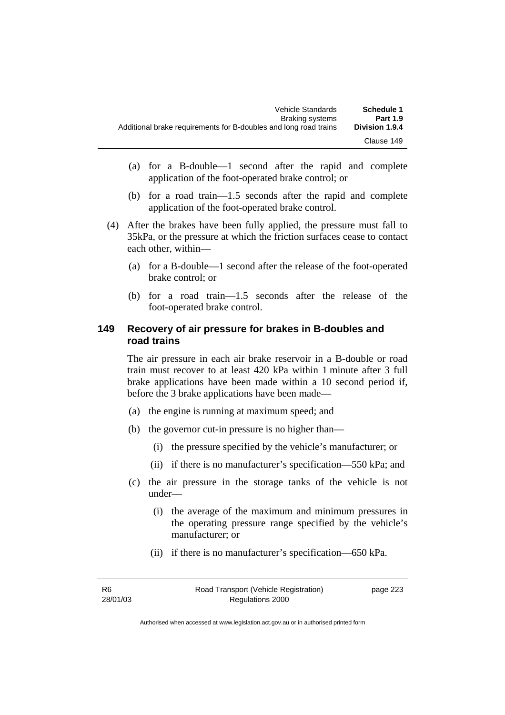- (a) for a B-double—1 second after the rapid and complete application of the foot-operated brake control; or
- (b) for a road train—1.5 seconds after the rapid and complete application of the foot-operated brake control.
- (4) After the brakes have been fully applied, the pressure must fall to 35kPa, or the pressure at which the friction surfaces cease to contact each other, within—
	- (a) for a B-double—1 second after the release of the foot-operated brake control; or
	- (b) for a road train—1.5 seconds after the release of the foot-operated brake control.

## **149 Recovery of air pressure for brakes in B-doubles and road trains**

The air pressure in each air brake reservoir in a B-double or road train must recover to at least 420 kPa within 1 minute after 3 full brake applications have been made within a 10 second period if, before the 3 brake applications have been made—

- (a) the engine is running at maximum speed; and
- (b) the governor cut-in pressure is no higher than—
	- (i) the pressure specified by the vehicle's manufacturer; or
	- (ii) if there is no manufacturer's specification—550 kPa; and
- (c) the air pressure in the storage tanks of the vehicle is not under—
	- (i) the average of the maximum and minimum pressures in the operating pressure range specified by the vehicle's manufacturer; or
	- (ii) if there is no manufacturer's specification—650 kPa.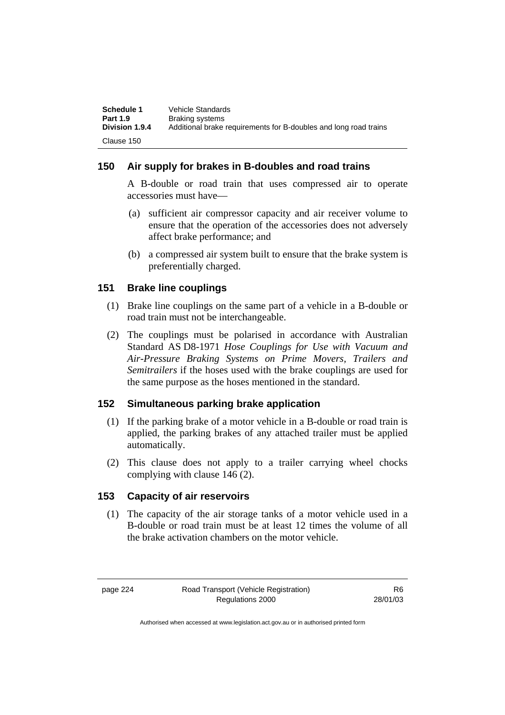| Schedule 1      | Vehicle Standards                                                |
|-----------------|------------------------------------------------------------------|
| <b>Part 1.9</b> | Braking systems                                                  |
| Division 1.9.4  | Additional brake requirements for B-doubles and long road trains |
| Clause 150      |                                                                  |

## **150 Air supply for brakes in B-doubles and road trains**

A B-double or road train that uses compressed air to operate accessories must have—

- (a) sufficient air compressor capacity and air receiver volume to ensure that the operation of the accessories does not adversely affect brake performance; and
- (b) a compressed air system built to ensure that the brake system is preferentially charged.

## **151 Brake line couplings**

- (1) Brake line couplings on the same part of a vehicle in a B-double or road train must not be interchangeable.
- (2) The couplings must be polarised in accordance with Australian Standard AS D8-1971 *Hose Couplings for Use with Vacuum and Air-Pressure Braking Systems on Prime Movers, Trailers and Semitrailers* if the hoses used with the brake couplings are used for the same purpose as the hoses mentioned in the standard.

## **152 Simultaneous parking brake application**

- (1) If the parking brake of a motor vehicle in a B-double or road train is applied, the parking brakes of any attached trailer must be applied automatically.
- (2) This clause does not apply to a trailer carrying wheel chocks complying with clause 146 (2).

## **153 Capacity of air reservoirs**

 (1) The capacity of the air storage tanks of a motor vehicle used in a B-double or road train must be at least 12 times the volume of all the brake activation chambers on the motor vehicle.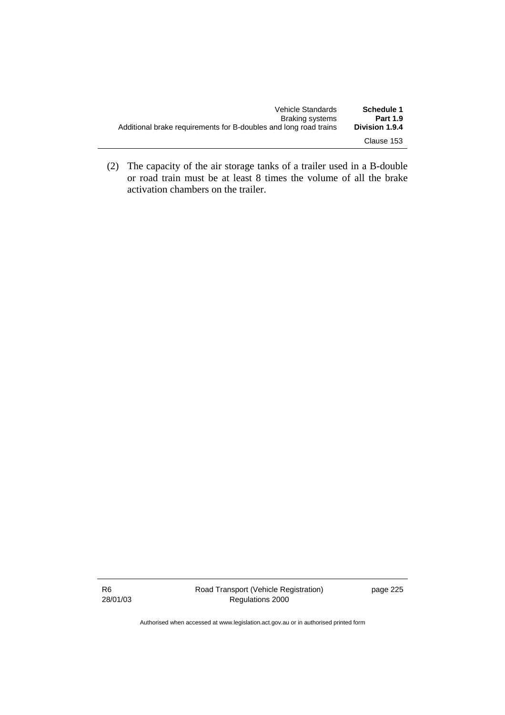| Schedule 1            | Vehicle Standards                                                |
|-----------------------|------------------------------------------------------------------|
| <b>Part 1.9</b>       | Braking systems                                                  |
| <b>Division 1.9.4</b> | Additional brake requirements for B-doubles and long road trains |
| Clause 153            |                                                                  |

 (2) The capacity of the air storage tanks of a trailer used in a B-double or road train must be at least 8 times the volume of all the brake activation chambers on the trailer.

R6 28/01/03 page 225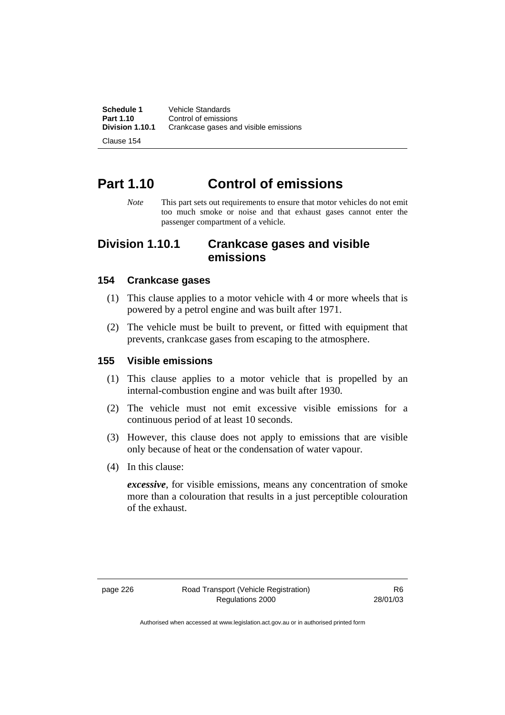**Schedule 1** Vehicle Standards<br>**Part 1.10** Control of emission **Part 1.10 Control of emissions**<br>**Division 1.10.1 Crankcase gases an Division 1.10.1** Crankcase gases and visible emissions

Clause 154

# **Part 1.10 Control of emissions**

*Note* This part sets out requirements to ensure that motor vehicles do not emit too much smoke or noise and that exhaust gases cannot enter the passenger compartment of a vehicle.

## **Division 1.10.1 Crankcase gases and visible emissions**

## **154 Crankcase gases**

- (1) This clause applies to a motor vehicle with 4 or more wheels that is powered by a petrol engine and was built after 1971.
- (2) The vehicle must be built to prevent, or fitted with equipment that prevents, crankcase gases from escaping to the atmosphere.

#### **155 Visible emissions**

- (1) This clause applies to a motor vehicle that is propelled by an internal-combustion engine and was built after 1930.
- (2) The vehicle must not emit excessive visible emissions for a continuous period of at least 10 seconds.
- (3) However, this clause does not apply to emissions that are visible only because of heat or the condensation of water vapour.
- (4) In this clause:

*excessive*, for visible emissions, means any concentration of smoke more than a colouration that results in a just perceptible colouration of the exhaust.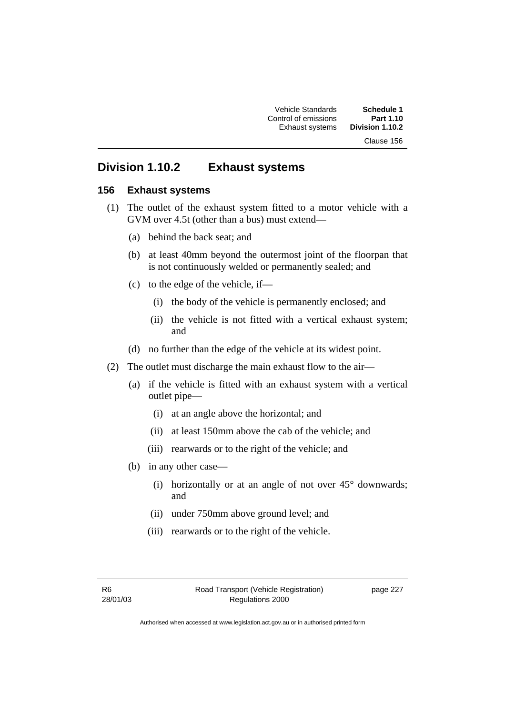Vehicle Standards **Schedule 1**  Control of emissions **Part 1.10 Exhaust systems** Clause 156

## **Division 1.10.2 Exhaust systems**

### **156 Exhaust systems**

- (1) The outlet of the exhaust system fitted to a motor vehicle with a GVM over 4.5t (other than a bus) must extend—
	- (a) behind the back seat; and
	- (b) at least 40mm beyond the outermost joint of the floorpan that is not continuously welded or permanently sealed; and
	- (c) to the edge of the vehicle, if—
		- (i) the body of the vehicle is permanently enclosed; and
		- (ii) the vehicle is not fitted with a vertical exhaust system; and
	- (d) no further than the edge of the vehicle at its widest point.
- (2) The outlet must discharge the main exhaust flow to the air—
	- (a) if the vehicle is fitted with an exhaust system with a vertical outlet pipe—
		- (i) at an angle above the horizontal; and
		- (ii) at least 150mm above the cab of the vehicle; and
		- (iii) rearwards or to the right of the vehicle; and
	- (b) in any other case—
		- (i) horizontally or at an angle of not over  $45^{\circ}$  downwards; and
		- (ii) under 750mm above ground level; and
		- (iii) rearwards or to the right of the vehicle.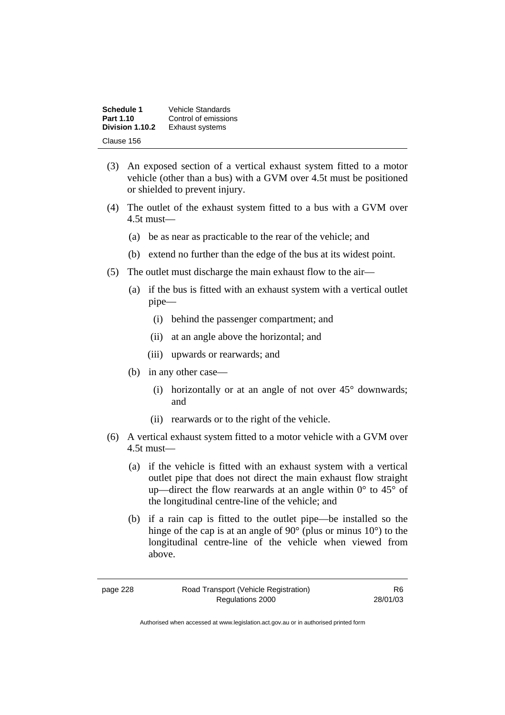| Schedule 1      | Vehicle Standards      |
|-----------------|------------------------|
| Part 1.10       | Control of emissions   |
| Division 1.10.2 | <b>Exhaust systems</b> |
| Clause 156      |                        |

- (3) An exposed section of a vertical exhaust system fitted to a motor vehicle (other than a bus) with a GVM over 4.5t must be positioned or shielded to prevent injury.
- (4) The outlet of the exhaust system fitted to a bus with a GVM over 4.5t must—
	- (a) be as near as practicable to the rear of the vehicle; and
	- (b) extend no further than the edge of the bus at its widest point.
- (5) The outlet must discharge the main exhaust flow to the air—
	- (a) if the bus is fitted with an exhaust system with a vertical outlet pipe—
		- (i) behind the passenger compartment; and
		- (ii) at an angle above the horizontal; and
		- (iii) upwards or rearwards; and
	- (b) in any other case—
		- (i) horizontally or at an angle of not over  $45^{\circ}$  downwards; and
		- (ii) rearwards or to the right of the vehicle.
- (6) A vertical exhaust system fitted to a motor vehicle with a GVM over 4.5t must—
	- (a) if the vehicle is fitted with an exhaust system with a vertical outlet pipe that does not direct the main exhaust flow straight up—direct the flow rearwards at an angle within  $0^{\circ}$  to 45 $^{\circ}$  of the longitudinal centre-line of the vehicle; and
	- (b) if a rain cap is fitted to the outlet pipe—be installed so the hinge of the cap is at an angle of 90° (plus or minus 10°) to the longitudinal centre-line of the vehicle when viewed from above.

| page 228 |  |
|----------|--|
|----------|--|

R6 28/01/03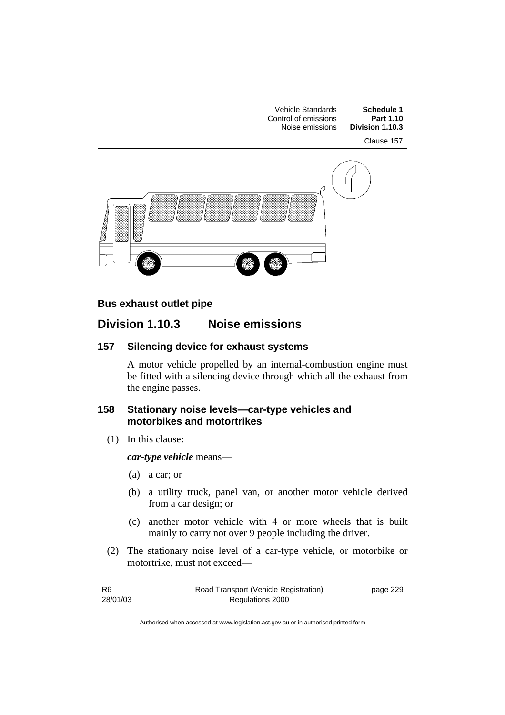

## **Bus exhaust outlet pipe**

## **Division 1.10.3 Noise emissions**

## **157 Silencing device for exhaust systems**

A motor vehicle propelled by an internal-combustion engine must be fitted with a silencing device through which all the exhaust from the engine passes.

### **158 Stationary noise levels—car-type vehicles and motorbikes and motortrikes**

(1) In this clause:

*car-type vehicle* means—

- (a) a car; or
- (b) a utility truck, panel van, or another motor vehicle derived from a car design; or
- (c) another motor vehicle with 4 or more wheels that is built mainly to carry not over 9 people including the driver.
- (2) The stationary noise level of a car-type vehicle, or motorbike or motortrike, must not exceed—

| -R6      | Road Transport (Vehicle Registration) | page 229 |
|----------|---------------------------------------|----------|
| 28/01/03 | Regulations 2000                      |          |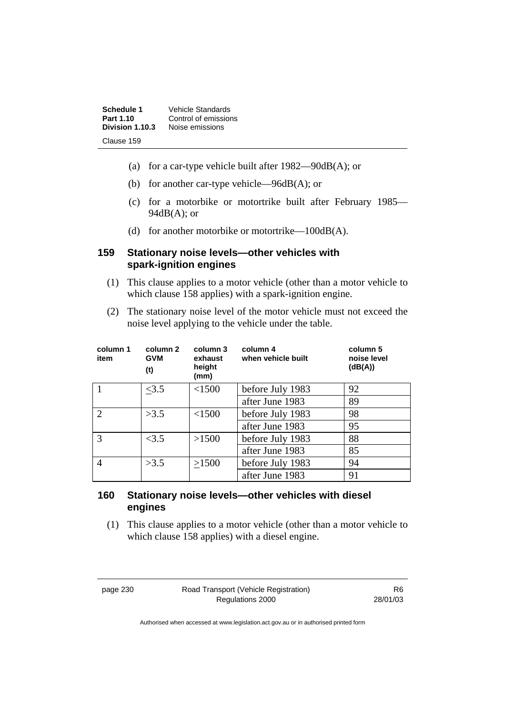| Schedule 1      | Vehicle Standards    |
|-----------------|----------------------|
| Part 1.10       | Control of emissions |
| Division 1.10.3 | Noise emissions      |
| Clause 159      |                      |

- (a) for a car-type vehicle built after  $1982 90 \text{dB}(A)$ ; or
- (b) for another car-type vehicle—96dB(A); or
- (c) for a motorbike or motortrike built after February 1985—  $94dB(A)$ ; or
- (d) for another motorbike or motortrike—100dB(A).

### **159 Stationary noise levels—other vehicles with spark-ignition engines**

- (1) This clause applies to a motor vehicle (other than a motor vehicle to which clause 158 applies) with a spark-ignition engine.
- (2) The stationary noise level of the motor vehicle must not exceed the noise level applying to the vehicle under the table.

| column 1<br>item            | column 2<br><b>GVM</b><br>(t) | column 3<br>exhaust<br>height<br>(mm) | column 4<br>when vehicle built | column 5<br>noise level<br>(dB(A)) |
|-----------------------------|-------------------------------|---------------------------------------|--------------------------------|------------------------------------|
|                             | <3.5                          | < 1500                                | before July 1983               | 92                                 |
|                             |                               |                                       | after June 1983                | 89                                 |
| $\mathcal{D}_{\mathcal{A}}$ | >3.5                          | <1500                                 | before July 1983               | 98                                 |
|                             |                               |                                       | after June 1983                | 95                                 |
| 3                           | <3.5                          | >1500                                 | before July 1983               | 88                                 |
|                             |                               |                                       | after June 1983                | 85                                 |
| $\overline{4}$              | >3.5                          | >1500                                 | before July 1983               | 94                                 |
|                             |                               |                                       | after June 1983                | 91                                 |

## **160 Stationary noise levels—other vehicles with diesel engines**

 (1) This clause applies to a motor vehicle (other than a motor vehicle to which clause 158 applies) with a diesel engine.

page 230 Road Transport (Vehicle Registration) Regulations 2000

R6 28/01/03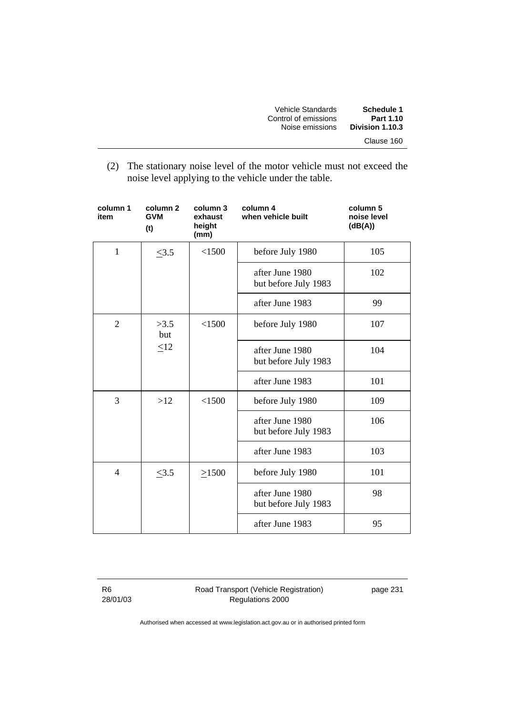| Vehicle Standards    | Schedule 1      |
|----------------------|-----------------|
| Control of emissions | Part 1.10       |
| Noise emissions      | Division 1.10.3 |
|                      | Clause 160      |

 (2) The stationary noise level of the motor vehicle must not exceed the noise level applying to the vehicle under the table.

| column 1<br>item | column <sub>2</sub><br><b>GVM</b><br>(t) | column 3<br>exhaust<br>height<br>(mm) | column 4<br>when vehicle built          | column 5<br>noise level<br>(dB(A)) |
|------------------|------------------------------------------|---------------------------------------|-----------------------------------------|------------------------------------|
| $\mathbf{1}$     | $\leq 3.5$                               | < 1500                                | before July 1980                        | 105                                |
|                  |                                          |                                       | after June 1980<br>but before July 1983 | 102                                |
|                  |                                          |                                       | after June 1983                         | 99                                 |
| $\overline{2}$   | >3.5<br>but                              | < 1500                                | before July 1980                        | 107                                |
|                  | $\leq12$                                 |                                       | after June 1980<br>but before July 1983 | 104                                |
|                  |                                          |                                       | after June 1983                         | 101                                |
| 3                | >12                                      | < 1500                                | before July 1980                        | 109                                |
|                  |                                          |                                       | after June 1980<br>but before July 1983 | 106                                |
|                  |                                          |                                       | after June 1983                         | 103                                |
| $\overline{4}$   | <3.5                                     | >1500                                 | before July 1980                        | 101                                |
|                  |                                          |                                       | after June 1980<br>but before July 1983 | 98                                 |
|                  |                                          |                                       | after June 1983                         | 95                                 |

R6 28/01/03 Road Transport (Vehicle Registration) Regulations 2000

page 231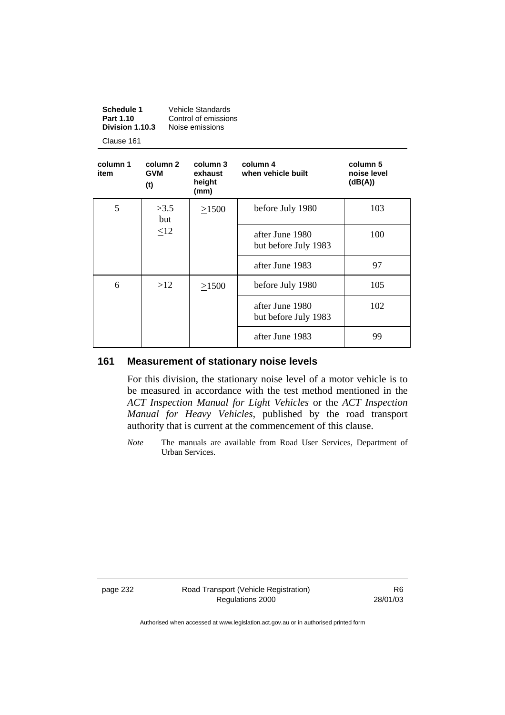| <b>Vehicle Standards</b> |  |
|--------------------------|--|
| Control of emissions     |  |
| Noise emissions          |  |
|                          |  |

Clause 161

| column 1<br>item | column 2<br><b>GVM</b><br>(t) | column 3<br>exhaust<br>height<br>(mm) | column 4<br>when vehicle built          | column 5<br>noise level<br>(dB(A)) |
|------------------|-------------------------------|---------------------------------------|-----------------------------------------|------------------------------------|
| 5                | >3.5<br>but                   | >1500                                 | before July 1980                        | 103                                |
|                  | <12                           |                                       | after June 1980<br>but before July 1983 | 100                                |
|                  |                               |                                       | after June 1983                         | 97                                 |
| 6                | >12                           | >1500                                 | before July 1980                        | 105                                |
|                  |                               |                                       | after June 1980<br>but before July 1983 | 102                                |
|                  |                               |                                       | after June 1983                         | 99                                 |

## **161 Measurement of stationary noise levels**

For this division, the stationary noise level of a motor vehicle is to be measured in accordance with the test method mentioned in the *ACT Inspection Manual for Light Vehicles* or the *ACT Inspection Manual for Heavy Vehicles*, published by the road transport authority that is current at the commencement of this clause.

*Note* The manuals are available from Road User Services, Department of Urban Services.

page 232 Road Transport (Vehicle Registration) Regulations 2000

R6 28/01/03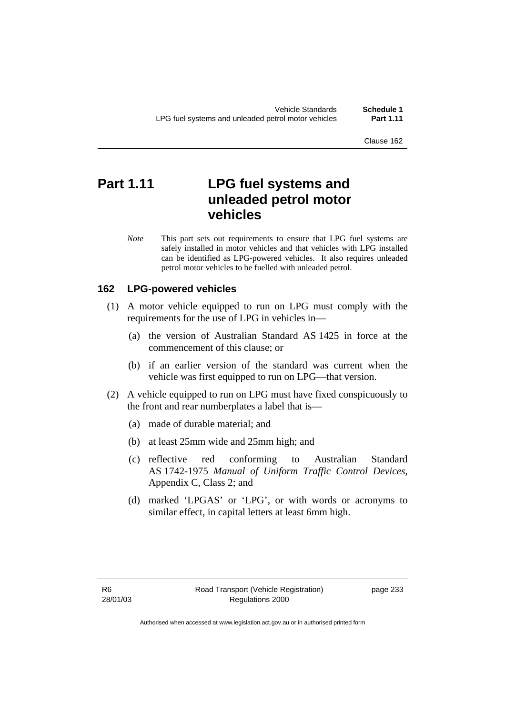Clause 162

# **Part 1.11 LPG fuel systems and unleaded petrol motor vehicles**

*Note* This part sets out requirements to ensure that LPG fuel systems are safely installed in motor vehicles and that vehicles with LPG installed can be identified as LPG-powered vehicles. It also requires unleaded petrol motor vehicles to be fuelled with unleaded petrol.

## **162 LPG-powered vehicles**

- (1) A motor vehicle equipped to run on LPG must comply with the requirements for the use of LPG in vehicles in—
	- (a) the version of Australian Standard AS 1425 in force at the commencement of this clause; or
	- (b) if an earlier version of the standard was current when the vehicle was first equipped to run on LPG—that version.
- (2) A vehicle equipped to run on LPG must have fixed conspicuously to the front and rear numberplates a label that is—
	- (a) made of durable material; and
	- (b) at least 25mm wide and 25mm high; and
	- (c) reflective red conforming to Australian Standard AS 1742-1975 *Manual of Uniform Traffic Control Devices*, Appendix C, Class 2; and
	- (d) marked 'LPGAS' or 'LPG', or with words or acronyms to similar effect, in capital letters at least 6mm high.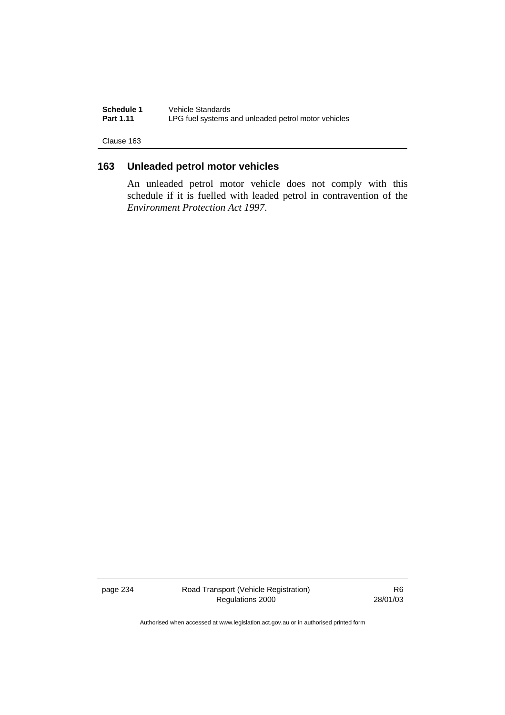**Schedule 1** Vehicle Standards<br>**Part 1.11** LPG fuel systems a LPG fuel systems and unleaded petrol motor vehicles

Clause 163

## **163 Unleaded petrol motor vehicles**

An unleaded petrol motor vehicle does not comply with this schedule if it is fuelled with leaded petrol in contravention of the *Environment Protection Act 1997*.

page 234 Road Transport (Vehicle Registration) Regulations 2000

R6 28/01/03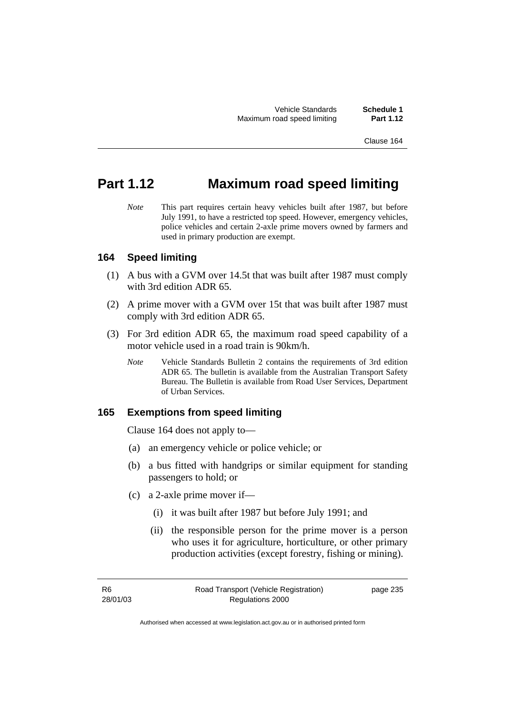Vehicle Standards **Schedule 1**  Maximum road speed limiting **Part 1.12** 

Clause 164

# **Part 1.12 Maximum road speed limiting**

*Note* This part requires certain heavy vehicles built after 1987, but before July 1991, to have a restricted top speed. However, emergency vehicles, police vehicles and certain 2-axle prime movers owned by farmers and used in primary production are exempt.

## **164 Speed limiting**

- (1) A bus with a GVM over 14.5t that was built after 1987 must comply with 3rd edition ADR 65.
- (2) A prime mover with a GVM over 15t that was built after 1987 must comply with 3rd edition ADR 65.
- (3) For 3rd edition ADR 65, the maximum road speed capability of a motor vehicle used in a road train is 90km/h.
	- *Note* Vehicle Standards Bulletin 2 contains the requirements of 3rd edition ADR 65. The bulletin is available from the Australian Transport Safety Bureau. The Bulletin is available from Road User Services, Department of Urban Services.

## **165 Exemptions from speed limiting**

Clause 164 does not apply to—

- (a) an emergency vehicle or police vehicle; or
- (b) a bus fitted with handgrips or similar equipment for standing passengers to hold; or
- (c) a 2-axle prime mover if—
	- (i) it was built after 1987 but before July 1991; and
	- (ii) the responsible person for the prime mover is a person who uses it for agriculture, horticulture, or other primary production activities (except forestry, fishing or mining).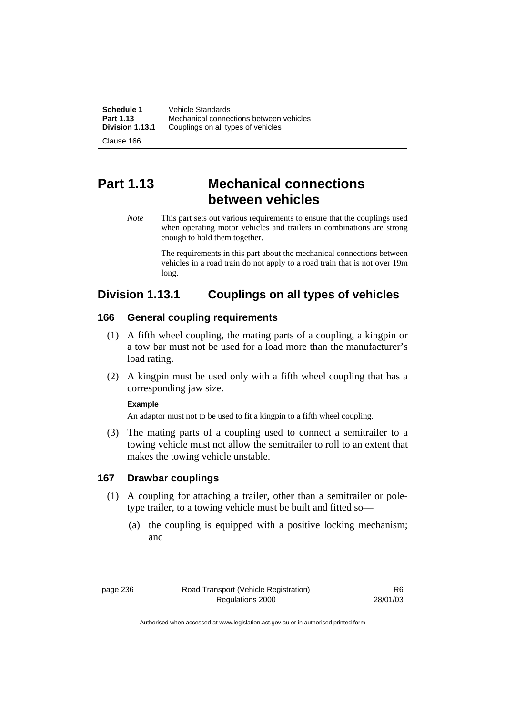**Schedule 1** Vehicle Standards<br>**Part 1.13** Mechanical conner **Part 1.13** Mechanical connections between vehicles<br>**Division 1.13.1** Couplings on all types of vehicles **Division 1.13.1** Couplings on all types of vehicles

Clause 166

# **Part 1.13 Mechanical connections between vehicles**

*Note* This part sets out various requirements to ensure that the couplings used when operating motor vehicles and trailers in combinations are strong enough to hold them together.

> The requirements in this part about the mechanical connections between vehicles in a road train do not apply to a road train that is not over 19m long.

# **Division 1.13.1 Couplings on all types of vehicles**

## **166 General coupling requirements**

- (1) A fifth wheel coupling, the mating parts of a coupling, a kingpin or a tow bar must not be used for a load more than the manufacturer's load rating.
- (2) A kingpin must be used only with a fifth wheel coupling that has a corresponding jaw size.

#### **Example**

An adaptor must not to be used to fit a kingpin to a fifth wheel coupling.

 (3) The mating parts of a coupling used to connect a semitrailer to a towing vehicle must not allow the semitrailer to roll to an extent that makes the towing vehicle unstable.

## **167 Drawbar couplings**

- (1) A coupling for attaching a trailer, other than a semitrailer or poletype trailer, to a towing vehicle must be built and fitted so—
	- (a) the coupling is equipped with a positive locking mechanism; and

page 236 Road Transport (Vehicle Registration) Regulations 2000

R6 28/01/03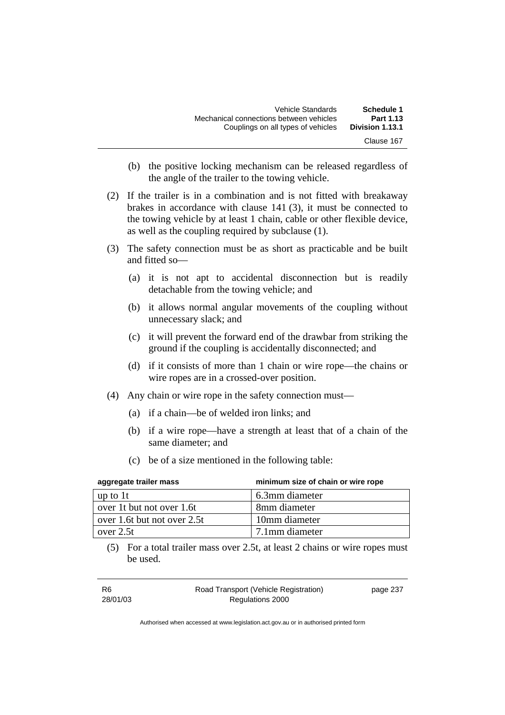| Schedule 1      | Vehicle Standards                       |
|-----------------|-----------------------------------------|
| Part 1.13       | Mechanical connections between vehicles |
| Division 1.13.1 | Couplings on all types of vehicles      |
| Clause 167      |                                         |

- (b) the positive locking mechanism can be released regardless of the angle of the trailer to the towing vehicle.
- (2) If the trailer is in a combination and is not fitted with breakaway brakes in accordance with clause 141 (3), it must be connected to the towing vehicle by at least 1 chain, cable or other flexible device, as well as the coupling required by subclause (1).
- (3) The safety connection must be as short as practicable and be built and fitted so—
	- (a) it is not apt to accidental disconnection but is readily detachable from the towing vehicle; and
	- (b) it allows normal angular movements of the coupling without unnecessary slack; and
	- (c) it will prevent the forward end of the drawbar from striking the ground if the coupling is accidentally disconnected; and
	- (d) if it consists of more than 1 chain or wire rope—the chains or wire ropes are in a crossed-over position.
- (4) Any chain or wire rope in the safety connection must—
	- (a) if a chain—be of welded iron links; and
	- (b) if a wire rope—have a strength at least that of a chain of the same diameter; and
	- (c) be of a size mentioned in the following table:

| aggregate trailer mass      | minimum size of chain or wire rope |
|-----------------------------|------------------------------------|
| up to $1t$                  | 6.3mm diameter                     |
| over 1t but not over 1.6t   | 8mm diameter                       |
| over 1.6t but not over 2.5t | 10mm diameter                      |
| over $2.5t$                 | 7.1mm diameter                     |

 (5) For a total trailer mass over 2.5t, at least 2 chains or wire ropes must be used.

| R <sub>6</sub> | Road Transport (Vehicle Registration) | page 237 |
|----------------|---------------------------------------|----------|
| 28/01/03       | Regulations 2000                      |          |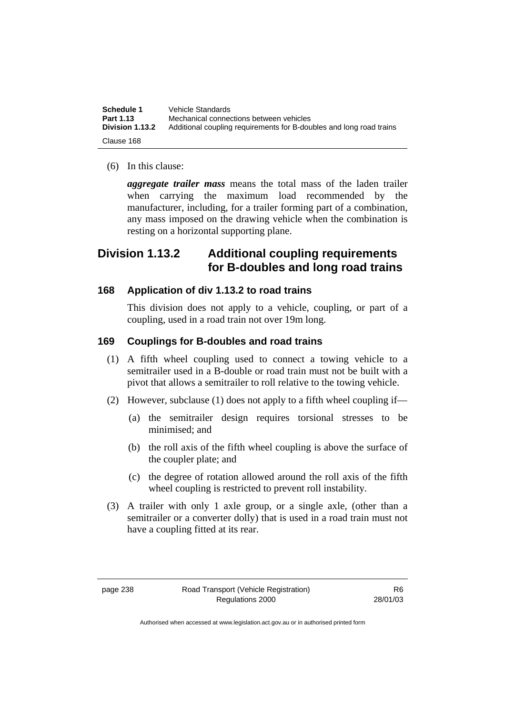| Schedule 1<br>Part 1.13 | Vehicle Standards<br>Mechanical connections between vehicles        |
|-------------------------|---------------------------------------------------------------------|
| <b>Division 1.13.2</b>  | Additional coupling requirements for B-doubles and long road trains |
| Clause 168              |                                                                     |

(6) In this clause:

*aggregate trailer mass* means the total mass of the laden trailer when carrying the maximum load recommended by the manufacturer, including, for a trailer forming part of a combination, any mass imposed on the drawing vehicle when the combination is resting on a horizontal supporting plane.

# **Division 1.13.2 Additional coupling requirements for B-doubles and long road trains**

## **168 Application of div 1.13.2 to road trains**

This division does not apply to a vehicle, coupling, or part of a coupling, used in a road train not over 19m long.

## **169 Couplings for B-doubles and road trains**

- (1) A fifth wheel coupling used to connect a towing vehicle to a semitrailer used in a B-double or road train must not be built with a pivot that allows a semitrailer to roll relative to the towing vehicle.
- (2) However, subclause (1) does not apply to a fifth wheel coupling if—
	- (a) the semitrailer design requires torsional stresses to be minimised; and
	- (b) the roll axis of the fifth wheel coupling is above the surface of the coupler plate; and
	- (c) the degree of rotation allowed around the roll axis of the fifth wheel coupling is restricted to prevent roll instability.
- (3) A trailer with only 1 axle group, or a single axle, (other than a semitrailer or a converter dolly) that is used in a road train must not have a coupling fitted at its rear.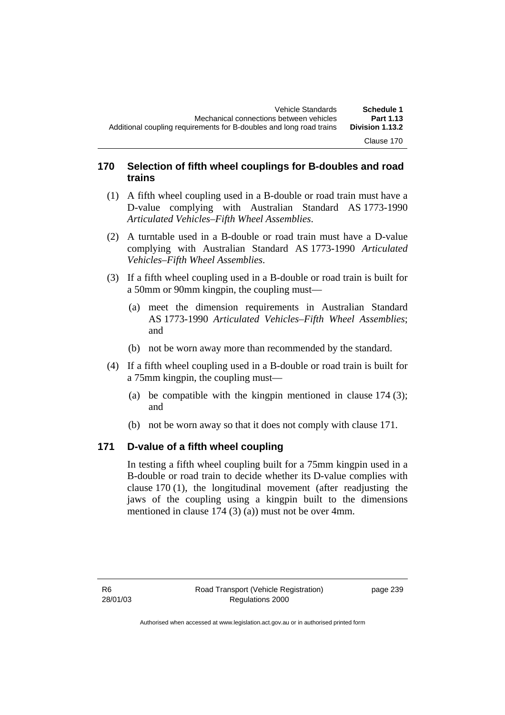Clause 170

## **170 Selection of fifth wheel couplings for B-doubles and road trains**

- (1) A fifth wheel coupling used in a B-double or road train must have a D-value complying with Australian Standard AS 1773-1990 *Articulated Vehicles–Fifth Wheel Assemblies*.
- (2) A turntable used in a B-double or road train must have a D-value complying with Australian Standard AS 1773-1990 *Articulated Vehicles–Fifth Wheel Assemblies*.
- (3) If a fifth wheel coupling used in a B-double or road train is built for a 50mm or 90mm kingpin, the coupling must—
	- (a) meet the dimension requirements in Australian Standard AS 1773-1990 *Articulated Vehicles–Fifth Wheel Assemblies*; and
	- (b) not be worn away more than recommended by the standard.
- (4) If a fifth wheel coupling used in a B-double or road train is built for a 75mm kingpin, the coupling must—
	- (a) be compatible with the kingpin mentioned in clause  $174 (3)$ ; and
	- (b) not be worn away so that it does not comply with clause 171.

## **171 D-value of a fifth wheel coupling**

In testing a fifth wheel coupling built for a 75mm kingpin used in a B-double or road train to decide whether its D-value complies with clause 170 (1), the longitudinal movement (after readjusting the jaws of the coupling using a kingpin built to the dimensions mentioned in clause 174 (3) (a)) must not be over 4mm.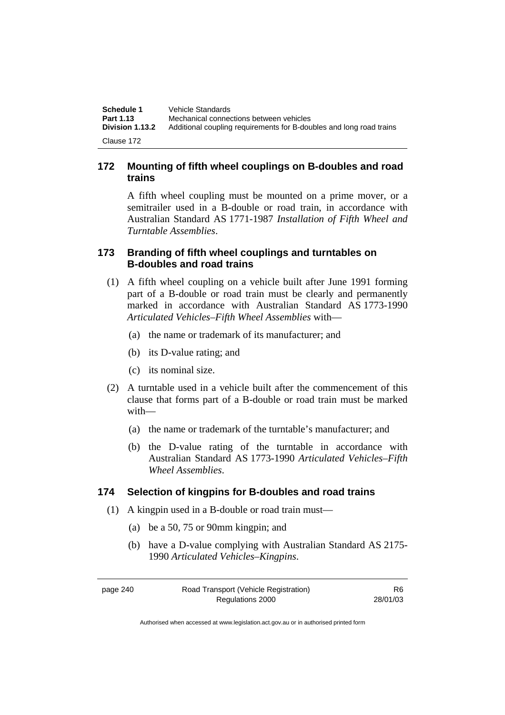| Schedule 1      | Vehicle Standards                                                   |
|-----------------|---------------------------------------------------------------------|
| Part 1.13       | Mechanical connections between vehicles                             |
| Division 1.13.2 | Additional coupling requirements for B-doubles and long road trains |
| Clause 172      |                                                                     |

## **172 Mounting of fifth wheel couplings on B-doubles and road trains**

A fifth wheel coupling must be mounted on a prime mover, or a semitrailer used in a B-double or road train, in accordance with Australian Standard AS 1771-1987 *Installation of Fifth Wheel and Turntable Assemblies*.

## **173 Branding of fifth wheel couplings and turntables on B-doubles and road trains**

- (1) A fifth wheel coupling on a vehicle built after June 1991 forming part of a B-double or road train must be clearly and permanently marked in accordance with Australian Standard AS 1773-1990 *Articulated Vehicles–Fifth Wheel Assemblies* with—
	- (a) the name or trademark of its manufacturer; and
	- (b) its D-value rating; and
	- (c) its nominal size.
- (2) A turntable used in a vehicle built after the commencement of this clause that forms part of a B-double or road train must be marked with—
	- (a) the name or trademark of the turntable's manufacturer; and
	- (b) the D-value rating of the turntable in accordance with Australian Standard AS 1773-1990 *Articulated Vehicles–Fifth Wheel Assemblies*.

## **174 Selection of kingpins for B-doubles and road trains**

- (1) A kingpin used in a B-double or road train must—
	- (a) be a 50, 75 or 90mm kingpin; and
	- (b) have a D-value complying with Australian Standard AS 2175- 1990 *Articulated Vehicles–Kingpins*.

page 240 Road Transport (Vehicle Registration) Regulations 2000 R6 28/01/03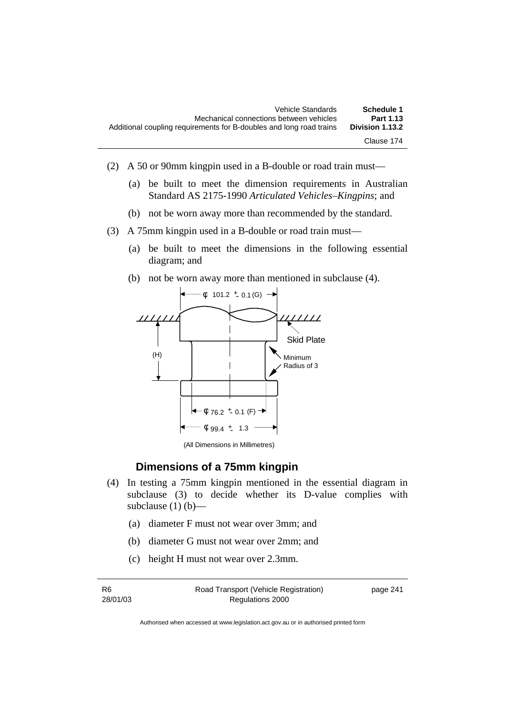| Schedule 1      | Vehicle Standards                                                   |
|-----------------|---------------------------------------------------------------------|
| Part 1.13       | Mechanical connections between vehicles                             |
| Division 1.13.2 | Additional coupling requirements for B-doubles and long road trains |
| Clause 174      |                                                                     |

- (2) A 50 or 90mm kingpin used in a B-double or road train must—
	- (a) be built to meet the dimension requirements in Australian Standard AS 2175-1990 *Articulated Vehicles–Kingpins*; and
	- (b) not be worn away more than recommended by the standard.
- (3) A 75mm kingpin used in a B-double or road train must—
	- (a) be built to meet the dimensions in the following essential diagram; and
	- (b) not be worn away more than mentioned in subclause (4).



(All Dimensions in Millimetres)

## **Dimensions of a 75mm kingpin**

- (4) In testing a 75mm kingpin mentioned in the essential diagram in subclause (3) to decide whether its D-value complies with subclause  $(1)$  (b)—
	- (a) diameter F must not wear over 3mm; and
	- (b) diameter G must not wear over 2mm; and
	- (c) height H must not wear over 2.3mm.

| -R6      | Road Transport (Vehicle Registration) | page 241 |
|----------|---------------------------------------|----------|
| 28/01/03 | Regulations 2000                      |          |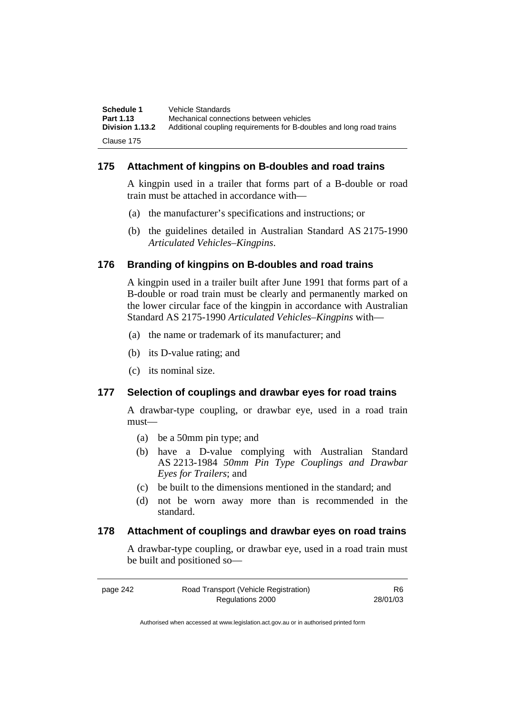| Schedule 1<br>Part 1.13 | Vehicle Standards<br>Mechanical connections between vehicles        |
|-------------------------|---------------------------------------------------------------------|
| <b>Division 1.13.2</b>  | Additional coupling requirements for B-doubles and long road trains |
| Clause 175              |                                                                     |

## **175 Attachment of kingpins on B-doubles and road trains**

A kingpin used in a trailer that forms part of a B-double or road train must be attached in accordance with—

- (a) the manufacturer's specifications and instructions; or
- (b) the guidelines detailed in Australian Standard AS 2175-1990 *Articulated Vehicles–Kingpins*.

## **176 Branding of kingpins on B-doubles and road trains**

A kingpin used in a trailer built after June 1991 that forms part of a B-double or road train must be clearly and permanently marked on the lower circular face of the kingpin in accordance with Australian Standard AS 2175-1990 *Articulated Vehicles–Kingpins* with—

- (a) the name or trademark of its manufacturer; and
- (b) its D-value rating; and
- (c) its nominal size.

## **177 Selection of couplings and drawbar eyes for road trains**

A drawbar-type coupling, or drawbar eye, used in a road train must—

- (a) be a 50mm pin type; and
- (b) have a D-value complying with Australian Standard AS 2213-1984 *50mm Pin Type Couplings and Drawbar Eyes for Trailers*; and
- (c) be built to the dimensions mentioned in the standard; and
- (d) not be worn away more than is recommended in the standard.

## **178 Attachment of couplings and drawbar eyes on road trains**

A drawbar-type coupling, or drawbar eye, used in a road train must be built and positioned so—

R6 28/01/03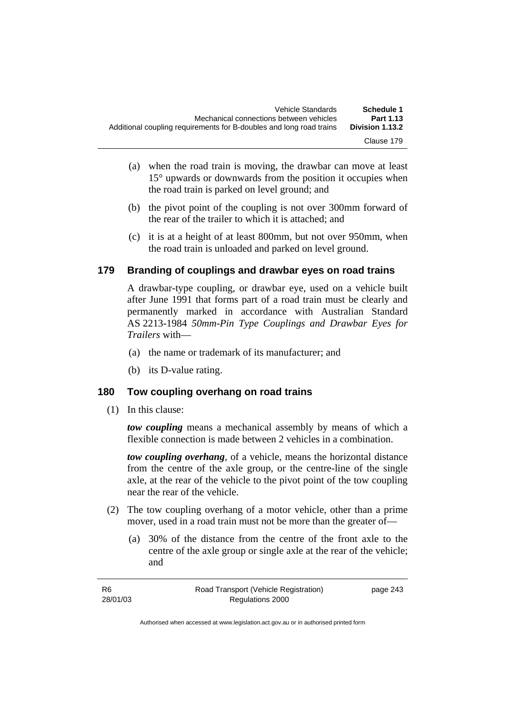- (a) when the road train is moving, the drawbar can move at least 15° upwards or downwards from the position it occupies when the road train is parked on level ground; and
- (b) the pivot point of the coupling is not over 300mm forward of the rear of the trailer to which it is attached; and
- (c) it is at a height of at least 800mm, but not over 950mm, when the road train is unloaded and parked on level ground.

## **179 Branding of couplings and drawbar eyes on road trains**

A drawbar-type coupling, or drawbar eye, used on a vehicle built after June 1991 that forms part of a road train must be clearly and permanently marked in accordance with Australian Standard AS 2213-1984 *50mm-Pin Type Couplings and Drawbar Eyes for Trailers* with—

- (a) the name or trademark of its manufacturer; and
- (b) its D-value rating.

## **180 Tow coupling overhang on road trains**

(1) In this clause:

*tow coupling* means a mechanical assembly by means of which a flexible connection is made between 2 vehicles in a combination.

*tow coupling overhang*, of a vehicle, means the horizontal distance from the centre of the axle group, or the centre-line of the single axle, at the rear of the vehicle to the pivot point of the tow coupling near the rear of the vehicle.

- (2) The tow coupling overhang of a motor vehicle, other than a prime mover, used in a road train must not be more than the greater of—
	- (a) 30% of the distance from the centre of the front axle to the centre of the axle group or single axle at the rear of the vehicle; and

| -R6      | Road Transport (Vehicle Registration) | page 243 |
|----------|---------------------------------------|----------|
| 28/01/03 | Regulations 2000                      |          |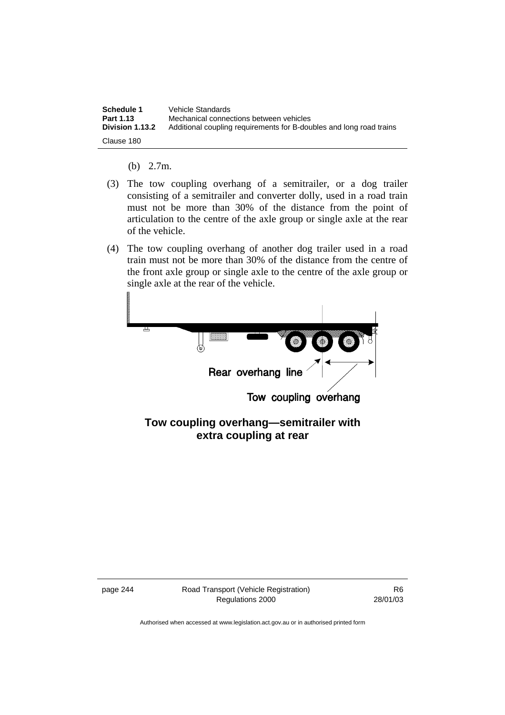| Schedule 1      | Vehicle Standards                                                   |
|-----------------|---------------------------------------------------------------------|
| Part 1.13       | Mechanical connections between vehicles                             |
| Division 1.13.2 | Additional coupling requirements for B-doubles and long road trains |
| Clause 180      |                                                                     |

- (b) 2.7m.
- (3) The tow coupling overhang of a semitrailer, or a dog trailer consisting of a semitrailer and converter dolly, used in a road train must not be more than 30% of the distance from the point of articulation to the centre of the axle group or single axle at the rear of the vehicle.
- (4) The tow coupling overhang of another dog trailer used in a road train must not be more than 30% of the distance from the centre of the front axle group or single axle to the centre of the axle group or single axle at the rear of the vehicle.



**extra coupling at rear**

page 244 Road Transport (Vehicle Registration) Regulations 2000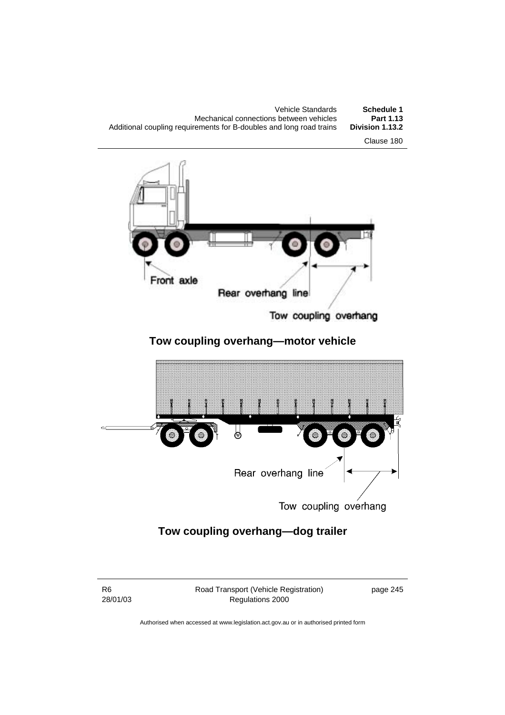| Vehicle Standards                                                   | Schedule 1      |
|---------------------------------------------------------------------|-----------------|
| Mechanical connections between vehicles                             | Part 1.13       |
| Additional coupling requirements for B-doubles and long road trains | Division 1.13.2 |
|                                                                     |                 |





Tow coupling overhang

# **Tow coupling overhang—motor vehicle**



Tow coupling overhang

# **Tow coupling overhang—dog trailer**

R6 28/01/03 Road Transport (Vehicle Registration) Regulations 2000

page 245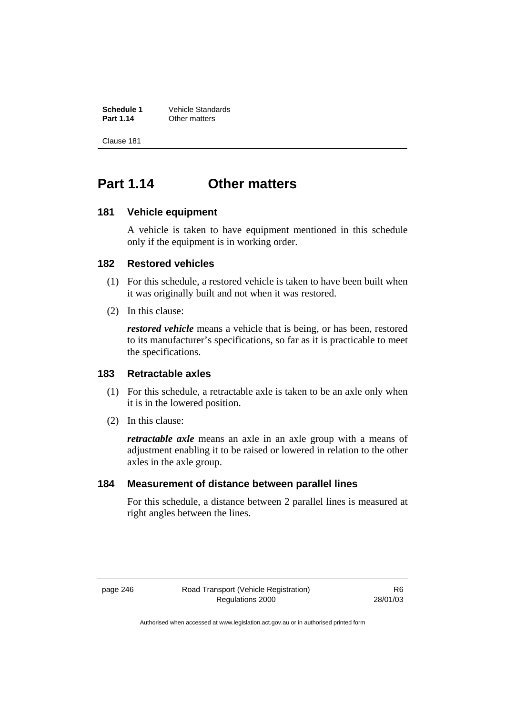**Schedule 1** Vehicle Standards<br> **Part 1.14** Other matters **Other matters** 

Clause 181

# **Part 1.14 Other matters**

#### **181 Vehicle equipment**

A vehicle is taken to have equipment mentioned in this schedule only if the equipment is in working order.

#### **182 Restored vehicles**

- (1) For this schedule, a restored vehicle is taken to have been built when it was originally built and not when it was restored.
- (2) In this clause:

*restored vehicle* means a vehicle that is being, or has been, restored to its manufacturer's specifications, so far as it is practicable to meet the specifications.

## **183 Retractable axles**

- (1) For this schedule, a retractable axle is taken to be an axle only when it is in the lowered position.
- (2) In this clause:

*retractable axle* means an axle in an axle group with a means of adjustment enabling it to be raised or lowered in relation to the other axles in the axle group.

#### **184 Measurement of distance between parallel lines**

For this schedule, a distance between 2 parallel lines is measured at right angles between the lines.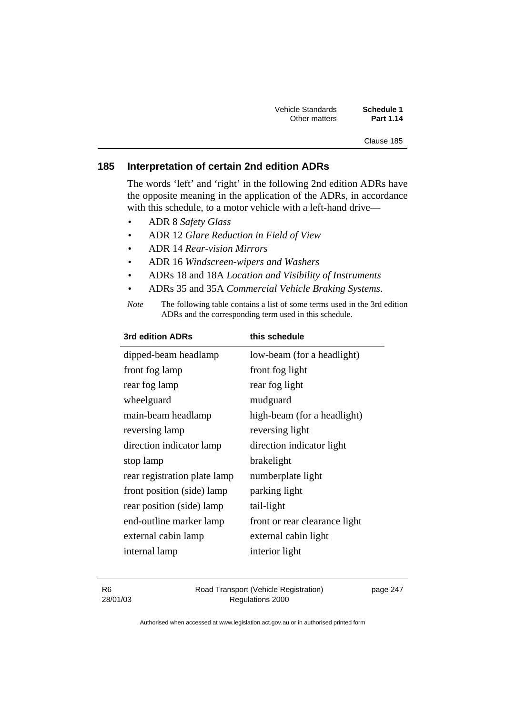| Vehicle Standards | Schedule 1       |
|-------------------|------------------|
| Other matters     | <b>Part 1.14</b> |

#### Clause 185

## **185 Interpretation of certain 2nd edition ADRs**

The words 'left' and 'right' in the following 2nd edition ADRs have the opposite meaning in the application of the ADRs, in accordance with this schedule, to a motor vehicle with a left-hand drive—

- ADR 8 *Safety Glass*
- ADR 12 *Glare Reduction in Field of View*
- ADR 14 *Rear-vision Mirrors*
- ADR 16 *Windscreen-wipers and Washers*
- ADRs 18 and 18A *Location and Visibility of Instruments*
- ADRs 35 and 35A *Commercial Vehicle Braking Systems*.
- *Note* The following table contains a list of some terms used in the 3rd edition ADRs and the corresponding term used in this schedule.

| <b>3rd edition ADRs</b>      | this schedule                 |
|------------------------------|-------------------------------|
| dipped-beam headlamp         | low-beam (for a headlight)    |
| front fog lamp               | front fog light               |
| rear fog lamp                | rear fog light                |
| wheelguard                   | mudguard                      |
| main-beam headlamp           | high-beam (for a headlight)   |
| reversing lamp               | reversing light               |
| direction indicator lamp     | direction indicator light     |
| stop lamp                    | brakelight                    |
| rear registration plate lamp | numberplate light             |
| front position (side) lamp   | parking light                 |
| rear position (side) lamp    | tail-light                    |
| end-outline marker lamp      | front or rear clearance light |
| external cabin lamp          | external cabin light          |
| internal lamp                | interior light                |
|                              |                               |

| -R6      | Road Transport (Vehicle Registration) | page 247 |
|----------|---------------------------------------|----------|
| 28/01/03 | Regulations 2000                      |          |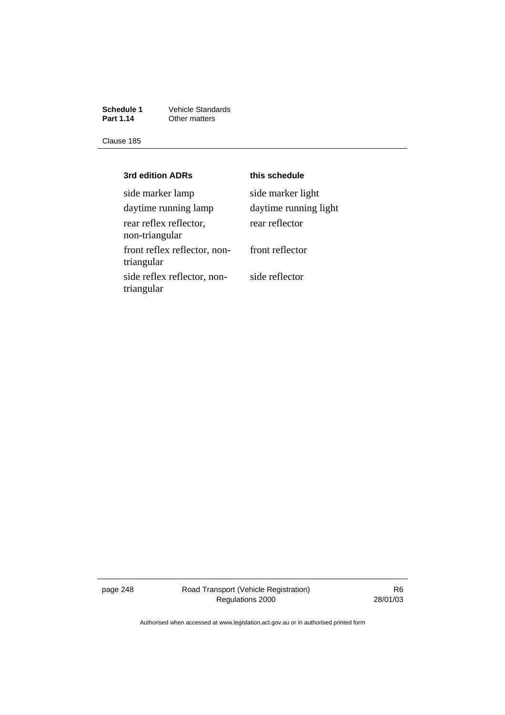**Schedule 1** Vehicle Standards **Part 1.14** Other matters

Clause 185

| 3rd edition ADRs                           | this schedule         |
|--------------------------------------------|-----------------------|
| side marker lamp                           | side marker light     |
| daytime running lamp                       | daytime running light |
| rear reflex reflector,<br>non-triangular   | rear reflector        |
| front reflex reflector, non-<br>triangular | front reflector       |
| side reflex reflector, non-<br>triangular  | side reflector        |

page 248 Road Transport (Vehicle Registration) Regulations 2000

R6 28/01/03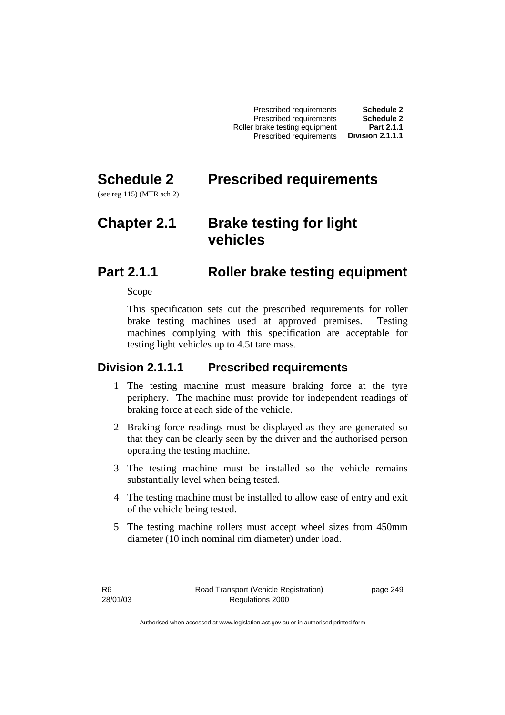| <b>Schedule 2</b> | Prescribed requirements        |
|-------------------|--------------------------------|
| <b>Schedule 2</b> | Prescribed requirements        |
| Part 2.1.1        | Roller brake testing equipment |
| Division 2.1.1.1  | Prescribed requirements        |

# **Schedule 2 Prescribed requirements**

(see reg 115) (MTR sch 2)

# **Chapter 2.1 Brake testing for light vehicles**

# **Part 2.1.1 Roller brake testing equipment**

Scope

This specification sets out the prescribed requirements for roller brake testing machines used at approved premises. Testing machines complying with this specification are acceptable for testing light vehicles up to 4.5t tare mass.

# **Division 2.1.1.1 Prescribed requirements**

- 1 The testing machine must measure braking force at the tyre periphery. The machine must provide for independent readings of braking force at each side of the vehicle.
- 2 Braking force readings must be displayed as they are generated so that they can be clearly seen by the driver and the authorised person operating the testing machine.
- 3 The testing machine must be installed so the vehicle remains substantially level when being tested.
- 4 The testing machine must be installed to allow ease of entry and exit of the vehicle being tested.
- 5 The testing machine rollers must accept wheel sizes from 450mm diameter (10 inch nominal rim diameter) under load.

R6 28/01/03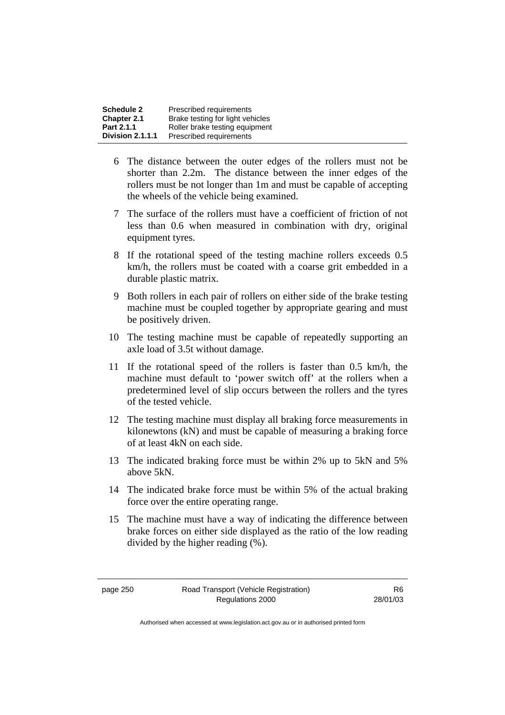| <b>Schedule 2</b> | Prescribed requirements          |
|-------------------|----------------------------------|
| Chapter 2.1       | Brake testing for light vehicles |
| Part 2.1.1        | Roller brake testing equipment   |
| Division 2.1.1.1  | Prescribed requirements          |

- 6 The distance between the outer edges of the rollers must not be shorter than 2.2m. The distance between the inner edges of the rollers must be not longer than 1m and must be capable of accepting the wheels of the vehicle being examined.
- 7 The surface of the rollers must have a coefficient of friction of not less than 0.6 when measured in combination with dry, original equipment tyres.
- 8 If the rotational speed of the testing machine rollers exceeds 0.5 km/h, the rollers must be coated with a coarse grit embedded in a durable plastic matrix.
- 9 Both rollers in each pair of rollers on either side of the brake testing machine must be coupled together by appropriate gearing and must be positively driven.
- 10 The testing machine must be capable of repeatedly supporting an axle load of 3.5t without damage.
- 11 If the rotational speed of the rollers is faster than 0.5 km/h, the machine must default to 'power switch off' at the rollers when a predetermined level of slip occurs between the rollers and the tyres of the tested vehicle.
- 12 The testing machine must display all braking force measurements in kilonewtons (kN) and must be capable of measuring a braking force of at least 4kN on each side.
- 13 The indicated braking force must be within 2% up to 5kN and 5% above 5kN.
- 14 The indicated brake force must be within 5% of the actual braking force over the entire operating range.
- 15 The machine must have a way of indicating the difference between brake forces on either side displayed as the ratio of the low reading divided by the higher reading (%).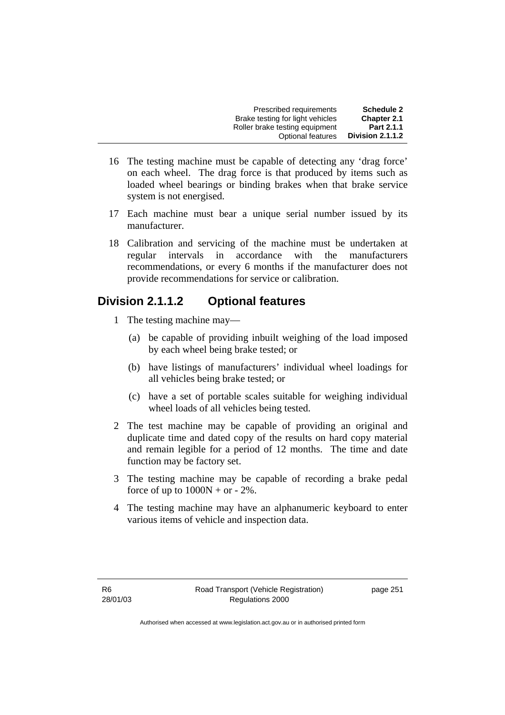| <b>Schedule 2</b>       | Prescribed requirements          |
|-------------------------|----------------------------------|
| <b>Chapter 2.1</b>      | Brake testing for light vehicles |
| Part 2.1.1              | Roller brake testing equipment   |
| <b>Division 2.1.1.2</b> | Optional features                |

- 16 The testing machine must be capable of detecting any 'drag force' on each wheel. The drag force is that produced by items such as loaded wheel bearings or binding brakes when that brake service system is not energised.
- 17 Each machine must bear a unique serial number issued by its manufacturer.
- 18 Calibration and servicing of the machine must be undertaken at regular intervals in accordance with the manufacturers recommendations, or every 6 months if the manufacturer does not provide recommendations for service or calibration.

# **Division 2.1.1.2 Optional features**

- 1 The testing machine may—
	- (a) be capable of providing inbuilt weighing of the load imposed by each wheel being brake tested; or
	- (b) have listings of manufacturers' individual wheel loadings for all vehicles being brake tested; or
	- (c) have a set of portable scales suitable for weighing individual wheel loads of all vehicles being tested.
- 2 The test machine may be capable of providing an original and duplicate time and dated copy of the results on hard copy material and remain legible for a period of 12 months. The time and date function may be factory set.
- 3 The testing machine may be capable of recording a brake pedal force of up to  $1000N + or - 2\%$ .
- 4 The testing machine may have an alphanumeric keyboard to enter various items of vehicle and inspection data.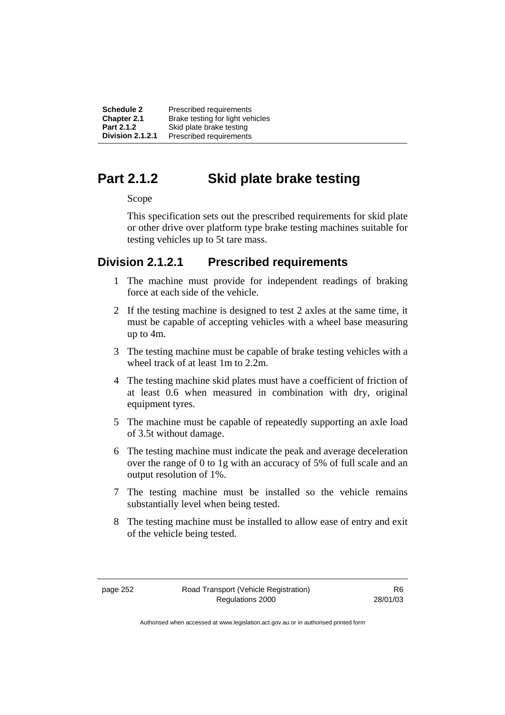**Schedule 2** Prescribed requirements **Chapter 2.1** Brake testing for light vehicles<br>**Part 2.1.2** Skid plate brake testing **Part 2.1.2** Skid plate brake testing<br>**Division 2.1.2.1** Prescribed requirements **Division 2.1.2.1** Prescribed requirements

# **Part 2.1.2 Skid plate brake testing**

#### Scope

This specification sets out the prescribed requirements for skid plate or other drive over platform type brake testing machines suitable for testing vehicles up to 5t tare mass.

## **Division 2.1.2.1 Prescribed requirements**

- 1 The machine must provide for independent readings of braking force at each side of the vehicle.
- 2 If the testing machine is designed to test 2 axles at the same time, it must be capable of accepting vehicles with a wheel base measuring up to 4m.
- 3 The testing machine must be capable of brake testing vehicles with a wheel track of at least 1m to 2.2m.
- 4 The testing machine skid plates must have a coefficient of friction of at least 0.6 when measured in combination with dry, original equipment tyres.
- 5 The machine must be capable of repeatedly supporting an axle load of 3.5t without damage.
- 6 The testing machine must indicate the peak and average deceleration over the range of 0 to 1g with an accuracy of 5% of full scale and an output resolution of 1%.
- 7 The testing machine must be installed so the vehicle remains substantially level when being tested.
- 8 The testing machine must be installed to allow ease of entry and exit of the vehicle being tested.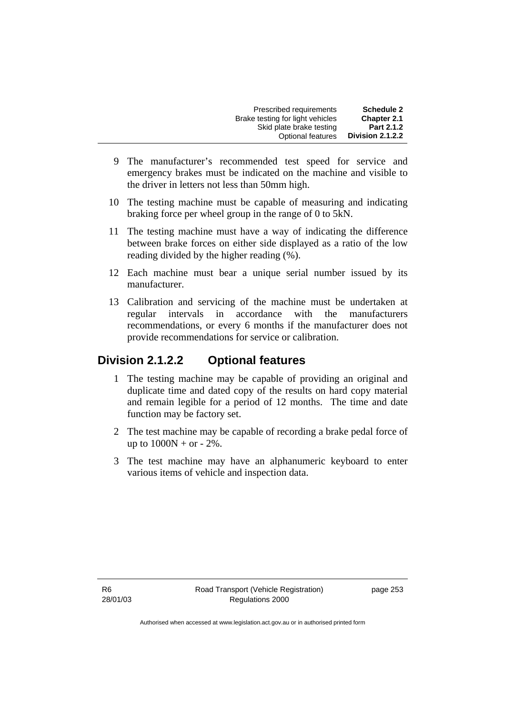| <b>Schedule 2</b> | Prescribed requirements          |
|-------------------|----------------------------------|
| Chapter 2.1       | Brake testing for light vehicles |
| Part 2.1.2        | Skid plate brake testing         |
| Division 2.1.2.2  | Optional features                |

- 9 The manufacturer's recommended test speed for service and emergency brakes must be indicated on the machine and visible to the driver in letters not less than 50mm high.
- 10 The testing machine must be capable of measuring and indicating braking force per wheel group in the range of 0 to 5kN.
- 11 The testing machine must have a way of indicating the difference between brake forces on either side displayed as a ratio of the low reading divided by the higher reading (%).
- 12 Each machine must bear a unique serial number issued by its manufacturer.
- 13 Calibration and servicing of the machine must be undertaken at regular intervals in accordance with the manufacturers recommendations, or every 6 months if the manufacturer does not provide recommendations for service or calibration.

# **Division 2.1.2.2 Optional features**

- 1 The testing machine may be capable of providing an original and duplicate time and dated copy of the results on hard copy material and remain legible for a period of 12 months. The time and date function may be factory set.
- 2 The test machine may be capable of recording a brake pedal force of up to  $1000N + or - 2\%$ .
- 3 The test machine may have an alphanumeric keyboard to enter various items of vehicle and inspection data.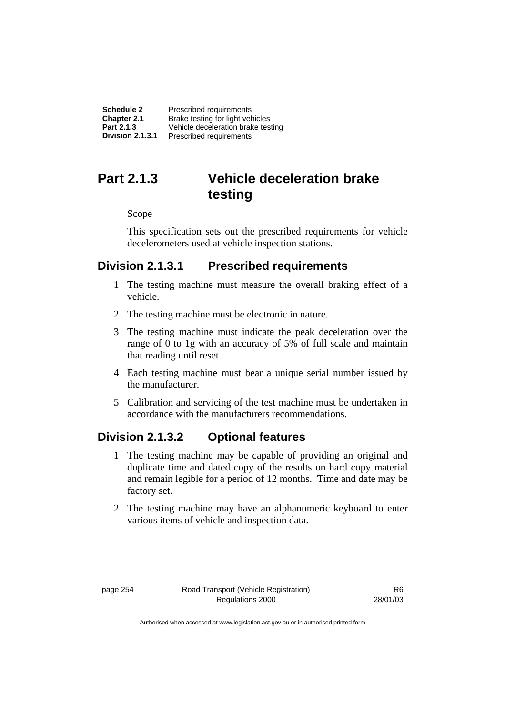| Schedule 2              | Prescribed requirements            |
|-------------------------|------------------------------------|
| <b>Chapter 2.1</b>      | Brake testing for light vehicles   |
| Part 2.1.3              | Vehicle deceleration brake testing |
| <b>Division 2.1.3.1</b> | Prescribed requirements            |

# **Part 2.1.3 Vehicle deceleration brake testing**

Scope

This specification sets out the prescribed requirements for vehicle decelerometers used at vehicle inspection stations.

# **Division 2.1.3.1 Prescribed requirements**

- 1 The testing machine must measure the overall braking effect of a vehicle.
- 2 The testing machine must be electronic in nature.
- 3 The testing machine must indicate the peak deceleration over the range of 0 to 1g with an accuracy of 5% of full scale and maintain that reading until reset.
- 4 Each testing machine must bear a unique serial number issued by the manufacturer.
- 5 Calibration and servicing of the test machine must be undertaken in accordance with the manufacturers recommendations.

# **Division 2.1.3.2 Optional features**

- 1 The testing machine may be capable of providing an original and duplicate time and dated copy of the results on hard copy material and remain legible for a period of 12 months. Time and date may be factory set.
- 2 The testing machine may have an alphanumeric keyboard to enter various items of vehicle and inspection data.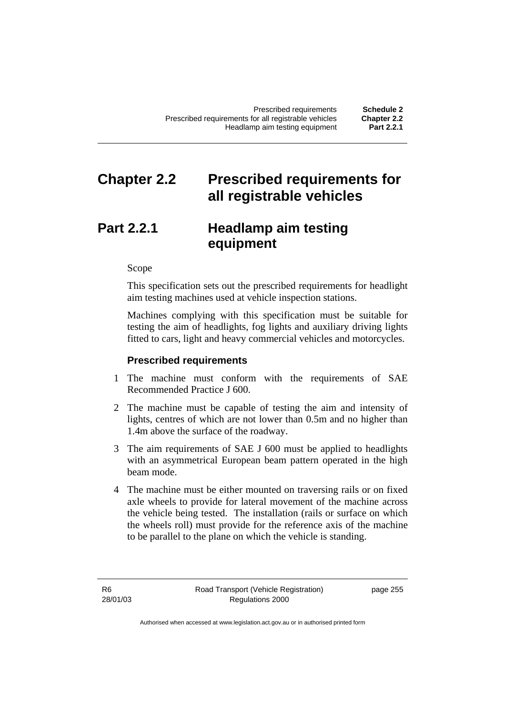# **Chapter 2.2 Prescribed requirements for all registrable vehicles**

# **Part 2.2.1 Headlamp aim testing equipment**

Scope

This specification sets out the prescribed requirements for headlight aim testing machines used at vehicle inspection stations.

Machines complying with this specification must be suitable for testing the aim of headlights, fog lights and auxiliary driving lights fitted to cars, light and heavy commercial vehicles and motorcycles.

#### **Prescribed requirements**

- 1 The machine must conform with the requirements of SAE Recommended Practice J 600.
- 2 The machine must be capable of testing the aim and intensity of lights, centres of which are not lower than 0.5m and no higher than 1.4m above the surface of the roadway.
- 3 The aim requirements of SAE J 600 must be applied to headlights with an asymmetrical European beam pattern operated in the high beam mode.
- 4 The machine must be either mounted on traversing rails or on fixed axle wheels to provide for lateral movement of the machine across the vehicle being tested. The installation (rails or surface on which the wheels roll) must provide for the reference axis of the machine to be parallel to the plane on which the vehicle is standing.

page 255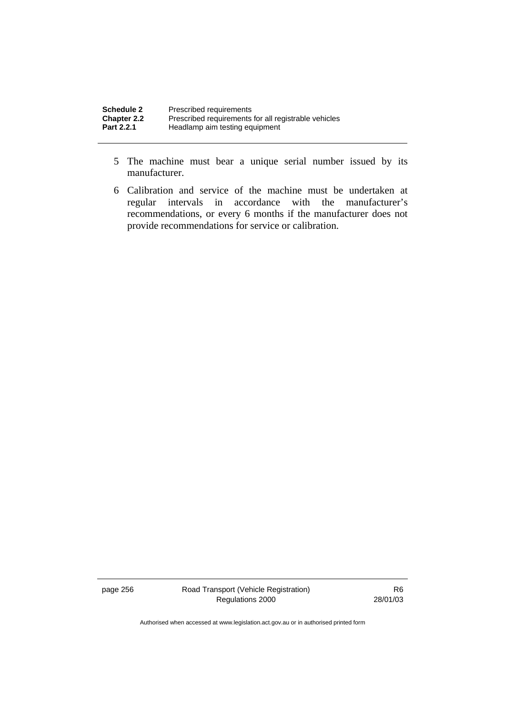| <b>Schedule 2</b>                | Prescribed requirements                                                                |
|----------------------------------|----------------------------------------------------------------------------------------|
| <b>Chapter 2.2</b><br>Part 2.2.1 | Prescribed requirements for all registrable vehicles<br>Headlamp aim testing equipment |
|                                  |                                                                                        |

- 5 The machine must bear a unique serial number issued by its manufacturer.
- 6 Calibration and service of the machine must be undertaken at regular intervals in accordance with the manufacturer's recommendations, or every 6 months if the manufacturer does not provide recommendations for service or calibration.

page 256 Road Transport (Vehicle Registration) Regulations 2000

R6 28/01/03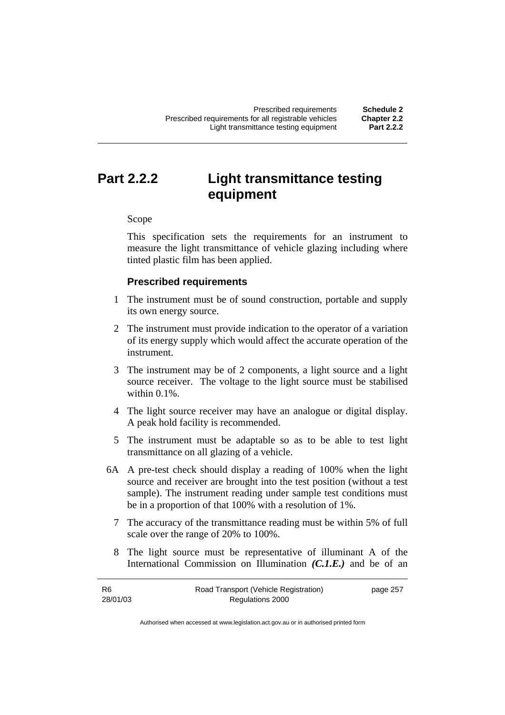# **Part 2.2.2 Light transmittance testing equipment**

Scope

This specification sets the requirements for an instrument to measure the light transmittance of vehicle glazing including where tinted plastic film has been applied.

## **Prescribed requirements**

- 1 The instrument must be of sound construction, portable and supply its own energy source.
- 2 The instrument must provide indication to the operator of a variation of its energy supply which would affect the accurate operation of the instrument.
- 3 The instrument may be of 2 components, a light source and a light source receiver. The voltage to the light source must be stabilised within 0.1%.
- 4 The light source receiver may have an analogue or digital display. A peak hold facility is recommended.
- 5 The instrument must be adaptable so as to be able to test light transmittance on all glazing of a vehicle.
- 6A A pre-test check should display a reading of 100% when the light source and receiver are brought into the test position (without a test sample). The instrument reading under sample test conditions must be in a proportion of that 100% with a resolution of 1%.
	- 7 The accuracy of the transmittance reading must be within 5% of full scale over the range of 20% to 100%.
	- 8 The light source must be representative of illuminant A of the International Commission on Illumination *(C.1.E.)* and be of an

| R6       | Road Transport (Vehicle Registration) | page 257 |
|----------|---------------------------------------|----------|
| 28/01/03 | Regulations 2000                      |          |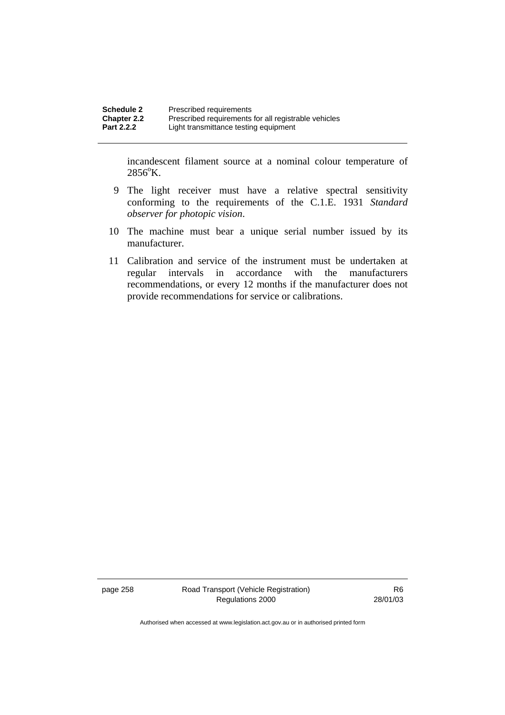incandescent filament source at a nominal colour temperature of  $2856^{\circ}$ K.

- 9 The light receiver must have a relative spectral sensitivity conforming to the requirements of the C.1.E. 1931 *Standard observer for photopic vision*.
- 10 The machine must bear a unique serial number issued by its manufacturer.
- 11 Calibration and service of the instrument must be undertaken at regular intervals in accordance with the manufacturers recommendations, or every 12 months if the manufacturer does not provide recommendations for service or calibrations.

page 258 Road Transport (Vehicle Registration) Regulations 2000

R6 28/01/03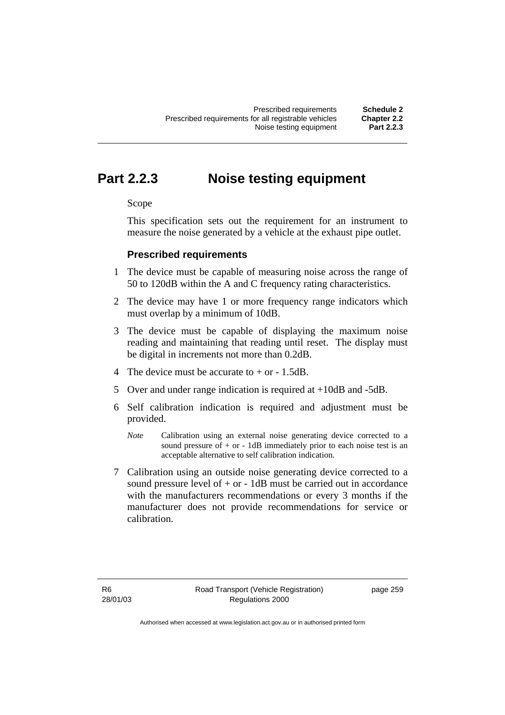# **Part 2.2.3 Noise testing equipment**

#### Scope

This specification sets out the requirement for an instrument to measure the noise generated by a vehicle at the exhaust pipe outlet.

## **Prescribed requirements**

- 1 The device must be capable of measuring noise across the range of 50 to 120dB within the A and C frequency rating characteristics.
- 2 The device may have 1 or more frequency range indicators which must overlap by a minimum of 10dB.
- 3 The device must be capable of displaying the maximum noise reading and maintaining that reading until reset. The display must be digital in increments not more than 0.2dB.
- 4 The device must be accurate to  $+$  or  $-$  1.5dB.
- 5 Over and under range indication is required at +10dB and -5dB.
- 6 Self calibration indication is required and adjustment must be provided.
	- *Note* Calibration using an external noise generating device corrected to a sound pressure of  $+$  or  $-$  1dB immediately prior to each noise test is an acceptable alternative to self calibration indication.
- 7 Calibration using an outside noise generating device corrected to a sound pressure level of  $+$  or  $-$  1dB must be carried out in accordance with the manufacturers recommendations or every 3 months if the manufacturer does not provide recommendations for service or calibration.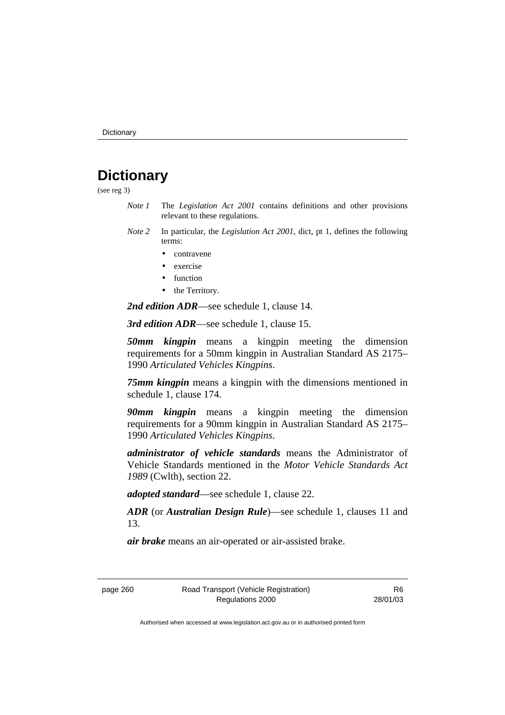# **Dictionary**

(see reg 3)

- *Note 1* The *Legislation Act 2001* contains definitions and other provisions relevant to these regulations.
- *Note 2* In particular, the *Legislation Act 2001*, dict, pt 1, defines the following terms:
	- contravene
	- exercise
	- function
	- the Territory.

*2nd edition ADR*—see schedule 1, clause 14.

*3rd edition ADR*—see schedule 1, clause 15.

*50mm kingpin* means a kingpin meeting the dimension requirements for a 50mm kingpin in Australian Standard AS 2175– 1990 *Articulated Vehicles Kingpins*.

*75mm kingpin* means a kingpin with the dimensions mentioned in schedule 1, clause 174.

*90mm kingpin* means a kingpin meeting the dimension requirements for a 90mm kingpin in Australian Standard AS 2175– 1990 *Articulated Vehicles Kingpins*.

*administrator of vehicle standards* means the Administrator of Vehicle Standards mentioned in the *Motor Vehicle Standards Act 1989* (Cwlth), section 22.

*adopted standard*—see schedule 1, clause 22.

*ADR* (or *Australian Design Rule*)—see schedule 1, clauses 11 and 13.

*air brake* means an air-operated or air-assisted brake.

R6 28/01/03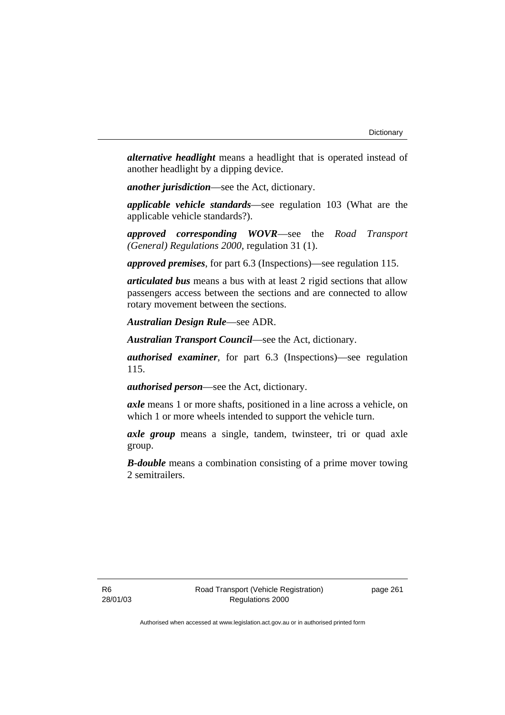*alternative headlight* means a headlight that is operated instead of another headlight by a dipping device.

*another jurisdiction*—see the Act, dictionary.

*applicable vehicle standards*—see regulation 103 (What are the applicable vehicle standards?).

*approved corresponding WOVR*—see the *Road Transport (General) Regulations 2000*, regulation 31 (1).

*approved premises*, for part 6.3 (Inspections)—see regulation 115.

*articulated bus* means a bus with at least 2 rigid sections that allow passengers access between the sections and are connected to allow rotary movement between the sections.

*Australian Design Rule*—see ADR.

*Australian Transport Council*—see the Act, dictionary.

*authorised examiner*, for part 6.3 (Inspections)—see regulation 115.

*authorised person*—see the Act, dictionary.

*axle* means 1 or more shafts, positioned in a line across a vehicle, on which 1 or more wheels intended to support the vehicle turn.

*axle group* means a single, tandem, twinsteer, tri or quad axle group.

*B-double* means a combination consisting of a prime mover towing 2 semitrailers.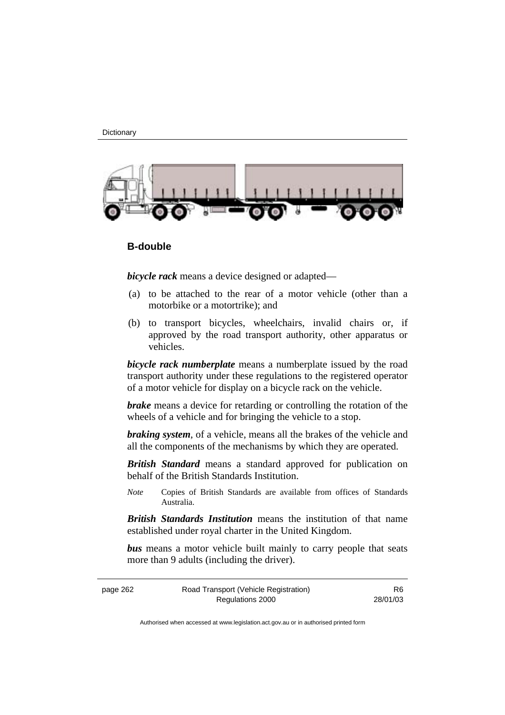**Dictionary** 



#### **B-double**

*bicycle rack* means a device designed or adapted—

- (a) to be attached to the rear of a motor vehicle (other than a motorbike or a motortrike); and
- (b) to transport bicycles, wheelchairs, invalid chairs or, if approved by the road transport authority, other apparatus or vehicles.

*bicycle rack numberplate* means a numberplate issued by the road transport authority under these regulations to the registered operator of a motor vehicle for display on a bicycle rack on the vehicle.

*brake* means a device for retarding or controlling the rotation of the wheels of a vehicle and for bringing the vehicle to a stop.

*braking system*, of a vehicle, means all the brakes of the vehicle and all the components of the mechanisms by which they are operated.

*British Standard* means a standard approved for publication on behalf of the British Standards Institution.

*Note* Copies of British Standards are available from offices of Standards Australia.

*British Standards Institution* means the institution of that name established under royal charter in the United Kingdom.

*bus* means a motor vehicle built mainly to carry people that seats more than 9 adults (including the driver).

page 262 Road Transport (Vehicle Registration) Regulations 2000 R6 28/01/03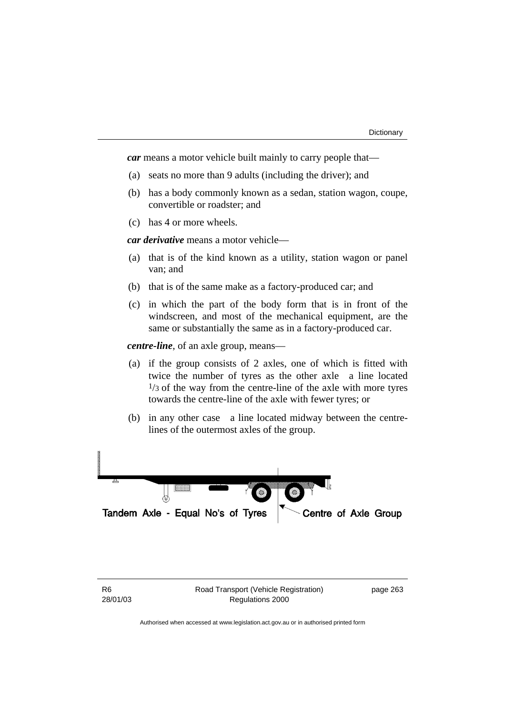*car* means a motor vehicle built mainly to carry people that—

- (a) seats no more than 9 adults (including the driver); and
- (b) has a body commonly known as a sedan, station wagon, coupe, convertible or roadster; and
- (c) has 4 or more wheels.

*car derivative* means a motor vehicle—

- (a) that is of the kind known as a utility, station wagon or panel van; and
- (b) that is of the same make as a factory-produced car; and
- (c) in which the part of the body form that is in front of the windscreen, and most of the mechanical equipment, are the same or substantially the same as in a factory-produced car.

*centre-line*, of an axle group, means—

- (a) if the group consists of 2 axles, one of which is fitted with twice the number of tyres as the other axle-a line located  $\frac{1}{3}$  of the way from the centre-line of the axle with more tyres towards the centre-line of the axle with fewer tyres; or
- (b) in any other case—a line located midway between the centrelines of the outermost axles of the group.





Authorised when accessed at www.legislation.act.gov.au or in authorised printed form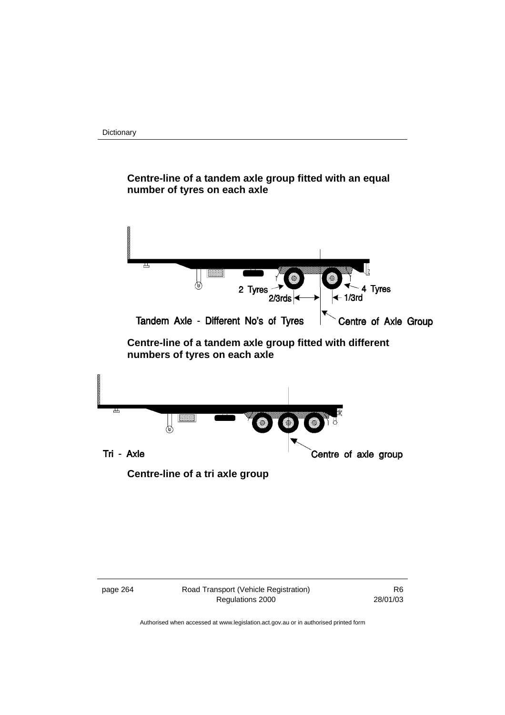**Dictionary** 

# **Centre-line of a tandem axle group fitted with an equal number of tyres on each axle**



## **Centre-line of a tandem axle group fitted with different numbers of tyres on each axle**





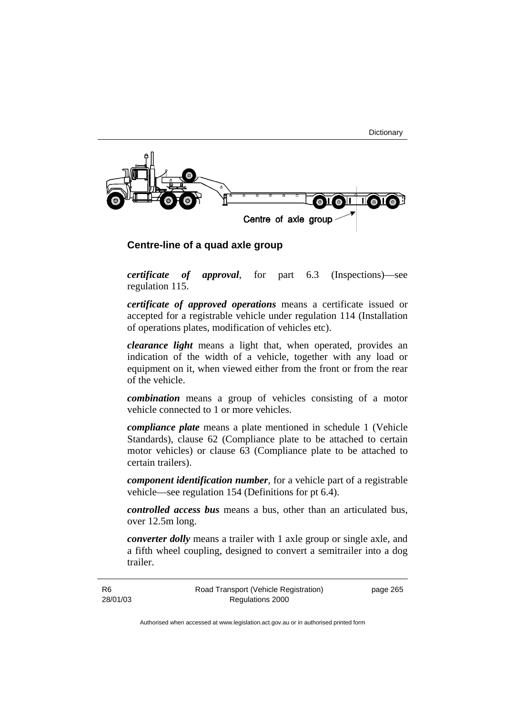

## **Centre-line of a quad axle group**

*certificate of approval*, for part 6.3 (Inspections)—see regulation 115.

*certificate of approved operations* means a certificate issued or accepted for a registrable vehicle under regulation 114 (Installation of operations plates, modification of vehicles etc).

*clearance light* means a light that, when operated, provides an indication of the width of a vehicle, together with any load or equipment on it, when viewed either from the front or from the rear of the vehicle.

*combination* means a group of vehicles consisting of a motor vehicle connected to 1 or more vehicles.

*compliance plate* means a plate mentioned in schedule 1 (Vehicle Standards), clause 62 (Compliance plate to be attached to certain motor vehicles) or clause 63 (Compliance plate to be attached to certain trailers).

*component identification number*, for a vehicle part of a registrable vehicle—see regulation 154 (Definitions for pt 6.4).

*controlled access bus* means a bus, other than an articulated bus, over 12.5m long.

*converter dolly* means a trailer with 1 axle group or single axle, and a fifth wheel coupling, designed to convert a semitrailer into a dog trailer.

R6 28/01/03 page 265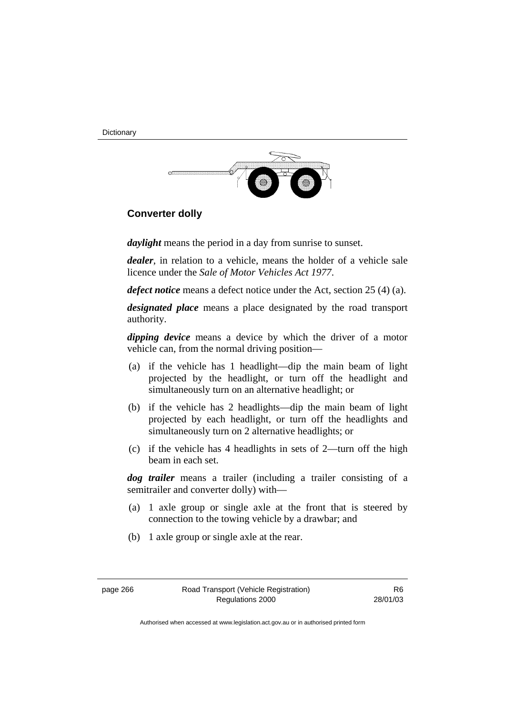**Dictionary** 



## **Converter dolly**

*daylight* means the period in a day from sunrise to sunset.

*dealer*, in relation to a vehicle, means the holder of a vehicle sale licence under the *Sale of Motor Vehicles Act 1977*.

*defect notice* means a defect notice under the Act, section 25 (4) (a).

*designated place* means a place designated by the road transport authority.

*dipping device* means a device by which the driver of a motor vehicle can, from the normal driving position—

- (a) if the vehicle has 1 headlight—dip the main beam of light projected by the headlight, or turn off the headlight and simultaneously turn on an alternative headlight; or
- (b) if the vehicle has 2 headlights—dip the main beam of light projected by each headlight, or turn off the headlights and simultaneously turn on 2 alternative headlights; or
- (c) if the vehicle has 4 headlights in sets of 2—turn off the high beam in each set.

*dog trailer* means a trailer (including a trailer consisting of a semitrailer and converter dolly) with—

- (a) 1 axle group or single axle at the front that is steered by connection to the towing vehicle by a drawbar; and
- (b) 1 axle group or single axle at the rear.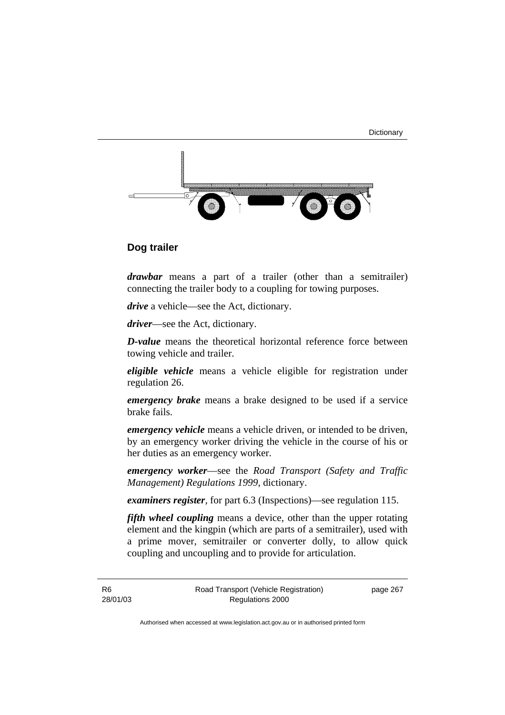**Dictionary** 



## **Dog trailer**

*drawbar* means a part of a trailer (other than a semitrailer) connecting the trailer body to a coupling for towing purposes.

*drive* a vehicle—see the Act, dictionary.

*driver*—see the Act, dictionary.

*D-value* means the theoretical horizontal reference force between towing vehicle and trailer.

*eligible vehicle* means a vehicle eligible for registration under regulation 26.

*emergency brake* means a brake designed to be used if a service brake fails.

*emergency vehicle* means a vehicle driven, or intended to be driven, by an emergency worker driving the vehicle in the course of his or her duties as an emergency worker.

*emergency worker*—see the *Road Transport (Safety and Traffic Management) Regulations 1999*, dictionary.

*examiners register*, for part 6.3 (Inspections)—see regulation 115.

*fifth wheel coupling* means a device, other than the upper rotating element and the kingpin (which are parts of a semitrailer), used with a prime mover, semitrailer or converter dolly, to allow quick coupling and uncoupling and to provide for articulation.

R6 28/01/03 Road Transport (Vehicle Registration) Regulations 2000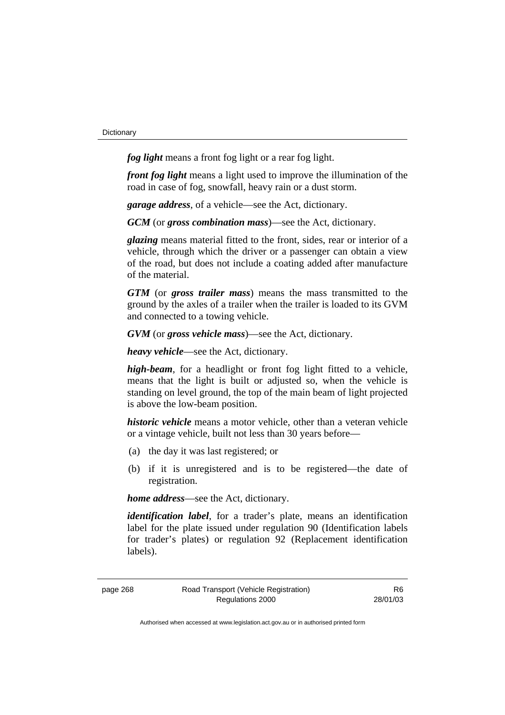*fog light* means a front fog light or a rear fog light.

*front fog light* means a light used to improve the illumination of the road in case of fog, snowfall, heavy rain or a dust storm.

*garage address*, of a vehicle—see the Act, dictionary.

*GCM* (or *gross combination mass*)—see the Act, dictionary.

*glazing* means material fitted to the front, sides, rear or interior of a vehicle, through which the driver or a passenger can obtain a view of the road, but does not include a coating added after manufacture of the material.

*GTM* (or *gross trailer mass*) means the mass transmitted to the ground by the axles of a trailer when the trailer is loaded to its GVM and connected to a towing vehicle.

*GVM* (or *gross vehicle mass*)—see the Act, dictionary.

*heavy vehicle*—see the Act, dictionary.

*high-beam*, for a headlight or front fog light fitted to a vehicle, means that the light is built or adjusted so, when the vehicle is standing on level ground, the top of the main beam of light projected is above the low-beam position.

*historic vehicle* means a motor vehicle, other than a veteran vehicle or a vintage vehicle, built not less than 30 years before—

- (a) the day it was last registered; or
- (b) if it is unregistered and is to be registered—the date of registration.

*home address*—see the Act, dictionary.

*identification label*, for a trader's plate, means an identification label for the plate issued under regulation 90 (Identification labels for trader's plates) or regulation 92 (Replacement identification labels).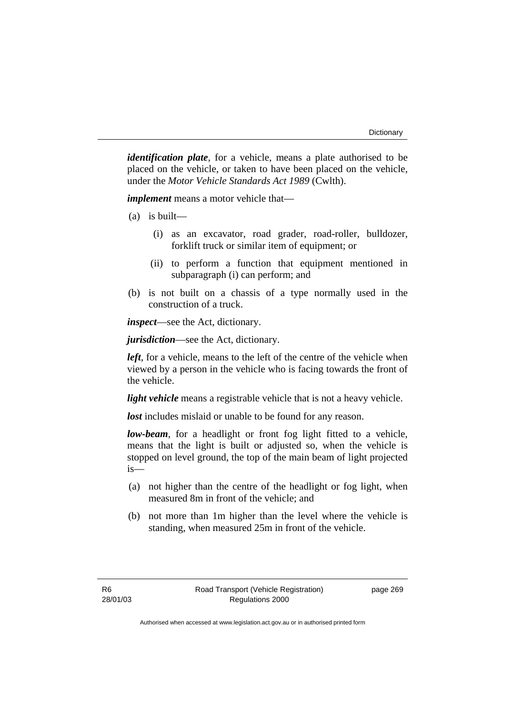*identification plate*, for a vehicle, means a plate authorised to be placed on the vehicle, or taken to have been placed on the vehicle, under the *Motor Vehicle Standards Act 1989* (Cwlth).

*implement* means a motor vehicle that—

- (a) is built—
	- (i) as an excavator, road grader, road-roller, bulldozer, forklift truck or similar item of equipment; or
	- (ii) to perform a function that equipment mentioned in subparagraph (i) can perform; and
- (b) is not built on a chassis of a type normally used in the construction of a truck.

*inspect*—see the Act, dictionary.

*jurisdiction*—see the Act, dictionary.

*left*, for a vehicle, means to the left of the centre of the vehicle when viewed by a person in the vehicle who is facing towards the front of the vehicle.

*light vehicle* means a registrable vehicle that is not a heavy vehicle.

*lost* includes mislaid or unable to be found for any reason.

*low-beam*, for a headlight or front fog light fitted to a vehicle, means that the light is built or adjusted so, when the vehicle is stopped on level ground, the top of the main beam of light projected is—

- (a) not higher than the centre of the headlight or fog light, when measured 8m in front of the vehicle; and
- (b) not more than 1m higher than the level where the vehicle is standing, when measured 25m in front of the vehicle.

page 269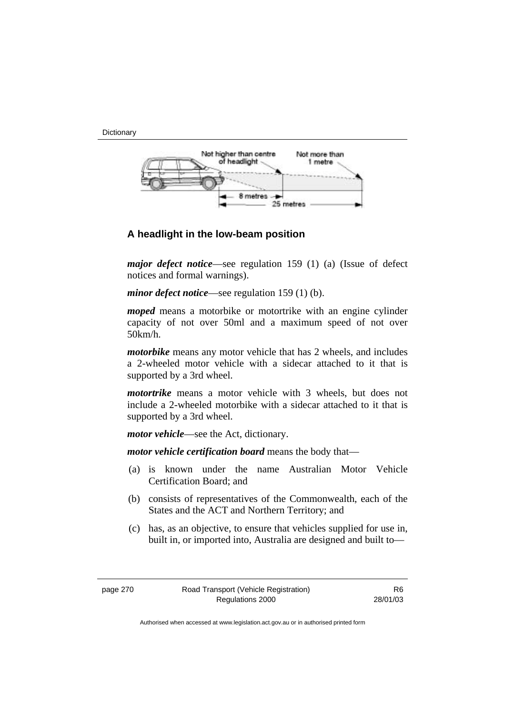**Dictionary** 



## **A headlight in the low-beam position**

*major defect notice*—see regulation 159 (1) (a) (Issue of defect notices and formal warnings).

*minor defect notice—see regulation 159 (1) (b).* 

*moped* means a motorbike or motortrike with an engine cylinder capacity of not over 50ml and a maximum speed of not over 50km/h.

*motorbike* means any motor vehicle that has 2 wheels, and includes a 2-wheeled motor vehicle with a sidecar attached to it that is supported by a 3rd wheel.

*motortrike* means a motor vehicle with 3 wheels, but does not include a 2-wheeled motorbike with a sidecar attached to it that is supported by a 3rd wheel.

*motor vehicle*—see the Act, dictionary.

*motor vehicle certification board* means the body that—

- (a) is known under the name Australian Motor Vehicle Certification Board; and
- (b) consists of representatives of the Commonwealth, each of the States and the ACT and Northern Territory; and
- (c) has, as an objective, to ensure that vehicles supplied for use in, built in, or imported into, Australia are designed and built to—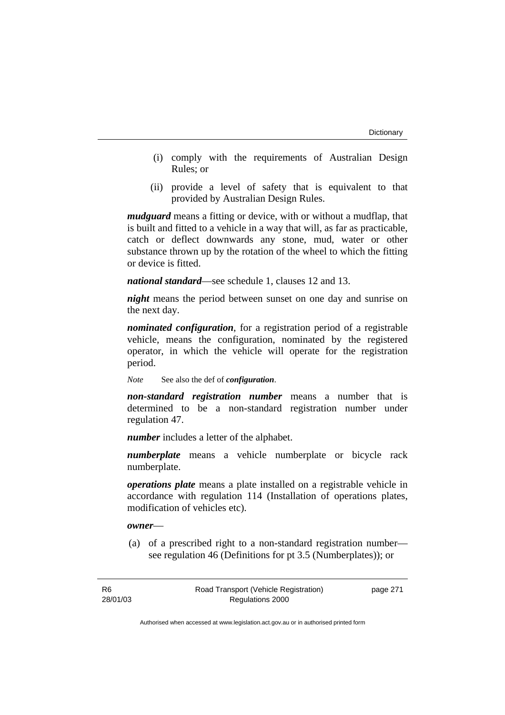- (i) comply with the requirements of Australian Design Rules; or
- (ii) provide a level of safety that is equivalent to that provided by Australian Design Rules.

*mudguard* means a fitting or device, with or without a mudflap, that is built and fitted to a vehicle in a way that will, as far as practicable, catch or deflect downwards any stone, mud, water or other substance thrown up by the rotation of the wheel to which the fitting or device is fitted.

*national standard*—see schedule 1, clauses 12 and 13.

*night* means the period between sunset on one day and sunrise on the next day.

*nominated configuration*, for a registration period of a registrable vehicle, means the configuration, nominated by the registered operator, in which the vehicle will operate for the registration period.

*Note* See also the def of *configuration*.

*non-standard registration number* means a number that is determined to be a non-standard registration number under regulation 47.

*number* includes a letter of the alphabet.

*numberplate* means a vehicle numberplate or bicycle rack numberplate.

*operations plate* means a plate installed on a registrable vehicle in accordance with regulation 114 (Installation of operations plates, modification of vehicles etc).

*owner*—

 (a) of a prescribed right to a non-standard registration number see regulation 46 (Definitions for pt 3.5 (Numberplates)); or

page 271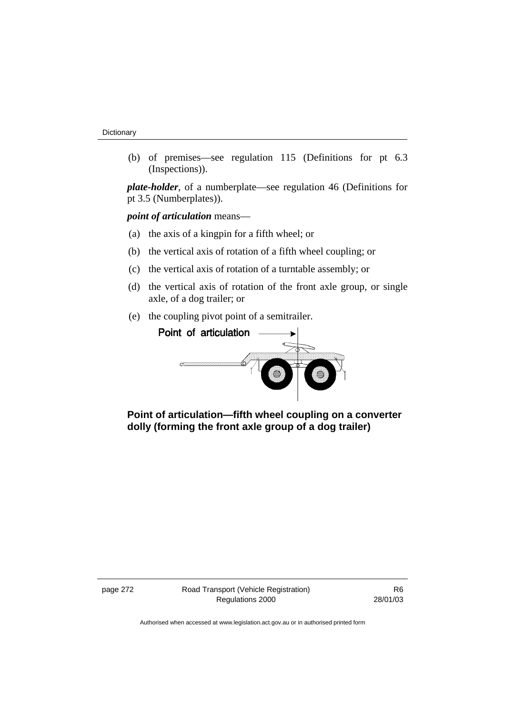(b) of premises—see regulation 115 (Definitions for pt 6.3 (Inspections)).

*plate-holder*, of a numberplate—see regulation 46 (Definitions for pt 3.5 (Numberplates)).

*point of articulation* means—

- (a) the axis of a kingpin for a fifth wheel; or
- (b) the vertical axis of rotation of a fifth wheel coupling; or
- (c) the vertical axis of rotation of a turntable assembly; or
- (d) the vertical axis of rotation of the front axle group, or single axle, of a dog trailer; or
- (e) the coupling pivot point of a semitrailer.



 **Point of articulation—fifth wheel coupling on a converter dolly (forming the front axle group of a dog trailer)** 

page 272 Road Transport (Vehicle Registration) Regulations 2000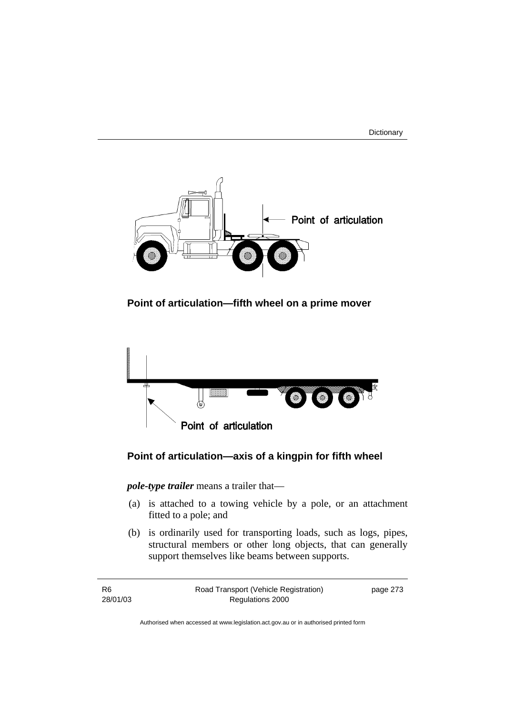



 **Point of articulation—fifth wheel on a prime mover** 



# **Point of articulation—axis of a kingpin for fifth wheel**

*pole-type trailer* means a trailer that—

- (a) is attached to a towing vehicle by a pole, or an attachment fitted to a pole; and
- (b) is ordinarily used for transporting loads, such as logs, pipes, structural members or other long objects, that can generally support themselves like beams between supports.

| R6       | Road Transport (Vehicle Registration) | page 273 |
|----------|---------------------------------------|----------|
| 28/01/03 | Regulations 2000                      |          |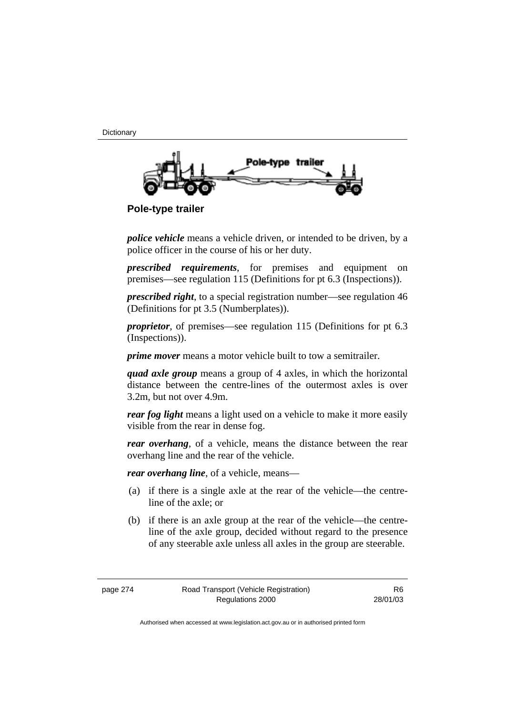**Dictionary** 



 **Pole-type trailer** 

*police vehicle* means a vehicle driven, or intended to be driven, by a police officer in the course of his or her duty.

*prescribed requirements*, for premises and equipment on premises—see regulation 115 (Definitions for pt 6.3 (Inspections)).

*prescribed right*, to a special registration number—see regulation 46 (Definitions for pt 3.5 (Numberplates)).

*proprietor*, of premises—see regulation 115 (Definitions for pt 6.3 (Inspections)).

*prime mover* means a motor vehicle built to tow a semitrailer.

*quad axle group* means a group of 4 axles, in which the horizontal distance between the centre-lines of the outermost axles is over 3.2m, but not over 4.9m.

*rear fog light* means a light used on a vehicle to make it more easily visible from the rear in dense fog.

*rear overhang*, of a vehicle, means the distance between the rear overhang line and the rear of the vehicle.

*rear overhang line*, of a vehicle, means—

- (a) if there is a single axle at the rear of the vehicle—the centreline of the axle; or
- (b) if there is an axle group at the rear of the vehicle—the centreline of the axle group, decided without regard to the presence of any steerable axle unless all axles in the group are steerable.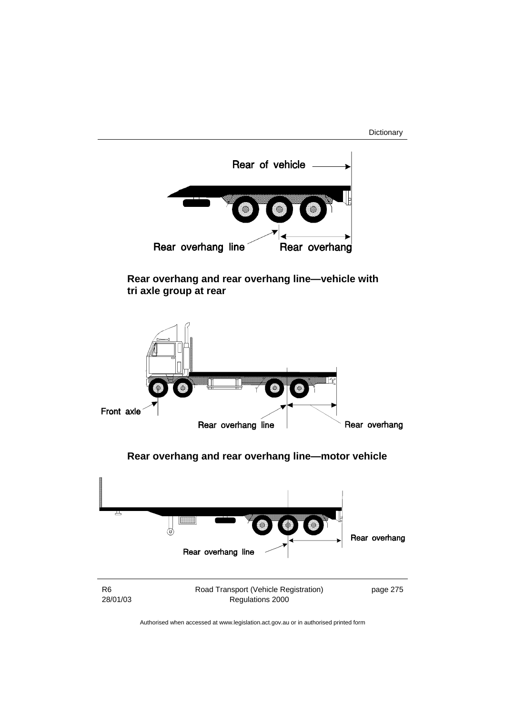Dictionary

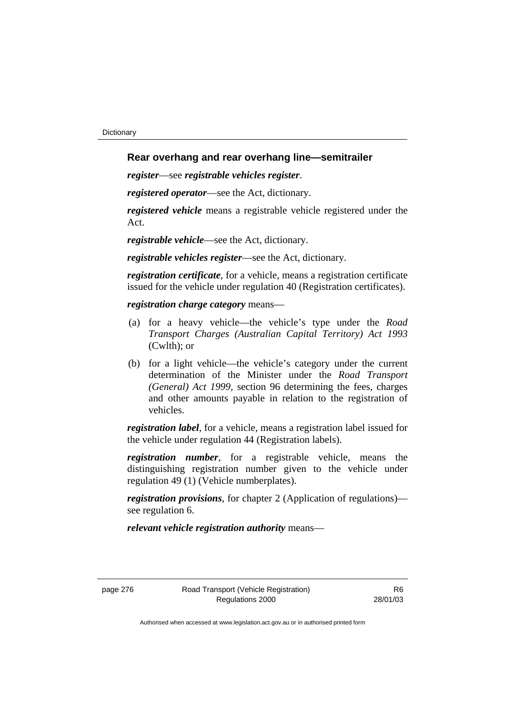## **Rear overhang and rear overhang line—semitrailer**

*register*—see *registrable vehicles register*.

*registered operator*—see the Act, dictionary.

*registered vehicle* means a registrable vehicle registered under the Act.

*registrable vehicle*—see the Act, dictionary.

*registrable vehicles register*—see the Act, dictionary.

*registration certificate*, for a vehicle, means a registration certificate issued for the vehicle under regulation 40 (Registration certificates).

#### *registration charge category* means—

- (a) for a heavy vehicle—the vehicle's type under the *Road Transport Charges (Australian Capital Territory) Act 1993*  (Cwlth); or
- (b) for a light vehicle—the vehicle's category under the current determination of the Minister under the *Road Transport (General) Act 1999*, section 96 determining the fees, charges and other amounts payable in relation to the registration of vehicles.

*registration label*, for a vehicle, means a registration label issued for the vehicle under regulation 44 (Registration labels).

*registration number*, for a registrable vehicle, means the distinguishing registration number given to the vehicle under regulation 49 (1) (Vehicle numberplates).

*registration provisions*, for chapter 2 (Application of regulations) see regulation 6.

*relevant vehicle registration authority* means—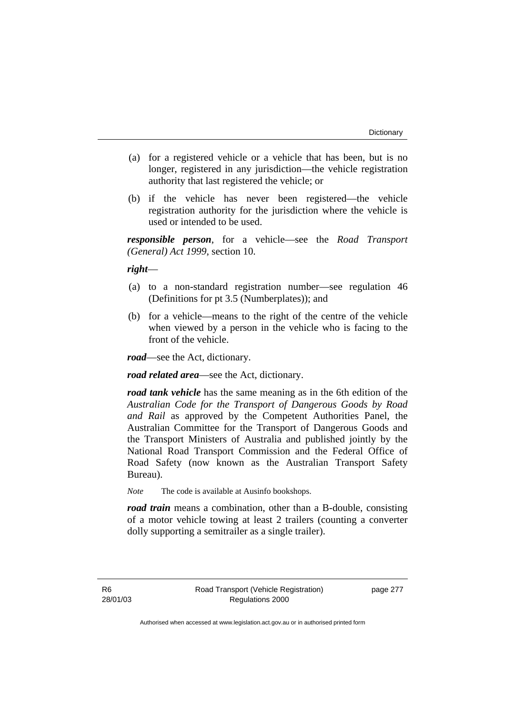- (a) for a registered vehicle or a vehicle that has been, but is no longer, registered in any jurisdiction—the vehicle registration authority that last registered the vehicle; or
- (b) if the vehicle has never been registered—the vehicle registration authority for the jurisdiction where the vehicle is used or intended to be used.

*responsible person*, for a vehicle—see the *Road Transport (General) Act 1999*, section 10.

*right*—

- (a) to a non-standard registration number—see regulation 46 (Definitions for pt 3.5 (Numberplates)); and
- (b) for a vehicle—means to the right of the centre of the vehicle when viewed by a person in the vehicle who is facing to the front of the vehicle.

*road*—see the Act, dictionary.

*road related area*—see the Act, dictionary.

*road tank vehicle* has the same meaning as in the 6th edition of the *Australian Code for the Transport of Dangerous Goods by Road and Rail* as approved by the Competent Authorities Panel, the Australian Committee for the Transport of Dangerous Goods and the Transport Ministers of Australia and published jointly by the National Road Transport Commission and the Federal Office of Road Safety (now known as the Australian Transport Safety Bureau).

*Note* The code is available at Ausinfo bookshops.

*road train* means a combination, other than a B-double, consisting of a motor vehicle towing at least 2 trailers (counting a converter dolly supporting a semitrailer as a single trailer).

R6 28/01/03 page 277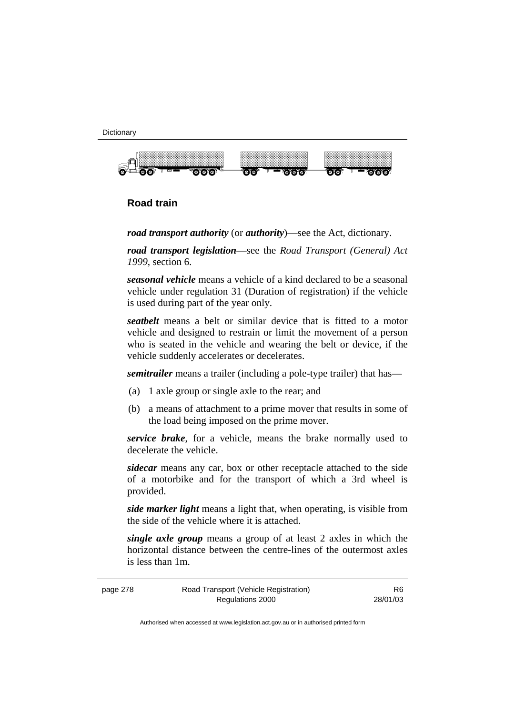



# **Road train**

*road transport authority* (or *authority*)—see the Act, dictionary.

*road transport legislation*—see the *Road Transport (General) Act 1999*, section 6.

*seasonal vehicle* means a vehicle of a kind declared to be a seasonal vehicle under regulation 31 (Duration of registration) if the vehicle is used during part of the year only.

*seatbelt* means a belt or similar device that is fitted to a motor vehicle and designed to restrain or limit the movement of a person who is seated in the vehicle and wearing the belt or device, if the vehicle suddenly accelerates or decelerates.

*semitrailer* means a trailer (including a pole-type trailer) that has—

- (a) 1 axle group or single axle to the rear; and
- (b) a means of attachment to a prime mover that results in some of the load being imposed on the prime mover.

*service brake*, for a vehicle, means the brake normally used to decelerate the vehicle.

*sidecar* means any car, box or other receptacle attached to the side of a motorbike and for the transport of which a 3rd wheel is provided.

*side marker light* means a light that, when operating, is visible from the side of the vehicle where it is attached.

*single axle group* means a group of at least 2 axles in which the horizontal distance between the centre-lines of the outermost axles is less than 1m.

| page 278 | Road Transport (Vehicle Registration) | R6.      |
|----------|---------------------------------------|----------|
|          | Regulations 2000                      | 28/01/03 |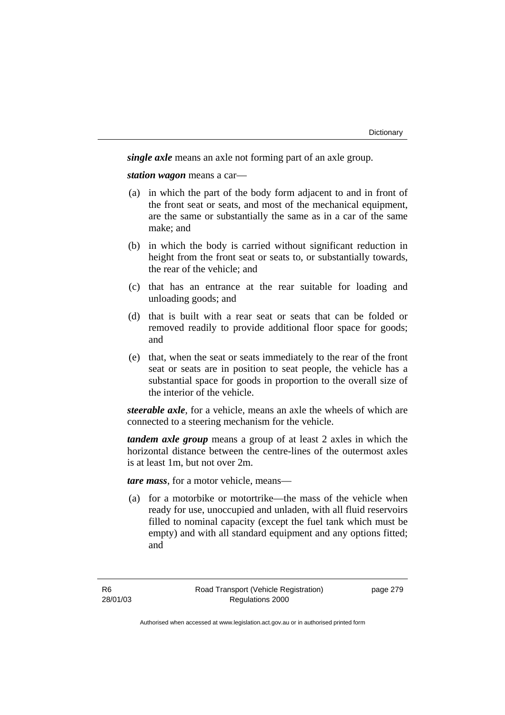*single axle* means an axle not forming part of an axle group.

*station wagon* means a car—

- (a) in which the part of the body form adjacent to and in front of the front seat or seats, and most of the mechanical equipment, are the same or substantially the same as in a car of the same make; and
- (b) in which the body is carried without significant reduction in height from the front seat or seats to, or substantially towards, the rear of the vehicle; and
- (c) that has an entrance at the rear suitable for loading and unloading goods; and
- (d) that is built with a rear seat or seats that can be folded or removed readily to provide additional floor space for goods; and
- (e) that, when the seat or seats immediately to the rear of the front seat or seats are in position to seat people, the vehicle has a substantial space for goods in proportion to the overall size of the interior of the vehicle.

*steerable axle*, for a vehicle, means an axle the wheels of which are connected to a steering mechanism for the vehicle.

*tandem axle group* means a group of at least 2 axles in which the horizontal distance between the centre-lines of the outermost axles is at least 1m, but not over 2m.

*tare mass*, for a motor vehicle, means—

 (a) for a motorbike or motortrike—the mass of the vehicle when ready for use, unoccupied and unladen, with all fluid reservoirs filled to nominal capacity (except the fuel tank which must be empty) and with all standard equipment and any options fitted; and

page 279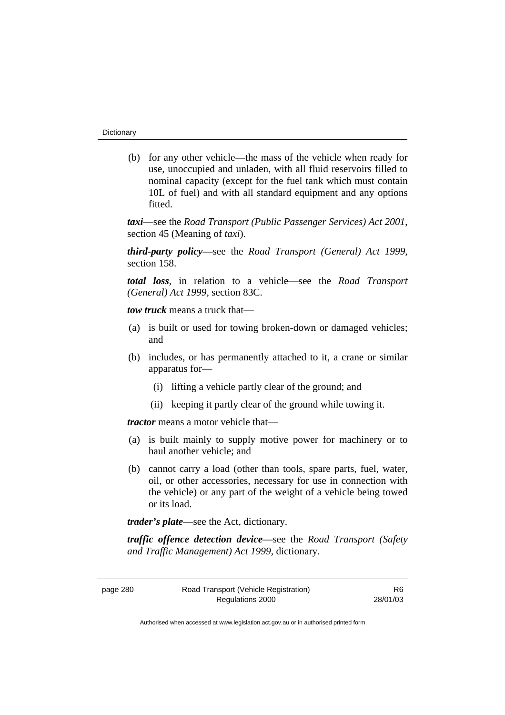(b) for any other vehicle—the mass of the vehicle when ready for use, unoccupied and unladen, with all fluid reservoirs filled to nominal capacity (except for the fuel tank which must contain 10L of fuel) and with all standard equipment and any options fitted.

*taxi*—see the *Road Transport (Public Passenger Services) Act 2001*, section 45 (Meaning of *taxi*).

*third-party policy*—see the *Road Transport (General) Act 1999*, section 158.

*total loss*, in relation to a vehicle—see the *Road Transport (General) Act 1999*, section 83C.

*tow truck* means a truck that—

- (a) is built or used for towing broken-down or damaged vehicles; and
- (b) includes, or has permanently attached to it, a crane or similar apparatus for—
	- (i) lifting a vehicle partly clear of the ground; and
	- (ii) keeping it partly clear of the ground while towing it.

*tractor* means a motor vehicle that—

- (a) is built mainly to supply motive power for machinery or to haul another vehicle; and
- (b) cannot carry a load (other than tools, spare parts, fuel, water, oil, or other accessories, necessary for use in connection with the vehicle) or any part of the weight of a vehicle being towed or its load.

*trader's plate*—see the Act, dictionary.

*traffic offence detection device*—see the *Road Transport (Safety and Traffic Management) Act 1999*, dictionary.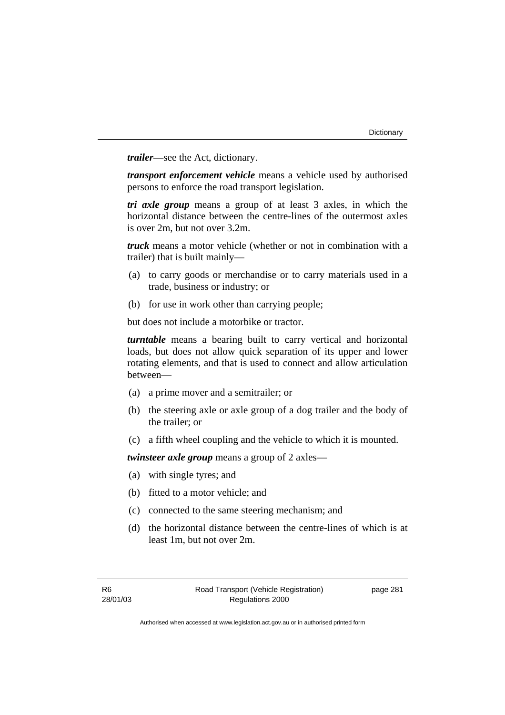*trailer*—see the Act, dictionary.

*transport enforcement vehicle* means a vehicle used by authorised persons to enforce the road transport legislation.

*tri axle group* means a group of at least 3 axles, in which the horizontal distance between the centre-lines of the outermost axles is over 2m, but not over 3.2m.

*truck* means a motor vehicle (whether or not in combination with a trailer) that is built mainly—

- (a) to carry goods or merchandise or to carry materials used in a trade, business or industry; or
- (b) for use in work other than carrying people;

but does not include a motorbike or tractor.

*turntable* means a bearing built to carry vertical and horizontal loads, but does not allow quick separation of its upper and lower rotating elements, and that is used to connect and allow articulation between—

- (a) a prime mover and a semitrailer; or
- (b) the steering axle or axle group of a dog trailer and the body of the trailer; or
- (c) a fifth wheel coupling and the vehicle to which it is mounted.

*twinsteer axle group* means a group of 2 axles—

- (a) with single tyres; and
- (b) fitted to a motor vehicle; and
- (c) connected to the same steering mechanism; and
- (d) the horizontal distance between the centre-lines of which is at least 1m, but not over 2m.

page 281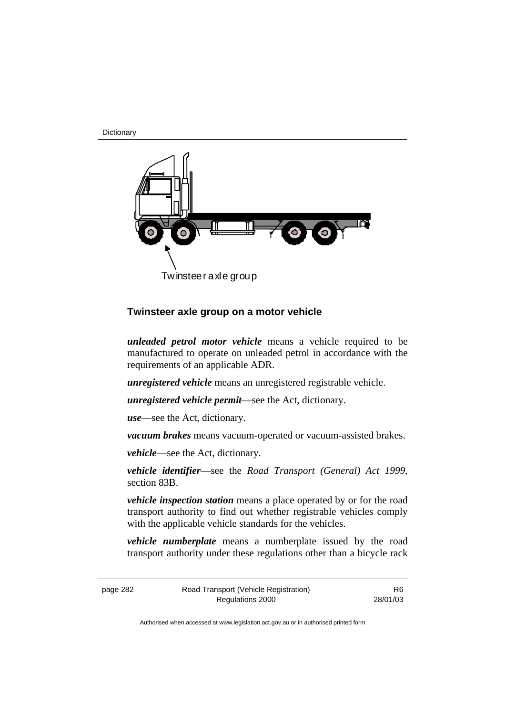**Dictionary** 



## **Twinsteer axle group on a motor vehicle**

*unleaded petrol motor vehicle* means a vehicle required to be manufactured to operate on unleaded petrol in accordance with the requirements of an applicable ADR.

*unregistered vehicle* means an unregistered registrable vehicle.

*unregistered vehicle permit*—see the Act, dictionary.

*use*—see the Act, dictionary.

*vacuum brakes* means vacuum-operated or vacuum-assisted brakes.

*vehicle*—see the Act, dictionary.

*vehicle identifier*—see the *Road Transport (General) Act 1999*, section 83B.

*vehicle inspection station* means a place operated by or for the road transport authority to find out whether registrable vehicles comply with the applicable vehicle standards for the vehicles.

*vehicle numberplate* means a numberplate issued by the road transport authority under these regulations other than a bicycle rack

page 282 Road Transport (Vehicle Registration) Regulations 2000

R6 28/01/03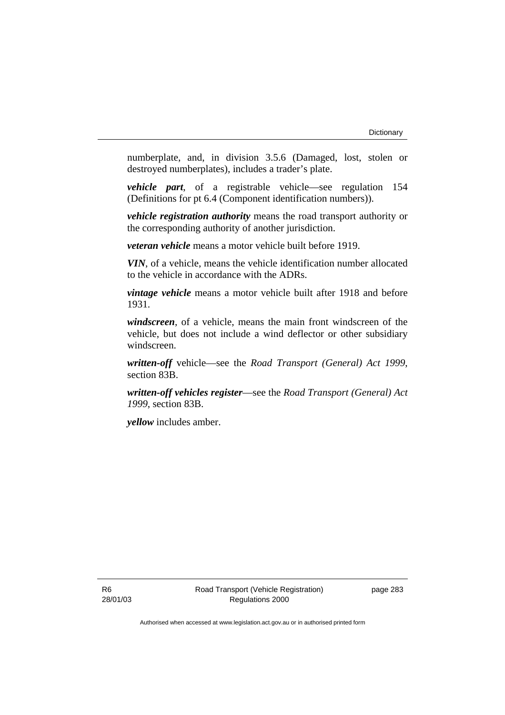numberplate, and, in division 3.5.6 (Damaged, lost, stolen or destroyed numberplates), includes a trader's plate.

*vehicle part*, of a registrable vehicle—see regulation 154 (Definitions for pt 6.4 (Component identification numbers)).

*vehicle registration authority* means the road transport authority or the corresponding authority of another jurisdiction.

*veteran vehicle* means a motor vehicle built before 1919.

*VIN*, of a vehicle, means the vehicle identification number allocated to the vehicle in accordance with the ADRs.

*vintage vehicle* means a motor vehicle built after 1918 and before 1931.

*windscreen*, of a vehicle, means the main front windscreen of the vehicle, but does not include a wind deflector or other subsidiary windscreen.

*written-off* vehicle—see the *Road Transport (General) Act 1999*, section 83B.

*written-off vehicles register*—see the *Road Transport (General) Act 1999*, section 83B.

*yellow* includes amber.

page 283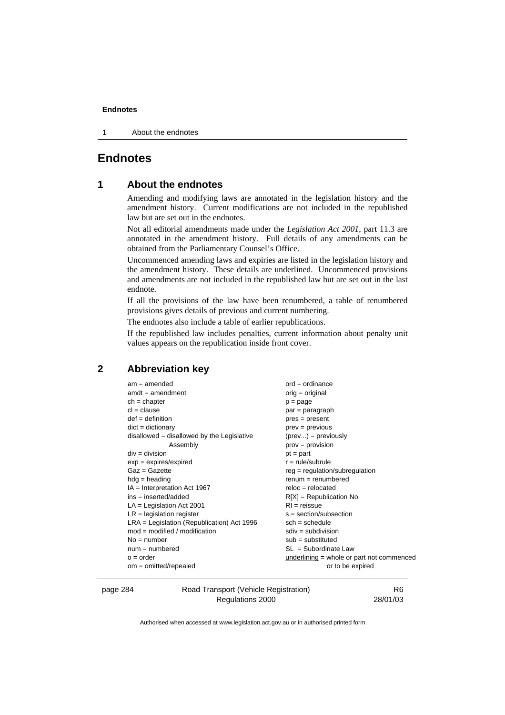1 About the endnotes

# **Endnotes**

## **1 About the endnotes**

Amending and modifying laws are annotated in the legislation history and the amendment history. Current modifications are not included in the republished law but are set out in the endnotes.

Not all editorial amendments made under the *Legislation Act 2001*, part 11.3 are annotated in the amendment history. Full details of any amendments can be obtained from the Parliamentary Counsel's Office.

Uncommenced amending laws and expiries are listed in the legislation history and the amendment history. These details are underlined. Uncommenced provisions and amendments are not included in the republished law but are set out in the last endnote.

If all the provisions of the law have been renumbered, a table of renumbered provisions gives details of previous and current numbering.

The endnotes also include a table of earlier republications.

If the republished law includes penalties, current information about penalty unit values appears on the republication inside front cover.

## **2 Abbreviation key**

| $am = amended$                               | $ord = ordinance$                         |
|----------------------------------------------|-------------------------------------------|
| $amdt = amendment$                           | $orig = original$                         |
| $ch = chapter$                               | $p = page$                                |
| $cl = clause$                                | $par = paragraph$                         |
| $def = definition$                           | $pres = present$                          |
| $dict = dictionary$                          | $prev = previous$                         |
| $disallowed = disallowed by the Legislative$ | $(\text{prev}) = \text{previously}$       |
| Assembly                                     | $prov = provision$                        |
| $div = division$                             | $pt = part$                               |
| $exp = expires/expired$                      | $r = rule/subrule$                        |
| $Gaz = Gazette$                              | $reg = regulation/subregulation$          |
| $hdg =$ heading                              | $renum = renumbered$                      |
| IA = Interpretation Act 1967                 | $reloc = relocated$                       |
| $ins = inserted/added$                       | $R[X]$ = Republication No                 |
| $LA =$ Legislation Act 2001                  | $RI = reissue$                            |
| $LR =$ legislation register                  | $s = section/subsection$                  |
| $LRA =$ Legislation (Republication) Act 1996 | $sch = schedule$                          |
| $mod = modified / modified$                  | $sdiv = subdivision$                      |
| $No = number$                                | $sub =$ substituted                       |
| $num = numbered$                             | $SL = Subordinate Law$                    |
| $o = order$                                  | underlining = whole or part not commenced |
| $om = omitted/repealed$                      | or to be expired                          |
|                                              |                                           |

page 284 Road Transport (Vehicle Registration) Regulations 2000

R6 28/01/03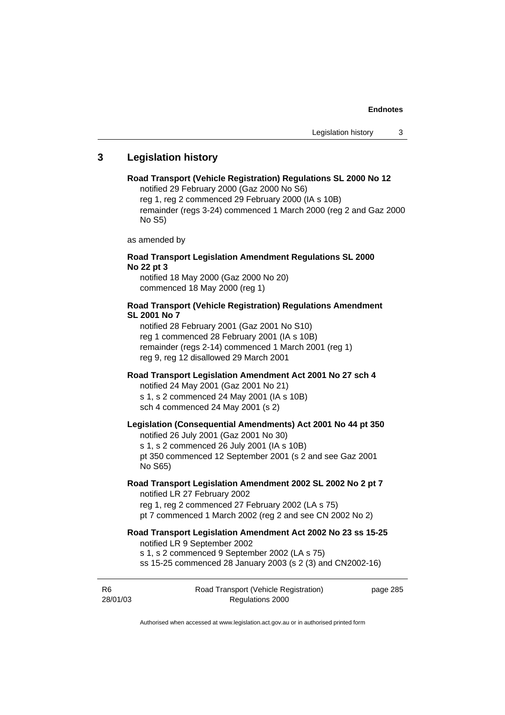## **3 Legislation history**

#### **Road Transport (Vehicle Registration) Regulations SL 2000 No 12**  notified 29 February 2000 (Gaz 2000 No S6)

reg 1, reg 2 commenced 29 February 2000 (IA s 10B) remainder (regs 3-24) commenced 1 March 2000 (reg 2 and Gaz 2000 No S5)

as amended by

### **Road Transport Legislation Amendment Regulations SL 2000 No 22 pt 3**

notified 18 May 2000 (Gaz 2000 No 20) commenced 18 May 2000 (reg 1)

### **Road Transport (Vehicle Registration) Regulations Amendment SL 2001 No 7**

notified 28 February 2001 (Gaz 2001 No S10) reg 1 commenced 28 February 2001 (IA s 10B) remainder (regs 2-14) commenced 1 March 2001 (reg 1) reg 9, reg 12 disallowed 29 March 2001

#### **Road Transport Legislation Amendment Act 2001 No 27 sch 4**

notified 24 May 2001 (Gaz 2001 No 21) s 1, s 2 commenced 24 May 2001 (IA s 10B) sch 4 commenced 24 May 2001 (s 2)

## **Legislation (Consequential Amendments) Act 2001 No 44 pt 350**

notified 26 July 2001 (Gaz 2001 No 30)

s 1, s 2 commenced 26 July 2001 (IA s 10B) pt 350 commenced 12 September 2001 (s 2 and see Gaz 2001 No S65)

# **Road Transport Legislation Amendment 2002 SL 2002 No 2 pt 7**

notified LR 27 February 2002 reg 1, reg 2 commenced 27 February 2002 (LA s 75) pt 7 commenced 1 March 2002 (reg 2 and see CN 2002 No 2)

# **Road Transport Legislation Amendment Act 2002 No 23 ss 15-25**

notified LR 9 September 2002

s 1, s 2 commenced 9 September 2002 (LA s 75)

ss 15-25 commenced 28 January 2003 (s 2 (3) and CN2002-16)

R6 28/01/03 Road Transport (Vehicle Registration) Regulations 2000

page 285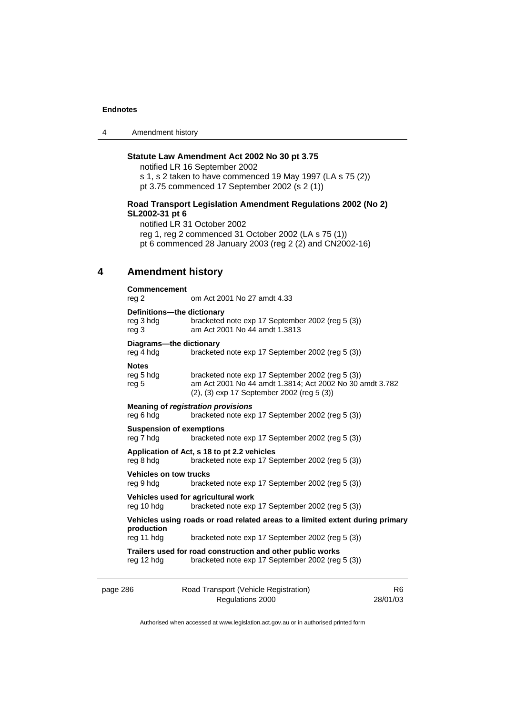4 Amendment history

## **Statute Law Amendment Act 2002 No 30 pt 3.75**

notified LR 16 September 2002 s 1, s 2 taken to have commenced 19 May 1997 (LA s 75 (2)) pt 3.75 commenced 17 September 2002 (s 2 (1))

### **Road Transport Legislation Amendment Regulations 2002 (No 2) SL2002-31 pt 6**

notified LR 31 October 2002 reg 1, reg 2 commenced 31 October 2002 (LA s 75 (1)) pt 6 commenced 28 January 2003 (reg 2 (2) and CN2002-16)

## **4 Amendment history**

| <b>Commencement</b>                                                                         |                                                                                                                                                            |  |
|---------------------------------------------------------------------------------------------|------------------------------------------------------------------------------------------------------------------------------------------------------------|--|
| reg 2                                                                                       | om Act 2001 No 27 amdt 4.33                                                                                                                                |  |
| Definitions-the dictionary                                                                  |                                                                                                                                                            |  |
| reg 3 hdg<br>reg 3                                                                          | bracketed note exp 17 September 2002 (reg 5 (3))<br>am Act 2001 No 44 amdt 1.3813                                                                          |  |
| Diagrams---the dictionary                                                                   |                                                                                                                                                            |  |
| reg 4 hdg                                                                                   | bracketed note exp 17 September 2002 (reg 5 (3))                                                                                                           |  |
| <b>Notes</b>                                                                                |                                                                                                                                                            |  |
| reg 5 hdg<br>reg 5                                                                          | bracketed note exp 17 September 2002 (reg 5 (3))<br>am Act 2001 No 44 amdt 1.3814; Act 2002 No 30 amdt 3.782<br>(2), (3) exp 17 September 2002 (reg 5 (3)) |  |
|                                                                                             | <b>Meaning of registration provisions</b>                                                                                                                  |  |
| reg 6 hdg                                                                                   | bracketed note exp 17 September 2002 (reg 5 (3))                                                                                                           |  |
| <b>Suspension of exemptions</b>                                                             |                                                                                                                                                            |  |
| reg 7 hdg                                                                                   | bracketed note exp 17 September 2002 (reg 5 (3))                                                                                                           |  |
| reg 8 hdg                                                                                   | Application of Act, s 18 to pt 2.2 vehicles<br>bracketed note exp 17 September 2002 (reg 5 (3))                                                            |  |
| <b>Vehicles on tow trucks</b>                                                               |                                                                                                                                                            |  |
| reg 9 hdg                                                                                   | bracketed note exp 17 September 2002 (reg 5 (3))                                                                                                           |  |
| Vehicles used for agricultural work                                                         |                                                                                                                                                            |  |
| reg 10 hdg                                                                                  | bracketed note exp 17 September 2002 (reg 5 (3))                                                                                                           |  |
| Vehicles using roads or road related areas to a limited extent during primary<br>production |                                                                                                                                                            |  |
| reg 11 hdg                                                                                  | bracketed note exp 17 September 2002 (reg 5 (3))                                                                                                           |  |
| Trailers used for road construction and other public works                                  |                                                                                                                                                            |  |
| reg 12 hdg                                                                                  | bracketed note exp 17 September 2002 (reg 5 (3))                                                                                                           |  |
|                                                                                             |                                                                                                                                                            |  |

| page 286 | Road Transport (Vehicle Registration) | R6.      |
|----------|---------------------------------------|----------|
|          | Regulations 2000                      | 28/01/03 |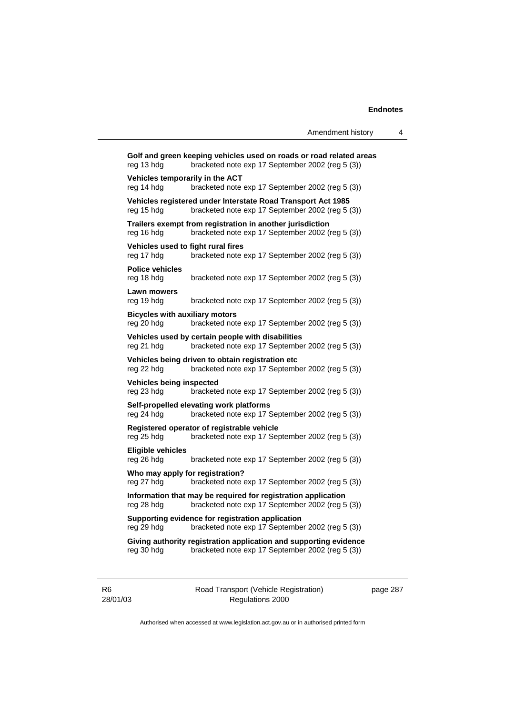|                                                     |                                                                                                                         | Amendment history | 4 |
|-----------------------------------------------------|-------------------------------------------------------------------------------------------------------------------------|-------------------|---|
| reg 13 hdg                                          | Golf and green keeping vehicles used on roads or road related areas<br>bracketed note exp 17 September 2002 (reg 5 (3)) |                   |   |
| Vehicles temporarily in the ACT<br>reg 14 hdg       | bracketed note exp 17 September 2002 (reg 5 (3))                                                                        |                   |   |
| reg 15 hdg                                          | Vehicles registered under Interstate Road Transport Act 1985<br>bracketed note exp 17 September 2002 (reg 5 (3))        |                   |   |
| reg 16 hdg                                          | Trailers exempt from registration in another jurisdiction<br>bracketed note exp 17 September 2002 (reg 5 (3))           |                   |   |
| Vehicles used to fight rural fires<br>reg 17 hdg    | bracketed note exp 17 September 2002 (reg 5 (3))                                                                        |                   |   |
| <b>Police vehicles</b><br>reg 18 hdg                | bracketed note exp 17 September 2002 (reg 5 (3))                                                                        |                   |   |
| Lawn mowers<br>reg 19 hdg                           | bracketed note exp 17 September 2002 (reg 5 (3))                                                                        |                   |   |
| <b>Bicycles with auxiliary motors</b><br>reg 20 hdg | bracketed note exp 17 September 2002 (reg 5 (3))                                                                        |                   |   |
| reg 21 hdg                                          | Vehicles used by certain people with disabilities<br>bracketed note exp 17 September 2002 (reg 5 (3))                   |                   |   |
| reg 22 hdg                                          | Vehicles being driven to obtain registration etc<br>bracketed note exp 17 September 2002 (reg 5 (3))                    |                   |   |
| <b>Vehicles being inspected</b><br>reg 23 hdg       | bracketed note exp 17 September 2002 (reg 5 (3))                                                                        |                   |   |
| reg 24 hdg                                          | Self-propelled elevating work platforms<br>bracketed note exp 17 September 2002 (reg 5 (3))                             |                   |   |
| reg 25 hdg                                          | Registered operator of registrable vehicle<br>bracketed note exp 17 September 2002 (reg 5 (3))                          |                   |   |
| <b>Eligible vehicles</b><br>reg 26 hdg              | bracketed note exp 17 September 2002 (reg 5 (3))                                                                        |                   |   |
| Who may apply for registration?<br>reg 27 hdg       | bracketed note exp 17 September 2002 (reg 5 (3))                                                                        |                   |   |
| reg 28 hdg                                          | Information that may be required for registration application<br>bracketed note exp 17 September 2002 (reg 5 (3))       |                   |   |
| reg 29 hdg                                          | Supporting evidence for registration application<br>bracketed note exp 17 September 2002 (reg 5 (3))                    |                   |   |
| reg 30 hdg                                          | Giving authority registration application and supporting evidence<br>bracketed note exp 17 September 2002 (reg 5 (3))   |                   |   |
|                                                     |                                                                                                                         |                   |   |

R6 28/01/03 Road Transport (Vehicle Registration) Regulations 2000

page 287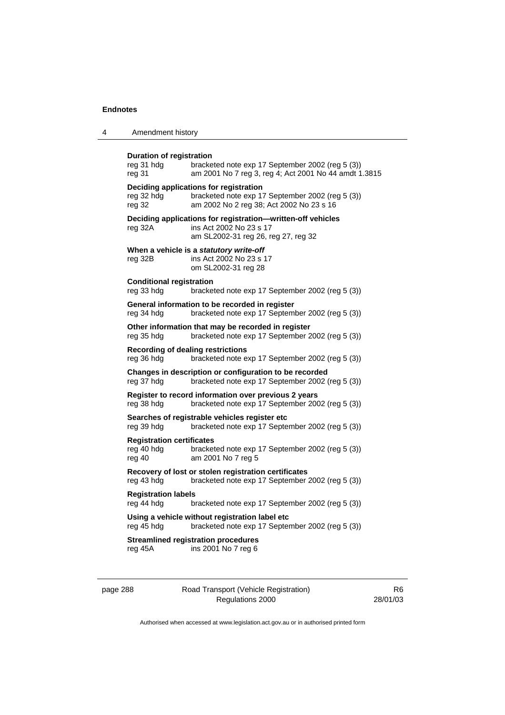| Amendment history |  |
|-------------------|--|
|-------------------|--|

| <b>Duration of registration</b><br>reg 31 hdg<br>reg 31                                                          | bracketed note exp 17 September 2002 (reg 5 (3))<br>am 2001 No 7 reg 3, reg 4; Act 2001 No 44 amdt 1.3815                              |  |
|------------------------------------------------------------------------------------------------------------------|----------------------------------------------------------------------------------------------------------------------------------------|--|
| reg 32 hdg<br>reg 32                                                                                             | Deciding applications for registration<br>bracketed note exp 17 September 2002 (reg 5 (3))<br>am 2002 No 2 reg 38; Act 2002 No 23 s 16 |  |
| reg 32A                                                                                                          | Deciding applications for registration-written-off vehicles<br>ins Act 2002 No 23 s 17<br>am SL2002-31 reg 26, reg 27, reg 32          |  |
| reg 32B                                                                                                          | When a vehicle is a statutory write-off<br>ins Act 2002 No 23 s 17<br>om SL2002-31 reg 28                                              |  |
| <b>Conditional registration</b><br>reg 33 hdg                                                                    | bracketed note exp 17 September 2002 (reg 5 (3))                                                                                       |  |
| reg 34 hdg                                                                                                       | General information to be recorded in register<br>bracketed note exp 17 September 2002 (reg 5 (3))                                     |  |
| reg 35 hdg                                                                                                       | Other information that may be recorded in register<br>bracketed note exp 17 September 2002 (reg 5 (3))                                 |  |
| <b>Recording of dealing restrictions</b><br>reg 36 hdg                                                           | bracketed note exp 17 September 2002 (reg 5 (3))                                                                                       |  |
| reg 37 hdg                                                                                                       | Changes in description or configuration to be recorded<br>bracketed note exp 17 September 2002 (reg 5 (3))                             |  |
| reg 38 hdg                                                                                                       | Register to record information over previous 2 years<br>bracketed note exp 17 September 2002 (reg 5 (3))                               |  |
| reg 39 hdg                                                                                                       | Searches of registrable vehicles register etc<br>bracketed note exp 17 September 2002 (reg 5 (3))                                      |  |
| <b>Registration certificates</b><br>reg 40 hdg<br>reg 40                                                         | bracketed note exp 17 September 2002 (reg 5 (3))<br>am 2001 No 7 reg 5                                                                 |  |
| reg 43 hdg                                                                                                       | Recovery of lost or stolen registration certificates<br>bracketed note exp 17 September 2002 (reg 5 (3))                               |  |
| <b>Registration labels</b><br>reg 44 hdg                                                                         | bracketed note exp 17 September 2002 (reg 5 (3))                                                                                       |  |
| Using a vehicle without registration label etc<br>bracketed note exp 17 September 2002 (reg 5 (3))<br>reg 45 hdg |                                                                                                                                        |  |
| reg 45A                                                                                                          | <b>Streamlined registration procedures</b><br>ins 2001 No 7 reg 6                                                                      |  |
|                                                                                                                  |                                                                                                                                        |  |

page 288 Road Transport (Vehicle Registration) Regulations 2000

R6 28/01/03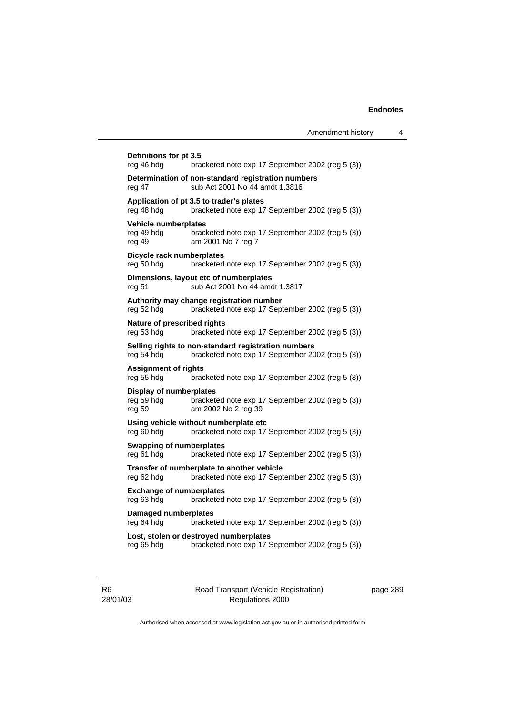| Definitions for pt 3.5<br>reg 46 hdg                   | bracketed note exp 17 September 2002 (reg 5 (3))                                                        |
|--------------------------------------------------------|---------------------------------------------------------------------------------------------------------|
| reg 47                                                 | Determination of non-standard registration numbers<br>sub Act 2001 No 44 amdt 1.3816                    |
| reg 48 hdg                                             | Application of pt 3.5 to trader's plates<br>bracketed note exp 17 September 2002 (reg 5 (3))            |
| Vehicle numberplates<br>reg 49 hdg<br>reg 49           | bracketed note exp 17 September 2002 (reg 5 (3))<br>am 2001 No 7 reg 7                                  |
| <b>Bicycle rack numberplates</b><br>reg 50 hdg         | bracketed note exp 17 September 2002 (reg 5 (3))                                                        |
| reg 51                                                 | Dimensions, layout etc of numberplates<br>sub Act 2001 No 44 amdt 1.3817                                |
| reg 52 hdg                                             | Authority may change registration number<br>bracketed note exp 17 September 2002 (reg 5 (3))            |
| Nature of prescribed rights<br>reg 53 hdg              | bracketed note exp 17 September 2002 (reg 5 (3))                                                        |
| reg 54 hdg                                             | Selling rights to non-standard registration numbers<br>bracketed note exp 17 September 2002 (reg 5 (3)) |
| <b>Assignment of rights</b><br>reg 55 hdg              | bracketed note exp 17 September 2002 (reg 5 (3))                                                        |
| <b>Display of numberplates</b><br>reg 59 hdg<br>reg 59 | bracketed note exp 17 September 2002 (reg 5 (3))<br>am 2002 No 2 reg 39                                 |
| reg 60 hdg                                             | Using vehicle without numberplate etc<br>bracketed note exp 17 September 2002 (reg 5 (3))               |
| <b>Swapping of numberplates</b><br>reg 61 hdg          | bracketed note exp 17 September 2002 (reg 5 (3))                                                        |
| reg 62 hdg                                             | Transfer of numberplate to another vehicle<br>bracketed note exp 17 September 2002 (reg 5 (3))          |
| <b>Exchange of numberplates</b><br>reg 63 hdg          | bracketed note exp 17 September 2002 (reg 5 (3))                                                        |
| <b>Damaged numberplates</b><br>reg 64 hdg              | bracketed note exp 17 September 2002 (reg 5 (3))                                                        |
| reg 65 hdg                                             | Lost, stolen or destroyed numberplates<br>bracketed note exp 17 September 2002 (reg 5 (3))              |

R6 28/01/03

Road Transport (Vehicle Registration) Regulations 2000

page 289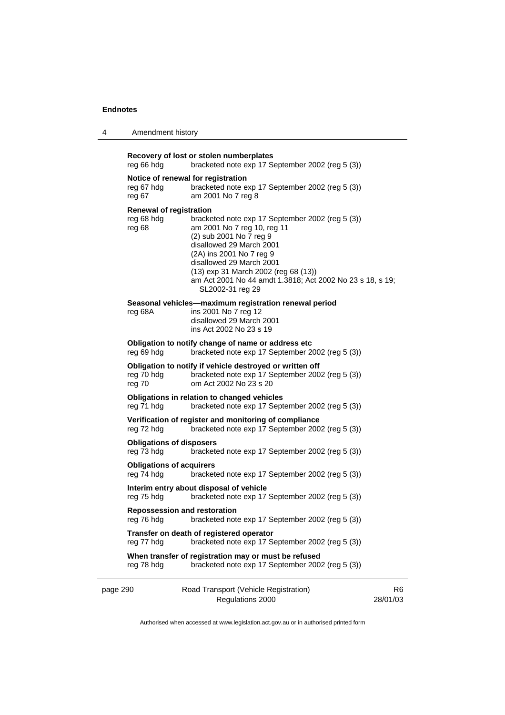| 4 | Amendment history |
|---|-------------------|
|---|-------------------|

| reg 66 hdg                                                                                                              | Recovery of lost or stolen numberplates<br>bracketed note exp 17 September 2002 (reg 5 (3))                                                                                                                                                                                                                             |  |
|-------------------------------------------------------------------------------------------------------------------------|-------------------------------------------------------------------------------------------------------------------------------------------------------------------------------------------------------------------------------------------------------------------------------------------------------------------------|--|
| Notice of renewal for registration<br>reg 67 hdg<br>reg 67                                                              | bracketed note exp 17 September 2002 (reg 5 (3))<br>am 2001 No 7 reg 8                                                                                                                                                                                                                                                  |  |
| <b>Renewal of registration</b><br>reg 68 hdg<br>reg 68                                                                  | bracketed note exp 17 September 2002 (reg 5 (3))<br>am 2001 No 7 reg 10, reg 11<br>(2) sub 2001 No 7 reg 9<br>disallowed 29 March 2001<br>(2A) ins 2001 No 7 reg 9<br>disallowed 29 March 2001<br>(13) exp 31 March 2002 (reg 68 (13))<br>am Act 2001 No 44 amdt 1.3818; Act 2002 No 23 s 18, s 19;<br>SL2002-31 reg 29 |  |
| reg 68A                                                                                                                 | Seasonal vehicles—maximum registration renewal period<br>ins 2001 No 7 reg 12<br>disallowed 29 March 2001<br>ins Act 2002 No 23 s 19                                                                                                                                                                                    |  |
| reg 69 hdg                                                                                                              | Obligation to notify change of name or address etc<br>bracketed note exp 17 September 2002 (reg 5 (3))                                                                                                                                                                                                                  |  |
| reg 70 hdg<br>reg 70                                                                                                    | Obligation to notify if vehicle destroyed or written off<br>bracketed note exp 17 September 2002 (reg 5 (3))<br>om Act 2002 No 23 s 20                                                                                                                                                                                  |  |
| reg 71 hdg                                                                                                              | Obligations in relation to changed vehicles<br>bracketed note exp 17 September 2002 (reg 5 (3))                                                                                                                                                                                                                         |  |
| Verification of register and monitoring of compliance<br>reg 72 hdg<br>bracketed note exp 17 September 2002 (reg 5 (3)) |                                                                                                                                                                                                                                                                                                                         |  |
| <b>Obligations of disposers</b><br>reg 73 hdg                                                                           | bracketed note exp 17 September 2002 (reg 5 (3))                                                                                                                                                                                                                                                                        |  |
| <b>Obligations of acquirers</b><br>reg 74 hdg                                                                           | bracketed note exp 17 September 2002 (reg 5 (3))                                                                                                                                                                                                                                                                        |  |
| reg 75 hdg                                                                                                              | Interim entry about disposal of vehicle<br>bracketed note exp 17 September 2002 (reg 5 (3))                                                                                                                                                                                                                             |  |
| <b>Repossession and restoration</b><br>reg 76 hdg                                                                       | bracketed note exp 17 September 2002 (reg 5 (3))                                                                                                                                                                                                                                                                        |  |
| reg 77 hdg                                                                                                              | Transfer on death of registered operator<br>bracketed note exp 17 September 2002 (reg 5 (3))                                                                                                                                                                                                                            |  |
| reg 78 hdg                                                                                                              | When transfer of registration may or must be refused<br>bracketed note exp 17 September 2002 (reg 5 (3))                                                                                                                                                                                                                |  |
|                                                                                                                         |                                                                                                                                                                                                                                                                                                                         |  |

page 290 Road Transport (Vehicle Registration) Regulations 2000

R6 28/01/03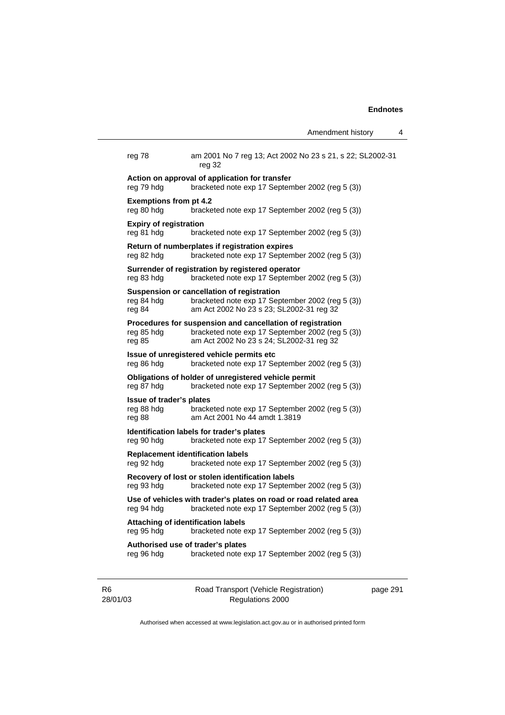|                                                         |                                                                                                                                                            | Amendment history | 4 |
|---------------------------------------------------------|------------------------------------------------------------------------------------------------------------------------------------------------------------|-------------------|---|
| reg 78                                                  | am 2001 No 7 reg 13; Act 2002 No 23 s 21, s 22; SL2002-31<br>reg 32                                                                                        |                   |   |
| reg 79 hdg                                              | Action on approval of application for transfer<br>bracketed note exp 17 September 2002 (reg 5 (3))                                                         |                   |   |
| <b>Exemptions from pt 4.2</b><br>reg 80 hdg             | bracketed note exp 17 September 2002 (reg 5 (3))                                                                                                           |                   |   |
| <b>Expiry of registration</b><br>reg 81 hdg             | bracketed note exp 17 September 2002 (reg 5 (3))                                                                                                           |                   |   |
| reg 82 hdg                                              | Return of numberplates if registration expires<br>bracketed note exp 17 September 2002 (reg 5 (3))                                                         |                   |   |
| reg 83 hdg                                              | Surrender of registration by registered operator<br>bracketed note exp 17 September 2002 (reg 5 (3))                                                       |                   |   |
| reg 84 hdg<br>reg 84                                    | Suspension or cancellation of registration<br>bracketed note exp 17 September 2002 (reg 5 (3))<br>am Act 2002 No 23 s 23; SL2002-31 reg 32                 |                   |   |
| reg 85 hdg<br>reg 85                                    | Procedures for suspension and cancellation of registration<br>bracketed note exp 17 September 2002 (reg 5 (3))<br>am Act 2002 No 23 s 24; SL2002-31 reg 32 |                   |   |
| reg 86 hdg                                              | Issue of unregistered vehicle permits etc<br>bracketed note exp 17 September 2002 (reg 5 (3))                                                              |                   |   |
| reg 87 hdg                                              | Obligations of holder of unregistered vehicle permit<br>bracketed note exp 17 September 2002 (reg 5 (3))                                                   |                   |   |
| <b>Issue of trader's plates</b><br>reg 88 hdg<br>reg 88 | bracketed note exp 17 September 2002 (reg 5 (3))<br>am Act 2001 No 44 amdt 1.3819                                                                          |                   |   |
| reg 90 hdg                                              | Identification labels for trader's plates<br>bracketed note exp 17 September 2002 (reg 5 (3))                                                              |                   |   |
| <b>Replacement identification labels</b><br>reg 92 hdg  | bracketed note exp 17 September 2002 (reg 5 (3))                                                                                                           |                   |   |
| reg 93 hdg                                              | Recovery of lost or stolen identification labels<br>bracketed note exp 17 September 2002 (reg 5 (3))                                                       |                   |   |
|                                                         | Use of vehicles with trader's plates on road or road related area<br>reg 94 hdg bracketed note exp 17 September 2002 (reg 5 (3))                           |                   |   |
| <b>Attaching of identification labels</b><br>reg 95 hdg | bracketed note exp 17 September 2002 (reg 5 (3))                                                                                                           |                   |   |
| Authorised use of trader's plates<br>reg 96 hdg         | bracketed note exp 17 September 2002 (reg 5 (3))                                                                                                           |                   |   |
|                                                         |                                                                                                                                                            |                   |   |

R6 28/01/03

Road Transport (Vehicle Registration) Regulations 2000

page 291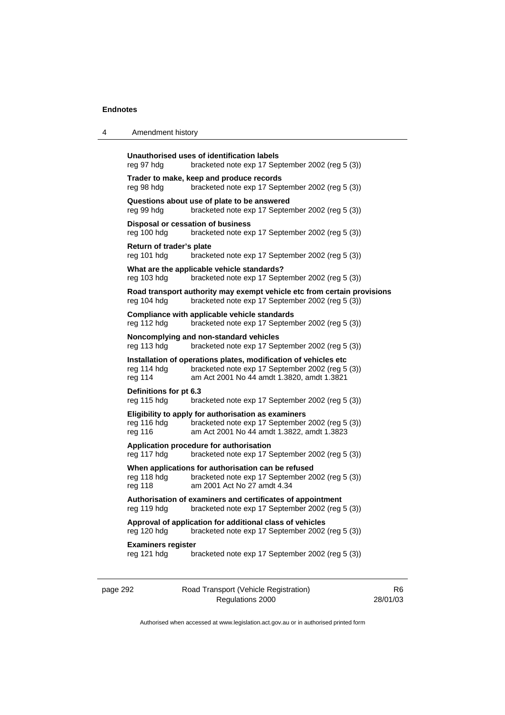#### 4 Amendment history

```
Unauthorised uses of identification labels 
reg 97 hdg bracketed note exp 17 September 2002 (reg 5 (3)) 
Trader to make, keep and produce records 
reg 98 hdg bracketed note exp 17 September 2002 (reg 5 (3)) 
Questions about use of plate to be answered 
reg 99 hdg bracketed note exp 17 September 2002 (reg 5 (3)) 
Disposal or cessation of business 
reg 100 hdg bracketed note exp 17 September 2002 (reg 5 (3)) 
Return of trader's plate 
reg 101 hdg bracketed note exp 17 September 2002 (reg 5 (3)) 
What are the applicable vehicle standards? 
reg 103 hdg bracketed note exp 17 September 2002 (reg 5 (3)) 
Road transport authority may exempt vehicle etc from certain provisions 
reg 104 hdg bracketed note exp 17 September 2002 (reg 5 (3)) 
Compliance with applicable vehicle standards 
reg 112 hdg bracketed note exp 17 September 2002 (reg 5 (3)) 
Noncomplying and non-standard vehicles 
reg 113 hdg bracketed note exp 17 September 2002 (reg 5 (3)) 
Installation of operations plates, modification of vehicles etc 
reg 114 hdg bracketed note exp 17 September 2002 (reg 5 (3)) reg 114 am Act 2001 No 44 amdt 1.3820, amdt 1.3821
                 am Act 2001 No 44 amdt 1.3820, amdt 1.3821
Definitions for pt 6.3 
reg 115 hdg bracketed note exp 17 September 2002 (reg 5 (3)) 
Eligibility to apply for authorisation as examiners 
reg 116 hdg bracketed note exp 17 September 2002 (reg 5 (3))
reg 116 am Act 2001 No 44 amdt 1.3822, amdt 1.3823 
Application procedure for authorisation 
reg 117 hdg bracketed note exp 17 September 2002 (reg 5 (3)) 
When applications for authorisation can be refused
reg 118 hdg bracketed note exp 17 September 2002 (reg 5 (3)) 
reg 118 am 2001 Act No 27 amdt 4.34 
Authorisation of examiners and certificates of appointment 
reg 119 hdg bracketed note exp 17 September 2002 (reg 5 (3)) 
Approval of application for additional class of vehicles 
reg 120 hdg bracketed note exp 17 September 2002 (reg 5 (3)) 
Examiners register 
reg 121 hdg bracketed note exp 17 September 2002 (reg 5 (3))
```
page 292 Road Transport (Vehicle Registration) Regulations 2000

R6 28/01/03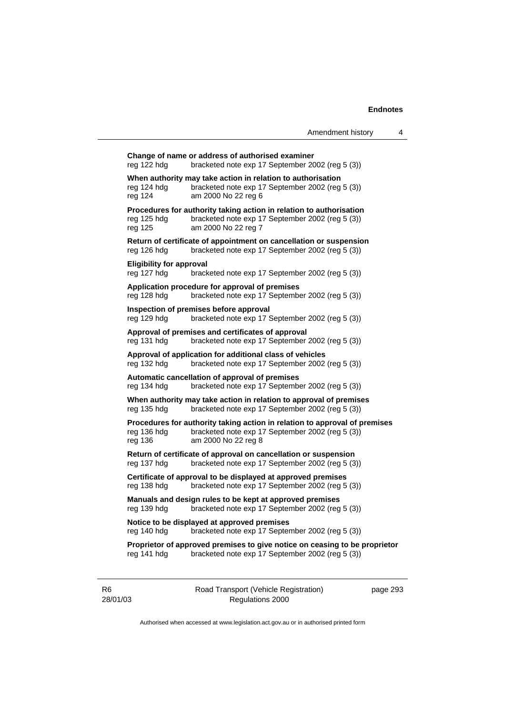| reg 122 hdg                                                                                                                     | Change of name or address of authorised examiner<br>bracketed note exp 17 September 2002 (reg 5 (3))                                                  |  |
|---------------------------------------------------------------------------------------------------------------------------------|-------------------------------------------------------------------------------------------------------------------------------------------------------|--|
| reg 124 hdg<br>reg 124                                                                                                          | When authority may take action in relation to authorisation<br>bracketed note exp 17 September 2002 (reg 5 (3))<br>am 2000 No 22 reg 6                |  |
| reg 125 hdg<br>reg 125                                                                                                          | Procedures for authority taking action in relation to authorisation<br>bracketed note exp 17 September 2002 (reg 5 (3))<br>am 2000 No 22 reg 7        |  |
| reg 126 hdg                                                                                                                     | Return of certificate of appointment on cancellation or suspension<br>bracketed note exp 17 September 2002 (reg 5 (3))                                |  |
| <b>Eligibility for approval</b><br>reg 127 hdg                                                                                  | bracketed note exp 17 September 2002 (reg 5 (3))                                                                                                      |  |
| reg 128 hdg                                                                                                                     | Application procedure for approval of premises<br>bracketed note exp 17 September 2002 (reg 5 (3))                                                    |  |
| reg 129 hdg                                                                                                                     | Inspection of premises before approval<br>bracketed note exp 17 September 2002 (reg 5 (3))                                                            |  |
| reg 131 hdg                                                                                                                     | Approval of premises and certificates of approval<br>bracketed note exp 17 September 2002 (reg 5 (3))                                                 |  |
| reg 132 hdg                                                                                                                     | Approval of application for additional class of vehicles<br>bracketed note exp 17 September 2002 (reg 5 (3))                                          |  |
| reg 134 hdg                                                                                                                     | Automatic cancellation of approval of premises<br>bracketed note exp 17 September 2002 (reg 5 (3))                                                    |  |
| reg 135 hdg                                                                                                                     | When authority may take action in relation to approval of premises<br>bracketed note exp 17 September 2002 (reg 5 (3))                                |  |
| reg 136 hdg<br>reg 136                                                                                                          | Procedures for authority taking action in relation to approval of premises<br>bracketed note exp 17 September 2002 (reg 5 (3))<br>am 2000 No 22 reg 8 |  |
| reg 137 hdg                                                                                                                     | Return of certificate of approval on cancellation or suspension<br>bracketed note exp 17 September 2002 (reg 5 (3))                                   |  |
| Certificate of approval to be displayed at approved premises<br>bracketed note exp 17 September 2002 (reg 5 (3))<br>reg 138 hdg |                                                                                                                                                       |  |
| reg 139 hdg                                                                                                                     | Manuals and design rules to be kept at approved premises<br>bracketed note exp 17 September 2002 (reg 5 (3))                                          |  |
| Notice to be displayed at approved premises<br>reg 140 hdg<br>bracketed note exp 17 September 2002 (reg 5 (3))                  |                                                                                                                                                       |  |
| reg 141 hdg                                                                                                                     | Proprietor of approved premises to give notice on ceasing to be proprietor<br>bracketed note exp 17 September 2002 (reg 5 (3))                        |  |
|                                                                                                                                 |                                                                                                                                                       |  |

R6 28/01/03 Road Transport (Vehicle Registration) Regulations 2000

page 293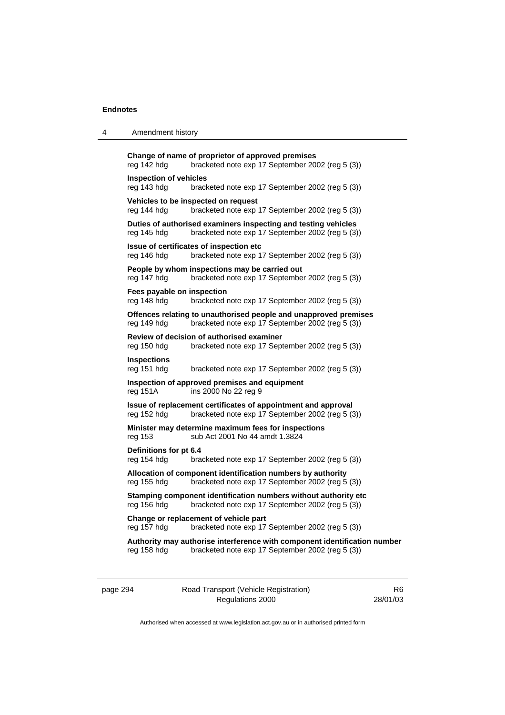| 4 | Amendment history                            |                                                                                                                               |
|---|----------------------------------------------|-------------------------------------------------------------------------------------------------------------------------------|
|   | reg 142 hdg                                  | Change of name of proprietor of approved premises<br>bracketed note exp 17 September 2002 (reg 5 (3))                         |
|   | <b>Inspection of vehicles</b><br>reg 143 hdg | bracketed note exp 17 September 2002 (reg 5 (3))                                                                              |
|   | reg 144 hdg                                  | Vehicles to be inspected on request<br>bracketed note exp 17 September 2002 (reg 5 (3))                                       |
|   | reg 145 hdg                                  | Duties of authorised examiners inspecting and testing vehicles<br>bracketed note exp 17 September 2002 (reg 5 (3))            |
|   | reg 146 hdg                                  | Issue of certificates of inspection etc<br>bracketed note exp 17 September 2002 (reg 5 (3))                                   |
|   | reg 147 hdg                                  | People by whom inspections may be carried out<br>bracketed note exp 17 September 2002 (reg 5 (3))                             |
|   | Fees payable on inspection<br>reg 148 hdg    | bracketed note exp 17 September 2002 (reg 5 (3))                                                                              |
|   | reg 149 hdg                                  | Offences relating to unauthorised people and unapproved premises<br>bracketed note exp 17 September 2002 (reg 5 (3))          |
|   | reg 150 hdg                                  | Review of decision of authorised examiner<br>bracketed note exp 17 September 2002 (reg 5 (3))                                 |
|   | <b>Inspections</b><br>reg 151 hdg            | bracketed note exp 17 September 2002 (reg 5 (3))                                                                              |
|   | $reg$ 151 $A$                                | Inspection of approved premises and equipment<br>ins 2000 No 22 reg 9                                                         |
|   | reg 152 hdg                                  | Issue of replacement certificates of appointment and approval<br>bracketed note exp 17 September 2002 (reg 5 (3))             |
|   | reg 153                                      | Minister may determine maximum fees for inspections<br>sub Act 2001 No 44 amdt 1.3824                                         |
|   | Definitions for pt 6.4<br>reg 154 hdg        | bracketed note exp 17 September 2002 (reg 5 (3))                                                                              |
|   | reg 155 hdg                                  | Allocation of component identification numbers by authority<br>bracketed note exp 17 September 2002 (reg 5 (3))               |
|   | reg 156 hdg                                  | Stamping component identification numbers without authority etc.<br>bracketed note exp 17 September 2002 (reg 5 (3))          |
|   | reg 157 hdg                                  | Change or replacement of vehicle part<br>bracketed note exp 17 September 2002 (reg 5 (3))                                     |
|   | reg 158 hdg                                  | Authority may authorise interference with component identification number<br>bracketed note exp 17 September 2002 (reg 5 (3)) |

page 294 Road Transport (Vehicle Registration) Regulations 2000

R6 28/01/03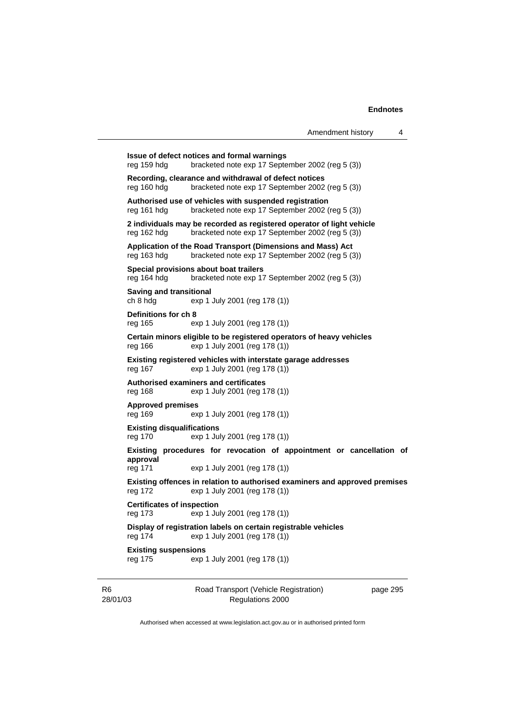| Amendment history |  |
|-------------------|--|
|-------------------|--|

|                                              |                                                                                                                                               | Amendment history | 4 |
|----------------------------------------------|-----------------------------------------------------------------------------------------------------------------------------------------------|-------------------|---|
| reg 159 hdg                                  | Issue of defect notices and formal warnings<br>bracketed note exp 17 September 2002 (reg 5 (3))                                               |                   |   |
| reg 160 hdg                                  | Recording, clearance and withdrawal of defect notices<br>bracketed note exp 17 September 2002 (reg 5 (3))                                     |                   |   |
| reg 161 hdg                                  | Authorised use of vehicles with suspended registration<br>bracketed note exp 17 September 2002 (reg 5 (3))                                    |                   |   |
| reg 162 hdg                                  | 2 individuals may be recorded as registered operator of light vehicle<br>bracketed note exp 17 September 2002 (reg 5 (3))                     |                   |   |
| reg 163 hdg                                  | Application of the Road Transport (Dimensions and Mass) Act<br>bracketed note exp 17 September 2002 (reg 5 (3))                               |                   |   |
| reg 164 hdg                                  | Special provisions about boat trailers<br>bracketed note exp 17 September 2002 (reg 5 (3))                                                    |                   |   |
| <b>Saving and transitional</b><br>ch 8 hdg   | exp 1 July 2001 (reg 178 (1))                                                                                                                 |                   |   |
| Definitions for ch 8<br>reg 165              | exp 1 July 2001 (reg 178 (1))                                                                                                                 |                   |   |
| reg 166                                      | Certain minors eligible to be registered operators of heavy vehicles<br>exp 1 July 2001 (reg 178 (1))                                         |                   |   |
| reg 167                                      | Existing registered vehicles with interstate garage addresses<br>exp 1 July 2001 (reg 178 (1))                                                |                   |   |
| reg 168                                      | Authorised examiners and certificates<br>exp 1 July 2001 (reg 178 (1))                                                                        |                   |   |
| <b>Approved premises</b><br>reg 169          | exp 1 July 2001 (reg 178 (1))                                                                                                                 |                   |   |
| <b>Existing disqualifications</b><br>reg 170 | exp 1 July 2001 (reg 178 (1))                                                                                                                 |                   |   |
| approval                                     | Existing procedures for revocation of appointment or cancellation of                                                                          |                   |   |
| reg 171<br>reg 172                           | exp 1 July 2001 (reg 178 (1))<br>Existing offences in relation to authorised examiners and approved premises<br>exp 1 July 2001 (reg 178 (1)) |                   |   |
| <b>Certificates of inspection</b><br>reg 173 | exp 1 July 2001 (reg 178 (1))                                                                                                                 |                   |   |

**Display of registration labels on certain registrable vehicles**  reg 174 exp 1 July 2001 (reg 178 (1))

**Existing suspensions**<br>reg 175 exp exp 1 July 2001 (reg 178 (1))

R6 28/01/03 Road Transport (Vehicle Registration) Regulations 2000

page 295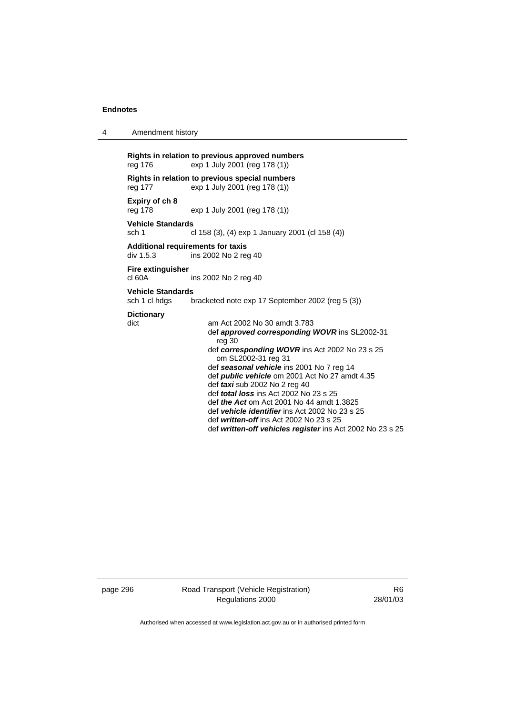|  | Amendment history |
|--|-------------------|
|--|-------------------|

**Rights in relation to previous approved numbers**  reg 176 exp 1 July 2001 (reg 178 (1)) **Rights in relation to previous special numbers**  reg 177 exp 1 July 2001 (reg 178 (1)) **Expiry of ch 8**  exp 1 July 2001 (reg 178 (1)) **Vehicle Standards**  sch 1 cl 158 (3), (4) exp 1 January 2001 (cl 158 (4)) **Additional requirements for taxis**  ins 2002 No 2 reg 40 **Fire extinguisher**  cl 60A ins 2002 No 2 reg 40 **Vehicle Standards**  sch 1 cl hdgs bracketed note exp 17 September 2002 (reg 5 (3)) **Dictionary**  dict am Act 2002 No 30 amdt 3.783 def *approved corresponding WOVR* ins SL2002-31 reg 30 def *corresponding WOVR* ins Act 2002 No 23 s 25 om SL2002-31 reg 31 def *seasonal vehicle* ins 2001 No 7 reg 14 def *public vehicle* om 2001 Act No 27 amdt 4.35 def *taxi* sub 2002 No 2 reg 40 def *total loss* ins Act 2002 No 23 s 25 def *the Act* om Act 2001 No 44 amdt 1.3825 def *vehicle identifier* ins Act 2002 No 23 s 25 def *written-off* ins Act 2002 No 23 s 25 def *written-off vehicles register* ins Act 2002 No 23 s 25

page 296 Road Transport (Vehicle Registration) Regulations 2000

R6 28/01/03